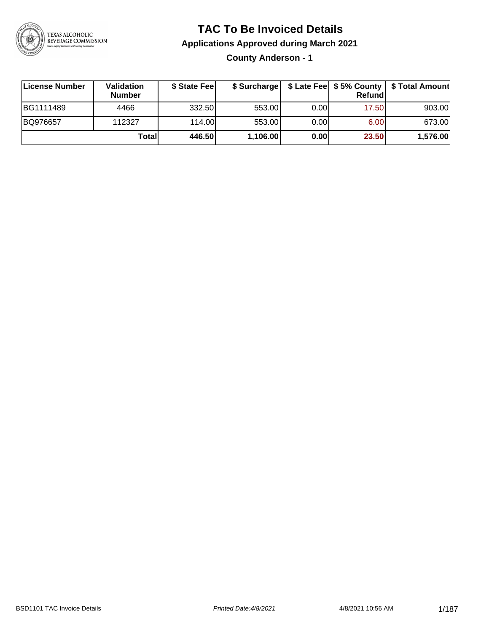

# **TAC To Be Invoiced Details**

#### **Applications Approved during March 2021**

**County Anderson - 1**

| <b>∣License Number</b> | Validation<br><b>Number</b> | \$ State Fee |          |      | <b>Refund</b> | \$ Surcharge   \$ Late Fee   \$5% County   \$ Total Amount |
|------------------------|-----------------------------|--------------|----------|------|---------------|------------------------------------------------------------|
| BG1111489              | 4466                        | 332.50       | 553.00   | 0.00 | 17.50         | 903.00                                                     |
| BQ976657               | 112327                      | 114.00L      | 553.00   | 0.00 | 6.00          | 673.00                                                     |
|                        | Total                       | 446.50       | 1,106.00 | 0.00 | 23.50         | 1,576.00                                                   |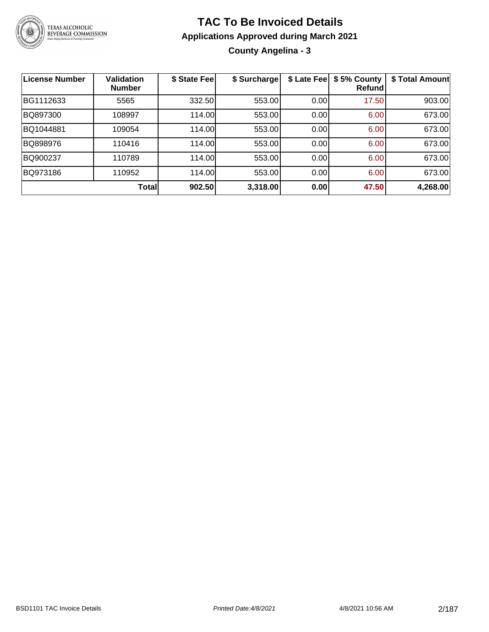

**County Angelina - 3**

| <b>License Number</b> | <b>Validation</b><br><b>Number</b> | \$ State Fee | \$ Surcharge | \$ Late Fee | \$5% County<br>Refundl | \$ Total Amount |
|-----------------------|------------------------------------|--------------|--------------|-------------|------------------------|-----------------|
| BG1112633             | 5565                               | 332.50       | 553.00       | 0.00        | 17.50                  | 903.00          |
| BQ897300              | 108997                             | 114.00       | 553.00       | 0.00        | 6.00                   | 673.00          |
| BQ1044881             | 109054                             | 114.00       | 553.00       | 0.00        | 6.00                   | 673.00          |
| BQ898976              | 110416                             | 114.00       | 553.00       | 0.00        | 6.00                   | 673.00          |
| BQ900237              | 110789                             | 114.00       | 553.00       | 0.00        | 6.00                   | 673.00          |
| BQ973186              | 110952                             | 114.00       | 553.00       | 0.00        | 6.00                   | 673.00          |
|                       | <b>Total</b>                       | 902.50       | 3,318.00     | 0.00        | 47.50                  | 4,268.00        |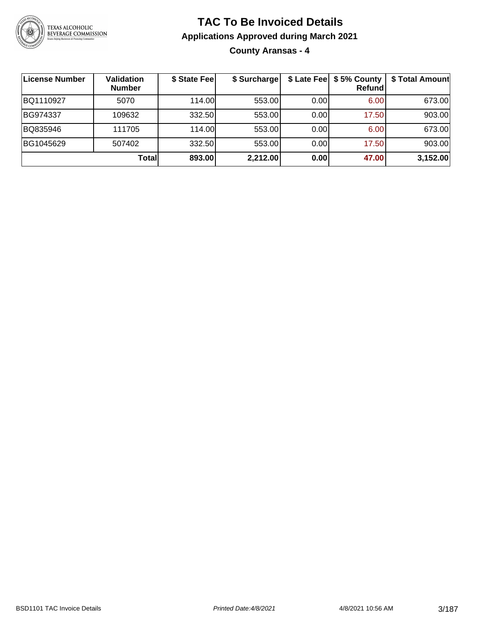

**County Aransas - 4**

| License Number | <b>Validation</b><br><b>Number</b> | \$ State Fee | \$ Surcharge |      | \$ Late Fee   \$5% County  <br><b>Refund</b> | \$ Total Amount |
|----------------|------------------------------------|--------------|--------------|------|----------------------------------------------|-----------------|
| BQ1110927      | 5070                               | 114.00L      | 553.00       | 0.00 | 6.00                                         | 673.00          |
| BG974337       | 109632                             | 332.50       | 553.00       | 0.00 | 17.50                                        | 903.00          |
| BQ835946       | 111705                             | 114.00L      | 553.00       | 0.00 | 6.00                                         | 673.00          |
| BG1045629      | 507402                             | 332.50       | 553.00       | 0.00 | 17.50                                        | 903.00          |
|                | Totall                             | 893.00       | 2,212.00     | 0.00 | 47.00                                        | 3,152.00        |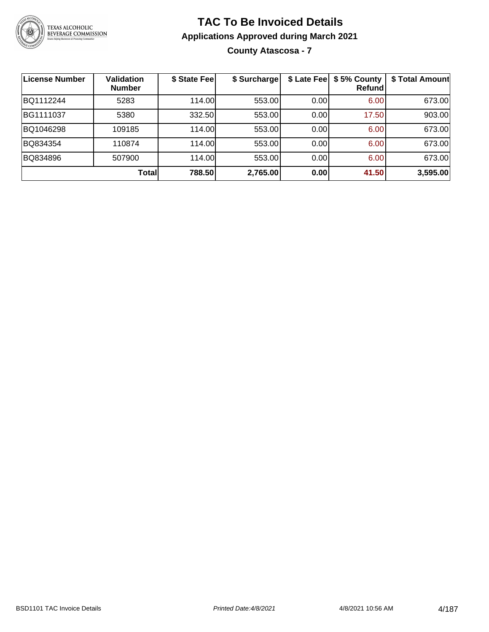

**County Atascosa - 7**

| <b>License Number</b> | <b>Validation</b><br><b>Number</b> | \$ State Fee | \$ Surcharge | \$ Late Fee | \$5% County<br>Refundl | \$ Total Amount |
|-----------------------|------------------------------------|--------------|--------------|-------------|------------------------|-----------------|
| BQ1112244             | 5283                               | 114.00       | 553.00       | 0.00        | 6.00                   | 673.00          |
| BG1111037             | 5380                               | 332.50       | 553.00       | 0.00        | 17.50                  | 903.00          |
| BQ1046298             | 109185                             | 114.00       | 553.00       | 0.00        | 6.00                   | 673.00          |
| BQ834354              | 110874                             | 114.00       | 553.00       | 0.00        | 6.00                   | 673.00          |
| BQ834896              | 507900                             | 114.00       | 553.00       | 0.00        | 6.00                   | 673.00          |
|                       | Totall                             | 788.50       | 2,765.00     | 0.00        | 41.50                  | 3,595.00        |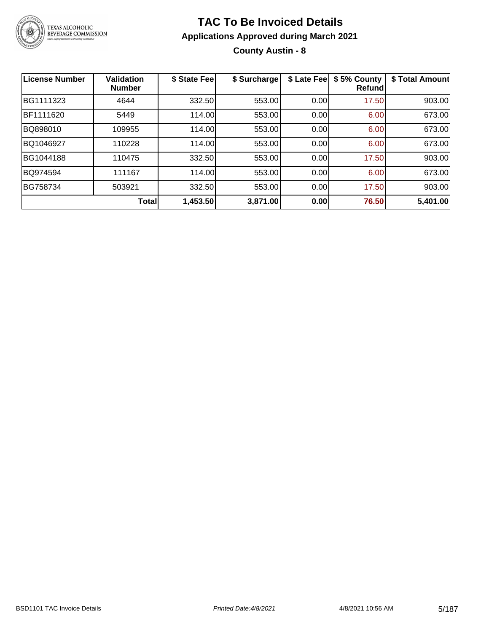

#### **TAC To Be Invoiced Details Applications Approved during March 2021 County Austin - 8**

**License Number Validation Number \$ State Fee \$ Surcharge \$ Late Fee \$ 5% County Refund \$ Total Amount** BG1111323 4644 332.50 553.00 0.00 17.50 903.00 BF1111620 5449 114.00 553.00 0.00 6.00 673.00 BQ898010 | 109955 | 114.00| 553.00| 0.00| 6.00| 673.00 BQ1046927 110228 114.00 553.00 0.00 6.00 673.00 BG1044188 | 110475 | 332.50| 553.00| 0.00| 17.50| 903.00 BQ974594 111167 114.00 553.00 0.00 6.00 673.00 BG758734 | 503921 | 332.50| 553.00| 0.00| 17.50| 903.00 **Total 1,453.50 3,871.00 0.00 76.50 5,401.00**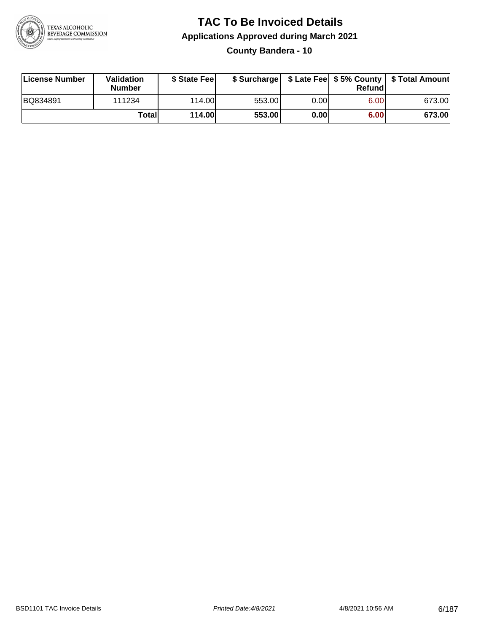

#### **TAC To Be Invoiced Details Applications Approved during March 2021 County Bandera - 10**

| License Number  | Validation<br><b>Number</b> | \$ State Feel |        |      | Refund | \$ Surcharge   \$ Late Fee   \$5% County   \$ Total Amount |
|-----------------|-----------------------------|---------------|--------|------|--------|------------------------------------------------------------|
| <b>BQ834891</b> | 111234                      | 114.00        | 553.00 | 0.00 | 6.00   | 673.00                                                     |
|                 | Totall                      | <b>114.00</b> | 553.00 | 0.00 | 6.00   | 673.00                                                     |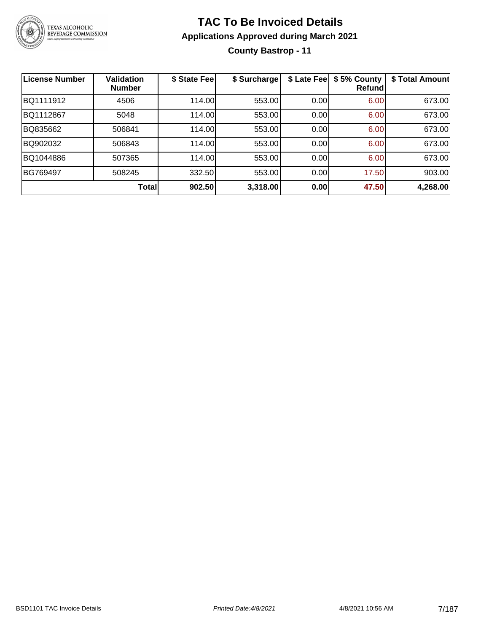

#### **TAC To Be Invoiced Details Applications Approved during March 2021 County Bastrop - 11**

| <b>License Number</b> | <b>Validation</b><br><b>Number</b> | \$ State Fee | \$ Surcharge | \$ Late Fee | \$5% County<br>Refund | \$ Total Amount |
|-----------------------|------------------------------------|--------------|--------------|-------------|-----------------------|-----------------|
| BQ1111912             | 4506                               | 114.00       | 553.00       | 0.00        | 6.00                  | 673.00          |
| BQ1112867             | 5048                               | 114.00       | 553.00       | 0.00        | 6.00                  | 673.00          |
| BQ835662              | 506841                             | 114.00       | 553.00       | 0.00        | 6.00                  | 673.00          |
| BQ902032              | 506843                             | 114.00       | 553.00       | 0.00        | 6.00                  | 673.00          |
| BQ1044886             | 507365                             | 114.00       | 553.00       | 0.00        | 6.00                  | 673.00          |
| BG769497              | 508245                             | 332.50       | 553.00       | 0.00        | 17.50                 | 903.00          |
|                       | <b>Total</b>                       | 902.50       | 3,318.00     | 0.00        | 47.50                 | 4,268.00        |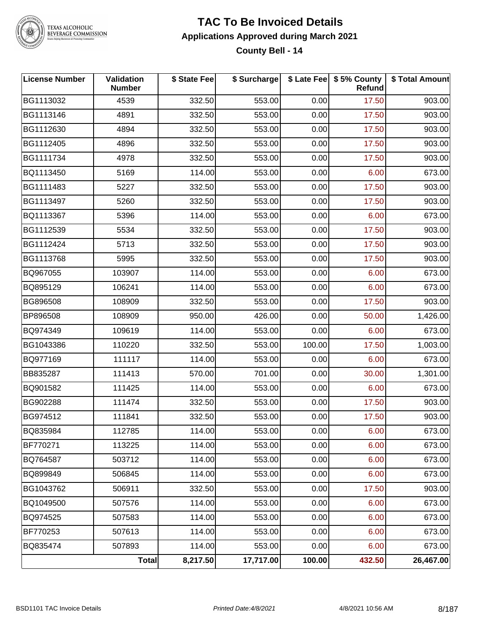

### **TAC To Be Invoiced Details Applications Approved during March 2021**

**County Bell - 14**

| <b>License Number</b> | Validation<br><b>Number</b> | \$ State Fee | \$ Surcharge |        | \$ Late Fee   \$5% County<br>Refund | \$ Total Amount |
|-----------------------|-----------------------------|--------------|--------------|--------|-------------------------------------|-----------------|
| BG1113032             | 4539                        | 332.50       | 553.00       | 0.00   | 17.50                               | 903.00          |
| BG1113146             | 4891                        | 332.50       | 553.00       | 0.00   | 17.50                               | 903.00          |
| BG1112630             | 4894                        | 332.50       | 553.00       | 0.00   | 17.50                               | 903.00          |
| BG1112405             | 4896                        | 332.50       | 553.00       | 0.00   | 17.50                               | 903.00          |
| BG1111734             | 4978                        | 332.50       | 553.00       | 0.00   | 17.50                               | 903.00          |
| BQ1113450             | 5169                        | 114.00       | 553.00       | 0.00   | 6.00                                | 673.00          |
| BG1111483             | 5227                        | 332.50       | 553.00       | 0.00   | 17.50                               | 903.00          |
| BG1113497             | 5260                        | 332.50       | 553.00       | 0.00   | 17.50                               | 903.00          |
| BQ1113367             | 5396                        | 114.00       | 553.00       | 0.00   | 6.00                                | 673.00          |
| BG1112539             | 5534                        | 332.50       | 553.00       | 0.00   | 17.50                               | 903.00          |
| BG1112424             | 5713                        | 332.50       | 553.00       | 0.00   | 17.50                               | 903.00          |
| BG1113768             | 5995                        | 332.50       | 553.00       | 0.00   | 17.50                               | 903.00          |
| BQ967055              | 103907                      | 114.00       | 553.00       | 0.00   | 6.00                                | 673.00          |
| BQ895129              | 106241                      | 114.00       | 553.00       | 0.00   | 6.00                                | 673.00          |
| BG896508              | 108909                      | 332.50       | 553.00       | 0.00   | 17.50                               | 903.00          |
| BP896508              | 108909                      | 950.00       | 426.00       | 0.00   | 50.00                               | 1,426.00        |
| BQ974349              | 109619                      | 114.00       | 553.00       | 0.00   | 6.00                                | 673.00          |
| BG1043386             | 110220                      | 332.50       | 553.00       | 100.00 | 17.50                               | 1,003.00        |
| BQ977169              | 111117                      | 114.00       | 553.00       | 0.00   | 6.00                                | 673.00          |
| BB835287              | 111413                      | 570.00       | 701.00       | 0.00   | 30.00                               | 1,301.00        |
| BQ901582              | 111425                      | 114.00       | 553.00       | 0.00   | 6.00                                | 673.00          |
| BG902288              | 111474                      | 332.50       | 553.00       | 0.00   | 17.50                               | 903.00          |
| BG974512              | 111841                      | 332.50       | 553.00       | 0.00   | 17.50                               | 903.00          |
| BQ835984              | 112785                      | 114.00       | 553.00       | 0.00   | 6.00                                | 673.00          |
| BF770271              | 113225                      | 114.00       | 553.00       | 0.00   | 6.00                                | 673.00          |
| BQ764587              | 503712                      | 114.00       | 553.00       | 0.00   | 6.00                                | 673.00          |
| BQ899849              | 506845                      | 114.00       | 553.00       | 0.00   | 6.00                                | 673.00          |
| BG1043762             | 506911                      | 332.50       | 553.00       | 0.00   | 17.50                               | 903.00          |
| BQ1049500             | 507576                      | 114.00       | 553.00       | 0.00   | 6.00                                | 673.00          |
| BQ974525              | 507583                      | 114.00       | 553.00       | 0.00   | 6.00                                | 673.00          |
| BF770253              | 507613                      | 114.00       | 553.00       | 0.00   | 6.00                                | 673.00          |
| BQ835474              | 507893                      | 114.00       | 553.00       | 0.00   | 6.00                                | 673.00          |
|                       | Total                       | 8,217.50     | 17,717.00    | 100.00 | 432.50                              | 26,467.00       |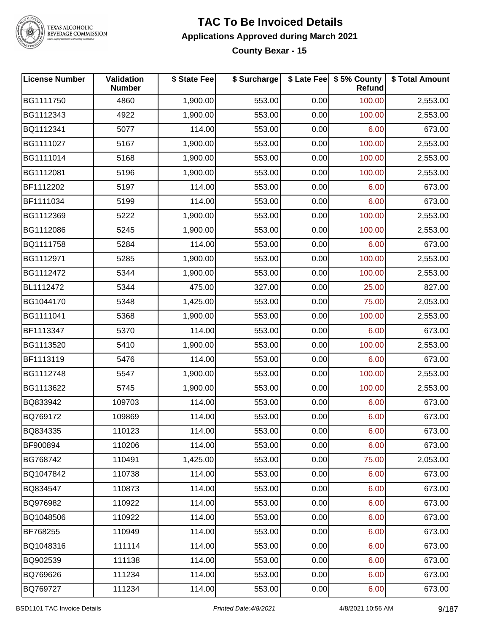

#### **TAC To Be Invoiced Details Applications Approved during March 2021 County Bexar - 15**

| <b>License Number</b> | Validation<br><b>Number</b> | \$ State Fee | \$ Surcharge |      | \$ Late Fee   \$5% County<br>Refund | \$ Total Amount |
|-----------------------|-----------------------------|--------------|--------------|------|-------------------------------------|-----------------|
| BG1111750             | 4860                        | 1,900.00     | 553.00       | 0.00 | 100.00                              | 2,553.00        |
| BG1112343             | 4922                        | 1,900.00     | 553.00       | 0.00 | 100.00                              | 2,553.00        |
| BQ1112341             | 5077                        | 114.00       | 553.00       | 0.00 | 6.00                                | 673.00          |
| BG1111027             | 5167                        | 1,900.00     | 553.00       | 0.00 | 100.00                              | 2,553.00        |
| BG1111014             | 5168                        | 1,900.00     | 553.00       | 0.00 | 100.00                              | 2,553.00        |
| BG1112081             | 5196                        | 1,900.00     | 553.00       | 0.00 | 100.00                              | 2,553.00        |
| BF1112202             | 5197                        | 114.00       | 553.00       | 0.00 | 6.00                                | 673.00          |
| BF1111034             | 5199                        | 114.00       | 553.00       | 0.00 | 6.00                                | 673.00          |
| BG1112369             | 5222                        | 1,900.00     | 553.00       | 0.00 | 100.00                              | 2,553.00        |
| BG1112086             | 5245                        | 1,900.00     | 553.00       | 0.00 | 100.00                              | 2,553.00        |
| BQ1111758             | 5284                        | 114.00       | 553.00       | 0.00 | 6.00                                | 673.00          |
| BG1112971             | 5285                        | 1,900.00     | 553.00       | 0.00 | 100.00                              | 2,553.00        |
| BG1112472             | 5344                        | 1,900.00     | 553.00       | 0.00 | 100.00                              | 2,553.00        |
| BL1112472             | 5344                        | 475.00       | 327.00       | 0.00 | 25.00                               | 827.00          |
| BG1044170             | 5348                        | 1,425.00     | 553.00       | 0.00 | 75.00                               | 2,053.00        |
| BG1111041             | 5368                        | 1,900.00     | 553.00       | 0.00 | 100.00                              | 2,553.00        |
| BF1113347             | 5370                        | 114.00       | 553.00       | 0.00 | 6.00                                | 673.00          |
| BG1113520             | 5410                        | 1,900.00     | 553.00       | 0.00 | 100.00                              | 2,553.00        |
| BF1113119             | 5476                        | 114.00       | 553.00       | 0.00 | 6.00                                | 673.00          |
| BG1112748             | 5547                        | 1,900.00     | 553.00       | 0.00 | 100.00                              | 2,553.00        |
| BG1113622             | 5745                        | 1,900.00     | 553.00       | 0.00 | 100.00                              | 2,553.00        |
| BQ833942              | 109703                      | 114.00       | 553.00       | 0.00 | 6.00                                | 673.00          |
| BQ769172              | 109869                      | 114.00       | 553.00       | 0.00 | 6.00                                | 673.00          |
| BQ834335              | 110123                      | 114.00       | 553.00       | 0.00 | 6.00                                | 673.00          |
| BF900894              | 110206                      | 114.00       | 553.00       | 0.00 | 6.00                                | 673.00          |
| BG768742              | 110491                      | 1,425.00     | 553.00       | 0.00 | 75.00                               | 2,053.00        |
| BQ1047842             | 110738                      | 114.00       | 553.00       | 0.00 | 6.00                                | 673.00          |
| BQ834547              | 110873                      | 114.00       | 553.00       | 0.00 | 6.00                                | 673.00          |
| BQ976982              | 110922                      | 114.00       | 553.00       | 0.00 | 6.00                                | 673.00          |
| BQ1048506             | 110922                      | 114.00       | 553.00       | 0.00 | 6.00                                | 673.00          |
| BF768255              | 110949                      | 114.00       | 553.00       | 0.00 | 6.00                                | 673.00          |
| BQ1048316             | 111114                      | 114.00       | 553.00       | 0.00 | 6.00                                | 673.00          |
| BQ902539              | 111138                      | 114.00       | 553.00       | 0.00 | 6.00                                | 673.00          |
| BQ769626              | 111234                      | 114.00       | 553.00       | 0.00 | 6.00                                | 673.00          |
| BQ769727              | 111234                      | 114.00       | 553.00       | 0.00 | 6.00                                | 673.00          |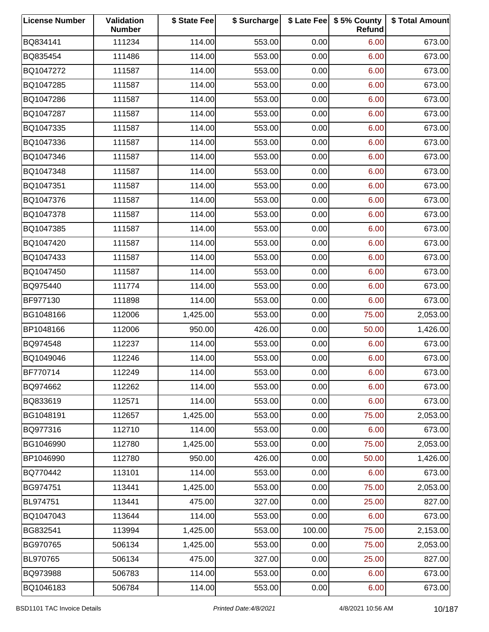| <b>License Number</b> | Validation<br><b>Number</b> | \$ State Fee | \$ Surcharge |        | \$ Late Fee   \$5% County<br>Refund | \$ Total Amount |
|-----------------------|-----------------------------|--------------|--------------|--------|-------------------------------------|-----------------|
| BQ834141              | 111234                      | 114.00       | 553.00       | 0.00   | 6.00                                | 673.00          |
| BQ835454              | 111486                      | 114.00       | 553.00       | 0.00   | 6.00                                | 673.00          |
| BQ1047272             | 111587                      | 114.00       | 553.00       | 0.00   | 6.00                                | 673.00          |
| BQ1047285             | 111587                      | 114.00       | 553.00       | 0.00   | 6.00                                | 673.00          |
| BQ1047286             | 111587                      | 114.00       | 553.00       | 0.00   | 6.00                                | 673.00          |
| BQ1047287             | 111587                      | 114.00       | 553.00       | 0.00   | 6.00                                | 673.00          |
| BQ1047335             | 111587                      | 114.00       | 553.00       | 0.00   | 6.00                                | 673.00          |
| BQ1047336             | 111587                      | 114.00       | 553.00       | 0.00   | 6.00                                | 673.00          |
| BQ1047346             | 111587                      | 114.00       | 553.00       | 0.00   | 6.00                                | 673.00          |
| BQ1047348             | 111587                      | 114.00       | 553.00       | 0.00   | 6.00                                | 673.00          |
| BQ1047351             | 111587                      | 114.00       | 553.00       | 0.00   | 6.00                                | 673.00          |
| BQ1047376             | 111587                      | 114.00       | 553.00       | 0.00   | 6.00                                | 673.00          |
| BQ1047378             | 111587                      | 114.00       | 553.00       | 0.00   | 6.00                                | 673.00          |
| BQ1047385             | 111587                      | 114.00       | 553.00       | 0.00   | 6.00                                | 673.00          |
| BQ1047420             | 111587                      | 114.00       | 553.00       | 0.00   | 6.00                                | 673.00          |
| BQ1047433             | 111587                      | 114.00       | 553.00       | 0.00   | 6.00                                | 673.00          |
| BQ1047450             | 111587                      | 114.00       | 553.00       | 0.00   | 6.00                                | 673.00          |
| BQ975440              | 111774                      | 114.00       | 553.00       | 0.00   | 6.00                                | 673.00          |
| BF977130              | 111898                      | 114.00       | 553.00       | 0.00   | 6.00                                | 673.00          |
| BG1048166             | 112006                      | 1,425.00     | 553.00       | 0.00   | 75.00                               | 2,053.00        |
| BP1048166             | 112006                      | 950.00       | 426.00       | 0.00   | 50.00                               | 1,426.00        |
| BQ974548              | 112237                      | 114.00       | 553.00       | 0.00   | 6.00                                | 673.00          |
| BQ1049046             | 112246                      | 114.00       | 553.00       | 0.00   | 6.00                                | 673.00          |
| BF770714              | 112249                      | 114.00       | 553.00       | 0.00   | 6.00                                | 673.00          |
| BQ974662              | 112262                      | 114.00       | 553.00       | 0.00   | 6.00                                | 673.00          |
| BQ833619              | 112571                      | 114.00       | 553.00       | 0.00   | 6.00                                | 673.00          |
| BG1048191             | 112657                      | 1,425.00     | 553.00       | 0.00   | 75.00                               | 2,053.00        |
| BQ977316              | 112710                      | 114.00       | 553.00       | 0.00   | 6.00                                | 673.00          |
| BG1046990             | 112780                      | 1,425.00     | 553.00       | 0.00   | 75.00                               | 2,053.00        |
| BP1046990             | 112780                      | 950.00       | 426.00       | 0.00   | 50.00                               | 1,426.00        |
| BQ770442              | 113101                      | 114.00       | 553.00       | 0.00   | 6.00                                | 673.00          |
| BG974751              | 113441                      | 1,425.00     | 553.00       | 0.00   | 75.00                               | 2,053.00        |
| BL974751              | 113441                      | 475.00       | 327.00       | 0.00   | 25.00                               | 827.00          |
| BQ1047043             | 113644                      | 114.00       | 553.00       | 0.00   | 6.00                                | 673.00          |
| BG832541              | 113994                      | 1,425.00     | 553.00       | 100.00 | 75.00                               | 2,153.00        |
| BG970765              | 506134                      | 1,425.00     | 553.00       | 0.00   | 75.00                               | 2,053.00        |
| BL970765              | 506134                      | 475.00       | 327.00       | 0.00   | 25.00                               | 827.00          |
| BQ973988              | 506783                      | 114.00       | 553.00       | 0.00   | 6.00                                | 673.00          |
| BQ1046183             | 506784                      | 114.00       | 553.00       | 0.00   | 6.00                                | 673.00          |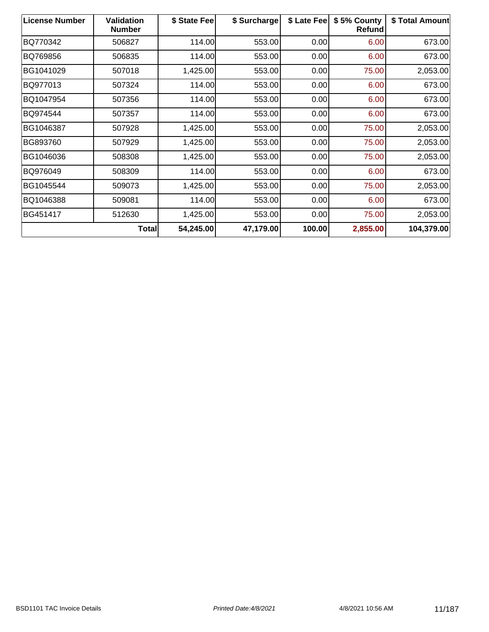| <b>License Number</b> | Validation<br><b>Number</b> | \$ State Fee | \$ Surcharge | \$ Late Fee | \$5% County<br>Refund | \$ Total Amount |
|-----------------------|-----------------------------|--------------|--------------|-------------|-----------------------|-----------------|
| BQ770342              | 506827                      | 114.00       | 553.00       | 0.00        | 6.00                  | 673.00          |
| BQ769856              | 506835                      | 114.00       | 553.00       | 0.00        | 6.00                  | 673.00          |
| BG1041029             | 507018                      | 1,425.00     | 553.00       | 0.00        | 75.00                 | 2,053.00        |
| BQ977013              | 507324                      | 114.00       | 553.00       | 0.00        | 6.00                  | 673.00          |
| BQ1047954             | 507356                      | 114.00       | 553.00       | 0.00        | 6.00                  | 673.00          |
| BQ974544              | 507357                      | 114.00       | 553.00       | 0.00        | 6.00                  | 673.00          |
| BG1046387             | 507928                      | 1,425.00     | 553.00       | 0.00        | 75.00                 | 2,053.00        |
| BG893760              | 507929                      | 1,425.00     | 553.00       | 0.00        | 75.00                 | 2,053.00        |
| BG1046036             | 508308                      | 1,425.00     | 553.00       | 0.00        | 75.00                 | 2,053.00        |
| BQ976049              | 508309                      | 114.00       | 553.00       | 0.00        | 6.00                  | 673.00          |
| BG1045544             | 509073                      | 1,425.00     | 553.00       | 0.00        | 75.00                 | 2,053.00        |
| BQ1046388             | 509081                      | 114.00       | 553.00       | 0.00        | 6.00                  | 673.00          |
| BG451417              | 512630                      | 1,425.00     | 553.00       | 0.00        | 75.00                 | 2,053.00        |
|                       | <b>Total</b>                | 54,245.00    | 47,179.00    | 100.00      | 2,855.00              | 104,379.00      |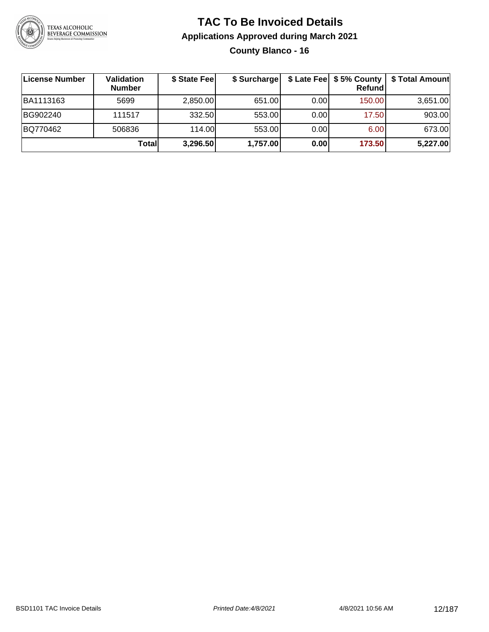

**County Blanco - 16**

| License Number | Validation<br><b>Number</b> | \$ State Fee | \$ Surcharge |       | Refundl | \$ Late Fee   \$5% County   \$ Total Amount |
|----------------|-----------------------------|--------------|--------------|-------|---------|---------------------------------------------|
| BA1113163      | 5699                        | 2,850.00     | 651.00       | 0.001 | 150.00  | 3,651.00                                    |
| BG902240       | 111517                      | 332.50       | 553.00       | 0.00  | 17.50   | 903.00                                      |
| BQ770462       | 506836                      | 114.00       | 553.00       | 0.001 | 6.00    | 673.00                                      |
|                | Totall                      | 3,296.50     | 1,757.00     | 0.00  | 173.50  | 5,227.00                                    |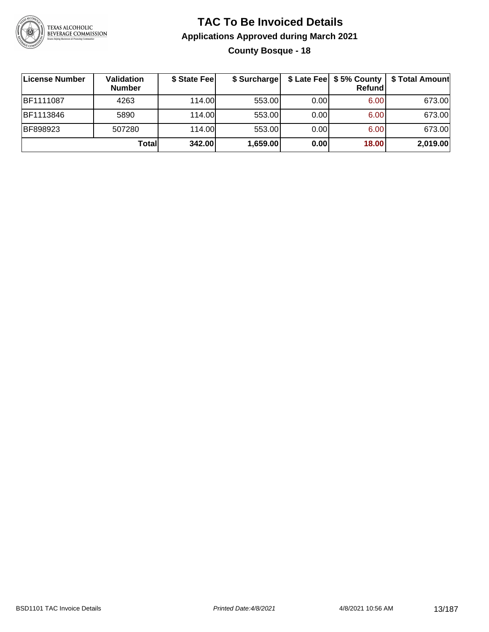

#### **TAC To Be Invoiced Details Applications Approved during March 2021 County Bosque - 18**

| ∣License Number | Validation<br><b>Number</b> | \$ State Fee | \$ Surcharge |      | \$ Late Fee   \$5% County  <br>Refundl | \$ Total Amount |
|-----------------|-----------------------------|--------------|--------------|------|----------------------------------------|-----------------|
| BF1111087       | 4263                        | 114.00L      | 553.00       | 0.00 | 6.00                                   | 673.00          |
| BF1113846       | 5890                        | 114.00       | 553.00       | 0.00 | 6.00                                   | 673.00          |
| BF898923        | 507280                      | 114.00       | 553.00       | 0.00 | 6.00                                   | 673.00          |
|                 | Totall                      | 342.00       | 1,659.00     | 0.00 | 18.00                                  | 2,019.00        |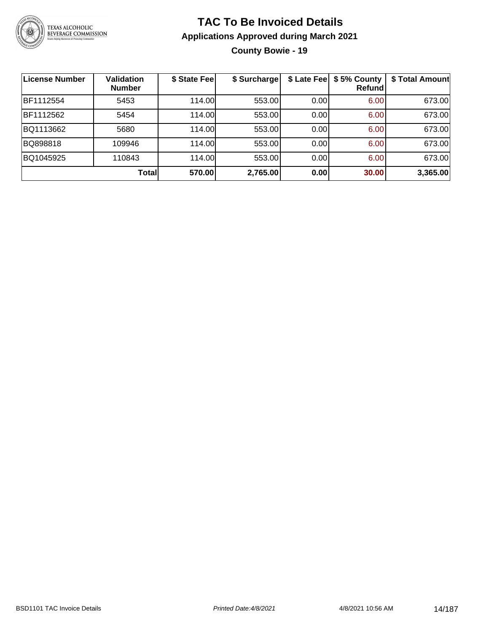

#### **TAC To Be Invoiced Details Applications Approved during March 2021 County Bowie - 19**

| License Number | Validation<br><b>Number</b> | \$ State Fee | \$ Surcharge | \$ Late Fee | \$5% County<br>Refundl | \$ Total Amount |
|----------------|-----------------------------|--------------|--------------|-------------|------------------------|-----------------|
| BF1112554      | 5453                        | 114.00       | 553.00       | 0.00        | 6.00                   | 673.00          |
| BF1112562      | 5454                        | 114.00       | 553.00       | 0.00        | 6.00                   | 673.00          |
| BQ1113662      | 5680                        | 114.00       | 553.00       | 0.00        | 6.00                   | 673.00          |
| BQ898818       | 109946                      | 114.00       | 553.00       | 0.00        | 6.00                   | 673.00          |
| BQ1045925      | 110843                      | 114.00       | 553.00       | 0.00        | 6.00                   | 673.00          |
|                | Total                       | 570.00       | 2,765.00     | 0.00        | 30.00                  | 3,365.00        |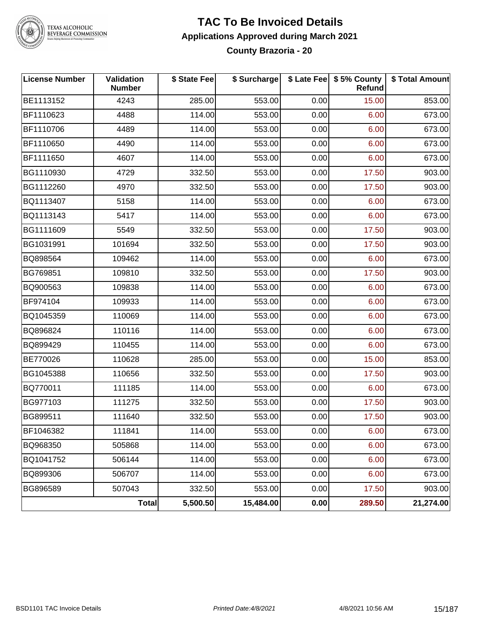

#### **TAC To Be Invoiced Details Applications Approved during March 2021 County Brazoria - 20**

| <b>License Number</b> | <b>Validation</b><br><b>Number</b> | \$ State Fee | \$ Surcharge |      | \$ Late Fee   \$5% County<br>Refund | \$ Total Amount |
|-----------------------|------------------------------------|--------------|--------------|------|-------------------------------------|-----------------|
| BE1113152             | 4243                               | 285.00       | 553.00       | 0.00 | 15.00                               | 853.00          |
| BF1110623             | 4488                               | 114.00       | 553.00       | 0.00 | 6.00                                | 673.00          |
| BF1110706             | 4489                               | 114.00       | 553.00       | 0.00 | 6.00                                | 673.00          |
| BF1110650             | 4490                               | 114.00       | 553.00       | 0.00 | 6.00                                | 673.00          |
| BF1111650             | 4607                               | 114.00       | 553.00       | 0.00 | 6.00                                | 673.00          |
| BG1110930             | 4729                               | 332.50       | 553.00       | 0.00 | 17.50                               | 903.00          |
| BG1112260             | 4970                               | 332.50       | 553.00       | 0.00 | 17.50                               | 903.00          |
| BQ1113407             | 5158                               | 114.00       | 553.00       | 0.00 | 6.00                                | 673.00          |
| BQ1113143             | 5417                               | 114.00       | 553.00       | 0.00 | 6.00                                | 673.00          |
| BG1111609             | 5549                               | 332.50       | 553.00       | 0.00 | 17.50                               | 903.00          |
| BG1031991             | 101694                             | 332.50       | 553.00       | 0.00 | 17.50                               | 903.00          |
| BQ898564              | 109462                             | 114.00       | 553.00       | 0.00 | 6.00                                | 673.00          |
| BG769851              | 109810                             | 332.50       | 553.00       | 0.00 | 17.50                               | 903.00          |
| BQ900563              | 109838                             | 114.00       | 553.00       | 0.00 | 6.00                                | 673.00          |
| BF974104              | 109933                             | 114.00       | 553.00       | 0.00 | 6.00                                | 673.00          |
| BQ1045359             | 110069                             | 114.00       | 553.00       | 0.00 | 6.00                                | 673.00          |
| BQ896824              | 110116                             | 114.00       | 553.00       | 0.00 | 6.00                                | 673.00          |
| BQ899429              | 110455                             | 114.00       | 553.00       | 0.00 | 6.00                                | 673.00          |
| BE770026              | 110628                             | 285.00       | 553.00       | 0.00 | 15.00                               | 853.00          |
| BG1045388             | 110656                             | 332.50       | 553.00       | 0.00 | 17.50                               | 903.00          |
| BQ770011              | 111185                             | 114.00       | 553.00       | 0.00 | 6.00                                | 673.00          |
| BG977103              | 111275                             | 332.50       | 553.00       | 0.00 | 17.50                               | 903.00          |
| BG899511              | 111640                             | 332.50       | 553.00       | 0.00 | 17.50                               | 903.00          |
| BF1046382             | 111841                             | 114.00       | 553.00       | 0.00 | 6.00                                | 673.00          |
| BQ968350              | 505868                             | 114.00       | 553.00       | 0.00 | 6.00                                | 673.00          |
| BQ1041752             | 506144                             | 114.00       | 553.00       | 0.00 | 6.00                                | 673.00          |
| BQ899306              | 506707                             | 114.00       | 553.00       | 0.00 | 6.00                                | 673.00          |
| BG896589              | 507043                             | 332.50       | 553.00       | 0.00 | 17.50                               | 903.00          |
|                       | <b>Total</b>                       | 5,500.50     | 15,484.00    | 0.00 | 289.50                              | 21,274.00       |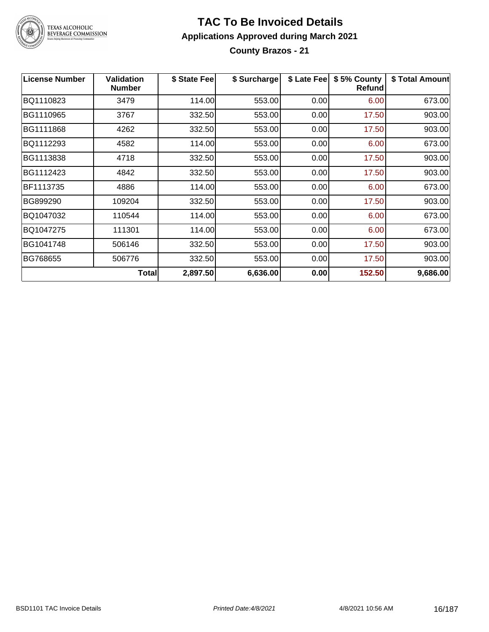

#### **TAC To Be Invoiced Details Applications Approved during March 2021 County Brazos - 21**

| <b>License Number</b> | <b>Validation</b><br><b>Number</b> | \$ State Fee | \$ Surcharge | \$ Late Fee | \$5% County<br><b>Refund</b> | \$ Total Amount |
|-----------------------|------------------------------------|--------------|--------------|-------------|------------------------------|-----------------|
| BQ1110823             | 3479                               | 114.00       | 553.00       | 0.00        | 6.00                         | 673.00          |
| BG1110965             | 3767                               | 332.50       | 553.00       | 0.00        | 17.50                        | 903.00          |
| BG1111868             | 4262                               | 332.50       | 553.00       | 0.00        | 17.50                        | 903.00          |
| BQ1112293             | 4582                               | 114.00       | 553.00       | 0.00        | 6.00                         | 673.00          |
| BG1113838             | 4718                               | 332.50       | 553.00       | 0.00        | 17.50                        | 903.00          |
| BG1112423             | 4842                               | 332.50       | 553.00       | 0.00        | 17.50                        | 903.00          |
| BF1113735             | 4886                               | 114.00       | 553.00       | 0.00        | 6.00                         | 673.00          |
| BG899290              | 109204                             | 332.50       | 553.00       | 0.00        | 17.50                        | 903.00          |
| BQ1047032             | 110544                             | 114.00       | 553.00       | 0.00        | 6.00                         | 673.00          |
| BQ1047275             | 111301                             | 114.00       | 553.00       | 0.00        | 6.00                         | 673.00          |
| BG1041748             | 506146                             | 332.50       | 553.00       | 0.00        | 17.50                        | 903.00          |
| BG768655              | 506776                             | 332.50       | 553.00       | 0.00        | 17.50                        | 903.00          |
|                       | Total                              | 2,897.50     | 6,636.00     | 0.00        | 152.50                       | 9,686.00        |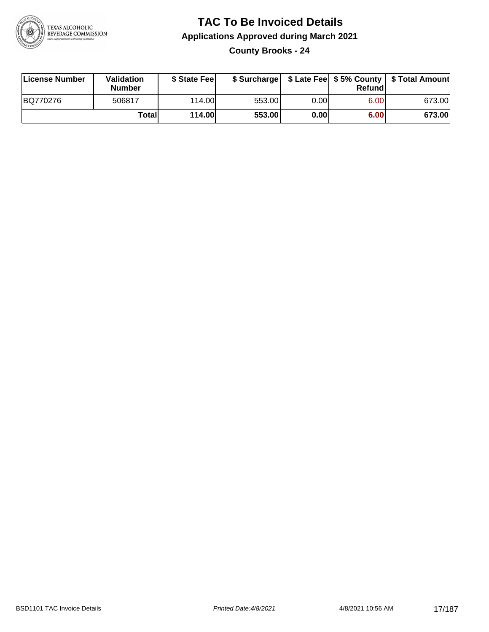

**County Brooks - 24**

| License Number | Validation<br><b>Number</b> | \$ State Fee  | \$ Surcharge |      | Refund | \$ Late Fee   \$5% County   \$ Total Amount |
|----------------|-----------------------------|---------------|--------------|------|--------|---------------------------------------------|
| BQ770276       | 506817                      | 114.00        | 553.00       | 0.00 | 6.00   | 673.00                                      |
|                | Totall                      | <b>114.00</b> | 553.00       | 0.00 | 6.00   | 673.00                                      |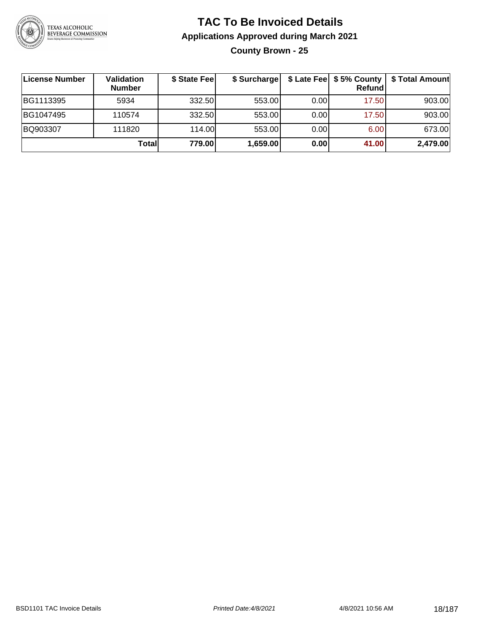

**County Brown - 25**

| <b>License Number</b> | Validation<br><b>Number</b> | \$ State Feel | \$ Surcharge |       | Refundl | \$ Late Fee   \$5% County   \$ Total Amount |
|-----------------------|-----------------------------|---------------|--------------|-------|---------|---------------------------------------------|
| BG1113395             | 5934                        | 332.50        | 553.00       | 0.001 | 17.50   | 903.00                                      |
| BG1047495             | 110574                      | 332.50        | 553.00       | 0.00  | 17.50   | 903.00                                      |
| BQ903307              | 111820                      | 114.00L       | 553.00       | 0.00  | 6.00    | 673.00                                      |
|                       | Totall                      | 779.00        | 1,659.00     | 0.00  | 41.00   | 2,479.00                                    |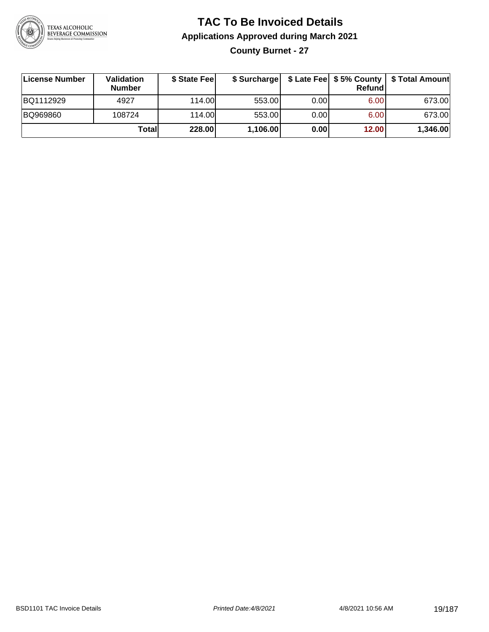

#### **TAC To Be Invoiced Details Applications Approved during March 2021 County Burnet - 27**

| License Number | Validation<br><b>Number</b> | \$ State Fee |          |      | Refund            | \$ Surcharge   \$ Late Fee   \$5% County   \$ Total Amount |
|----------------|-----------------------------|--------------|----------|------|-------------------|------------------------------------------------------------|
| BQ1112929      | 4927                        | 114.00       | 553.00   | 0.00 | 6.00 <sub>1</sub> | 673.00                                                     |
| BQ969860       | 108724                      | 114.00       | 553.00   | 0.00 | 6.00 <sub>1</sub> | 673.00                                                     |
|                | Totall                      | 228.00       | 1,106.00 | 0.00 | 12.00             | 1,346.00                                                   |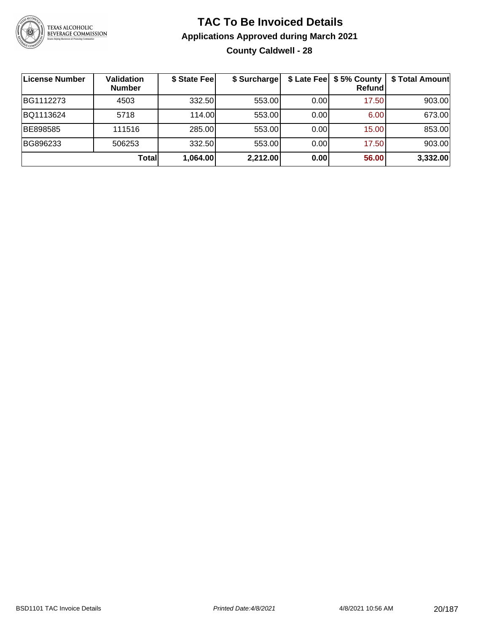

#### **TAC To Be Invoiced Details Applications Approved during March 2021 County Caldwell - 28**

| <b>License Number</b> | Validation<br><b>Number</b> | \$ State Fee | \$ Surcharge |      | \$ Late Fee   \$5% County  <br><b>Refund</b> | \$ Total Amount |
|-----------------------|-----------------------------|--------------|--------------|------|----------------------------------------------|-----------------|
| BG1112273             | 4503                        | 332.50       | 553.00       | 0.00 | 17.50                                        | 903.00          |
| BQ1113624             | 5718                        | 114.00       | 553.00       | 0.00 | 6.00                                         | 673.00          |
| BE898585              | 111516                      | 285.00       | 553.00       | 0.00 | 15.00                                        | 853.00          |
| BG896233              | 506253                      | 332.50       | 553.00       | 0.00 | 17.50                                        | 903.00          |
|                       | Totall                      | 1,064.00     | 2,212.00     | 0.00 | 56.00                                        | 3,332.00        |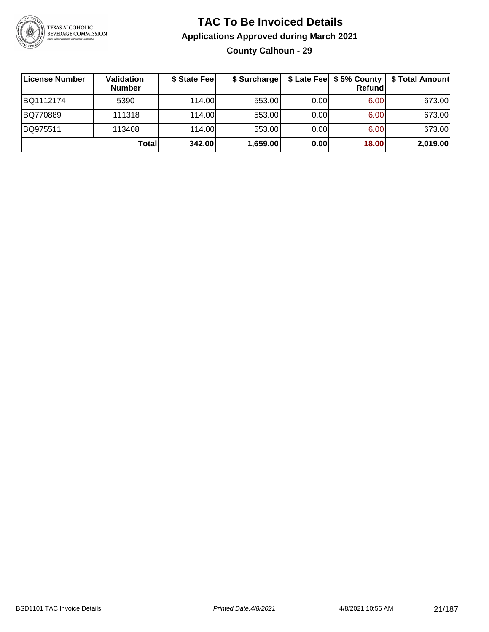

#### **TAC To Be Invoiced Details Applications Approved during March 2021 County Calhoun - 29**

| License Number | <b>Validation</b><br><b>Number</b> | \$ State Fee | \$ Surcharge |       | Refundl | \$ Late Fee   \$5% County   \$ Total Amount |
|----------------|------------------------------------|--------------|--------------|-------|---------|---------------------------------------------|
| BQ1112174      | 5390                               | 114.00       | 553.00       | 0.001 | 6.00    | 673.00                                      |
| BQ770889       | 111318                             | 114.00       | 553.00       | 0.001 | 6.00    | 673.00                                      |
| BQ975511       | 113408                             | 114.00       | 553.00       | 0.001 | 6.00    | 673.00                                      |
|                | Totall                             | 342.00       | 1,659.00     | 0.00  | 18.00   | 2,019.00                                    |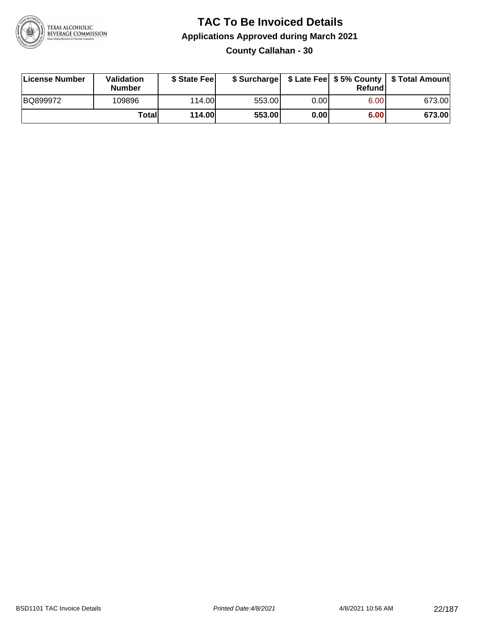

**County Callahan - 30**

| License Number | Validation<br><b>Number</b> | \$ State Feel |        |       | Refundl | \$ Surcharge   \$ Late Fee   \$5% County   \$ Total Amount |
|----------------|-----------------------------|---------------|--------|-------|---------|------------------------------------------------------------|
| BQ899972       | 109896                      | 114.00        | 553.00 | 0.001 | 6.00    | 673.00                                                     |
|                | Totall                      | <b>114.00</b> | 553.00 | 0.00  | 6.00    | 673.00                                                     |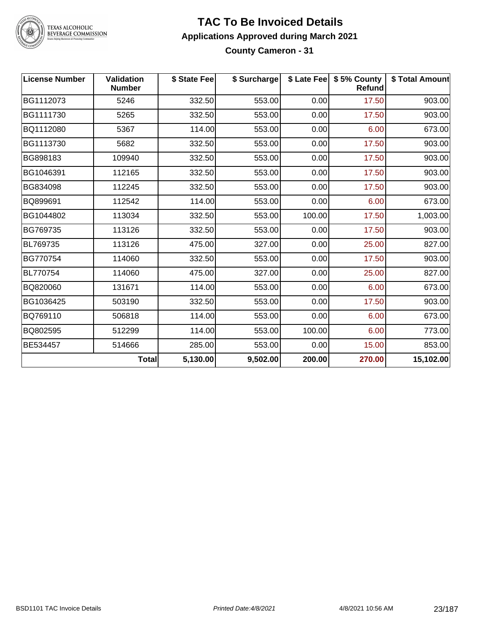

### **TAC To Be Invoiced Details Applications Approved during March 2021**

**County Cameron - 31**

| <b>License Number</b> | Validation<br><b>Number</b> | \$ State Fee | \$ Surcharge |        | \$ Late Fee   \$5% County  <br>Refund | \$ Total Amount |
|-----------------------|-----------------------------|--------------|--------------|--------|---------------------------------------|-----------------|
| BG1112073             | 5246                        | 332.50       | 553.00       | 0.00   | 17.50                                 | 903.00          |
| BG1111730             | 5265                        | 332.50       | 553.00       | 0.00   | 17.50                                 | 903.00          |
| BQ1112080             | 5367                        | 114.00       | 553.00       | 0.00   | 6.00                                  | 673.00          |
| BG1113730             | 5682                        | 332.50       | 553.00       | 0.00   | 17.50                                 | 903.00          |
| BG898183              | 109940                      | 332.50       | 553.00       | 0.00   | 17.50                                 | 903.00          |
| BG1046391             | 112165                      | 332.50       | 553.00       | 0.00   | 17.50                                 | 903.00          |
| BG834098              | 112245                      | 332.50       | 553.00       | 0.00   | 17.50                                 | 903.00          |
| BQ899691              | 112542                      | 114.00       | 553.00       | 0.00   | 6.00                                  | 673.00          |
| BG1044802             | 113034                      | 332.50       | 553.00       | 100.00 | 17.50                                 | 1,003.00        |
| BG769735              | 113126                      | 332.50       | 553.00       | 0.00   | 17.50                                 | 903.00          |
| BL769735              | 113126                      | 475.00       | 327.00       | 0.00   | 25.00                                 | 827.00          |
| BG770754              | 114060                      | 332.50       | 553.00       | 0.00   | 17.50                                 | 903.00          |
| BL770754              | 114060                      | 475.00       | 327.00       | 0.00   | 25.00                                 | 827.00          |
| BQ820060              | 131671                      | 114.00       | 553.00       | 0.00   | 6.00                                  | 673.00          |
| BG1036425             | 503190                      | 332.50       | 553.00       | 0.00   | 17.50                                 | 903.00          |
| BQ769110              | 506818                      | 114.00       | 553.00       | 0.00   | 6.00                                  | 673.00          |
| BQ802595              | 512299                      | 114.00       | 553.00       | 100.00 | 6.00                                  | 773.00          |
| BE534457              | 514666                      | 285.00       | 553.00       | 0.00   | 15.00                                 | 853.00          |
|                       | Total                       | 5,130.00     | 9,502.00     | 200.00 | 270.00                                | 15,102.00       |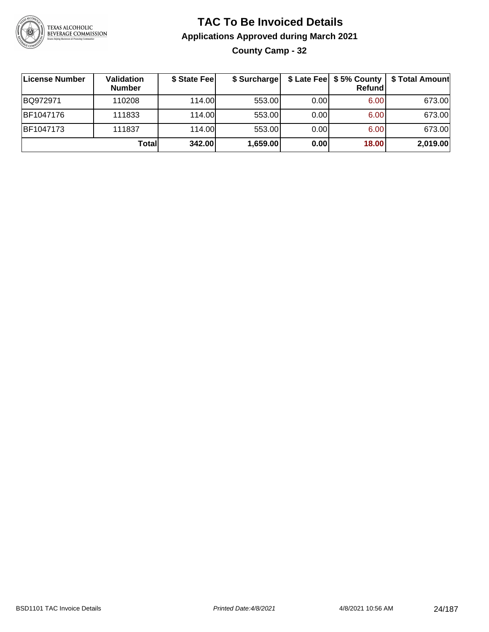

### **TAC To Be Invoiced Details Applications Approved during March 2021 County Camp - 32**

| ∣License Number | Validation<br><b>Number</b> | \$ State Fee | \$ Surcharge |      | \$ Late Fee   \$5% County  <br>Refund | \$ Total Amount |
|-----------------|-----------------------------|--------------|--------------|------|---------------------------------------|-----------------|
| BQ972971        | 110208                      | 114.00L      | 553.00       | 0.00 | 6.00                                  | 673.00          |
| BF1047176       | 111833                      | 114.00L      | 553.00       | 0.00 | 6.00                                  | 673.00          |
| BF1047173       | 111837                      | 114.00       | 553.00       | 0.00 | 6.00                                  | 673.00          |
|                 | Totall                      | 342.00       | 1,659.00     | 0.00 | 18.00                                 | 2,019.00        |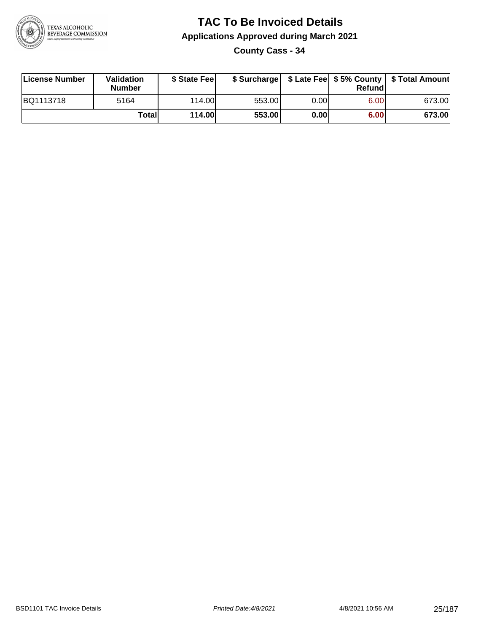

**County Cass - 34**

| License Number | Validation<br><b>Number</b> | \$ State Fee  | \$ Surcharge |      | Refund | \$ Late Fee   \$5% County   \$ Total Amount |
|----------------|-----------------------------|---------------|--------------|------|--------|---------------------------------------------|
| BQ1113718      | 5164                        | 114.00        | 553.00       | 0.00 | 6.00   | 673.00                                      |
|                | Totall                      | <b>114.00</b> | 553.00       | 0.00 | 6.00   | 673.00                                      |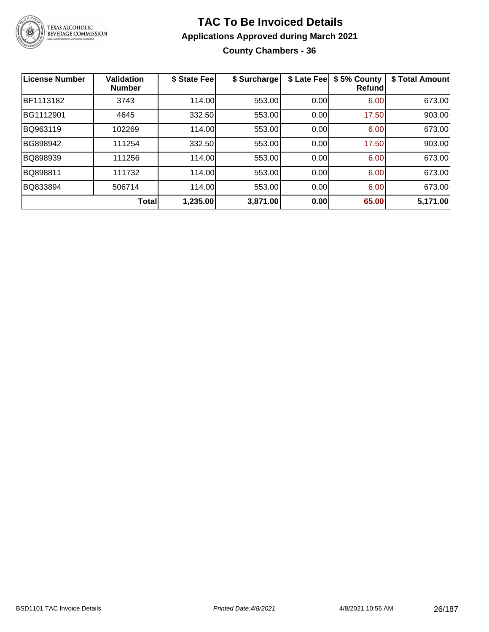

#### **TAC To Be Invoiced Details Applications Approved during March 2021 County Chambers - 36**

| <b>License Number</b> | Validation<br><b>Number</b> | \$ State Fee | \$ Surcharge | \$ Late Fee | \$5% County<br><b>Refund</b> | \$ Total Amount |
|-----------------------|-----------------------------|--------------|--------------|-------------|------------------------------|-----------------|
| BF1113182             | 3743                        | 114.00       | 553.00       | 0.00        | 6.00                         | 673.00          |
| BG1112901             | 4645                        | 332.50       | 553.00       | 0.00        | 17.50                        | 903.00          |
| BQ963119              | 102269                      | 114.00       | 553.00       | 0.00        | 6.00                         | 673.00          |
| BG898942              | 111254                      | 332.50       | 553.00       | 0.00        | 17.50                        | 903.00          |
| BQ898939              | 111256                      | 114.00       | 553.00       | 0.00        | 6.00                         | 673.00          |
| BQ898811              | 111732                      | 114.00       | 553.00       | 0.00        | 6.00                         | 673.00          |
| BQ833894              | 506714                      | 114.00       | 553.00       | 0.00        | 6.00                         | 673.00          |
|                       | <b>Total</b>                | 1,235.00     | 3,871.00     | 0.00        | 65.00                        | 5,171.00        |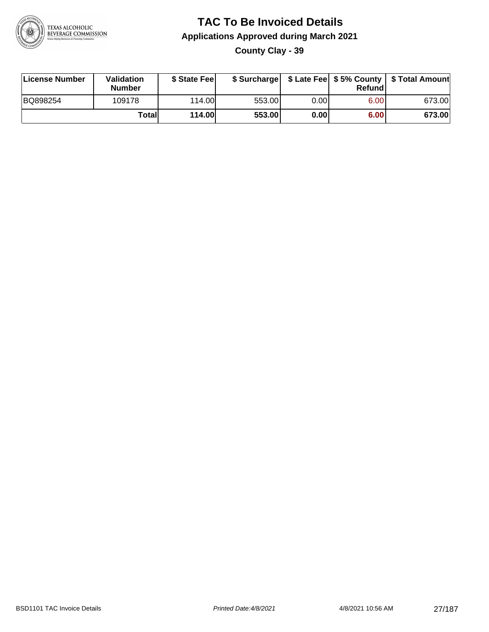

**County Clay - 39**

| License Number | <b>Validation</b><br><b>Number</b> | \$ State Feel |        |      | Refundl | \$ Surcharge   \$ Late Fee   \$5% County   \$ Total Amount |
|----------------|------------------------------------|---------------|--------|------|---------|------------------------------------------------------------|
| BQ898254       | 109178                             | 114.00        | 553.00 | 0.00 | 6.00    | 673.00                                                     |
|                | Totall                             | <b>114.00</b> | 553.00 | 0.00 | 6.00    | 673.00                                                     |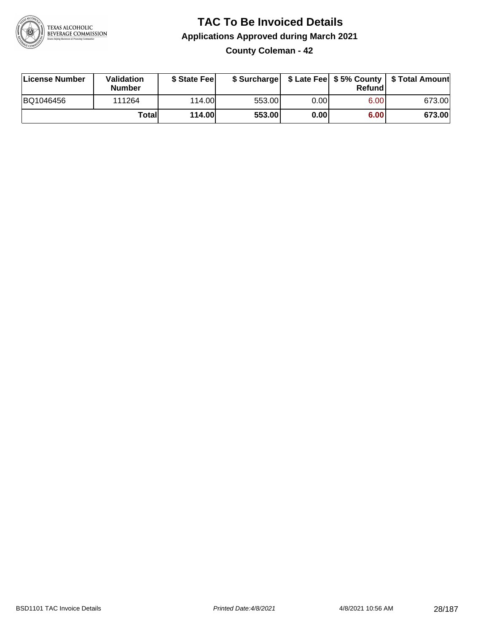

**County Coleman - 42**

| License Number | <b>Validation</b><br><b>Number</b> | \$ State Feel |        |      | Refundl | \$ Surcharge   \$ Late Fee   \$5% County   \$ Total Amount |
|----------------|------------------------------------|---------------|--------|------|---------|------------------------------------------------------------|
| BQ1046456      | 111264                             | 114.00L       | 553.00 | 0.00 | 6.00    | 673.00                                                     |
|                | Totall                             | <b>114.00</b> | 553.00 | 0.00 | 6.00    | 673.00                                                     |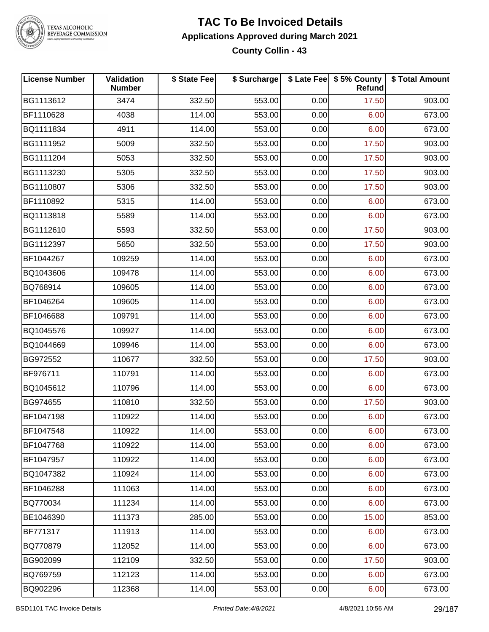

#### **TAC To Be Invoiced Details Applications Approved during March 2021 County Collin - 43**

| <b>License Number</b> | Validation<br><b>Number</b> | \$ State Fee | \$ Surcharge |      | \$ Late Fee   \$5% County<br>Refund | \$ Total Amount |
|-----------------------|-----------------------------|--------------|--------------|------|-------------------------------------|-----------------|
| BG1113612             | 3474                        | 332.50       | 553.00       | 0.00 | 17.50                               | 903.00          |
| BF1110628             | 4038                        | 114.00       | 553.00       | 0.00 | 6.00                                | 673.00          |
| BQ1111834             | 4911                        | 114.00       | 553.00       | 0.00 | 6.00                                | 673.00          |
| BG1111952             | 5009                        | 332.50       | 553.00       | 0.00 | 17.50                               | 903.00          |
| BG1111204             | 5053                        | 332.50       | 553.00       | 0.00 | 17.50                               | 903.00          |
| BG1113230             | 5305                        | 332.50       | 553.00       | 0.00 | 17.50                               | 903.00          |
| BG1110807             | 5306                        | 332.50       | 553.00       | 0.00 | 17.50                               | 903.00          |
| BF1110892             | 5315                        | 114.00       | 553.00       | 0.00 | 6.00                                | 673.00          |
| BQ1113818             | 5589                        | 114.00       | 553.00       | 0.00 | 6.00                                | 673.00          |
| BG1112610             | 5593                        | 332.50       | 553.00       | 0.00 | 17.50                               | 903.00          |
| BG1112397             | 5650                        | 332.50       | 553.00       | 0.00 | 17.50                               | 903.00          |
| BF1044267             | 109259                      | 114.00       | 553.00       | 0.00 | 6.00                                | 673.00          |
| BQ1043606             | 109478                      | 114.00       | 553.00       | 0.00 | 6.00                                | 673.00          |
| BQ768914              | 109605                      | 114.00       | 553.00       | 0.00 | 6.00                                | 673.00          |
| BF1046264             | 109605                      | 114.00       | 553.00       | 0.00 | 6.00                                | 673.00          |
| BF1046688             | 109791                      | 114.00       | 553.00       | 0.00 | 6.00                                | 673.00          |
| BQ1045576             | 109927                      | 114.00       | 553.00       | 0.00 | 6.00                                | 673.00          |
| BQ1044669             | 109946                      | 114.00       | 553.00       | 0.00 | 6.00                                | 673.00          |
| BG972552              | 110677                      | 332.50       | 553.00       | 0.00 | 17.50                               | 903.00          |
| BF976711              | 110791                      | 114.00       | 553.00       | 0.00 | 6.00                                | 673.00          |
| BQ1045612             | 110796                      | 114.00       | 553.00       | 0.00 | 6.00                                | 673.00          |
| BG974655              | 110810                      | 332.50       | 553.00       | 0.00 | 17.50                               | 903.00          |
| BF1047198             | 110922                      | 114.00       | 553.00       | 0.00 | 6.00                                | 673.00          |
| BF1047548             | 110922                      | 114.00       | 553.00       | 0.00 | 6.00                                | 673.00          |
| BF1047768             | 110922                      | 114.00       | 553.00       | 0.00 | 6.00                                | 673.00          |
| BF1047957             | 110922                      | 114.00       | 553.00       | 0.00 | 6.00                                | 673.00          |
| BQ1047382             | 110924                      | 114.00       | 553.00       | 0.00 | 6.00                                | 673.00          |
| BF1046288             | 111063                      | 114.00       | 553.00       | 0.00 | 6.00                                | 673.00          |
| BQ770034              | 111234                      | 114.00       | 553.00       | 0.00 | 6.00                                | 673.00          |
| BE1046390             | 111373                      | 285.00       | 553.00       | 0.00 | 15.00                               | 853.00          |
| BF771317              | 111913                      | 114.00       | 553.00       | 0.00 | 6.00                                | 673.00          |
| BQ770879              | 112052                      | 114.00       | 553.00       | 0.00 | 6.00                                | 673.00          |
| BG902099              | 112109                      | 332.50       | 553.00       | 0.00 | 17.50                               | 903.00          |
| BQ769759              | 112123                      | 114.00       | 553.00       | 0.00 | 6.00                                | 673.00          |
| BQ902296              | 112368                      | 114.00       | 553.00       | 0.00 | 6.00                                | 673.00          |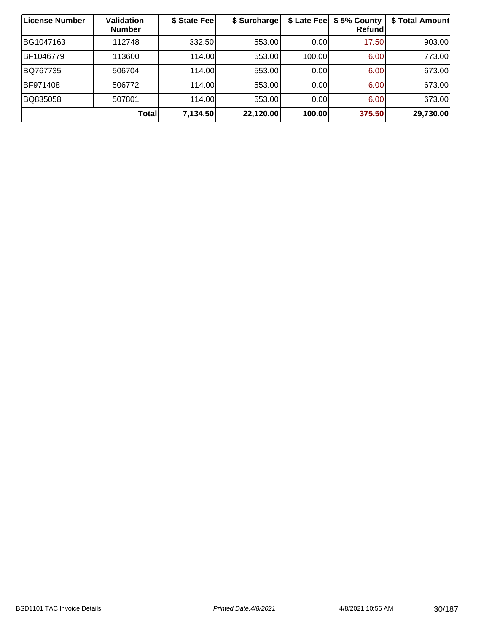| License Number | <b>Validation</b><br><b>Number</b> | \$ State Fee | \$ Surcharge |        | \$ Late Fee   \$5% County<br>Refund | \$ Total Amount |
|----------------|------------------------------------|--------------|--------------|--------|-------------------------------------|-----------------|
| BG1047163      | 112748                             | 332.50       | 553.00       | 0.00   | 17.50                               | 903.00          |
| BF1046779      | 113600                             | 114.00       | 553.00       | 100.00 | 6.00                                | 773.00          |
| BQ767735       | 506704                             | 114.00       | 553.00       | 0.00   | 6.00                                | 673.00          |
| BF971408       | 506772                             | 114.00       | 553.00       | 0.00   | 6.00                                | 673.00          |
| BQ835058       | 507801                             | 114.00       | 553.00       | 0.00   | 6.00                                | 673.00          |
|                | Total                              | 7,134.50     | 22,120.00    | 100.00 | 375.50                              | 29,730.00       |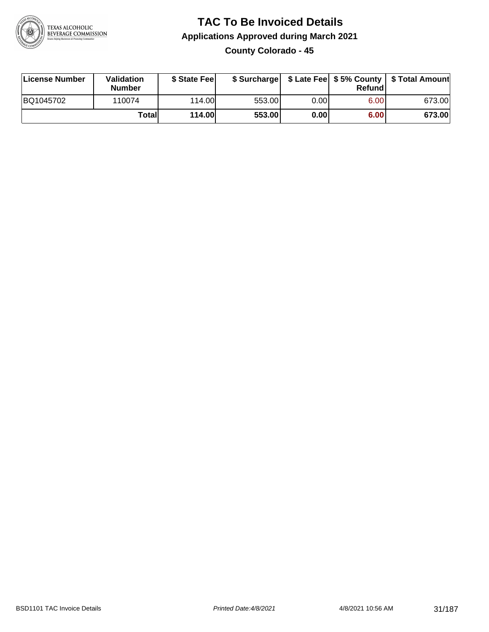

**County Colorado - 45**

| License Number | <b>Validation</b><br><b>Number</b> | \$ State Feel | \$ Surcharge |       | Refundl           | \$ Late Fee   \$5% County   \$ Total Amount |
|----------------|------------------------------------|---------------|--------------|-------|-------------------|---------------------------------------------|
| BQ1045702      | 110074                             | 114.00        | 553.00       | 0.001 | 6.00 <sub>1</sub> | 673.00                                      |
|                | Totall                             | <b>114.00</b> | 553.00       | 0.00  | 6.00              | 673.00                                      |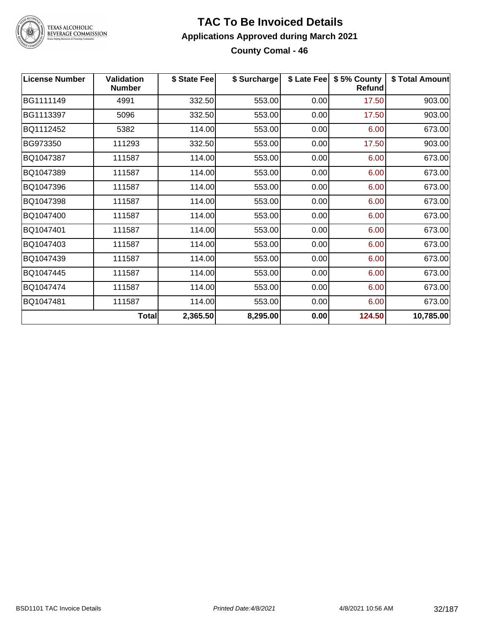

#### **TAC To Be Invoiced Details Applications Approved during March 2021 County Comal - 46**

| <b>License Number</b> | <b>Validation</b><br><b>Number</b> | \$ State Fee | \$ Surcharge | \$ Late Fee | \$5% County<br>Refund | \$ Total Amount |
|-----------------------|------------------------------------|--------------|--------------|-------------|-----------------------|-----------------|
| BG1111149             | 4991                               | 332.50       | 553.00       | 0.00        | 17.50                 | 903.00          |
| BG1113397             | 5096                               | 332.50       | 553.00       | 0.00        | 17.50                 | 903.00          |
| BQ1112452             | 5382                               | 114.00       | 553.00       | 0.00        | 6.00                  | 673.00          |
| BG973350              | 111293                             | 332.50       | 553.00       | 0.00        | 17.50                 | 903.00          |
| BQ1047387             | 111587                             | 114.00       | 553.00       | 0.00        | 6.00                  | 673.00          |
| BQ1047389             | 111587                             | 114.00       | 553.00       | 0.00        | 6.00                  | 673.00          |
| BQ1047396             | 111587                             | 114.00       | 553.00       | 0.00        | 6.00                  | 673.00          |
| BQ1047398             | 111587                             | 114.00       | 553.00       | 0.00        | 6.00                  | 673.00          |
| BQ1047400             | 111587                             | 114.00       | 553.00       | 0.00        | 6.00                  | 673.00          |
| BQ1047401             | 111587                             | 114.00       | 553.00       | 0.00        | 6.00                  | 673.00          |
| BQ1047403             | 111587                             | 114.00       | 553.00       | 0.00        | 6.00                  | 673.00          |
| BQ1047439             | 111587                             | 114.00       | 553.00       | 0.00        | 6.00                  | 673.00          |
| BQ1047445             | 111587                             | 114.00       | 553.00       | 0.00        | 6.00                  | 673.00          |
| BQ1047474             | 111587                             | 114.00       | 553.00       | 0.00        | 6.00                  | 673.00          |
| BQ1047481             | 111587                             | 114.00       | 553.00       | 0.00        | 6.00                  | 673.00          |
|                       | <b>Total</b>                       | 2,365.50     | 8,295.00     | 0.00        | 124.50                | 10,785.00       |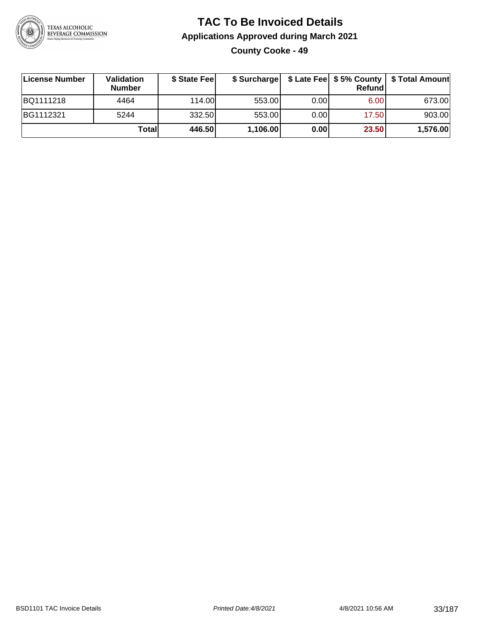

**County Cooke - 49**

| License Number | Validation<br><b>Number</b> | \$ State Feel | \$ Surcharge |       | <b>Refund</b> | \$ Late Fee   \$5% County   \$ Total Amount |
|----------------|-----------------------------|---------------|--------------|-------|---------------|---------------------------------------------|
| BQ1111218      | 4464                        | 114.00        | 553.00       | 0.001 | 6.00          | 673.00                                      |
| BG1112321      | 5244                        | 332.50        | 553.00       | 0.001 | 17.50         | 903.00                                      |
|                | Totall                      | 446.50        | 1,106.00     | 0.00  | 23.50         | 1,576.00                                    |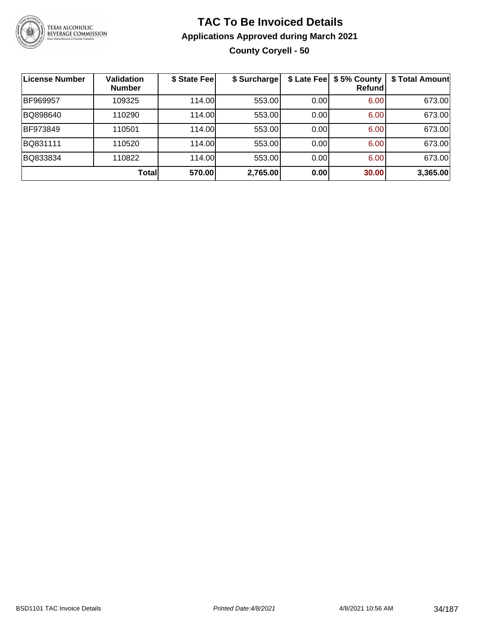

### **TAC To Be Invoiced Details Applications Approved during March 2021 County Coryell - 50**

| License Number | Validation<br><b>Number</b> | \$ State Fee | \$ Surcharge | \$ Late Fee | \$5% County<br>Refundl | \$ Total Amount |
|----------------|-----------------------------|--------------|--------------|-------------|------------------------|-----------------|
| BF969957       | 109325                      | 114.00       | 553.00       | 0.00        | 6.00                   | 673.00          |
| BQ898640       | 110290                      | 114.00       | 553.00       | 0.00        | 6.00                   | 673.00          |
| BF973849       | 110501                      | 114.00       | 553.00       | 0.00        | 6.00                   | 673.00          |
| BQ831111       | 110520                      | 114.00       | 553.00       | 0.00        | 6.00                   | 673.00          |
| BQ833834       | 110822                      | 114.00       | 553.00       | 0.00        | 6.00                   | 673.00          |
|                | Totall                      | 570.00       | 2,765.00     | 0.00        | 30.00                  | 3,365.00        |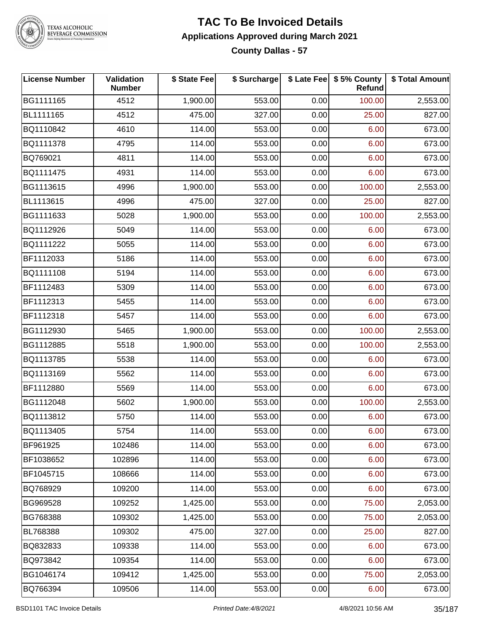

#### **TAC To Be Invoiced Details Applications Approved during March 2021 County Dallas - 57**

| <b>License Number</b> | Validation<br><b>Number</b> | \$ State Fee | \$ Surcharge |      | \$ Late Fee   \$5% County<br>Refund | \$ Total Amount |
|-----------------------|-----------------------------|--------------|--------------|------|-------------------------------------|-----------------|
| BG1111165             | 4512                        | 1,900.00     | 553.00       | 0.00 | 100.00                              | 2,553.00        |
| BL1111165             | 4512                        | 475.00       | 327.00       | 0.00 | 25.00                               | 827.00          |
| BQ1110842             | 4610                        | 114.00       | 553.00       | 0.00 | 6.00                                | 673.00          |
| BQ1111378             | 4795                        | 114.00       | 553.00       | 0.00 | 6.00                                | 673.00          |
| BQ769021              | 4811                        | 114.00       | 553.00       | 0.00 | 6.00                                | 673.00          |
| BQ1111475             | 4931                        | 114.00       | 553.00       | 0.00 | 6.00                                | 673.00          |
| BG1113615             | 4996                        | 1,900.00     | 553.00       | 0.00 | 100.00                              | 2,553.00        |
| BL1113615             | 4996                        | 475.00       | 327.00       | 0.00 | 25.00                               | 827.00          |
| BG1111633             | 5028                        | 1,900.00     | 553.00       | 0.00 | 100.00                              | 2,553.00        |
| BQ1112926             | 5049                        | 114.00       | 553.00       | 0.00 | 6.00                                | 673.00          |
| BQ1111222             | 5055                        | 114.00       | 553.00       | 0.00 | 6.00                                | 673.00          |
| BF1112033             | 5186                        | 114.00       | 553.00       | 0.00 | 6.00                                | 673.00          |
| BQ1111108             | 5194                        | 114.00       | 553.00       | 0.00 | 6.00                                | 673.00          |
| BF1112483             | 5309                        | 114.00       | 553.00       | 0.00 | 6.00                                | 673.00          |
| BF1112313             | 5455                        | 114.00       | 553.00       | 0.00 | 6.00                                | 673.00          |
| BF1112318             | 5457                        | 114.00       | 553.00       | 0.00 | 6.00                                | 673.00          |
| BG1112930             | 5465                        | 1,900.00     | 553.00       | 0.00 | 100.00                              | 2,553.00        |
| BG1112885             | 5518                        | 1,900.00     | 553.00       | 0.00 | 100.00                              | 2,553.00        |
| BQ1113785             | 5538                        | 114.00       | 553.00       | 0.00 | 6.00                                | 673.00          |
| BQ1113169             | 5562                        | 114.00       | 553.00       | 0.00 | 6.00                                | 673.00          |
| BF1112880             | 5569                        | 114.00       | 553.00       | 0.00 | 6.00                                | 673.00          |
| BG1112048             | 5602                        | 1,900.00     | 553.00       | 0.00 | 100.00                              | 2,553.00        |
| BQ1113812             | 5750                        | 114.00       | 553.00       | 0.00 | 6.00                                | 673.00          |
| BQ1113405             | 5754                        | 114.00       | 553.00       | 0.00 | 6.00                                | 673.00          |
| BF961925              | 102486                      | 114.00       | 553.00       | 0.00 | 6.00                                | 673.00          |
| BF1038652             | 102896                      | 114.00       | 553.00       | 0.00 | 6.00                                | 673.00          |
| BF1045715             | 108666                      | 114.00       | 553.00       | 0.00 | 6.00                                | 673.00          |
| BQ768929              | 109200                      | 114.00       | 553.00       | 0.00 | 6.00                                | 673.00          |
| BG969528              | 109252                      | 1,425.00     | 553.00       | 0.00 | 75.00                               | 2,053.00        |
| BG768388              | 109302                      | 1,425.00     | 553.00       | 0.00 | 75.00                               | 2,053.00        |
| BL768388              | 109302                      | 475.00       | 327.00       | 0.00 | 25.00                               | 827.00          |
| BQ832833              | 109338                      | 114.00       | 553.00       | 0.00 | 6.00                                | 673.00          |
| BQ973842              | 109354                      | 114.00       | 553.00       | 0.00 | 6.00                                | 673.00          |
| BG1046174             | 109412                      | 1,425.00     | 553.00       | 0.00 | 75.00                               | 2,053.00        |
| BQ766394              | 109506                      | 114.00       | 553.00       | 0.00 | 6.00                                | 673.00          |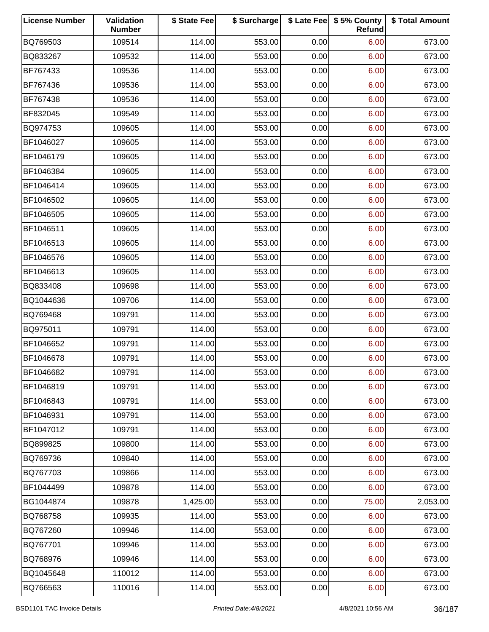| <b>License Number</b> | Validation<br><b>Number</b> | \$ State Fee | \$ Surcharge |      | \$ Late Fee   \$5% County<br>Refund | \$ Total Amount |
|-----------------------|-----------------------------|--------------|--------------|------|-------------------------------------|-----------------|
| BQ769503              | 109514                      | 114.00       | 553.00       | 0.00 | 6.00                                | 673.00          |
| BQ833267              | 109532                      | 114.00       | 553.00       | 0.00 | 6.00                                | 673.00          |
| BF767433              | 109536                      | 114.00       | 553.00       | 0.00 | 6.00                                | 673.00          |
| BF767436              | 109536                      | 114.00       | 553.00       | 0.00 | 6.00                                | 673.00          |
| BF767438              | 109536                      | 114.00       | 553.00       | 0.00 | 6.00                                | 673.00          |
| BF832045              | 109549                      | 114.00       | 553.00       | 0.00 | 6.00                                | 673.00          |
| BQ974753              | 109605                      | 114.00       | 553.00       | 0.00 | 6.00                                | 673.00          |
| BF1046027             | 109605                      | 114.00       | 553.00       | 0.00 | 6.00                                | 673.00          |
| BF1046179             | 109605                      | 114.00       | 553.00       | 0.00 | 6.00                                | 673.00          |
| BF1046384             | 109605                      | 114.00       | 553.00       | 0.00 | 6.00                                | 673.00          |
| BF1046414             | 109605                      | 114.00       | 553.00       | 0.00 | 6.00                                | 673.00          |
| BF1046502             | 109605                      | 114.00       | 553.00       | 0.00 | 6.00                                | 673.00          |
| BF1046505             | 109605                      | 114.00       | 553.00       | 0.00 | 6.00                                | 673.00          |
| BF1046511             | 109605                      | 114.00       | 553.00       | 0.00 | 6.00                                | 673.00          |
| BF1046513             | 109605                      | 114.00       | 553.00       | 0.00 | 6.00                                | 673.00          |
| BF1046576             | 109605                      | 114.00       | 553.00       | 0.00 | 6.00                                | 673.00          |
| BF1046613             | 109605                      | 114.00       | 553.00       | 0.00 | 6.00                                | 673.00          |
| BQ833408              | 109698                      | 114.00       | 553.00       | 0.00 | 6.00                                | 673.00          |
| BQ1044636             | 109706                      | 114.00       | 553.00       | 0.00 | 6.00                                | 673.00          |
| BQ769468              | 109791                      | 114.00       | 553.00       | 0.00 | 6.00                                | 673.00          |
| BQ975011              | 109791                      | 114.00       | 553.00       | 0.00 | 6.00                                | 673.00          |
| BF1046652             | 109791                      | 114.00       | 553.00       | 0.00 | 6.00                                | 673.00          |
| BF1046678             | 109791                      | 114.00       | 553.00       | 0.00 | 6.00                                | 673.00          |
| BF1046682             | 109791                      | 114.00       | 553.00       | 0.00 | 6.00                                | 673.00          |
| BF1046819             | 109791                      | 114.00       | 553.00       | 0.00 | 6.00                                | 673.00          |
| BF1046843             | 109791                      | 114.00       | 553.00       | 0.00 | 6.00                                | 673.00          |
| BF1046931             | 109791                      | 114.00       | 553.00       | 0.00 | 6.00                                | 673.00          |
| BF1047012             | 109791                      | 114.00       | 553.00       | 0.00 | 6.00                                | 673.00          |
| BQ899825              | 109800                      | 114.00       | 553.00       | 0.00 | 6.00                                | 673.00          |
| BQ769736              | 109840                      | 114.00       | 553.00       | 0.00 | 6.00                                | 673.00          |
| BQ767703              | 109866                      | 114.00       | 553.00       | 0.00 | 6.00                                | 673.00          |
| BF1044499             | 109878                      | 114.00       | 553.00       | 0.00 | 6.00                                | 673.00          |
| BG1044874             | 109878                      | 1,425.00     | 553.00       | 0.00 | 75.00                               | 2,053.00        |
| BQ768758              | 109935                      | 114.00       | 553.00       | 0.00 | 6.00                                | 673.00          |
| BQ767260              | 109946                      | 114.00       | 553.00       | 0.00 | 6.00                                | 673.00          |
| BQ767701              | 109946                      | 114.00       | 553.00       | 0.00 | 6.00                                | 673.00          |
| BQ768976              | 109946                      | 114.00       | 553.00       | 0.00 | 6.00                                | 673.00          |
| BQ1045648             | 110012                      | 114.00       | 553.00       | 0.00 | 6.00                                | 673.00          |
| BQ766563              | 110016                      | 114.00       | 553.00       | 0.00 | 6.00                                | 673.00          |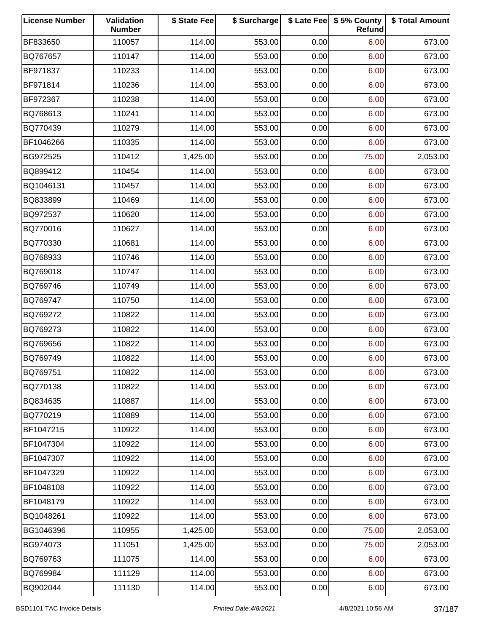| <b>License Number</b> | Validation<br><b>Number</b> | \$ State Fee | \$ Surcharge |      | \$ Late Fee   \$5% County<br>Refund | \$ Total Amount |
|-----------------------|-----------------------------|--------------|--------------|------|-------------------------------------|-----------------|
| BF833650              | 110057                      | 114.00       | 553.00       | 0.00 | 6.00                                | 673.00          |
| BQ767657              | 110147                      | 114.00       | 553.00       | 0.00 | 6.00                                | 673.00          |
| BF971837              | 110233                      | 114.00       | 553.00       | 0.00 | 6.00                                | 673.00          |
| BF971814              | 110236                      | 114.00       | 553.00       | 0.00 | 6.00                                | 673.00          |
| BF972367              | 110238                      | 114.00       | 553.00       | 0.00 | 6.00                                | 673.00          |
| BQ768613              | 110241                      | 114.00       | 553.00       | 0.00 | 6.00                                | 673.00          |
| BQ770439              | 110279                      | 114.00       | 553.00       | 0.00 | 6.00                                | 673.00          |
| BF1046266             | 110335                      | 114.00       | 553.00       | 0.00 | 6.00                                | 673.00          |
| BG972525              | 110412                      | 1,425.00     | 553.00       | 0.00 | 75.00                               | 2,053.00        |
| BQ899412              | 110454                      | 114.00       | 553.00       | 0.00 | 6.00                                | 673.00          |
| BQ1046131             | 110457                      | 114.00       | 553.00       | 0.00 | 6.00                                | 673.00          |
| BQ833899              | 110469                      | 114.00       | 553.00       | 0.00 | 6.00                                | 673.00          |
| BQ972537              | 110620                      | 114.00       | 553.00       | 0.00 | 6.00                                | 673.00          |
| BQ770016              | 110627                      | 114.00       | 553.00       | 0.00 | 6.00                                | 673.00          |
| BQ770330              | 110681                      | 114.00       | 553.00       | 0.00 | 6.00                                | 673.00          |
| BQ768933              | 110746                      | 114.00       | 553.00       | 0.00 | 6.00                                | 673.00          |
| BQ769018              | 110747                      | 114.00       | 553.00       | 0.00 | 6.00                                | 673.00          |
| BQ769746              | 110749                      | 114.00       | 553.00       | 0.00 | 6.00                                | 673.00          |
| BQ769747              | 110750                      | 114.00       | 553.00       | 0.00 | 6.00                                | 673.00          |
| BQ769272              | 110822                      | 114.00       | 553.00       | 0.00 | 6.00                                | 673.00          |
| BQ769273              | 110822                      | 114.00       | 553.00       | 0.00 | 6.00                                | 673.00          |
| BQ769656              | 110822                      | 114.00       | 553.00       | 0.00 | 6.00                                | 673.00          |
| BQ769749              | 110822                      | 114.00       | 553.00       | 0.00 | 6.00                                | 673.00          |
| BQ769751              | 110822                      | 114.00       | 553.00       | 0.00 | 6.00                                | 673.00          |
| BQ770138              | 110822                      | 114.00       | 553.00       | 0.00 | 6.00                                | 673.00          |
| BQ834635              | 110887                      | 114.00       | 553.00       | 0.00 | 6.00                                | 673.00          |
| BQ770219              | 110889                      | 114.00       | 553.00       | 0.00 | 6.00                                | 673.00          |
| BF1047215             | 110922                      | 114.00       | 553.00       | 0.00 | 6.00                                | 673.00          |
| BF1047304             | 110922                      | 114.00       | 553.00       | 0.00 | 6.00                                | 673.00          |
| BF1047307             | 110922                      | 114.00       | 553.00       | 0.00 | 6.00                                | 673.00          |
| BF1047329             | 110922                      | 114.00       | 553.00       | 0.00 | 6.00                                | 673.00          |
| BF1048108             | 110922                      | 114.00       | 553.00       | 0.00 | 6.00                                | 673.00          |
| BF1048179             | 110922                      | 114.00       | 553.00       | 0.00 | 6.00                                | 673.00          |
| BQ1048261             | 110922                      | 114.00       | 553.00       | 0.00 | 6.00                                | 673.00          |
| BG1046396             | 110955                      | 1,425.00     | 553.00       | 0.00 | 75.00                               | 2,053.00        |
| BG974073              | 111051                      | 1,425.00     | 553.00       | 0.00 | 75.00                               | 2,053.00        |
| BQ769763              | 111075                      | 114.00       | 553.00       | 0.00 | 6.00                                | 673.00          |
| BQ769984              | 111129                      | 114.00       | 553.00       | 0.00 | 6.00                                | 673.00          |
| BQ902044              | 111130                      | 114.00       | 553.00       | 0.00 | 6.00                                | 673.00          |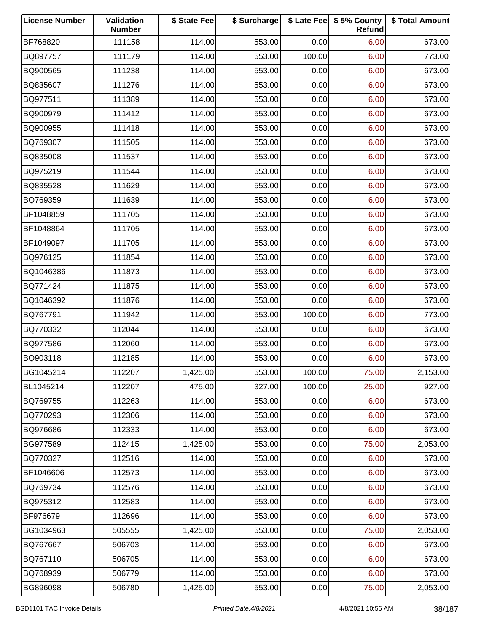| <b>License Number</b> | Validation<br><b>Number</b> | \$ State Fee | \$ Surcharge |        | \$ Late Fee   \$5% County<br>Refund | \$ Total Amount |
|-----------------------|-----------------------------|--------------|--------------|--------|-------------------------------------|-----------------|
| BF768820              | 111158                      | 114.00       | 553.00       | 0.00   | 6.00                                | 673.00          |
| BQ897757              | 111179                      | 114.00       | 553.00       | 100.00 | 6.00                                | 773.00          |
| BQ900565              | 111238                      | 114.00       | 553.00       | 0.00   | 6.00                                | 673.00          |
| BQ835607              | 111276                      | 114.00       | 553.00       | 0.00   | 6.00                                | 673.00          |
| BQ977511              | 111389                      | 114.00       | 553.00       | 0.00   | 6.00                                | 673.00          |
| BQ900979              | 111412                      | 114.00       | 553.00       | 0.00   | 6.00                                | 673.00          |
| BQ900955              | 111418                      | 114.00       | 553.00       | 0.00   | 6.00                                | 673.00          |
| BQ769307              | 111505                      | 114.00       | 553.00       | 0.00   | 6.00                                | 673.00          |
| BQ835008              | 111537                      | 114.00       | 553.00       | 0.00   | 6.00                                | 673.00          |
| BQ975219              | 111544                      | 114.00       | 553.00       | 0.00   | 6.00                                | 673.00          |
| BQ835528              | 111629                      | 114.00       | 553.00       | 0.00   | 6.00                                | 673.00          |
| BQ769359              | 111639                      | 114.00       | 553.00       | 0.00   | 6.00                                | 673.00          |
| BF1048859             | 111705                      | 114.00       | 553.00       | 0.00   | 6.00                                | 673.00          |
| BF1048864             | 111705                      | 114.00       | 553.00       | 0.00   | 6.00                                | 673.00          |
| BF1049097             | 111705                      | 114.00       | 553.00       | 0.00   | 6.00                                | 673.00          |
| BQ976125              | 111854                      | 114.00       | 553.00       | 0.00   | 6.00                                | 673.00          |
| BQ1046386             | 111873                      | 114.00       | 553.00       | 0.00   | 6.00                                | 673.00          |
| BQ771424              | 111875                      | 114.00       | 553.00       | 0.00   | 6.00                                | 673.00          |
| BQ1046392             | 111876                      | 114.00       | 553.00       | 0.00   | 6.00                                | 673.00          |
| BQ767791              | 111942                      | 114.00       | 553.00       | 100.00 | 6.00                                | 773.00          |
| BQ770332              | 112044                      | 114.00       | 553.00       | 0.00   | 6.00                                | 673.00          |
| BQ977586              | 112060                      | 114.00       | 553.00       | 0.00   | 6.00                                | 673.00          |
| BQ903118              | 112185                      | 114.00       | 553.00       | 0.00   | 6.00                                | 673.00          |
| BG1045214             | 112207                      | 1,425.00     | 553.00       | 100.00 | 75.00                               | 2,153.00        |
| BL1045214             | 112207                      | 475.00       | 327.00       | 100.00 | 25.00                               | 927.00          |
| BQ769755              | 112263                      | 114.00       | 553.00       | 0.00   | 6.00                                | 673.00          |
| BQ770293              | 112306                      | 114.00       | 553.00       | 0.00   | 6.00                                | 673.00          |
| BQ976686              | 112333                      | 114.00       | 553.00       | 0.00   | 6.00                                | 673.00          |
| BG977589              | 112415                      | 1,425.00     | 553.00       | 0.00   | 75.00                               | 2,053.00        |
| BQ770327              | 112516                      | 114.00       | 553.00       | 0.00   | 6.00                                | 673.00          |
| BF1046606             | 112573                      | 114.00       | 553.00       | 0.00   | 6.00                                | 673.00          |
| BQ769734              | 112576                      | 114.00       | 553.00       | 0.00   | 6.00                                | 673.00          |
| BQ975312              | 112583                      | 114.00       | 553.00       | 0.00   | 6.00                                | 673.00          |
| BF976679              | 112696                      | 114.00       | 553.00       | 0.00   | 6.00                                | 673.00          |
| BG1034963             | 505555                      | 1,425.00     | 553.00       | 0.00   | 75.00                               | 2,053.00        |
| BQ767667              | 506703                      | 114.00       | 553.00       | 0.00   | 6.00                                | 673.00          |
| BQ767110              | 506705                      | 114.00       | 553.00       | 0.00   | 6.00                                | 673.00          |
| BQ768939              | 506779                      | 114.00       | 553.00       | 0.00   | 6.00                                | 673.00          |
| BG896098              | 506780                      | 1,425.00     | 553.00       | 0.00   | 75.00                               | 2,053.00        |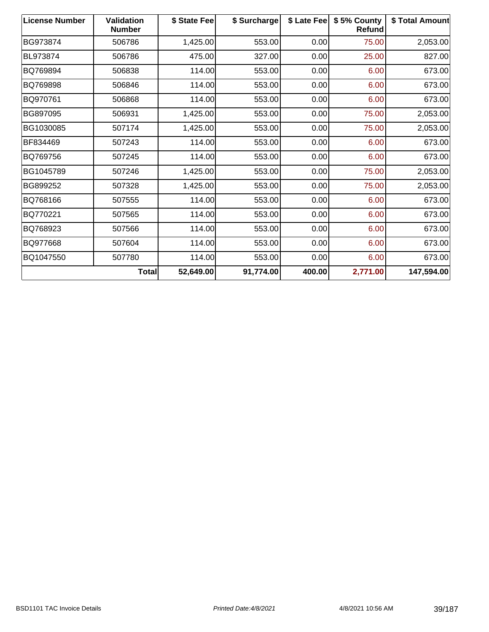| <b>License Number</b> | <b>Validation</b><br><b>Number</b> | \$ State Fee | \$ Surcharge | \$ Late Fee | \$5% County<br><b>Refund</b> | \$ Total Amount |
|-----------------------|------------------------------------|--------------|--------------|-------------|------------------------------|-----------------|
| BG973874              | 506786                             | 1,425.00     | 553.00       | 0.00        | 75.00                        | 2,053.00        |
| BL973874              | 506786                             | 475.00       | 327.00       | 0.00        | 25.00                        | 827.00          |
| BQ769894              | 506838                             | 114.00       | 553.00       | 0.00        | 6.00                         | 673.00          |
| BQ769898              | 506846                             | 114.00       | 553.00       | 0.00        | 6.00                         | 673.00          |
| BQ970761              | 506868                             | 114.00       | 553.00       | 0.00        | 6.00                         | 673.00          |
| BG897095              | 506931                             | 1,425.00     | 553.00       | 0.00        | 75.00                        | 2,053.00        |
| BG1030085             | 507174                             | 1,425.00     | 553.00       | 0.00        | 75.00                        | 2,053.00        |
| BF834469              | 507243                             | 114.00       | 553.00       | 0.00        | 6.00                         | 673.00          |
| BQ769756              | 507245                             | 114.00       | 553.00       | 0.00        | 6.00                         | 673.00          |
| BG1045789             | 507246                             | 1,425.00     | 553.00       | 0.00        | 75.00                        | 2,053.00        |
| BG899252              | 507328                             | 1,425.00     | 553.00       | 0.00        | 75.00                        | 2,053.00        |
| BQ768166              | 507555                             | 114.00       | 553.00       | 0.00        | 6.00                         | 673.00          |
| BQ770221              | 507565                             | 114.00       | 553.00       | 0.00        | 6.00                         | 673.00          |
| BQ768923              | 507566                             | 114.00       | 553.00       | 0.00        | 6.00                         | 673.00          |
| BQ977668              | 507604                             | 114.00       | 553.00       | 0.00        | 6.00                         | 673.00          |
| BQ1047550             | 507780                             | 114.00       | 553.00       | 0.00        | 6.00                         | 673.00          |
|                       | <b>Total</b>                       | 52,649.00    | 91,774.00    | 400.00      | 2,771.00                     | 147,594.00      |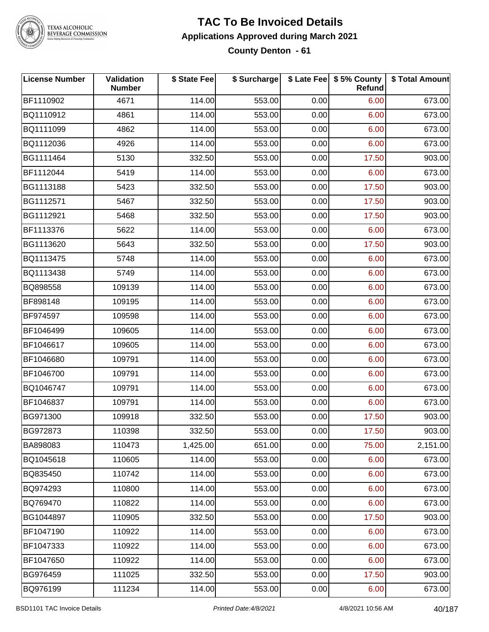

#### **TAC To Be Invoiced Details Applications Approved during March 2021 County Denton - 61**

| <b>License Number</b> | Validation<br><b>Number</b> | \$ State Fee | \$ Surcharge |      | \$ Late Fee   \$5% County<br>Refund | \$ Total Amount |
|-----------------------|-----------------------------|--------------|--------------|------|-------------------------------------|-----------------|
| BF1110902             | 4671                        | 114.00       | 553.00       | 0.00 | 6.00                                | 673.00          |
| BQ1110912             | 4861                        | 114.00       | 553.00       | 0.00 | 6.00                                | 673.00          |
| BQ1111099             | 4862                        | 114.00       | 553.00       | 0.00 | 6.00                                | 673.00          |
| BQ1112036             | 4926                        | 114.00       | 553.00       | 0.00 | 6.00                                | 673.00          |
| BG1111464             | 5130                        | 332.50       | 553.00       | 0.00 | 17.50                               | 903.00          |
| BF1112044             | 5419                        | 114.00       | 553.00       | 0.00 | 6.00                                | 673.00          |
| BG1113188             | 5423                        | 332.50       | 553.00       | 0.00 | 17.50                               | 903.00          |
| BG1112571             | 5467                        | 332.50       | 553.00       | 0.00 | 17.50                               | 903.00          |
| BG1112921             | 5468                        | 332.50       | 553.00       | 0.00 | 17.50                               | 903.00          |
| BF1113376             | 5622                        | 114.00       | 553.00       | 0.00 | 6.00                                | 673.00          |
| BG1113620             | 5643                        | 332.50       | 553.00       | 0.00 | 17.50                               | 903.00          |
| BQ1113475             | 5748                        | 114.00       | 553.00       | 0.00 | 6.00                                | 673.00          |
| BQ1113438             | 5749                        | 114.00       | 553.00       | 0.00 | 6.00                                | 673.00          |
| BQ898558              | 109139                      | 114.00       | 553.00       | 0.00 | 6.00                                | 673.00          |
| BF898148              | 109195                      | 114.00       | 553.00       | 0.00 | 6.00                                | 673.00          |
| BF974597              | 109598                      | 114.00       | 553.00       | 0.00 | 6.00                                | 673.00          |
| BF1046499             | 109605                      | 114.00       | 553.00       | 0.00 | 6.00                                | 673.00          |
| BF1046617             | 109605                      | 114.00       | 553.00       | 0.00 | 6.00                                | 673.00          |
| BF1046680             | 109791                      | 114.00       | 553.00       | 0.00 | 6.00                                | 673.00          |
| BF1046700             | 109791                      | 114.00       | 553.00       | 0.00 | 6.00                                | 673.00          |
| BQ1046747             | 109791                      | 114.00       | 553.00       | 0.00 | 6.00                                | 673.00          |
| BF1046837             | 109791                      | 114.00       | 553.00       | 0.00 | 6.00                                | 673.00          |
| BG971300              | 109918                      | 332.50       | 553.00       | 0.00 | 17.50                               | 903.00          |
| BG972873              | 110398                      | 332.50       | 553.00       | 0.00 | 17.50                               | 903.00          |
| BA898083              | 110473                      | 1,425.00     | 651.00       | 0.00 | 75.00                               | 2,151.00        |
| BQ1045618             | 110605                      | 114.00       | 553.00       | 0.00 | 6.00                                | 673.00          |
| BQ835450              | 110742                      | 114.00       | 553.00       | 0.00 | 6.00                                | 673.00          |
| BQ974293              | 110800                      | 114.00       | 553.00       | 0.00 | 6.00                                | 673.00          |
| BQ769470              | 110822                      | 114.00       | 553.00       | 0.00 | 6.00                                | 673.00          |
| BG1044897             | 110905                      | 332.50       | 553.00       | 0.00 | 17.50                               | 903.00          |
| BF1047190             | 110922                      | 114.00       | 553.00       | 0.00 | 6.00                                | 673.00          |
| BF1047333             | 110922                      | 114.00       | 553.00       | 0.00 | 6.00                                | 673.00          |
| BF1047650             | 110922                      | 114.00       | 553.00       | 0.00 | 6.00                                | 673.00          |
| BG976459              | 111025                      | 332.50       | 553.00       | 0.00 | 17.50                               | 903.00          |
| BQ976199              | 111234                      | 114.00       | 553.00       | 0.00 | 6.00                                | 673.00          |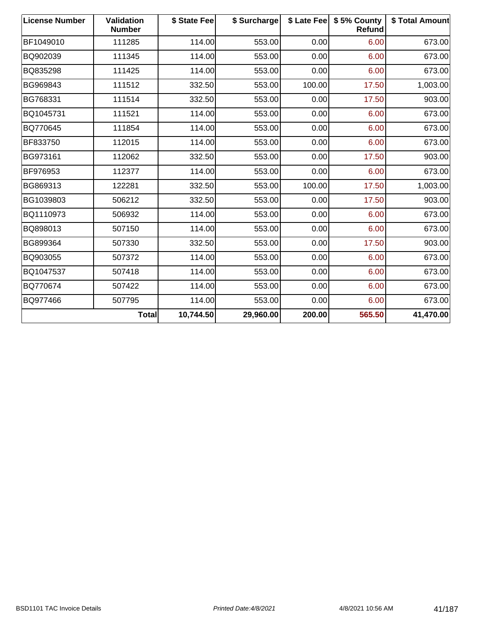| <b>License Number</b> | <b>Validation</b><br><b>Number</b> | \$ State Fee | \$ Surcharge |        | \$ Late Fee   \$5% County<br><b>Refund</b> | \$ Total Amount |
|-----------------------|------------------------------------|--------------|--------------|--------|--------------------------------------------|-----------------|
| BF1049010             | 111285                             | 114.00       | 553.00       | 0.00   | 6.00                                       | 673.00          |
| BQ902039              | 111345                             | 114.00       | 553.00       | 0.00   | 6.00                                       | 673.00          |
| BQ835298              | 111425                             | 114.00       | 553.00       | 0.00   | 6.00                                       | 673.00          |
| BG969843              | 111512                             | 332.50       | 553.00       | 100.00 | 17.50                                      | 1,003.00        |
| BG768331              | 111514                             | 332.50       | 553.00       | 0.00   | 17.50                                      | 903.00          |
| BQ1045731             | 111521                             | 114.00       | 553.00       | 0.00   | 6.00                                       | 673.00          |
| BQ770645              | 111854                             | 114.00       | 553.00       | 0.00   | 6.00                                       | 673.00          |
| BF833750              | 112015                             | 114.00       | 553.00       | 0.00   | 6.00                                       | 673.00          |
| BG973161              | 112062                             | 332.50       | 553.00       | 0.00   | 17.50                                      | 903.00          |
| BF976953              | 112377                             | 114.00       | 553.00       | 0.00   | 6.00                                       | 673.00          |
| BG869313              | 122281                             | 332.50       | 553.00       | 100.00 | 17.50                                      | 1,003.00        |
| BG1039803             | 506212                             | 332.50       | 553.00       | 0.00   | 17.50                                      | 903.00          |
| BQ1110973             | 506932                             | 114.00       | 553.00       | 0.00   | 6.00                                       | 673.00          |
| BQ898013              | 507150                             | 114.00       | 553.00       | 0.00   | 6.00                                       | 673.00          |
| BG899364              | 507330                             | 332.50       | 553.00       | 0.00   | 17.50                                      | 903.00          |
| BQ903055              | 507372                             | 114.00       | 553.00       | 0.00   | 6.00                                       | 673.00          |
| BQ1047537             | 507418                             | 114.00       | 553.00       | 0.00   | 6.00                                       | 673.00          |
| BQ770674              | 507422                             | 114.00       | 553.00       | 0.00   | 6.00                                       | 673.00          |
| BQ977466              | 507795                             | 114.00       | 553.00       | 0.00   | 6.00                                       | 673.00          |
|                       | <b>Total</b>                       | 10,744.50    | 29,960.00    | 200.00 | 565.50                                     | 41,470.00       |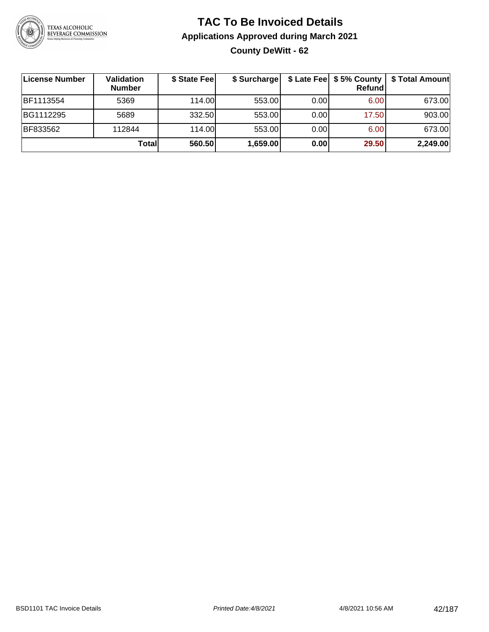

### **TAC To Be Invoiced Details Applications Approved during March 2021 County DeWitt - 62**

| License Number | Validation<br><b>Number</b> | \$ State Fee | \$ Surcharge |      | Refundl | \$ Late Fee   \$5% County   \$ Total Amount |
|----------------|-----------------------------|--------------|--------------|------|---------|---------------------------------------------|
| BF1113554      | 5369                        | 114.00       | 553.00       | 0.00 | 6.00    | 673.00                                      |
| BG1112295      | 5689                        | 332.50       | 553.00       | 0.00 | 17.50   | 903.00                                      |
| BF833562       | 112844                      | 114.00       | 553.00       | 0.00 | 6.00    | 673.00                                      |
|                | Totall                      | 560.50       | 1,659.00     | 0.00 | 29.50   | 2,249.00                                    |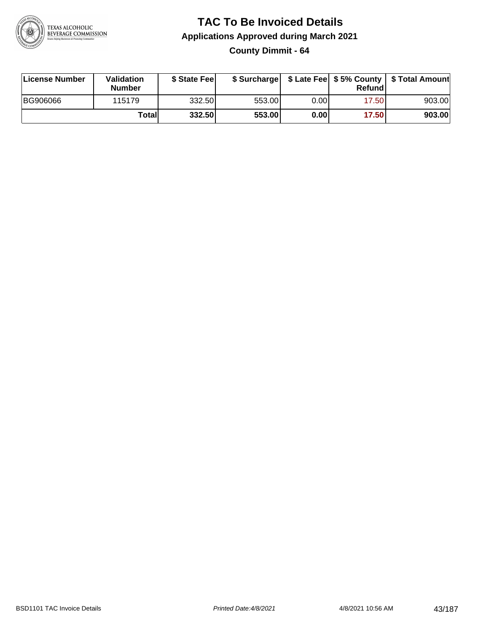

**County Dimmit - 64**

| License Number | Validation<br><b>Number</b> | \$ State Feel | \$ Surcharge |       | Refundl |        |
|----------------|-----------------------------|---------------|--------------|-------|---------|--------|
| BG906066       | 115179                      | 332.50        | 553.00       | 0.001 | 17.501  | 903.00 |
|                | Totall                      | 332.50        | 553.00       | 0.00  | 17.50   | 903.00 |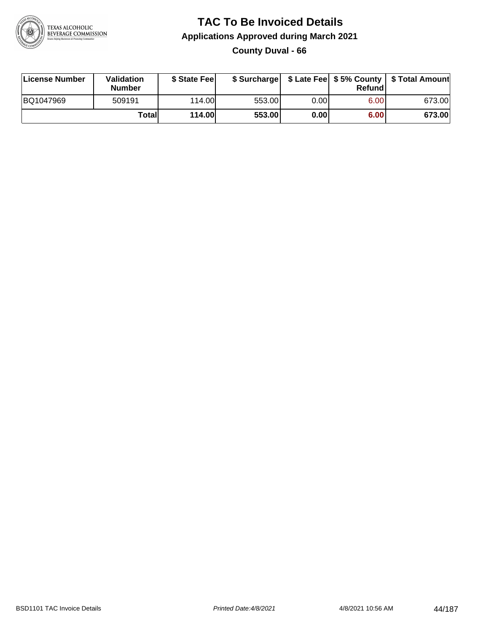

### **TAC To Be Invoiced Details Applications Approved during March 2021 County Duval - 66**

| License Number | Validation<br><b>Number</b> | \$ State Feel  |        |      | Refundl           | \$ Surcharge   \$ Late Fee   \$5% County   \$ Total Amount |
|----------------|-----------------------------|----------------|--------|------|-------------------|------------------------------------------------------------|
| BQ1047969      | 509191                      | 114.00         | 553.00 | 0.00 | 6.00 <sub>1</sub> | 673.00                                                     |
|                | Totall                      | <b>114.00L</b> | 553.00 | 0.00 | 6.00              | 673.00                                                     |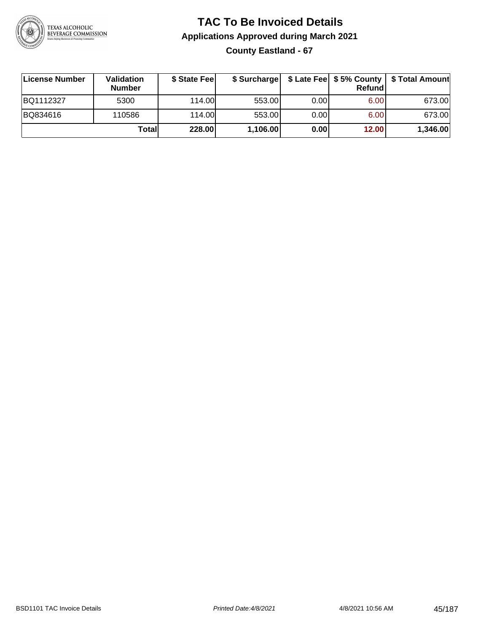

### **TAC To Be Invoiced Details Applications Approved during March 2021 County Eastland - 67**

| License Number | Validation<br><b>Number</b> | \$ State Fee |          |      | Refund            | \$ Surcharge   \$ Late Fee   \$5% County   \$ Total Amount |
|----------------|-----------------------------|--------------|----------|------|-------------------|------------------------------------------------------------|
| BQ1112327      | 5300                        | 114.00       | 553.00   | 0.00 | 6.00 <sub>1</sub> | 673.00                                                     |
| BQ834616       | 110586                      | 114.00       | 553.00   | 0.00 | 6.00 <sub>1</sub> | 673.00                                                     |
|                | Totall                      | 228.00       | 1,106.00 | 0.00 | 12.00             | 1,346.00                                                   |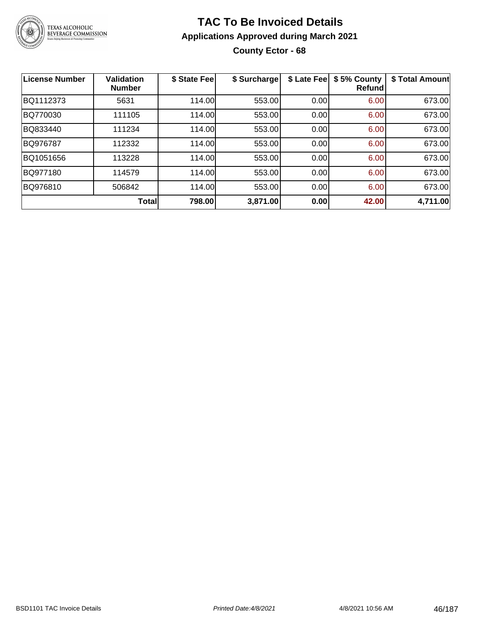

### **TAC To Be Invoiced Details Applications Approved during March 2021 County Ector - 68**

| License Number | <b>Validation</b><br><b>Number</b> | \$ State Fee | \$ Surcharge | \$ Late Fee | \$5% County<br><b>Refund</b> | \$ Total Amount |
|----------------|------------------------------------|--------------|--------------|-------------|------------------------------|-----------------|
| BQ1112373      | 5631                               | 114.00       | 553.00       | 0.00        | 6.00                         | 673.00          |
| BQ770030       | 111105                             | 114.00       | 553.00       | 0.00        | 6.00                         | 673.00          |
| BQ833440       | 111234                             | 114.00       | 553.00       | 0.00        | 6.00                         | 673.00          |
| BQ976787       | 112332                             | 114.00       | 553.00       | 0.00        | 6.00                         | 673.00          |
| BQ1051656      | 113228                             | 114.00       | 553.00       | 0.00        | 6.00                         | 673.00          |
| BQ977180       | 114579                             | 114.00       | 553.00       | 0.00        | 6.00                         | 673.00          |
| BQ976810       | 506842                             | 114.00       | 553.00       | 0.00        | 6.00                         | 673.00          |
|                | <b>Total</b>                       | 798.00       | 3,871.00     | 0.00        | 42.00                        | 4,711.00        |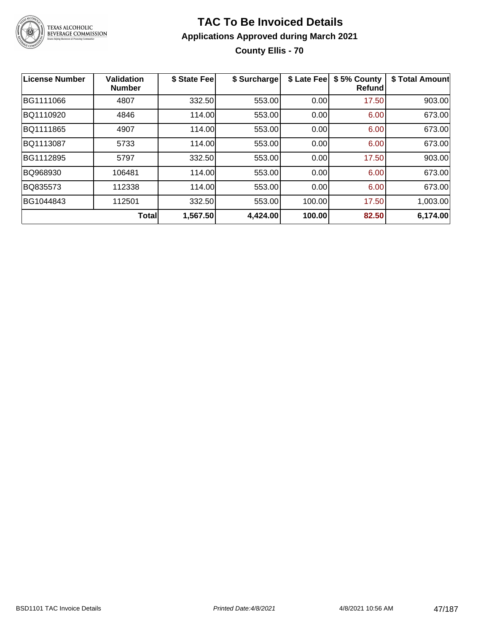

### **TAC To Be Invoiced Details Applications Approved during March 2021 County Ellis - 70**

| <b>License Number</b> | Validation<br><b>Number</b> | \$ State Fee | \$ Surcharge | \$ Late Fee | \$5% County<br><b>Refund</b> | \$ Total Amount |
|-----------------------|-----------------------------|--------------|--------------|-------------|------------------------------|-----------------|
| BG1111066             | 4807                        | 332.50       | 553.00       | 0.00        | 17.50                        | 903.00          |
| BQ1110920             | 4846                        | 114.00       | 553.00       | 0.00        | 6.00                         | 673.00          |
| BQ1111865             | 4907                        | 114.00       | 553.00       | 0.00        | 6.00                         | 673.00          |
| BQ1113087             | 5733                        | 114.00       | 553.00       | 0.00        | 6.00                         | 673.00          |
| BG1112895             | 5797                        | 332.50       | 553.00       | 0.00        | 17.50                        | 903.00          |
| BQ968930              | 106481                      | 114.00       | 553.00       | 0.00        | 6.00                         | 673.00          |
| BQ835573              | 112338                      | 114.00       | 553.00       | 0.00        | 6.00                         | 673.00          |
| BG1044843             | 112501                      | 332.50       | 553.00       | 100.00      | 17.50                        | 1,003.00        |
|                       | <b>Total</b>                | 1,567.50     | 4,424.00     | 100.00      | 82.50                        | 6,174.00        |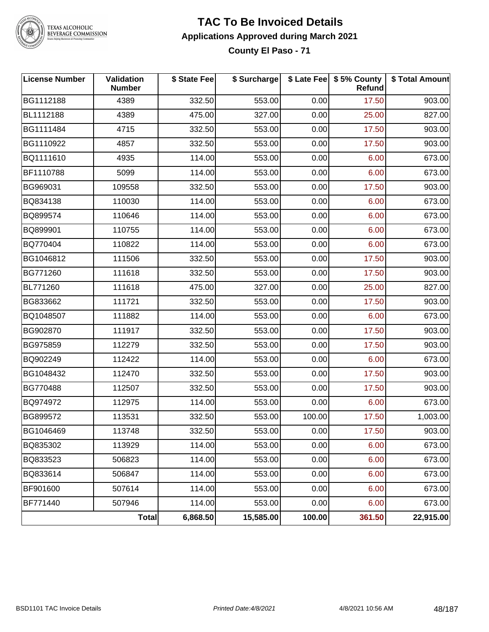

### **TAC To Be Invoiced Details Applications Approved during March 2021**

**County El Paso - 71**

| <b>License Number</b> | <b>Validation</b><br><b>Number</b> | \$ State Fee | \$ Surcharge |        | \$ Late Fee   \$5% County<br>Refund | \$ Total Amount |
|-----------------------|------------------------------------|--------------|--------------|--------|-------------------------------------|-----------------|
| BG1112188             | 4389                               | 332.50       | 553.00       | 0.00   | 17.50                               | 903.00          |
| BL1112188             | 4389                               | 475.00       | 327.00       | 0.00   | 25.00                               | 827.00          |
| BG1111484             | 4715                               | 332.50       | 553.00       | 0.00   | 17.50                               | 903.00          |
| BG1110922             | 4857                               | 332.50       | 553.00       | 0.00   | 17.50                               | 903.00          |
| BQ1111610             | 4935                               | 114.00       | 553.00       | 0.00   | 6.00                                | 673.00          |
| BF1110788             | 5099                               | 114.00       | 553.00       | 0.00   | 6.00                                | 673.00          |
| BG969031              | 109558                             | 332.50       | 553.00       | 0.00   | 17.50                               | 903.00          |
| BQ834138              | 110030                             | 114.00       | 553.00       | 0.00   | 6.00                                | 673.00          |
| BQ899574              | 110646                             | 114.00       | 553.00       | 0.00   | 6.00                                | 673.00          |
| BQ899901              | 110755                             | 114.00       | 553.00       | 0.00   | 6.00                                | 673.00          |
| BQ770404              | 110822                             | 114.00       | 553.00       | 0.00   | 6.00                                | 673.00          |
| BG1046812             | 111506                             | 332.50       | 553.00       | 0.00   | 17.50                               | 903.00          |
| BG771260              | 111618                             | 332.50       | 553.00       | 0.00   | 17.50                               | 903.00          |
| BL771260              | 111618                             | 475.00       | 327.00       | 0.00   | 25.00                               | 827.00          |
| BG833662              | 111721                             | 332.50       | 553.00       | 0.00   | 17.50                               | 903.00          |
| BQ1048507             | 111882                             | 114.00       | 553.00       | 0.00   | 6.00                                | 673.00          |
| BG902870              | 111917                             | 332.50       | 553.00       | 0.00   | 17.50                               | 903.00          |
| BG975859              | 112279                             | 332.50       | 553.00       | 0.00   | 17.50                               | 903.00          |
| BQ902249              | 112422                             | 114.00       | 553.00       | 0.00   | 6.00                                | 673.00          |
| BG1048432             | 112470                             | 332.50       | 553.00       | 0.00   | 17.50                               | 903.00          |
| BG770488              | 112507                             | 332.50       | 553.00       | 0.00   | 17.50                               | 903.00          |
| BQ974972              | 112975                             | 114.00       | 553.00       | 0.00   | 6.00                                | 673.00          |
| BG899572              | 113531                             | 332.50       | 553.00       | 100.00 | 17.50                               | 1,003.00        |
| BG1046469             | 113748                             | 332.50       | 553.00       | 0.00   | 17.50                               | 903.00          |
| BQ835302              | 113929                             | 114.00       | 553.00       | 0.00   | 6.00                                | 673.00          |
| BQ833523              | 506823                             | 114.00       | 553.00       | 0.00   | 6.00                                | 673.00          |
| BQ833614              | 506847                             | 114.00       | 553.00       | 0.00   | 6.00                                | 673.00          |
| BF901600              | 507614                             | 114.00       | 553.00       | 0.00   | 6.00                                | 673.00          |
| BF771440              | 507946                             | 114.00       | 553.00       | 0.00   | 6.00                                | 673.00          |
|                       | <b>Total</b>                       | 6,868.50     | 15,585.00    | 100.00 | 361.50                              | 22,915.00       |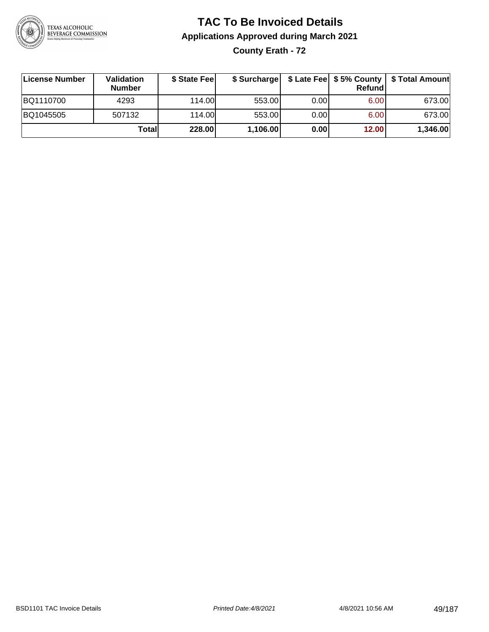

**County Erath - 72**

| License Number | Validation<br><b>Number</b> | \$ State Fee | \$ Surcharge |       | Refundl           | \$ Late Fee   \$5% County   \$ Total Amount |
|----------------|-----------------------------|--------------|--------------|-------|-------------------|---------------------------------------------|
| BQ1110700      | 4293                        | 114.00       | 553.00       | 0.00  | 6.00 <sub>1</sub> | 673.00                                      |
| BQ1045505      | 507132                      | 114.00L      | 553.00       | 0.001 | 6.00 <sub>1</sub> | 673.00                                      |
|                | Totall                      | 228.00       | 1,106.00     | 0.00  | 12.00             | 1,346.00                                    |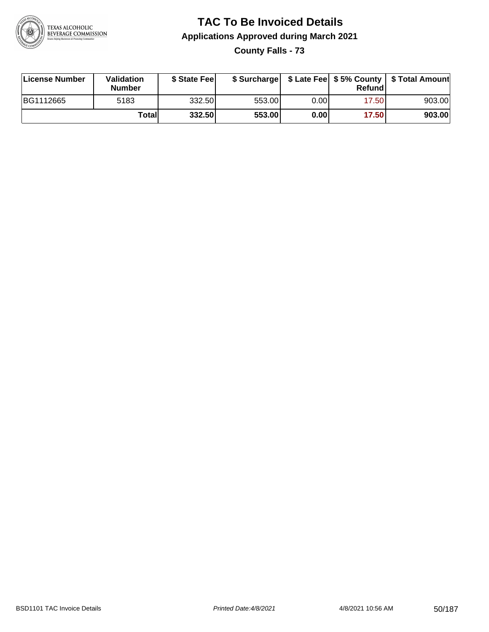

**County Falls - 73**

| License Number | Validation<br><b>Number</b> | \$ State Fee |        |      | Refund | \$ Surcharge   \$ Late Fee   \$5% County   \$ Total Amount |
|----------------|-----------------------------|--------------|--------|------|--------|------------------------------------------------------------|
| BG1112665      | 5183                        | 332.50       | 553.00 | 0.00 | 17.501 | 903.00                                                     |
|                | Totall                      | 332.50       | 553.00 | 0.00 | 17.50  | 903.00                                                     |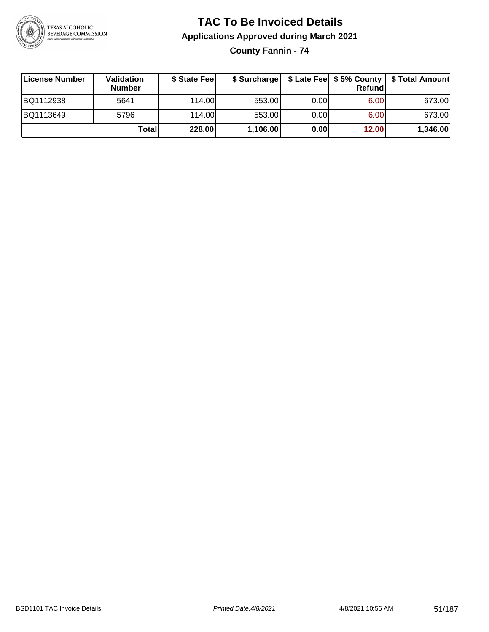

**County Fannin - 74**

| ∣License Number | Validation<br><b>Number</b> | \$ State Feel |          |      | Refundl | \$ Surcharge   \$ Late Fee   \$5% County   \$ Total Amount |
|-----------------|-----------------------------|---------------|----------|------|---------|------------------------------------------------------------|
| BQ1112938       | 5641                        | 114.00L       | 553.00   | 0.00 | 6.00    | 673.00                                                     |
| BQ1113649       | 5796                        | 114.00L       | 553.00   | 0.00 | 6.00    | 673.00                                                     |
|                 | Totall                      | 228.00        | 1,106.00 | 0.00 | 12.00   | 1,346.00                                                   |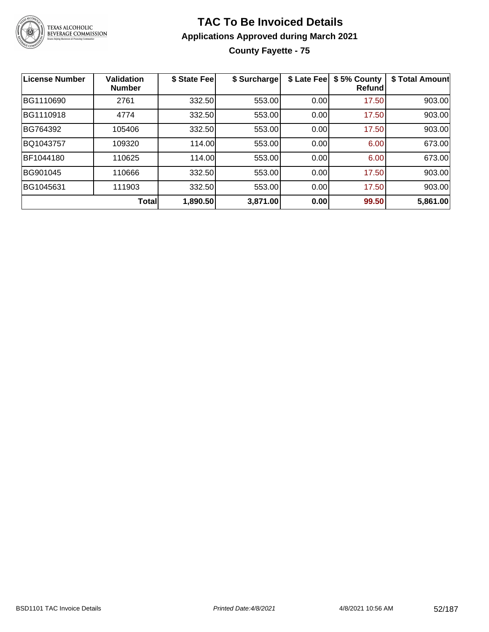

### **TAC To Be Invoiced Details Applications Approved during March 2021 County Fayette - 75**

| <b>License Number</b> | <b>Validation</b><br><b>Number</b> | \$ State Fee | \$ Surcharge | \$ Late Fee | \$5% County<br>Refundl | \$ Total Amount |
|-----------------------|------------------------------------|--------------|--------------|-------------|------------------------|-----------------|
| BG1110690             | 2761                               | 332.50       | 553.00       | 0.00        | 17.50                  | 903.00          |
| BG1110918             | 4774                               | 332.50       | 553.00       | 0.00        | 17.50                  | 903.00          |
| BG764392              | 105406                             | 332.50       | 553.00       | 0.00        | 17.50                  | 903.00          |
| BQ1043757             | 109320                             | 114.00       | 553.00       | 0.00        | 6.00                   | 673.00          |
| BF1044180             | 110625                             | 114.00       | 553.00       | 0.00        | 6.00                   | 673.00          |
| BG901045              | 110666                             | 332.50       | 553.00       | 0.00        | 17.50                  | 903.00          |
| BG1045631             | 111903                             | 332.50       | 553.00       | 0.00        | 17.50                  | 903.00          |
|                       | <b>Total</b>                       | 1,890.50     | 3,871.00     | 0.00        | 99.50                  | 5,861.00        |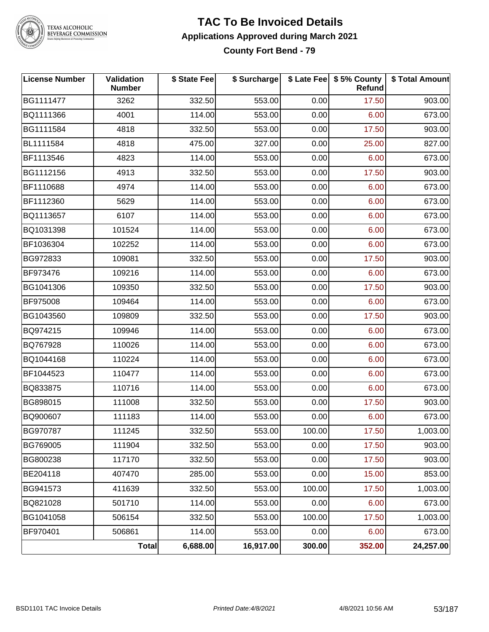

#### **TAC To Be Invoiced Details Applications Approved during March 2021 County Fort Bend - 79**

| <b>License Number</b> | Validation<br><b>Number</b> | \$ State Fee | \$ Surcharge |        | \$ Late Fee   \$5% County<br>Refund | \$ Total Amount |
|-----------------------|-----------------------------|--------------|--------------|--------|-------------------------------------|-----------------|
| BG1111477             | 3262                        | 332.50       | 553.00       | 0.00   | 17.50                               | 903.00          |
| BQ1111366             | 4001                        | 114.00       | 553.00       | 0.00   | 6.00                                | 673.00          |
| BG1111584             | 4818                        | 332.50       | 553.00       | 0.00   | 17.50                               | 903.00          |
| BL1111584             | 4818                        | 475.00       | 327.00       | 0.00   | 25.00                               | 827.00          |
| BF1113546             | 4823                        | 114.00       | 553.00       | 0.00   | 6.00                                | 673.00          |
| BG1112156             | 4913                        | 332.50       | 553.00       | 0.00   | 17.50                               | 903.00          |
| BF1110688             | 4974                        | 114.00       | 553.00       | 0.00   | 6.00                                | 673.00          |
| BF1112360             | 5629                        | 114.00       | 553.00       | 0.00   | 6.00                                | 673.00          |
| BQ1113657             | 6107                        | 114.00       | 553.00       | 0.00   | 6.00                                | 673.00          |
| BQ1031398             | 101524                      | 114.00       | 553.00       | 0.00   | 6.00                                | 673.00          |
| BF1036304             | 102252                      | 114.00       | 553.00       | 0.00   | 6.00                                | 673.00          |
| BG972833              | 109081                      | 332.50       | 553.00       | 0.00   | 17.50                               | 903.00          |
| BF973476              | 109216                      | 114.00       | 553.00       | 0.00   | 6.00                                | 673.00          |
| BG1041306             | 109350                      | 332.50       | 553.00       | 0.00   | 17.50                               | 903.00          |
| BF975008              | 109464                      | 114.00       | 553.00       | 0.00   | 6.00                                | 673.00          |
| BG1043560             | 109809                      | 332.50       | 553.00       | 0.00   | 17.50                               | 903.00          |
| BQ974215              | 109946                      | 114.00       | 553.00       | 0.00   | 6.00                                | 673.00          |
| BQ767928              | 110026                      | 114.00       | 553.00       | 0.00   | 6.00                                | 673.00          |
| BQ1044168             | 110224                      | 114.00       | 553.00       | 0.00   | 6.00                                | 673.00          |
| BF1044523             | 110477                      | 114.00       | 553.00       | 0.00   | 6.00                                | 673.00          |
| BQ833875              | 110716                      | 114.00       | 553.00       | 0.00   | 6.00                                | 673.00          |
| BG898015              | 111008                      | 332.50       | 553.00       | 0.00   | 17.50                               | 903.00          |
| BQ900607              | 111183                      | 114.00       | 553.00       | 0.00   | 6.00                                | 673.00          |
| BG970787              | 111245                      | 332.50       | 553.00       | 100.00 | 17.50                               | 1,003.00        |
| BG769005              | 111904                      | 332.50       | 553.00       | 0.00   | 17.50                               | 903.00          |
| BG800238              | 117170                      | 332.50       | 553.00       | 0.00   | 17.50                               | 903.00          |
| BE204118              | 407470                      | 285.00       | 553.00       | 0.00   | 15.00                               | 853.00          |
| BG941573              | 411639                      | 332.50       | 553.00       | 100.00 | 17.50                               | 1,003.00        |
| BQ821028              | 501710                      | 114.00       | 553.00       | 0.00   | 6.00                                | 673.00          |
| BG1041058             | 506154                      | 332.50       | 553.00       | 100.00 | 17.50                               | 1,003.00        |
| BF970401              | 506861                      | 114.00       | 553.00       | 0.00   | 6.00                                | 673.00          |
|                       | Total                       | 6,688.00     | 16,917.00    | 300.00 | 352.00                              | 24,257.00       |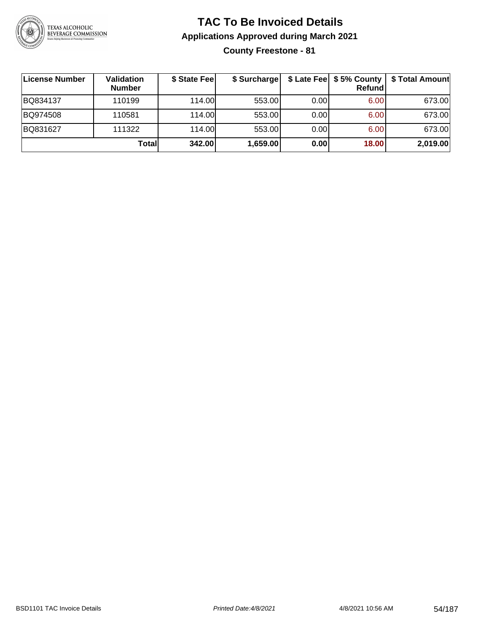

**County Freestone - 81**

| <b>License Number</b> | Validation<br><b>Number</b> | \$ State Fee | \$ Surcharge |       | Refundl | \$ Late Fee   \$5% County   \$ Total Amount |
|-----------------------|-----------------------------|--------------|--------------|-------|---------|---------------------------------------------|
| BQ834137              | 110199                      | 114.00L      | 553.00       | 0.001 | 6.00    | 673.00                                      |
| BQ974508              | 110581                      | 114.00L      | 553.00       | 0.00  | 6.00    | 673.00                                      |
| BQ831627              | 111322                      | 114.00L      | 553.00       | 0.00  | 6.00    | 673.00                                      |
|                       | Totall                      | 342.00       | 1,659.00     | 0.00  | 18.00   | 2,019.00                                    |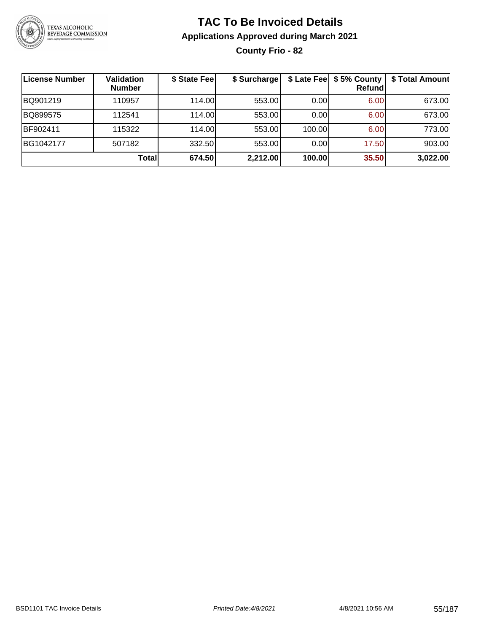

### **TAC To Be Invoiced Details Applications Approved during March 2021 County Frio - 82**

| License Number | <b>Validation</b><br><b>Number</b> | \$ State Fee | \$ Surcharge |        | \$ Late Fee   \$5% County<br>Refund | \$ Total Amount |
|----------------|------------------------------------|--------------|--------------|--------|-------------------------------------|-----------------|
| BQ901219       | 110957                             | 114.00       | 553.00       | 0.00   | 6.00                                | 673.00          |
| BQ899575       | 112541                             | 114.00       | 553.00       | 0.00   | 6.00                                | 673.00          |
| BF902411       | 115322                             | 114.00       | 553.00       | 100.00 | 6.00                                | 773.00          |
| BG1042177      | 507182                             | 332.50       | 553.00       | 0.00   | 17.50                               | 903.00          |
|                | <b>Total</b>                       | 674.50       | 2,212.00     | 100.00 | 35.50                               | 3,022.00        |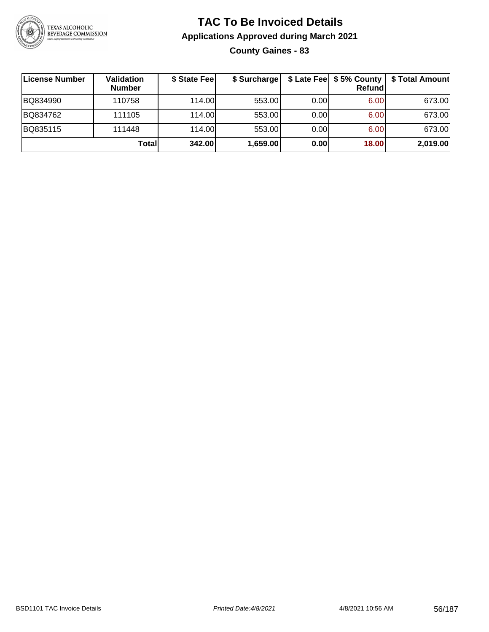

### **TAC To Be Invoiced Details Applications Approved during March 2021 County Gaines - 83**

| License Number | Validation<br><b>Number</b> | \$ State Fee | \$ Surcharge |      | \$ Late Fee   \$5% County  <br><b>Refund</b> | \$ Total Amount |
|----------------|-----------------------------|--------------|--------------|------|----------------------------------------------|-----------------|
| BQ834990       | 110758                      | 114.00L      | 553.00       | 0.00 | 6.00                                         | 673.00          |
| BQ834762       | 111105                      | 114.00L      | 553.00       | 0.00 | 6.00                                         | 673.00          |
| BQ835115       | 111448                      | 114.00L      | 553.00       | 0.00 | 6.00                                         | 673.00          |
|                | Total                       | 342.00       | 1,659.00     | 0.00 | 18.00                                        | 2,019.00        |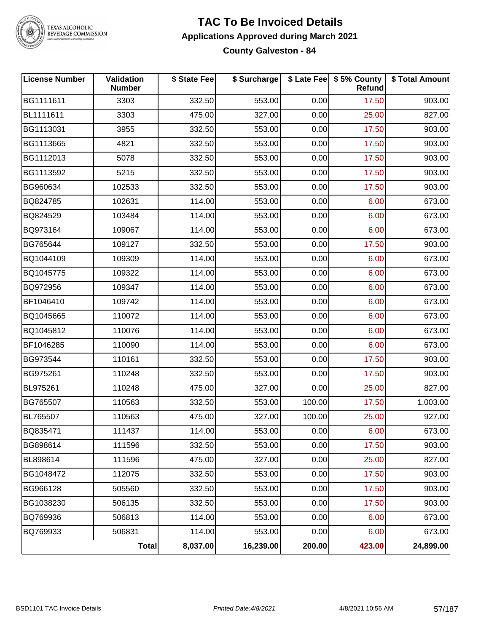

### **TAC To Be Invoiced Details Applications Approved during March 2021**

**County Galveston - 84**

| <b>License Number</b> | Validation<br><b>Number</b> | \$ State Fee | \$ Surcharge |        | \$ Late Fee   \$5% County<br>Refund | \$ Total Amount |
|-----------------------|-----------------------------|--------------|--------------|--------|-------------------------------------|-----------------|
| BG1111611             | 3303                        | 332.50       | 553.00       | 0.00   | 17.50                               | 903.00          |
| BL1111611             | 3303                        | 475.00       | 327.00       | 0.00   | 25.00                               | 827.00          |
| BG1113031             | 3955                        | 332.50       | 553.00       | 0.00   | 17.50                               | 903.00          |
| BG1113665             | 4821                        | 332.50       | 553.00       | 0.00   | 17.50                               | 903.00          |
| BG1112013             | 5078                        | 332.50       | 553.00       | 0.00   | 17.50                               | 903.00          |
| BG1113592             | 5215                        | 332.50       | 553.00       | 0.00   | 17.50                               | 903.00          |
| BG960634              | 102533                      | 332.50       | 553.00       | 0.00   | 17.50                               | 903.00          |
| BQ824785              | 102631                      | 114.00       | 553.00       | 0.00   | 6.00                                | 673.00          |
| BQ824529              | 103484                      | 114.00       | 553.00       | 0.00   | 6.00                                | 673.00          |
| BQ973164              | 109067                      | 114.00       | 553.00       | 0.00   | 6.00                                | 673.00          |
| BG765644              | 109127                      | 332.50       | 553.00       | 0.00   | 17.50                               | 903.00          |
| BQ1044109             | 109309                      | 114.00       | 553.00       | 0.00   | 6.00                                | 673.00          |
| BQ1045775             | 109322                      | 114.00       | 553.00       | 0.00   | 6.00                                | 673.00          |
| BQ972956              | 109347                      | 114.00       | 553.00       | 0.00   | 6.00                                | 673.00          |
| BF1046410             | 109742                      | 114.00       | 553.00       | 0.00   | 6.00                                | 673.00          |
| BQ1045665             | 110072                      | 114.00       | 553.00       | 0.00   | 6.00                                | 673.00          |
| BQ1045812             | 110076                      | 114.00       | 553.00       | 0.00   | 6.00                                | 673.00          |
| BF1046285             | 110090                      | 114.00       | 553.00       | 0.00   | 6.00                                | 673.00          |
| BG973544              | 110161                      | 332.50       | 553.00       | 0.00   | 17.50                               | 903.00          |
| BG975261              | 110248                      | 332.50       | 553.00       | 0.00   | 17.50                               | 903.00          |
| BL975261              | 110248                      | 475.00       | 327.00       | 0.00   | 25.00                               | 827.00          |
| BG765507              | 110563                      | 332.50       | 553.00       | 100.00 | 17.50                               | 1,003.00        |
| BL765507              | 110563                      | 475.00       | 327.00       | 100.00 | 25.00                               | 927.00          |
| BQ835471              | 111437                      | 114.00       | 553.00       | 0.00   | 6.00                                | 673.00          |
| BG898614              | 111596                      | 332.50       | 553.00       | 0.00   | 17.50                               | 903.00          |
| BL898614              | 111596                      | 475.00       | 327.00       | 0.00   | 25.00                               | 827.00          |
| BG1048472             | 112075                      | 332.50       | 553.00       | 0.00   | 17.50                               | 903.00          |
| BG966128              | 505560                      | 332.50       | 553.00       | 0.00   | 17.50                               | 903.00          |
| BG1038230             | 506135                      | 332.50       | 553.00       | 0.00   | 17.50                               | 903.00          |
| BQ769936              | 506813                      | 114.00       | 553.00       | 0.00   | 6.00                                | 673.00          |
| BQ769933              | 506831                      | 114.00       | 553.00       | 0.00   | 6.00                                | 673.00          |
|                       | <b>Total</b>                | 8,037.00     | 16,239.00    | 200.00 | 423.00                              | 24,899.00       |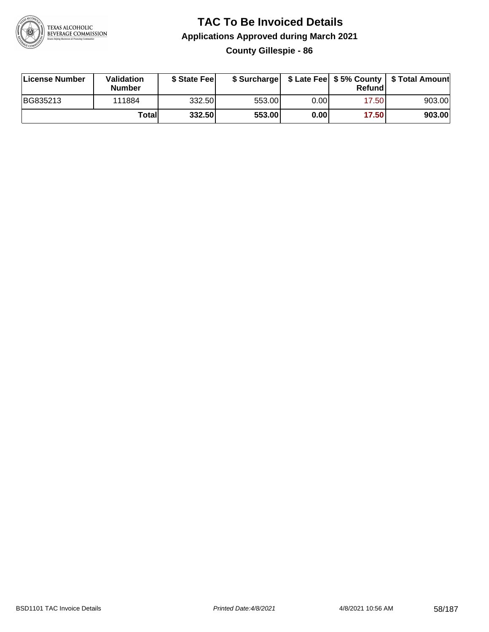

**County Gillespie - 86**

| License Number | <b>Validation</b><br><b>Number</b> | \$ State Feel |        |       | Refundl | \$ Surcharge   \$ Late Fee   \$5% County   \$ Total Amount |
|----------------|------------------------------------|---------------|--------|-------|---------|------------------------------------------------------------|
| BG835213       | 111884                             | 332.50        | 553.00 | 0.00I | 17.50   | 903.00                                                     |
|                | Total                              | 332.50        | 553.00 | 0.001 | 17.50   | 903.00                                                     |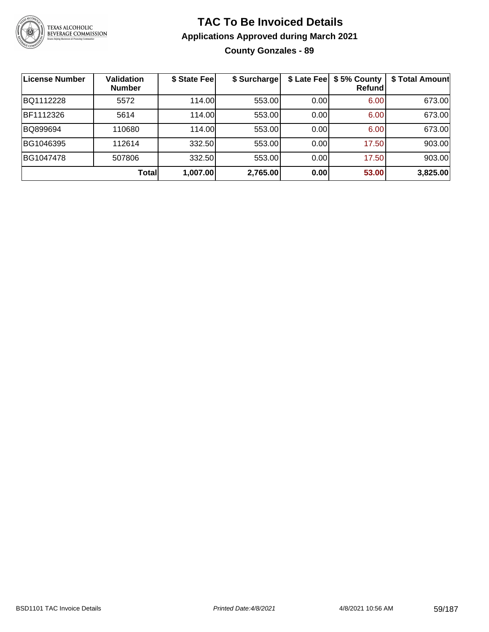

### **TAC To Be Invoiced Details Applications Approved during March 2021 County Gonzales - 89**

| License Number | <b>Validation</b><br><b>Number</b> | \$ State Fee | \$ Surcharge |      | \$ Late Fee   \$5% County<br>Refund | \$ Total Amount |
|----------------|------------------------------------|--------------|--------------|------|-------------------------------------|-----------------|
| BQ1112228      | 5572                               | 114.00       | 553.00       | 0.00 | 6.00                                | 673.00          |
| BF1112326      | 5614                               | 114.00       | 553.00       | 0.00 | 6.00                                | 673.00          |
| BQ899694       | 110680                             | 114.00       | 553.00       | 0.00 | 6.00                                | 673.00          |
| BG1046395      | 112614                             | 332.50       | 553.00       | 0.00 | 17.50                               | 903.00          |
| BG1047478      | 507806                             | 332.50       | 553.00       | 0.00 | 17.50                               | 903.00          |
|                | Total                              | 1,007.00     | 2,765.00     | 0.00 | 53.00                               | 3,825.00        |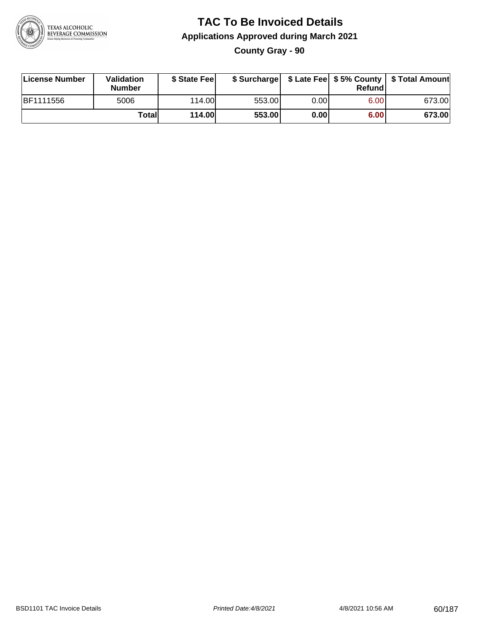

**County Gray - 90**

| License Number   | Validation<br><b>Number</b> | \$ State Fee  |        |      | Refundl | \$ Surcharge   \$ Late Fee   \$5% County   \$ Total Amount |
|------------------|-----------------------------|---------------|--------|------|---------|------------------------------------------------------------|
| <b>BF1111556</b> | 5006                        | 114.00L       | 553.00 | 0.00 | 6.00    | 673.00                                                     |
|                  | Totall                      | <b>114.00</b> | 553.00 | 0.00 | 6.00    | 673.00                                                     |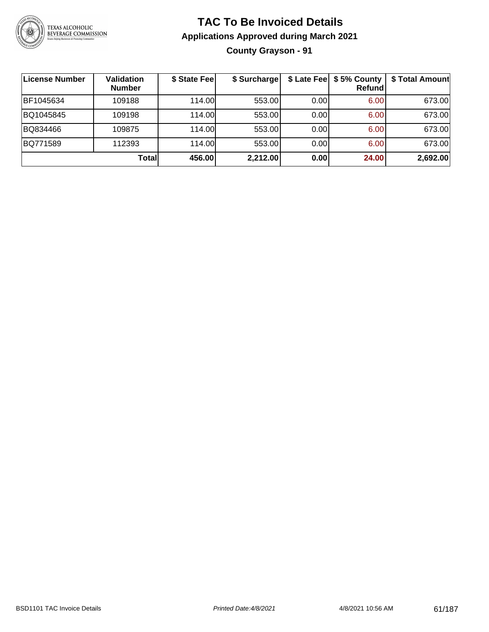

**County Grayson - 91**

| License Number | <b>Validation</b><br><b>Number</b> | \$ State Fee | \$ Surcharge |      | \$ Late Fee   \$5% County  <br><b>Refund</b> | \$ Total Amount |
|----------------|------------------------------------|--------------|--------------|------|----------------------------------------------|-----------------|
| BF1045634      | 109188                             | 114.00L      | 553.00       | 0.00 | 6.00                                         | 673.00          |
| BQ1045845      | 109198                             | 114.00L      | 553.00       | 0.00 | 6.00                                         | 673.00          |
| BQ834466       | 109875                             | 114.00L      | 553.00       | 0.00 | 6.00                                         | 673.00          |
| BQ771589       | 112393                             | 114.00       | 553.00       | 0.00 | 6.00                                         | 673.00          |
|                | Totall                             | 456.00       | 2,212.00     | 0.00 | 24.00                                        | 2,692.00        |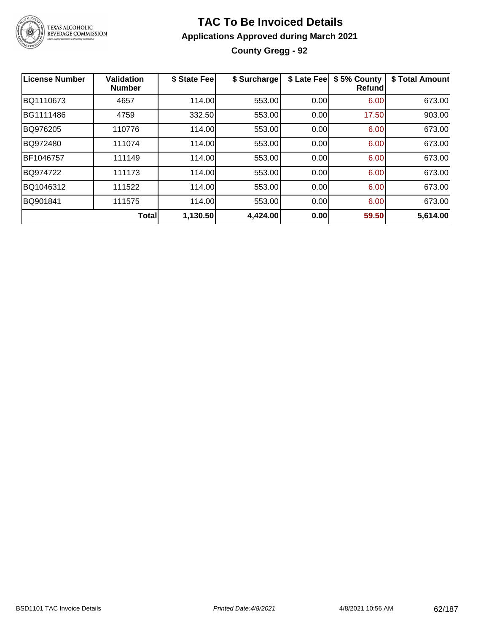

### **TAC To Be Invoiced Details Applications Approved during March 2021 County Gregg - 92**

| <b>License Number</b> | <b>Validation</b><br><b>Number</b> | \$ State Fee | \$ Surcharge | \$ Late Fee | \$5% County<br><b>Refund</b> | \$ Total Amount |
|-----------------------|------------------------------------|--------------|--------------|-------------|------------------------------|-----------------|
| BQ1110673             | 4657                               | 114.00       | 553.00       | 0.00        | 6.00                         | 673.00          |
| BG1111486             | 4759                               | 332.50       | 553.00       | 0.00        | 17.50                        | 903.00          |
| BQ976205              | 110776                             | 114.00       | 553.00       | 0.00        | 6.00                         | 673.00          |
| BQ972480              | 111074                             | 114.00       | 553.00       | 0.00        | 6.00                         | 673.00          |
| BF1046757             | 111149                             | 114.00       | 553.00       | 0.00        | 6.00                         | 673.00          |
| BQ974722              | 111173                             | 114.00       | 553.00       | 0.00        | 6.00                         | 673.00          |
| BQ1046312             | 111522                             | 114.00       | 553.00       | 0.00        | 6.00                         | 673.00          |
| BQ901841              | 111575                             | 114.00       | 553.00       | 0.00        | 6.00                         | 673.00          |
|                       | <b>Total</b>                       | 1,130.50     | 4,424.00     | 0.00        | 59.50                        | 5,614.00        |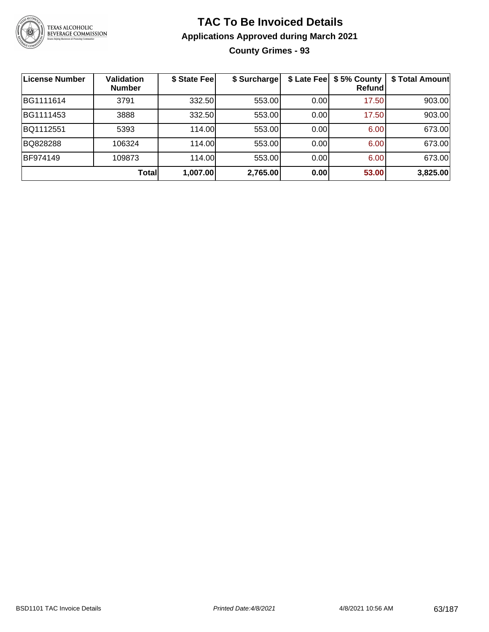

### **TAC To Be Invoiced Details Applications Approved during March 2021 County Grimes - 93**

| ∣License Number | Validation<br><b>Number</b> | \$ State Fee | \$ Surcharge | \$ Late Fee | \$5% County<br>Refundl | \$ Total Amount |
|-----------------|-----------------------------|--------------|--------------|-------------|------------------------|-----------------|
| BG1111614       | 3791                        | 332.50       | 553.00       | 0.00        | 17.50                  | 903.00          |
| BG1111453       | 3888                        | 332.50       | 553.00       | 0.00        | 17.50                  | 903.00          |
| BQ1112551       | 5393                        | 114.00       | 553.00       | 0.00        | 6.00                   | 673.00          |
| BQ828288        | 106324                      | 114.00       | 553.00       | 0.00        | 6.00                   | 673.00          |
| BF974149        | 109873                      | 114.00       | 553.00       | 0.00        | 6.00                   | 673.00          |
|                 | Totall                      | 1,007.00     | 2,765.00     | 0.00        | 53.00                  | 3,825.00        |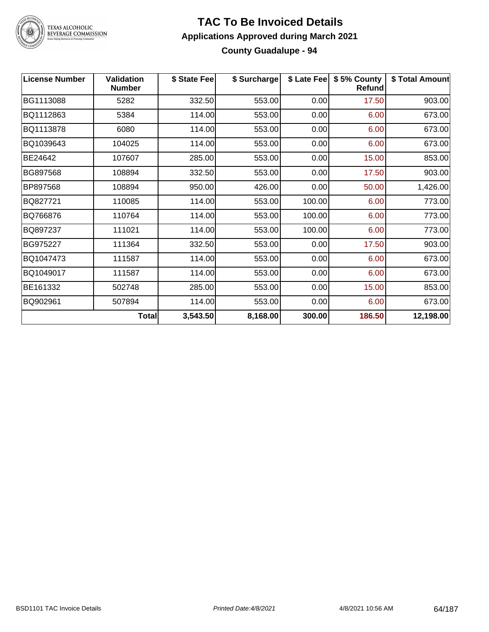

#### **TAC To Be Invoiced Details Applications Approved during March 2021 County Guadalupe - 94**

| <b>License Number</b> | <b>Validation</b><br><b>Number</b> | \$ State Fee | \$ Surcharge | \$ Late Fee | \$5% County<br>Refund | \$ Total Amount |
|-----------------------|------------------------------------|--------------|--------------|-------------|-----------------------|-----------------|
| BG1113088             | 5282                               | 332.50       | 553.00       | 0.00        | 17.50                 | 903.00          |
| BQ1112863             | 5384                               | 114.00       | 553.00       | 0.00        | 6.00                  | 673.00          |
| BQ1113878             | 6080                               | 114.00       | 553.00       | 0.00        | 6.00                  | 673.00          |
| BQ1039643             | 104025                             | 114.00       | 553.00       | 0.00        | 6.00                  | 673.00          |
| BE24642               | 107607                             | 285.00       | 553.00       | 0.00        | 15.00                 | 853.00          |
| BG897568              | 108894                             | 332.50       | 553.00       | 0.00        | 17.50                 | 903.00          |
| BP897568              | 108894                             | 950.00       | 426.00       | 0.00        | 50.00                 | 1,426.00        |
| BQ827721              | 110085                             | 114.00       | 553.00       | 100.00      | 6.00                  | 773.00          |
| BQ766876              | 110764                             | 114.00       | 553.00       | 100.00      | 6.00                  | 773.00          |
| BQ897237              | 111021                             | 114.00       | 553.00       | 100.00      | 6.00                  | 773.00          |
| BG975227              | 111364                             | 332.50       | 553.00       | 0.00        | 17.50                 | 903.00          |
| BQ1047473             | 111587                             | 114.00       | 553.00       | 0.00        | 6.00                  | 673.00          |
| BQ1049017             | 111587                             | 114.00       | 553.00       | 0.00        | 6.00                  | 673.00          |
| BE161332              | 502748                             | 285.00       | 553.00       | 0.00        | 15.00                 | 853.00          |
| BQ902961              | 507894                             | 114.00       | 553.00       | 0.00        | 6.00                  | 673.00          |
|                       | Total                              | 3,543.50     | 8,168.00     | 300.00      | 186.50                | 12,198.00       |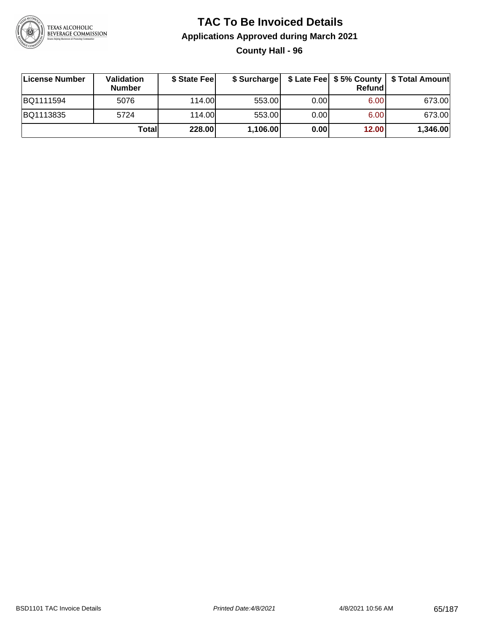

### **TAC To Be Invoiced Details Applications Approved during March 2021 County Hall - 96**

| License Number | <b>Validation</b><br><b>Number</b> | \$ State Feel |          |       | Refund | \$ Surcharge   \$ Late Fee   \$5% County   \$ Total Amount |
|----------------|------------------------------------|---------------|----------|-------|--------|------------------------------------------------------------|
| BQ1111594      | 5076                               | 114.00L       | 553.00   | 0.001 | 6.00   | 673.00                                                     |
| BQ1113835      | 5724                               | 114.00        | 553.00   | 0.00  | 6.00   | 673.00                                                     |
|                | Totall                             | 228.00        | 1,106.00 | 0.00  | 12.00  | 1,346.00                                                   |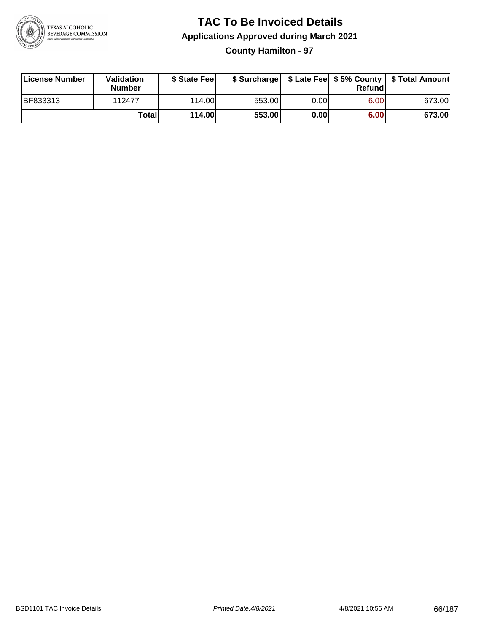

**County Hamilton - 97**

| License Number | <b>Validation</b><br><b>Number</b> | \$ State Fee  | \$ Surcharge |       | Refundl |        |
|----------------|------------------------------------|---------------|--------------|-------|---------|--------|
| BF833313       | 112477                             | 114.00L       | 553.00       | 0.001 | 6.00    | 673.00 |
|                | Total                              | <b>114.00</b> | 553.00       | 0.00  | 6.00    | 673.00 |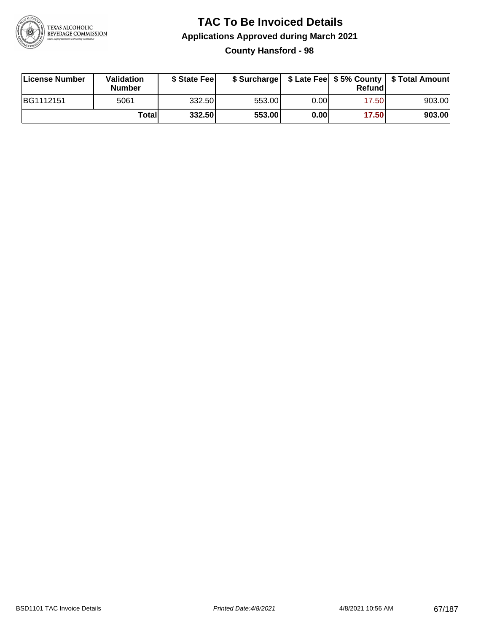

**County Hansford - 98**

| License Number | Validation<br><b>Number</b> | \$ State Feel |        |      | Refundl | \$ Surcharge   \$ Late Fee   \$5% County   \$ Total Amount |
|----------------|-----------------------------|---------------|--------|------|---------|------------------------------------------------------------|
| BG1112151      | 5061                        | 332.50        | 553.00 | 0.00 | 17.501  | 903.00                                                     |
|                | Totall                      | 332.50        | 553.00 | 0.00 | 17.50   | 903.00                                                     |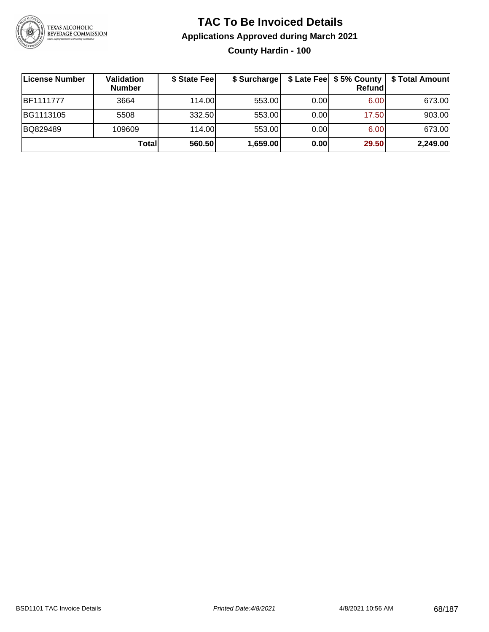

### **TAC To Be Invoiced Details Applications Approved during March 2021 County Hardin - 100**

| License Number   | Validation<br><b>Number</b> | \$ State Fee | \$ Surcharge |       | Refund | \$ Late Fee   \$5% County   \$ Total Amount |
|------------------|-----------------------------|--------------|--------------|-------|--------|---------------------------------------------|
| <b>BF1111777</b> | 3664                        | 114.00       | 553.00       | 0.001 | 6.00   | 673.00                                      |
| BG1113105        | 5508                        | 332.50       | 553.00       | 0.001 | 17.50  | 903.00                                      |
| BQ829489         | 109609                      | 114.00       | 553.00       | 0.001 | 6.00   | 673.00                                      |
|                  | Totall                      | 560.50       | 1,659.00     | 0.00  | 29.50  | 2,249.00                                    |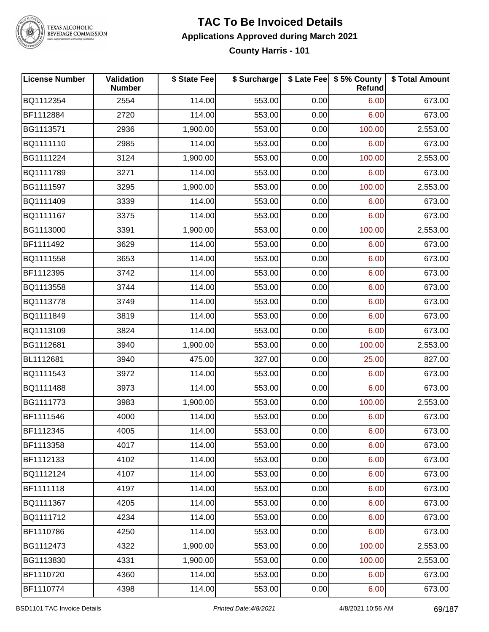

### **TAC To Be Invoiced Details Applications Approved during March 2021**

**County Harris - 101**

| <b>License Number</b> | Validation<br><b>Number</b> | \$ State Fee | \$ Surcharge |      | \$ Late Fee   \$5% County<br>Refund | \$ Total Amount |
|-----------------------|-----------------------------|--------------|--------------|------|-------------------------------------|-----------------|
| BQ1112354             | 2554                        | 114.00       | 553.00       | 0.00 | 6.00                                | 673.00          |
| BF1112884             | 2720                        | 114.00       | 553.00       | 0.00 | 6.00                                | 673.00          |
| BG1113571             | 2936                        | 1,900.00     | 553.00       | 0.00 | 100.00                              | 2,553.00        |
| BQ1111110             | 2985                        | 114.00       | 553.00       | 0.00 | 6.00                                | 673.00          |
| BG1111224             | 3124                        | 1,900.00     | 553.00       | 0.00 | 100.00                              | 2,553.00        |
| BQ1111789             | 3271                        | 114.00       | 553.00       | 0.00 | 6.00                                | 673.00          |
| BG1111597             | 3295                        | 1,900.00     | 553.00       | 0.00 | 100.00                              | 2,553.00        |
| BQ1111409             | 3339                        | 114.00       | 553.00       | 0.00 | 6.00                                | 673.00          |
| BQ1111167             | 3375                        | 114.00       | 553.00       | 0.00 | 6.00                                | 673.00          |
| BG1113000             | 3391                        | 1,900.00     | 553.00       | 0.00 | 100.00                              | 2,553.00        |
| BF1111492             | 3629                        | 114.00       | 553.00       | 0.00 | 6.00                                | 673.00          |
| BQ1111558             | 3653                        | 114.00       | 553.00       | 0.00 | 6.00                                | 673.00          |
| BF1112395             | 3742                        | 114.00       | 553.00       | 0.00 | 6.00                                | 673.00          |
| BQ1113558             | 3744                        | 114.00       | 553.00       | 0.00 | 6.00                                | 673.00          |
| BQ1113778             | 3749                        | 114.00       | 553.00       | 0.00 | 6.00                                | 673.00          |
| BQ1111849             | 3819                        | 114.00       | 553.00       | 0.00 | 6.00                                | 673.00          |
| BQ1113109             | 3824                        | 114.00       | 553.00       | 0.00 | 6.00                                | 673.00          |
| BG1112681             | 3940                        | 1,900.00     | 553.00       | 0.00 | 100.00                              | 2,553.00        |
| BL1112681             | 3940                        | 475.00       | 327.00       | 0.00 | 25.00                               | 827.00          |
| BQ1111543             | 3972                        | 114.00       | 553.00       | 0.00 | 6.00                                | 673.00          |
| BQ1111488             | 3973                        | 114.00       | 553.00       | 0.00 | 6.00                                | 673.00          |
| BG1111773             | 3983                        | 1,900.00     | 553.00       | 0.00 | 100.00                              | 2,553.00        |
| BF1111546             | 4000                        | 114.00       | 553.00       | 0.00 | 6.00                                | 673.00          |
| BF1112345             | 4005                        | 114.00       | 553.00       | 0.00 | 6.00                                | 673.00          |
| BF1113358             | 4017                        | 114.00       | 553.00       | 0.00 | 6.00                                | 673.00          |
| BF1112133             | 4102                        | 114.00       | 553.00       | 0.00 | 6.00                                | 673.00          |
| BQ1112124             | 4107                        | 114.00       | 553.00       | 0.00 | 6.00                                | 673.00          |
| BF1111118             | 4197                        | 114.00       | 553.00       | 0.00 | 6.00                                | 673.00          |
| BQ1111367             | 4205                        | 114.00       | 553.00       | 0.00 | 6.00                                | 673.00          |
| BQ1111712             | 4234                        | 114.00       | 553.00       | 0.00 | 6.00                                | 673.00          |
| BF1110786             | 4250                        | 114.00       | 553.00       | 0.00 | 6.00                                | 673.00          |
| BG1112473             | 4322                        | 1,900.00     | 553.00       | 0.00 | 100.00                              | 2,553.00        |
| BG1113830             | 4331                        | 1,900.00     | 553.00       | 0.00 | 100.00                              | 2,553.00        |
| BF1110720             | 4360                        | 114.00       | 553.00       | 0.00 | 6.00                                | 673.00          |
| BF1110774             | 4398                        | 114.00       | 553.00       | 0.00 | 6.00                                | 673.00          |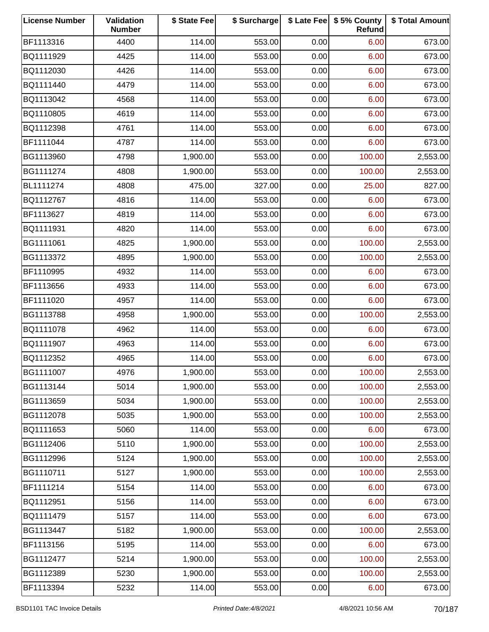| <b>License Number</b> | Validation<br><b>Number</b> | \$ State Fee | \$ Surcharge |      | \$ Late Fee   \$5% County<br>Refund | \$ Total Amount |
|-----------------------|-----------------------------|--------------|--------------|------|-------------------------------------|-----------------|
| BF1113316             | 4400                        | 114.00       | 553.00       | 0.00 | 6.00                                | 673.00          |
| BQ1111929             | 4425                        | 114.00       | 553.00       | 0.00 | 6.00                                | 673.00          |
| BQ1112030             | 4426                        | 114.00       | 553.00       | 0.00 | 6.00                                | 673.00          |
| BQ1111440             | 4479                        | 114.00       | 553.00       | 0.00 | 6.00                                | 673.00          |
| BQ1113042             | 4568                        | 114.00       | 553.00       | 0.00 | 6.00                                | 673.00          |
| BQ1110805             | 4619                        | 114.00       | 553.00       | 0.00 | 6.00                                | 673.00          |
| BQ1112398             | 4761                        | 114.00       | 553.00       | 0.00 | 6.00                                | 673.00          |
| BF1111044             | 4787                        | 114.00       | 553.00       | 0.00 | 6.00                                | 673.00          |
| BG1113960             | 4798                        | 1,900.00     | 553.00       | 0.00 | 100.00                              | 2,553.00        |
| BG1111274             | 4808                        | 1,900.00     | 553.00       | 0.00 | 100.00                              | 2,553.00        |
| BL1111274             | 4808                        | 475.00       | 327.00       | 0.00 | 25.00                               | 827.00          |
| BQ1112767             | 4816                        | 114.00       | 553.00       | 0.00 | 6.00                                | 673.00          |
| BF1113627             | 4819                        | 114.00       | 553.00       | 0.00 | 6.00                                | 673.00          |
| BQ1111931             | 4820                        | 114.00       | 553.00       | 0.00 | 6.00                                | 673.00          |
| BG1111061             | 4825                        | 1,900.00     | 553.00       | 0.00 | 100.00                              | 2,553.00        |
| BG1113372             | 4895                        | 1,900.00     | 553.00       | 0.00 | 100.00                              | 2,553.00        |
| BF1110995             | 4932                        | 114.00       | 553.00       | 0.00 | 6.00                                | 673.00          |
| BF1113656             | 4933                        | 114.00       | 553.00       | 0.00 | 6.00                                | 673.00          |
| BF1111020             | 4957                        | 114.00       | 553.00       | 0.00 | 6.00                                | 673.00          |
| BG1113788             | 4958                        | 1,900.00     | 553.00       | 0.00 | 100.00                              | 2,553.00        |
| BQ1111078             | 4962                        | 114.00       | 553.00       | 0.00 | 6.00                                | 673.00          |
| BQ1111907             | 4963                        | 114.00       | 553.00       | 0.00 | 6.00                                | 673.00          |
| BQ1112352             | 4965                        | 114.00       | 553.00       | 0.00 | 6.00                                | 673.00          |
| BG1111007             | 4976                        | 1,900.00     | 553.00       | 0.00 | 100.00                              | 2,553.00        |
| BG1113144             | 5014                        | 1,900.00     | 553.00       | 0.00 | 100.00                              | 2,553.00        |
| BG1113659             | 5034                        | 1,900.00     | 553.00       | 0.00 | 100.00                              | 2,553.00        |
| BG1112078             | 5035                        | 1,900.00     | 553.00       | 0.00 | 100.00                              | 2,553.00        |
| BQ1111653             | 5060                        | 114.00       | 553.00       | 0.00 | 6.00                                | 673.00          |
| BG1112406             | 5110                        | 1,900.00     | 553.00       | 0.00 | 100.00                              | 2,553.00        |
| BG1112996             | 5124                        | 1,900.00     | 553.00       | 0.00 | 100.00                              | 2,553.00        |
| BG1110711             | 5127                        | 1,900.00     | 553.00       | 0.00 | 100.00                              | 2,553.00        |
| BF1111214             | 5154                        | 114.00       | 553.00       | 0.00 | 6.00                                | 673.00          |
| BQ1112951             | 5156                        | 114.00       | 553.00       | 0.00 | 6.00                                | 673.00          |
| BQ1111479             | 5157                        | 114.00       | 553.00       | 0.00 | 6.00                                | 673.00          |
| BG1113447             | 5182                        | 1,900.00     | 553.00       | 0.00 | 100.00                              | 2,553.00        |
| BF1113156             | 5195                        | 114.00       | 553.00       | 0.00 | 6.00                                | 673.00          |
| BG1112477             | 5214                        | 1,900.00     | 553.00       | 0.00 | 100.00                              | 2,553.00        |
| BG1112389             | 5230                        | 1,900.00     | 553.00       | 0.00 | 100.00                              | 2,553.00        |
| BF1113394             | 5232                        | 114.00       | 553.00       | 0.00 | 6.00                                | 673.00          |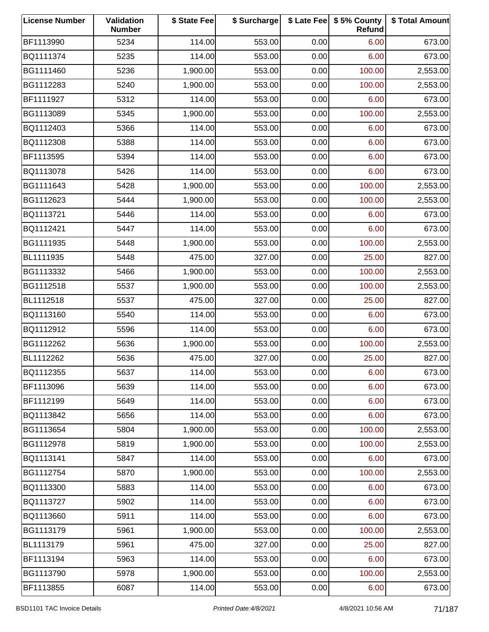| <b>License Number</b> | Validation<br><b>Number</b> | \$ State Fee | \$ Surcharge |      | \$ Late Fee   \$5% County<br>Refund | \$ Total Amount |
|-----------------------|-----------------------------|--------------|--------------|------|-------------------------------------|-----------------|
| BF1113990             | 5234                        | 114.00       | 553.00       | 0.00 | 6.00                                | 673.00          |
| BQ1111374             | 5235                        | 114.00       | 553.00       | 0.00 | 6.00                                | 673.00          |
| BG1111460             | 5236                        | 1,900.00     | 553.00       | 0.00 | 100.00                              | 2,553.00        |
| BG1112283             | 5240                        | 1,900.00     | 553.00       | 0.00 | 100.00                              | 2,553.00        |
| BF1111927             | 5312                        | 114.00       | 553.00       | 0.00 | 6.00                                | 673.00          |
| BG1113089             | 5345                        | 1,900.00     | 553.00       | 0.00 | 100.00                              | 2,553.00        |
| BQ1112403             | 5366                        | 114.00       | 553.00       | 0.00 | 6.00                                | 673.00          |
| BQ1112308             | 5388                        | 114.00       | 553.00       | 0.00 | 6.00                                | 673.00          |
| BF1113595             | 5394                        | 114.00       | 553.00       | 0.00 | 6.00                                | 673.00          |
| BQ1113078             | 5426                        | 114.00       | 553.00       | 0.00 | 6.00                                | 673.00          |
| BG1111643             | 5428                        | 1,900.00     | 553.00       | 0.00 | 100.00                              | 2,553.00        |
| BG1112623             | 5444                        | 1,900.00     | 553.00       | 0.00 | 100.00                              | 2,553.00        |
| BQ1113721             | 5446                        | 114.00       | 553.00       | 0.00 | 6.00                                | 673.00          |
| BQ1112421             | 5447                        | 114.00       | 553.00       | 0.00 | 6.00                                | 673.00          |
| BG1111935             | 5448                        | 1,900.00     | 553.00       | 0.00 | 100.00                              | 2,553.00        |
| BL1111935             | 5448                        | 475.00       | 327.00       | 0.00 | 25.00                               | 827.00          |
| BG1113332             | 5466                        | 1,900.00     | 553.00       | 0.00 | 100.00                              | 2,553.00        |
| BG1112518             | 5537                        | 1,900.00     | 553.00       | 0.00 | 100.00                              | 2,553.00        |
| BL1112518             | 5537                        | 475.00       | 327.00       | 0.00 | 25.00                               | 827.00          |
| BQ1113160             | 5540                        | 114.00       | 553.00       | 0.00 | 6.00                                | 673.00          |
| BQ1112912             | 5596                        | 114.00       | 553.00       | 0.00 | 6.00                                | 673.00          |
| BG1112262             | 5636                        | 1,900.00     | 553.00       | 0.00 | 100.00                              | 2,553.00        |
| BL1112262             | 5636                        | 475.00       | 327.00       | 0.00 | 25.00                               | 827.00          |
| BQ1112355             | 5637                        | 114.00       | 553.00       | 0.00 | 6.00                                | 673.00          |
| BF1113096             | 5639                        | 114.00       | 553.00       | 0.00 | 6.00                                | 673.00          |
| BF1112199             | 5649                        | 114.00       | 553.00       | 0.00 | 6.00                                | 673.00          |
| BQ1113842             | 5656                        | 114.00       | 553.00       | 0.00 | 6.00                                | 673.00          |
| BG1113654             | 5804                        | 1,900.00     | 553.00       | 0.00 | 100.00                              | 2,553.00        |
| BG1112978             | 5819                        | 1,900.00     | 553.00       | 0.00 | 100.00                              | 2,553.00        |
| BQ1113141             | 5847                        | 114.00       | 553.00       | 0.00 | 6.00                                | 673.00          |
| BG1112754             | 5870                        | 1,900.00     | 553.00       | 0.00 | 100.00                              | 2,553.00        |
| BQ1113300             | 5883                        | 114.00       | 553.00       | 0.00 | 6.00                                | 673.00          |
| BQ1113727             | 5902                        | 114.00       | 553.00       | 0.00 | 6.00                                | 673.00          |
| BQ1113660             | 5911                        | 114.00       | 553.00       | 0.00 | 6.00                                | 673.00          |
| BG1113179             | 5961                        | 1,900.00     | 553.00       | 0.00 | 100.00                              | 2,553.00        |
| BL1113179             | 5961                        | 475.00       | 327.00       | 0.00 | 25.00                               | 827.00          |
| BF1113194             | 5963                        | 114.00       | 553.00       | 0.00 | 6.00                                | 673.00          |
| BG1113790             | 5978                        | 1,900.00     | 553.00       | 0.00 | 100.00                              | 2,553.00        |
| BF1113855             | 6087                        | 114.00       | 553.00       | 0.00 | 6.00                                | 673.00          |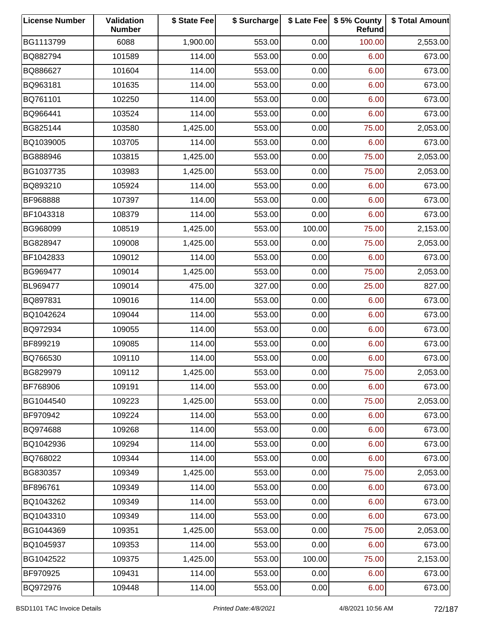| <b>License Number</b> | Validation<br><b>Number</b> | \$ State Fee | \$ Surcharge |        | \$ Late Fee   \$5% County<br>Refund | \$ Total Amount |
|-----------------------|-----------------------------|--------------|--------------|--------|-------------------------------------|-----------------|
| BG1113799             | 6088                        | 1,900.00     | 553.00       | 0.00   | 100.00                              | 2,553.00        |
| BQ882794              | 101589                      | 114.00       | 553.00       | 0.00   | 6.00                                | 673.00          |
| BQ886627              | 101604                      | 114.00       | 553.00       | 0.00   | 6.00                                | 673.00          |
| BQ963181              | 101635                      | 114.00       | 553.00       | 0.00   | 6.00                                | 673.00          |
| BQ761101              | 102250                      | 114.00       | 553.00       | 0.00   | 6.00                                | 673.00          |
| BQ966441              | 103524                      | 114.00       | 553.00       | 0.00   | 6.00                                | 673.00          |
| BG825144              | 103580                      | 1,425.00     | 553.00       | 0.00   | 75.00                               | 2,053.00        |
| BQ1039005             | 103705                      | 114.00       | 553.00       | 0.00   | 6.00                                | 673.00          |
| BG888946              | 103815                      | 1,425.00     | 553.00       | 0.00   | 75.00                               | 2,053.00        |
| BG1037735             | 103983                      | 1,425.00     | 553.00       | 0.00   | 75.00                               | 2,053.00        |
| BQ893210              | 105924                      | 114.00       | 553.00       | 0.00   | 6.00                                | 673.00          |
| BF968888              | 107397                      | 114.00       | 553.00       | 0.00   | 6.00                                | 673.00          |
| BF1043318             | 108379                      | 114.00       | 553.00       | 0.00   | 6.00                                | 673.00          |
| BG968099              | 108519                      | 1,425.00     | 553.00       | 100.00 | 75.00                               | 2,153.00        |
| BG828947              | 109008                      | 1,425.00     | 553.00       | 0.00   | 75.00                               | 2,053.00        |
| BF1042833             | 109012                      | 114.00       | 553.00       | 0.00   | 6.00                                | 673.00          |
| BG969477              | 109014                      | 1,425.00     | 553.00       | 0.00   | 75.00                               | 2,053.00        |
| BL969477              | 109014                      | 475.00       | 327.00       | 0.00   | 25.00                               | 827.00          |
| BQ897831              | 109016                      | 114.00       | 553.00       | 0.00   | 6.00                                | 673.00          |
| BQ1042624             | 109044                      | 114.00       | 553.00       | 0.00   | 6.00                                | 673.00          |
| BQ972934              | 109055                      | 114.00       | 553.00       | 0.00   | 6.00                                | 673.00          |
| BF899219              | 109085                      | 114.00       | 553.00       | 0.00   | 6.00                                | 673.00          |
| BQ766530              | 109110                      | 114.00       | 553.00       | 0.00   | 6.00                                | 673.00          |
| BG829979              | 109112                      | 1,425.00     | 553.00       | 0.00   | 75.00                               | 2,053.00        |
| BF768906              | 109191                      | 114.00       | 553.00       | 0.00   | 6.00                                | 673.00          |
| BG1044540             | 109223                      | 1,425.00     | 553.00       | 0.00   | 75.00                               | 2,053.00        |
| BF970942              | 109224                      | 114.00       | 553.00       | 0.00   | 6.00                                | 673.00          |
| BQ974688              | 109268                      | 114.00       | 553.00       | 0.00   | 6.00                                | 673.00          |
| BQ1042936             | 109294                      | 114.00       | 553.00       | 0.00   | 6.00                                | 673.00          |
| BQ768022              | 109344                      | 114.00       | 553.00       | 0.00   | 6.00                                | 673.00          |
| BG830357              | 109349                      | 1,425.00     | 553.00       | 0.00   | 75.00                               | 2,053.00        |
| BF896761              | 109349                      | 114.00       | 553.00       | 0.00   | 6.00                                | 673.00          |
| BQ1043262             | 109349                      | 114.00       | 553.00       | 0.00   | 6.00                                | 673.00          |
| BQ1043310             | 109349                      | 114.00       | 553.00       | 0.00   | 6.00                                | 673.00          |
| BG1044369             | 109351                      | 1,425.00     | 553.00       | 0.00   | 75.00                               | 2,053.00        |
| BQ1045937             | 109353                      | 114.00       | 553.00       | 0.00   | 6.00                                | 673.00          |
| BG1042522             | 109375                      | 1,425.00     | 553.00       | 100.00 | 75.00                               | 2,153.00        |
| BF970925              | 109431                      | 114.00       | 553.00       | 0.00   | 6.00                                | 673.00          |
| BQ972976              | 109448                      | 114.00       | 553.00       | 0.00   | 6.00                                | 673.00          |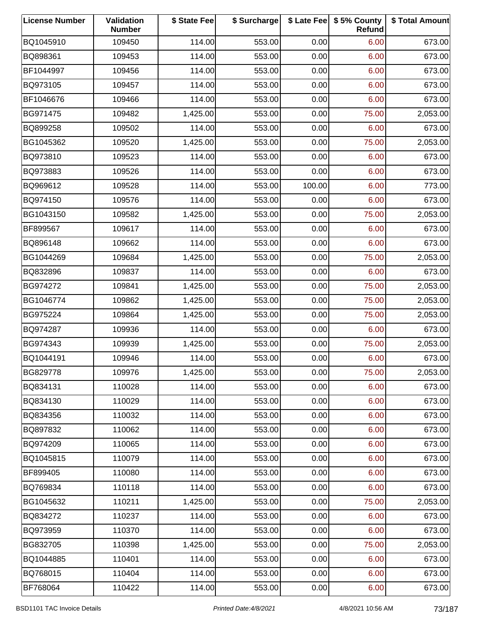| <b>License Number</b> | Validation<br><b>Number</b> | \$ State Fee | \$ Surcharge |        | \$ Late Fee   \$5% County<br>Refund | \$ Total Amount |
|-----------------------|-----------------------------|--------------|--------------|--------|-------------------------------------|-----------------|
| BQ1045910             | 109450                      | 114.00       | 553.00       | 0.00   | 6.00                                | 673.00          |
| BQ898361              | 109453                      | 114.00       | 553.00       | 0.00   | 6.00                                | 673.00          |
| BF1044997             | 109456                      | 114.00       | 553.00       | 0.00   | 6.00                                | 673.00          |
| BQ973105              | 109457                      | 114.00       | 553.00       | 0.00   | 6.00                                | 673.00          |
| BF1046676             | 109466                      | 114.00       | 553.00       | 0.00   | 6.00                                | 673.00          |
| BG971475              | 109482                      | 1,425.00     | 553.00       | 0.00   | 75.00                               | 2,053.00        |
| BQ899258              | 109502                      | 114.00       | 553.00       | 0.00   | 6.00                                | 673.00          |
| BG1045362             | 109520                      | 1,425.00     | 553.00       | 0.00   | 75.00                               | 2,053.00        |
| BQ973810              | 109523                      | 114.00       | 553.00       | 0.00   | 6.00                                | 673.00          |
| BQ973883              | 109526                      | 114.00       | 553.00       | 0.00   | 6.00                                | 673.00          |
| BQ969612              | 109528                      | 114.00       | 553.00       | 100.00 | 6.00                                | 773.00          |
| BQ974150              | 109576                      | 114.00       | 553.00       | 0.00   | 6.00                                | 673.00          |
| BG1043150             | 109582                      | 1,425.00     | 553.00       | 0.00   | 75.00                               | 2,053.00        |
| BF899567              | 109617                      | 114.00       | 553.00       | 0.00   | 6.00                                | 673.00          |
| BQ896148              | 109662                      | 114.00       | 553.00       | 0.00   | 6.00                                | 673.00          |
| BG1044269             | 109684                      | 1,425.00     | 553.00       | 0.00   | 75.00                               | 2,053.00        |
| BQ832896              | 109837                      | 114.00       | 553.00       | 0.00   | 6.00                                | 673.00          |
| BG974272              | 109841                      | 1,425.00     | 553.00       | 0.00   | 75.00                               | 2,053.00        |
| BG1046774             | 109862                      | 1,425.00     | 553.00       | 0.00   | 75.00                               | 2,053.00        |
| BG975224              | 109864                      | 1,425.00     | 553.00       | 0.00   | 75.00                               | 2,053.00        |
| BQ974287              | 109936                      | 114.00       | 553.00       | 0.00   | 6.00                                | 673.00          |
| BG974343              | 109939                      | 1,425.00     | 553.00       | 0.00   | 75.00                               | 2,053.00        |
| BQ1044191             | 109946                      | 114.00       | 553.00       | 0.00   | 6.00                                | 673.00          |
| BG829778              | 109976                      | 1,425.00     | 553.00       | 0.00   | 75.00                               | 2,053.00        |
| BQ834131              | 110028                      | 114.00       | 553.00       | 0.00   | 6.00                                | 673.00          |
| BQ834130              | 110029                      | 114.00       | 553.00       | 0.00   | 6.00                                | 673.00          |
| BQ834356              | 110032                      | 114.00       | 553.00       | 0.00   | 6.00                                | 673.00          |
| BQ897832              | 110062                      | 114.00       | 553.00       | 0.00   | 6.00                                | 673.00          |
| BQ974209              | 110065                      | 114.00       | 553.00       | 0.00   | 6.00                                | 673.00          |
| BQ1045815             | 110079                      | 114.00       | 553.00       | 0.00   | 6.00                                | 673.00          |
| BF899405              | 110080                      | 114.00       | 553.00       | 0.00   | 6.00                                | 673.00          |
| BQ769834              | 110118                      | 114.00       | 553.00       | 0.00   | 6.00                                | 673.00          |
| BG1045632             | 110211                      | 1,425.00     | 553.00       | 0.00   | 75.00                               | 2,053.00        |
| BQ834272              | 110237                      | 114.00       | 553.00       | 0.00   | 6.00                                | 673.00          |
| BQ973959              | 110370                      | 114.00       | 553.00       | 0.00   | 6.00                                | 673.00          |
| BG832705              | 110398                      | 1,425.00     | 553.00       | 0.00   | 75.00                               | 2,053.00        |
| BQ1044885             | 110401                      | 114.00       | 553.00       | 0.00   | 6.00                                | 673.00          |
| BQ768015              | 110404                      | 114.00       | 553.00       | 0.00   | 6.00                                | 673.00          |
| BF768064              | 110422                      | 114.00       | 553.00       | 0.00   | 6.00                                | 673.00          |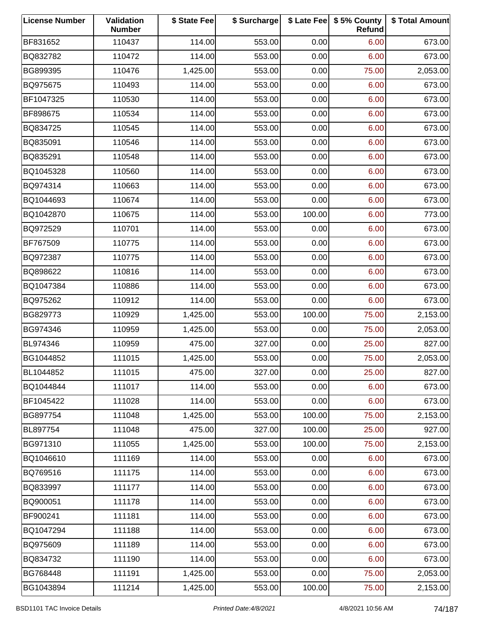| <b>License Number</b> | Validation<br><b>Number</b> | \$ State Fee | \$ Surcharge |        | \$ Late Fee   \$5% County<br>Refund | \$ Total Amount |
|-----------------------|-----------------------------|--------------|--------------|--------|-------------------------------------|-----------------|
| BF831652              | 110437                      | 114.00       | 553.00       | 0.00   | 6.00                                | 673.00          |
| BQ832782              | 110472                      | 114.00       | 553.00       | 0.00   | 6.00                                | 673.00          |
| BG899395              | 110476                      | 1,425.00     | 553.00       | 0.00   | 75.00                               | 2,053.00        |
| BQ975675              | 110493                      | 114.00       | 553.00       | 0.00   | 6.00                                | 673.00          |
| BF1047325             | 110530                      | 114.00       | 553.00       | 0.00   | 6.00                                | 673.00          |
| BF898675              | 110534                      | 114.00       | 553.00       | 0.00   | 6.00                                | 673.00          |
| BQ834725              | 110545                      | 114.00       | 553.00       | 0.00   | 6.00                                | 673.00          |
| BQ835091              | 110546                      | 114.00       | 553.00       | 0.00   | 6.00                                | 673.00          |
| BQ835291              | 110548                      | 114.00       | 553.00       | 0.00   | 6.00                                | 673.00          |
| BQ1045328             | 110560                      | 114.00       | 553.00       | 0.00   | 6.00                                | 673.00          |
| BQ974314              | 110663                      | 114.00       | 553.00       | 0.00   | 6.00                                | 673.00          |
| BQ1044693             | 110674                      | 114.00       | 553.00       | 0.00   | 6.00                                | 673.00          |
| BQ1042870             | 110675                      | 114.00       | 553.00       | 100.00 | 6.00                                | 773.00          |
| BQ972529              | 110701                      | 114.00       | 553.00       | 0.00   | 6.00                                | 673.00          |
| BF767509              | 110775                      | 114.00       | 553.00       | 0.00   | 6.00                                | 673.00          |
| BQ972387              | 110775                      | 114.00       | 553.00       | 0.00   | 6.00                                | 673.00          |
| BQ898622              | 110816                      | 114.00       | 553.00       | 0.00   | 6.00                                | 673.00          |
| BQ1047384             | 110886                      | 114.00       | 553.00       | 0.00   | 6.00                                | 673.00          |
| BQ975262              | 110912                      | 114.00       | 553.00       | 0.00   | 6.00                                | 673.00          |
| BG829773              | 110929                      | 1,425.00     | 553.00       | 100.00 | 75.00                               | 2,153.00        |
| BG974346              | 110959                      | 1,425.00     | 553.00       | 0.00   | 75.00                               | 2,053.00        |
| BL974346              | 110959                      | 475.00       | 327.00       | 0.00   | 25.00                               | 827.00          |
| BG1044852             | 111015                      | 1,425.00     | 553.00       | 0.00   | 75.00                               | 2,053.00        |
| BL1044852             | 111015                      | 475.00       | 327.00       | 0.00   | 25.00                               | 827.00          |
| BQ1044844             | 111017                      | 114.00       | 553.00       | 0.00   | 6.00                                | 673.00          |
| BF1045422             | 111028                      | 114.00       | 553.00       | 0.00   | 6.00                                | 673.00          |
| BG897754              | 111048                      | 1,425.00     | 553.00       | 100.00 | 75.00                               | 2,153.00        |
| BL897754              | 111048                      | 475.00       | 327.00       | 100.00 | 25.00                               | 927.00          |
| BG971310              | 111055                      | 1,425.00     | 553.00       | 100.00 | 75.00                               | 2,153.00        |
| BQ1046610             | 111169                      | 114.00       | 553.00       | 0.00   | 6.00                                | 673.00          |
| BQ769516              | 111175                      | 114.00       | 553.00       | 0.00   | 6.00                                | 673.00          |
| BQ833997              | 111177                      | 114.00       | 553.00       | 0.00   | 6.00                                | 673.00          |
| BQ900051              | 111178                      | 114.00       | 553.00       | 0.00   | 6.00                                | 673.00          |
| BF900241              | 111181                      | 114.00       | 553.00       | 0.00   | 6.00                                | 673.00          |
| BQ1047294             | 111188                      | 114.00       | 553.00       | 0.00   | 6.00                                | 673.00          |
| BQ975609              | 111189                      | 114.00       | 553.00       | 0.00   | 6.00                                | 673.00          |
| BQ834732              | 111190                      | 114.00       | 553.00       | 0.00   | 6.00                                | 673.00          |
| BG768448              | 111191                      | 1,425.00     | 553.00       | 0.00   | 75.00                               | 2,053.00        |
| BG1043894             | 111214                      | 1,425.00     | 553.00       | 100.00 | 75.00                               | 2,153.00        |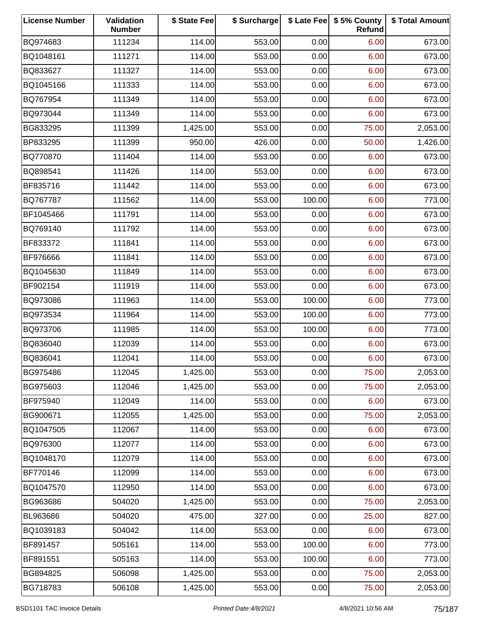| <b>License Number</b> | Validation<br><b>Number</b> | \$ State Fee | \$ Surcharge |        | \$ Late Fee   \$5% County<br>Refund | \$ Total Amount |
|-----------------------|-----------------------------|--------------|--------------|--------|-------------------------------------|-----------------|
| BQ974683              | 111234                      | 114.00       | 553.00       | 0.00   | 6.00                                | 673.00          |
| BQ1048161             | 111271                      | 114.00       | 553.00       | 0.00   | 6.00                                | 673.00          |
| BQ833627              | 111327                      | 114.00       | 553.00       | 0.00   | 6.00                                | 673.00          |
| BQ1045166             | 111333                      | 114.00       | 553.00       | 0.00   | 6.00                                | 673.00          |
| BQ767954              | 111349                      | 114.00       | 553.00       | 0.00   | 6.00                                | 673.00          |
| BQ973044              | 111349                      | 114.00       | 553.00       | 0.00   | 6.00                                | 673.00          |
| BG833295              | 111399                      | 1,425.00     | 553.00       | 0.00   | 75.00                               | 2,053.00        |
| BP833295              | 111399                      | 950.00       | 426.00       | 0.00   | 50.00                               | 1,426.00        |
| BQ770870              | 111404                      | 114.00       | 553.00       | 0.00   | 6.00                                | 673.00          |
| BQ898541              | 111426                      | 114.00       | 553.00       | 0.00   | 6.00                                | 673.00          |
| BF835716              | 111442                      | 114.00       | 553.00       | 0.00   | 6.00                                | 673.00          |
| BQ767787              | 111562                      | 114.00       | 553.00       | 100.00 | 6.00                                | 773.00          |
| BF1045466             | 111791                      | 114.00       | 553.00       | 0.00   | 6.00                                | 673.00          |
| BQ769140              | 111792                      | 114.00       | 553.00       | 0.00   | 6.00                                | 673.00          |
| BF833372              | 111841                      | 114.00       | 553.00       | 0.00   | 6.00                                | 673.00          |
| BF976666              | 111841                      | 114.00       | 553.00       | 0.00   | 6.00                                | 673.00          |
| BQ1045630             | 111849                      | 114.00       | 553.00       | 0.00   | 6.00                                | 673.00          |
| BF902154              | 111919                      | 114.00       | 553.00       | 0.00   | 6.00                                | 673.00          |
| BQ973086              | 111963                      | 114.00       | 553.00       | 100.00 | 6.00                                | 773.00          |
| BQ973534              | 111964                      | 114.00       | 553.00       | 100.00 | 6.00                                | 773.00          |
| BQ973706              | 111985                      | 114.00       | 553.00       | 100.00 | 6.00                                | 773.00          |
| BQ836040              | 112039                      | 114.00       | 553.00       | 0.00   | 6.00                                | 673.00          |
| BQ836041              | 112041                      | 114.00       | 553.00       | 0.00   | 6.00                                | 673.00          |
| BG975486              | 112045                      | 1,425.00     | 553.00       | 0.00   | 75.00                               | 2,053.00        |
| BG975603              | 112046                      | 1,425.00     | 553.00       | 0.00   | 75.00                               | 2,053.00        |
| BF975940              | 112049                      | 114.00       | 553.00       | 0.00   | 6.00                                | 673.00          |
| BG900671              | 112055                      | 1,425.00     | 553.00       | 0.00   | 75.00                               | 2,053.00        |
| BQ1047505             | 112067                      | 114.00       | 553.00       | 0.00   | 6.00                                | 673.00          |
| BQ976300              | 112077                      | 114.00       | 553.00       | 0.00   | 6.00                                | 673.00          |
| BQ1048170             | 112079                      | 114.00       | 553.00       | 0.00   | 6.00                                | 673.00          |
| BF770146              | 112099                      | 114.00       | 553.00       | 0.00   | 6.00                                | 673.00          |
| BQ1047570             | 112950                      | 114.00       | 553.00       | 0.00   | 6.00                                | 673.00          |
| BG963686              | 504020                      | 1,425.00     | 553.00       | 0.00   | 75.00                               | 2,053.00        |
| BL963686              | 504020                      | 475.00       | 327.00       | 0.00   | 25.00                               | 827.00          |
| BQ1039183             | 504042                      | 114.00       | 553.00       | 0.00   | 6.00                                | 673.00          |
| BF891457              | 505161                      | 114.00       | 553.00       | 100.00 | 6.00                                | 773.00          |
| BF891551              | 505163                      | 114.00       | 553.00       | 100.00 | 6.00                                | 773.00          |
| BG894825              | 506098                      | 1,425.00     | 553.00       | 0.00   | 75.00                               | 2,053.00        |
| BG718783              | 506108                      | 1,425.00     | 553.00       | 0.00   | 75.00                               | 2,053.00        |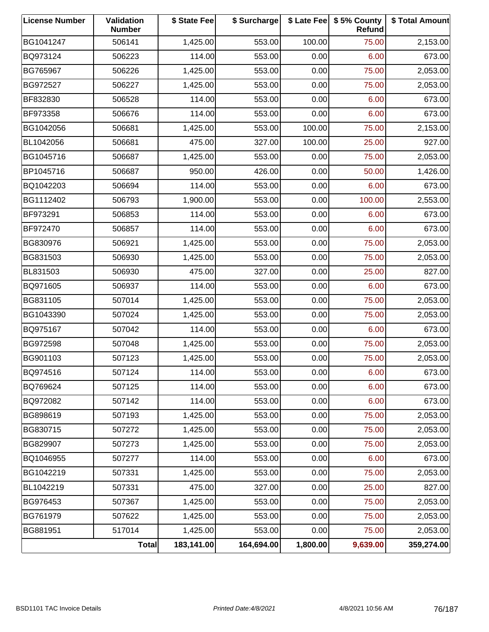| <b>License Number</b> | Validation<br><b>Number</b> | \$ State Fee | \$ Surcharge |          | \$ Late Fee   \$5% County<br>Refund | \$ Total Amount |
|-----------------------|-----------------------------|--------------|--------------|----------|-------------------------------------|-----------------|
| BG1041247             | 506141                      | 1,425.00     | 553.00       | 100.00   | 75.00                               | 2,153.00        |
| BQ973124              | 506223                      | 114.00       | 553.00       | 0.00     | 6.00                                | 673.00          |
| BG765967              | 506226                      | 1,425.00     | 553.00       | 0.00     | 75.00                               | 2,053.00        |
| BG972527              | 506227                      | 1,425.00     | 553.00       | 0.00     | 75.00                               | 2,053.00        |
| BF832830              | 506528                      | 114.00       | 553.00       | 0.00     | 6.00                                | 673.00          |
| BF973358              | 506676                      | 114.00       | 553.00       | 0.00     | 6.00                                | 673.00          |
| BG1042056             | 506681                      | 1,425.00     | 553.00       | 100.00   | 75.00                               | 2,153.00        |
| BL1042056             | 506681                      | 475.00       | 327.00       | 100.00   | 25.00                               | 927.00          |
| BG1045716             | 506687                      | 1,425.00     | 553.00       | 0.00     | 75.00                               | 2,053.00        |
| BP1045716             | 506687                      | 950.00       | 426.00       | 0.00     | 50.00                               | 1,426.00        |
| BQ1042203             | 506694                      | 114.00       | 553.00       | 0.00     | 6.00                                | 673.00          |
| BG1112402             | 506793                      | 1,900.00     | 553.00       | 0.00     | 100.00                              | 2,553.00        |
| BF973291              | 506853                      | 114.00       | 553.00       | 0.00     | 6.00                                | 673.00          |
| BF972470              | 506857                      | 114.00       | 553.00       | 0.00     | 6.00                                | 673.00          |
| BG830976              | 506921                      | 1,425.00     | 553.00       | 0.00     | 75.00                               | 2,053.00        |
| BG831503              | 506930                      | 1,425.00     | 553.00       | 0.00     | 75.00                               | 2,053.00        |
| BL831503              | 506930                      | 475.00       | 327.00       | 0.00     | 25.00                               | 827.00          |
| BQ971605              | 506937                      | 114.00       | 553.00       | 0.00     | 6.00                                | 673.00          |
| BG831105              | 507014                      | 1,425.00     | 553.00       | 0.00     | 75.00                               | 2,053.00        |
| BG1043390             | 507024                      | 1,425.00     | 553.00       | 0.00     | 75.00                               | 2,053.00        |
| BQ975167              | 507042                      | 114.00       | 553.00       | 0.00     | 6.00                                | 673.00          |
| BG972598              | 507048                      | 1,425.00     | 553.00       | 0.00     | 75.00                               | 2,053.00        |
| BG901103              | 507123                      | 1,425.00     | 553.00       | 0.00     | 75.00                               | 2,053.00        |
| BQ974516              | 507124                      | 114.00       | 553.00       | 0.00     | 6.00                                | 673.00          |
| BQ769624              | 507125                      | 114.00       | 553.00       | 0.00     | 6.00                                | 673.00          |
| BQ972082              | 507142                      | 114.00       | 553.00       | 0.00     | 6.00                                | 673.00          |
| BG898619              | 507193                      | 1,425.00     | 553.00       | 0.00     | 75.00                               | 2,053.00        |
| BG830715              | 507272                      | 1,425.00     | 553.00       | 0.00     | 75.00                               | 2,053.00        |
| BG829907              | 507273                      | 1,425.00     | 553.00       | 0.00     | 75.00                               | 2,053.00        |
| BQ1046955             | 507277                      | 114.00       | 553.00       | 0.00     | 6.00                                | 673.00          |
| BG1042219             | 507331                      | 1,425.00     | 553.00       | 0.00     | 75.00                               | 2,053.00        |
| BL1042219             | 507331                      | 475.00       | 327.00       | 0.00     | 25.00                               | 827.00          |
| BG976453              | 507367                      | 1,425.00     | 553.00       | 0.00     | 75.00                               | 2,053.00        |
| BG761979              | 507622                      | 1,425.00     | 553.00       | 0.00     | 75.00                               | 2,053.00        |
| BG881951              | 517014                      | 1,425.00     | 553.00       | 0.00     | 75.00                               | 2,053.00        |
|                       | Total                       | 183,141.00   | 164,694.00   | 1,800.00 | 9,639.00                            | 359,274.00      |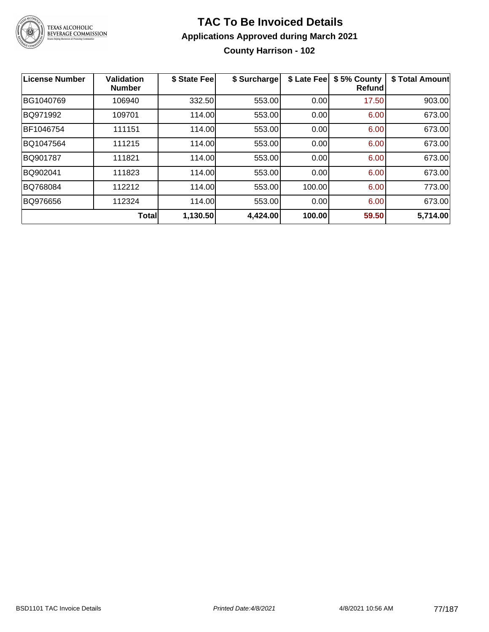

### **TAC To Be Invoiced Details Applications Approved during March 2021 County Harrison - 102**

| License Number | <b>Validation</b><br><b>Number</b> | \$ State Fee | \$ Surcharge | \$ Late Fee | \$5% County<br>Refundl | \$ Total Amount |
|----------------|------------------------------------|--------------|--------------|-------------|------------------------|-----------------|
| BG1040769      | 106940                             | 332.50       | 553.00       | 0.00        | 17.50                  | 903.00          |
| BQ971992       | 109701                             | 114.00       | 553.00       | 0.00        | 6.00                   | 673.00          |
| BF1046754      | 111151                             | 114.00       | 553.00       | 0.00        | 6.00                   | 673.00          |
| BQ1047564      | 111215                             | 114.00       | 553.00       | 0.00        | 6.00                   | 673.00          |
| BQ901787       | 111821                             | 114.00       | 553.00       | 0.00        | 6.00                   | 673.00          |
| BQ902041       | 111823                             | 114.00       | 553.00       | 0.00        | 6.00                   | 673.00          |
| BQ768084       | 112212                             | 114.00       | 553.00       | 100.00      | 6.00                   | 773.00          |
| BQ976656       | 112324                             | 114.00       | 553.00       | 0.00        | 6.00                   | 673.00          |
|                | <b>Total</b>                       | 1,130.50     | 4,424.00     | 100.00      | 59.50                  | 5,714.00        |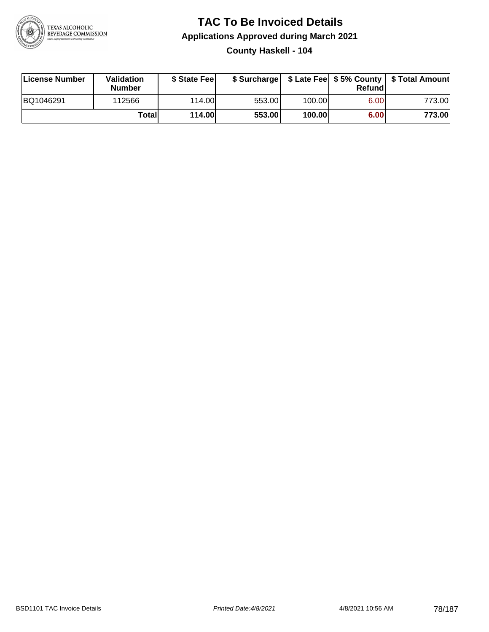

### **TAC To Be Invoiced Details Applications Approved during March 2021 County Haskell - 104**

| License Number | Validation<br><b>Number</b> | \$ State Fee  |        |        | Refund | \$ Surcharge   \$ Late Fee   \$5% County   \$ Total Amount |
|----------------|-----------------------------|---------------|--------|--------|--------|------------------------------------------------------------|
| BQ1046291      | 112566                      | 114.00L       | 553.00 | 100.00 | 6.00   | 773.00                                                     |
|                | Totall                      | <b>114.00</b> | 553.00 | 100.00 | 6.00   | 773.00                                                     |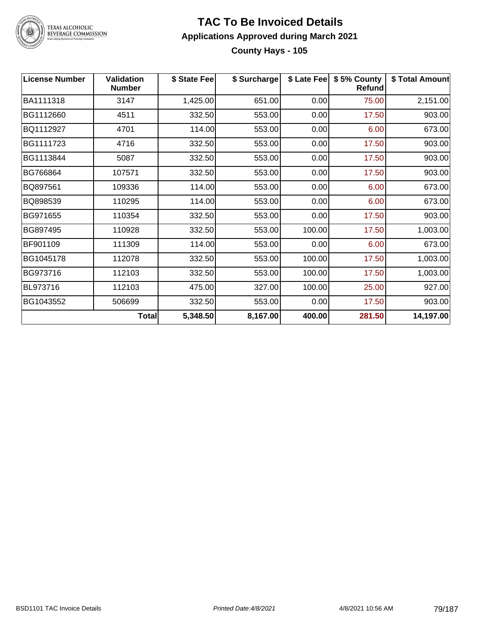

### TEXAS ALCOHOLIC<br>BEVERAGE COMMISSION

#### **TAC To Be Invoiced Details Applications Approved during March 2021 County Hays - 105**

| <b>License Number</b> | <b>Validation</b><br><b>Number</b> | \$ State Fee | \$ Surcharge | \$ Late Fee | \$5% County<br><b>Refund</b> | \$ Total Amount |
|-----------------------|------------------------------------|--------------|--------------|-------------|------------------------------|-----------------|
| BA1111318             | 3147                               | 1,425.00     | 651.00       | 0.00        | 75.00                        | 2,151.00        |
| BG1112660             | 4511                               | 332.50       | 553.00       | 0.00        | 17.50                        | 903.00          |
| BQ1112927             | 4701                               | 114.00       | 553.00       | 0.00        | 6.00                         | 673.00          |
| BG1111723             | 4716                               | 332.50       | 553.00       | 0.00        | 17.50                        | 903.00          |
| BG1113844             | 5087                               | 332.50       | 553.00       | 0.00        | 17.50                        | 903.00          |
| BG766864              | 107571                             | 332.50       | 553.00       | 0.00        | 17.50                        | 903.00          |
| BQ897561              | 109336                             | 114.00       | 553.00       | 0.00        | 6.00                         | 673.00          |
| BQ898539              | 110295                             | 114.00       | 553.00       | 0.00        | 6.00                         | 673.00          |
| BG971655              | 110354                             | 332.50       | 553.00       | 0.00        | 17.50                        | 903.00          |
| BG897495              | 110928                             | 332.50       | 553.00       | 100.00      | 17.50                        | 1,003.00        |
| BF901109              | 111309                             | 114.00       | 553.00       | 0.00        | 6.00                         | 673.00          |
| BG1045178             | 112078                             | 332.50       | 553.00       | 100.00      | 17.50                        | 1,003.00        |
| BG973716              | 112103                             | 332.50       | 553.00       | 100.00      | 17.50                        | 1,003.00        |
| BL973716              | 112103                             | 475.00       | 327.00       | 100.00      | 25.00                        | 927.00          |
| BG1043552             | 506699                             | 332.50       | 553.00       | 0.00        | 17.50                        | 903.00          |
|                       | <b>Total</b>                       | 5,348.50     | 8,167.00     | 400.00      | 281.50                       | 14,197.00       |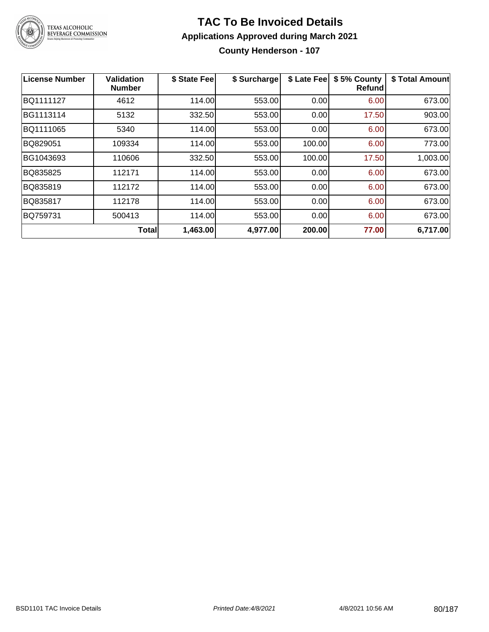

#### **TAC To Be Invoiced Details Applications Approved during March 2021 County Henderson - 107**

| License Number | Validation<br><b>Number</b> | \$ State Fee | \$ Surcharge | \$ Late Fee | \$5% County<br><b>Refund</b> | \$ Total Amount |
|----------------|-----------------------------|--------------|--------------|-------------|------------------------------|-----------------|
| BQ1111127      | 4612                        | 114.00       | 553.00       | 0.00        | 6.00                         | 673.00          |
| BG1113114      | 5132                        | 332.50       | 553.00       | 0.00        | 17.50                        | 903.00          |
| BQ1111065      | 5340                        | 114.00       | 553.00       | 0.00        | 6.00                         | 673.00          |
| BQ829051       | 109334                      | 114.00       | 553.00       | 100.00      | 6.00                         | 773.00          |
| BG1043693      | 110606                      | 332.50       | 553.00       | 100.00      | 17.50                        | 1,003.00        |
| BQ835825       | 112171                      | 114.00       | 553.00       | 0.00        | 6.00                         | 673.00          |
| BQ835819       | 112172                      | 114.00       | 553.00       | 0.00        | 6.00                         | 673.00          |
| BQ835817       | 112178                      | 114.00       | 553.00       | 0.00        | 6.00                         | 673.00          |
| BQ759731       | 500413                      | 114.00       | 553.00       | 0.00        | 6.00                         | 673.00          |
|                | <b>Total</b>                | 1,463.00     | 4,977.00     | 200.00      | 77.00                        | 6,717.00        |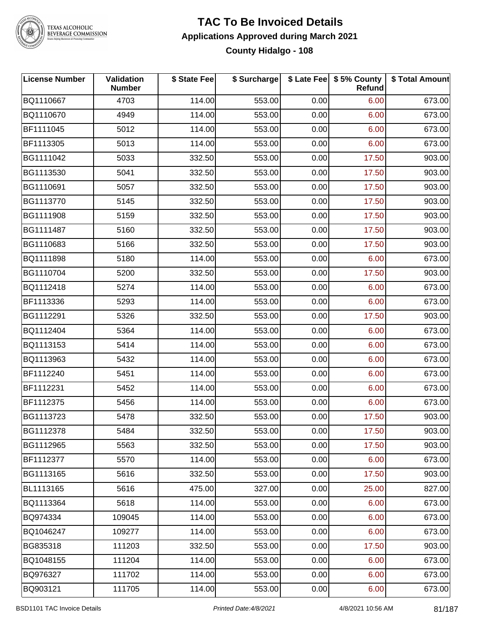

### TEXAS ALCOHOLIC<br>BEVERAGE COMMISSION

#### **TAC To Be Invoiced Details Applications Approved during March 2021 County Hidalgo - 108**

| <b>License Number</b> | Validation<br><b>Number</b> | \$ State Fee | \$ Surcharge |      | \$ Late Fee   \$5% County<br><b>Refund</b> | \$ Total Amount |
|-----------------------|-----------------------------|--------------|--------------|------|--------------------------------------------|-----------------|
| BQ1110667             | 4703                        | 114.00       | 553.00       | 0.00 | 6.00                                       | 673.00          |
| BQ1110670             | 4949                        | 114.00       | 553.00       | 0.00 | 6.00                                       | 673.00          |
| BF1111045             | 5012                        | 114.00       | 553.00       | 0.00 | 6.00                                       | 673.00          |
| BF1113305             | 5013                        | 114.00       | 553.00       | 0.00 | 6.00                                       | 673.00          |
| BG1111042             | 5033                        | 332.50       | 553.00       | 0.00 | 17.50                                      | 903.00          |
| BG1113530             | 5041                        | 332.50       | 553.00       | 0.00 | 17.50                                      | 903.00          |
| BG1110691             | 5057                        | 332.50       | 553.00       | 0.00 | 17.50                                      | 903.00          |
| BG1113770             | 5145                        | 332.50       | 553.00       | 0.00 | 17.50                                      | 903.00          |
| BG1111908             | 5159                        | 332.50       | 553.00       | 0.00 | 17.50                                      | 903.00          |
| BG1111487             | 5160                        | 332.50       | 553.00       | 0.00 | 17.50                                      | 903.00          |
| BG1110683             | 5166                        | 332.50       | 553.00       | 0.00 | 17.50                                      | 903.00          |
| BQ1111898             | 5180                        | 114.00       | 553.00       | 0.00 | 6.00                                       | 673.00          |
| BG1110704             | 5200                        | 332.50       | 553.00       | 0.00 | 17.50                                      | 903.00          |
| BQ1112418             | 5274                        | 114.00       | 553.00       | 0.00 | 6.00                                       | 673.00          |
| BF1113336             | 5293                        | 114.00       | 553.00       | 0.00 | 6.00                                       | 673.00          |
| BG1112291             | 5326                        | 332.50       | 553.00       | 0.00 | 17.50                                      | 903.00          |
| BQ1112404             | 5364                        | 114.00       | 553.00       | 0.00 | 6.00                                       | 673.00          |
| BQ1113153             | 5414                        | 114.00       | 553.00       | 0.00 | 6.00                                       | 673.00          |
| BQ1113963             | 5432                        | 114.00       | 553.00       | 0.00 | 6.00                                       | 673.00          |
| BF1112240             | 5451                        | 114.00       | 553.00       | 0.00 | 6.00                                       | 673.00          |
| BF1112231             | 5452                        | 114.00       | 553.00       | 0.00 | 6.00                                       | 673.00          |
| BF1112375             | 5456                        | 114.00       | 553.00       | 0.00 | 6.00                                       | 673.00          |
| BG1113723             | 5478                        | 332.50       | 553.00       | 0.00 | 17.50                                      | 903.00          |
| BG1112378             | 5484                        | 332.50       | 553.00       | 0.00 | 17.50                                      | 903.00          |
| BG1112965             | 5563                        | 332.50       | 553.00       | 0.00 | 17.50                                      | 903.00          |
| BF1112377             | 5570                        | 114.00       | 553.00       | 0.00 | 6.00                                       | 673.00          |
| BG1113165             | 5616                        | 332.50       | 553.00       | 0.00 | 17.50                                      | 903.00          |
| BL1113165             | 5616                        | 475.00       | 327.00       | 0.00 | 25.00                                      | 827.00          |
| BQ1113364             | 5618                        | 114.00       | 553.00       | 0.00 | 6.00                                       | 673.00          |
| BQ974334              | 109045                      | 114.00       | 553.00       | 0.00 | 6.00                                       | 673.00          |
| BQ1046247             | 109277                      | 114.00       | 553.00       | 0.00 | 6.00                                       | 673.00          |
| BG835318              | 111203                      | 332.50       | 553.00       | 0.00 | 17.50                                      | 903.00          |
| BQ1048155             | 111204                      | 114.00       | 553.00       | 0.00 | 6.00                                       | 673.00          |
| BQ976327              | 111702                      | 114.00       | 553.00       | 0.00 | 6.00                                       | 673.00          |
| BQ903121              | 111705                      | 114.00       | 553.00       | 0.00 | 6.00                                       | 673.00          |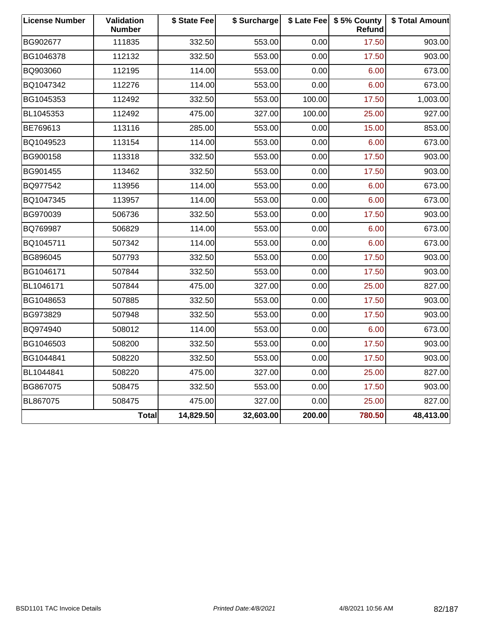| <b>License Number</b> | Validation<br><b>Number</b> | \$ State Fee | \$ Surcharge |        | \$ Late Fee   \$5% County<br>Refund | \$ Total Amount |
|-----------------------|-----------------------------|--------------|--------------|--------|-------------------------------------|-----------------|
| BG902677              | 111835                      | 332.50       | 553.00       | 0.00   | 17.50                               | 903.00          |
| BG1046378             | 112132                      | 332.50       | 553.00       | 0.00   | 17.50                               | 903.00          |
| BQ903060              | 112195                      | 114.00       | 553.00       | 0.00   | 6.00                                | 673.00          |
| BQ1047342             | 112276                      | 114.00       | 553.00       | 0.00   | 6.00                                | 673.00          |
| BG1045353             | 112492                      | 332.50       | 553.00       | 100.00 | 17.50                               | 1,003.00        |
| BL1045353             | 112492                      | 475.00       | 327.00       | 100.00 | 25.00                               | 927.00          |
| BE769613              | 113116                      | 285.00       | 553.00       | 0.00   | 15.00                               | 853.00          |
| BQ1049523             | 113154                      | 114.00       | 553.00       | 0.00   | 6.00                                | 673.00          |
| BG900158              | 113318                      | 332.50       | 553.00       | 0.00   | 17.50                               | 903.00          |
| BG901455              | 113462                      | 332.50       | 553.00       | 0.00   | 17.50                               | 903.00          |
| BQ977542              | 113956                      | 114.00       | 553.00       | 0.00   | 6.00                                | 673.00          |
| BQ1047345             | 113957                      | 114.00       | 553.00       | 0.00   | 6.00                                | 673.00          |
| BG970039              | 506736                      | 332.50       | 553.00       | 0.00   | 17.50                               | 903.00          |
| BQ769987              | 506829                      | 114.00       | 553.00       | 0.00   | 6.00                                | 673.00          |
| BQ1045711             | 507342                      | 114.00       | 553.00       | 0.00   | 6.00                                | 673.00          |
| BG896045              | 507793                      | 332.50       | 553.00       | 0.00   | 17.50                               | 903.00          |
| BG1046171             | 507844                      | 332.50       | 553.00       | 0.00   | 17.50                               | 903.00          |
| BL1046171             | 507844                      | 475.00       | 327.00       | 0.00   | 25.00                               | 827.00          |
| BG1048653             | 507885                      | 332.50       | 553.00       | 0.00   | 17.50                               | 903.00          |
| BG973829              | 507948                      | 332.50       | 553.00       | 0.00   | 17.50                               | 903.00          |
| BQ974940              | 508012                      | 114.00       | 553.00       | 0.00   | 6.00                                | 673.00          |
| BG1046503             | 508200                      | 332.50       | 553.00       | 0.00   | 17.50                               | 903.00          |
| BG1044841             | 508220                      | 332.50       | 553.00       | 0.00   | 17.50                               | 903.00          |
| BL1044841             | 508220                      | 475.00       | 327.00       | 0.00   | 25.00                               | 827.00          |
| BG867075              | 508475                      | 332.50       | 553.00       | 0.00   | 17.50                               | 903.00          |
| BL867075              | 508475                      | 475.00       | 327.00       | 0.00   | 25.00                               | 827.00          |
|                       | <b>Total</b>                | 14,829.50    | 32,603.00    | 200.00 | 780.50                              | 48,413.00       |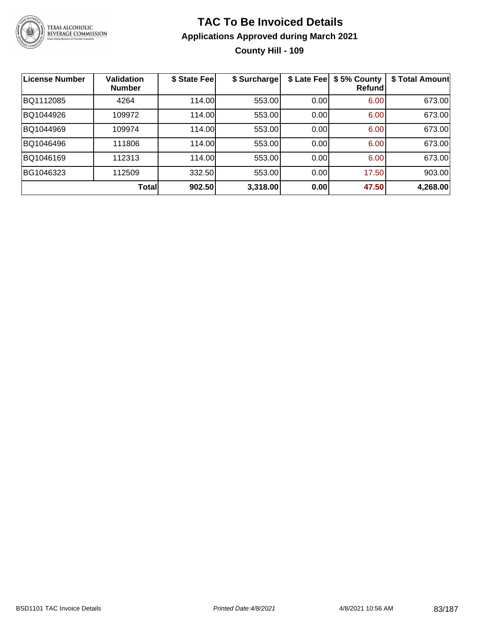

### **TAC To Be Invoiced Details Applications Approved during March 2021 County Hill - 109**

| <b>License Number</b> | <b>Validation</b><br><b>Number</b> | \$ State Fee | \$ Surcharge | \$ Late Fee | \$5% County<br>Refundl | \$ Total Amount |
|-----------------------|------------------------------------|--------------|--------------|-------------|------------------------|-----------------|
| BQ1112085             | 4264                               | 114.00       | 553.00       | 0.00        | 6.00                   | 673.00          |
| BQ1044926             | 109972                             | 114.00       | 553.00       | 0.00        | 6.00                   | 673.00          |
| BQ1044969             | 109974                             | 114.00       | 553.00       | 0.00        | 6.00                   | 673.00          |
| BQ1046496             | 111806                             | 114.00       | 553.00       | 0.00        | 6.00                   | 673.00          |
| BQ1046169             | 112313                             | 114.00       | 553.00       | 0.00        | 6.00                   | 673.00          |
| BG1046323             | 112509                             | 332.50       | 553.00       | 0.00        | 17.50                  | 903.00          |
|                       | <b>Total</b>                       | 902.50       | 3,318.00     | 0.00        | 47.50                  | 4,268.00        |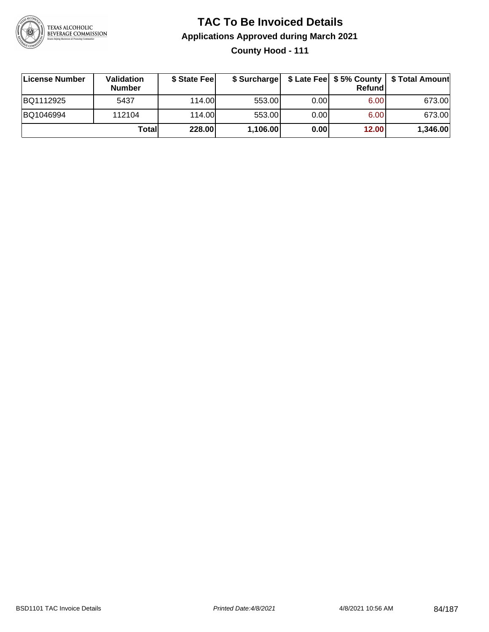

### **TAC To Be Invoiced Details Applications Approved during March 2021 County Hood - 111**

| License Number | Validation<br><b>Number</b> | \$ State Feel |          |       | <b>Refund</b> | \$ Surcharge   \$ Late Fee   \$5% County   \$ Total Amount |
|----------------|-----------------------------|---------------|----------|-------|---------------|------------------------------------------------------------|
| BQ1112925      | 5437                        | 114.00        | 553.00   | 0.001 | 6.00          | 673.00                                                     |
| BQ1046994      | 112104                      | 114.00L       | 553.00   | 0.00  | 6.00          | 673.00                                                     |
|                | Totall                      | 228.00        | 1,106.00 | 0.00  | 12.00         | 1,346.00                                                   |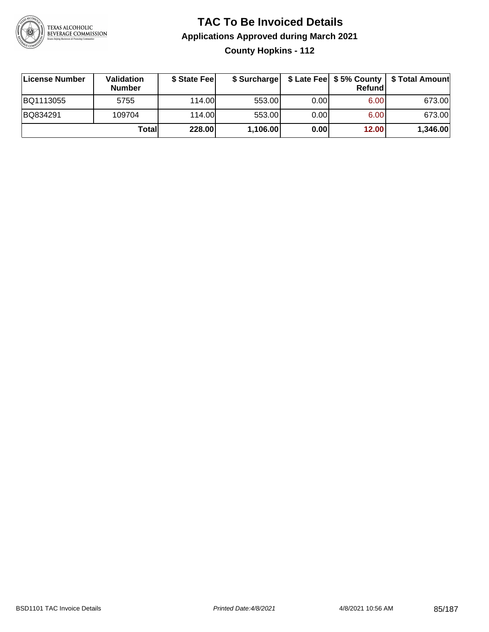

**County Hopkins - 112**

| ∣License Number | Validation<br><b>Number</b> | \$ State Fee | \$ Surcharge |       | <b>Refund</b>     | \$ Late Fee   \$5% County   \$ Total Amount |
|-----------------|-----------------------------|--------------|--------------|-------|-------------------|---------------------------------------------|
| BQ1113055       | 5755                        | 114.00       | 553.00       | 0.00  | 6.00              | 673.00                                      |
| BQ834291        | 109704                      | 114.00L      | 553.00       | 0.001 | 6.00 <sub>1</sub> | 673.00                                      |
|                 | Totall                      | 228.00       | 1,106.00     | 0.00  | 12.00             | 1,346.00                                    |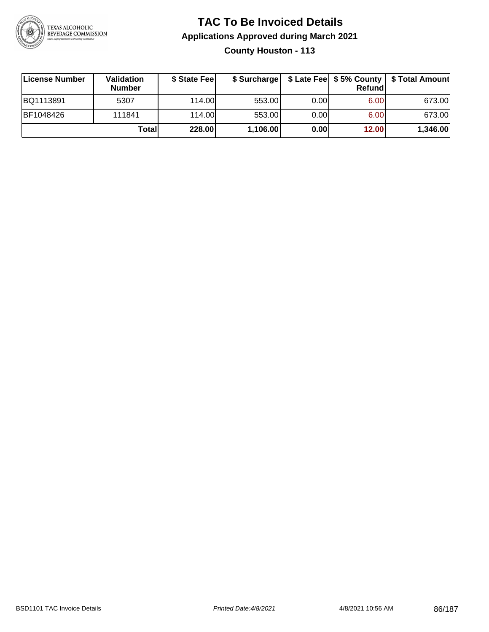

**County Houston - 113**

| ∣License Number | Validation<br><b>Number</b> | \$ State Feel | \$ Surcharge |      | Refundl | \$ Late Fee   \$5% County   \$ Total Amount |
|-----------------|-----------------------------|---------------|--------------|------|---------|---------------------------------------------|
| BQ1113891       | 5307                        | 114.00L       | 553.00       | 0.00 | 6.00    | 673.00                                      |
| BF1048426       | 111841                      | 114.00L       | 553.00       | 0.00 | 6.00    | 673.00                                      |
|                 | Totall                      | 228.00        | 1,106.00     | 0.00 | 12.00   | 1,346.00                                    |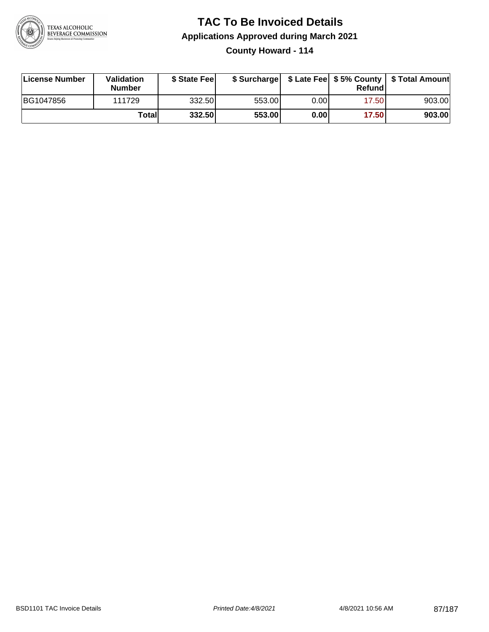

**County Howard - 114**

| License Number | <b>Validation</b><br><b>Number</b> | \$ State Fee | \$ Surcharge |      | Refundl |        |
|----------------|------------------------------------|--------------|--------------|------|---------|--------|
| BG1047856      | 111729                             | 332.50       | 553.00       | 0.00 | 17.501  | 903.00 |
|                | Totall                             | 332.50       | 553.00       | 0.00 | 17.50   | 903.00 |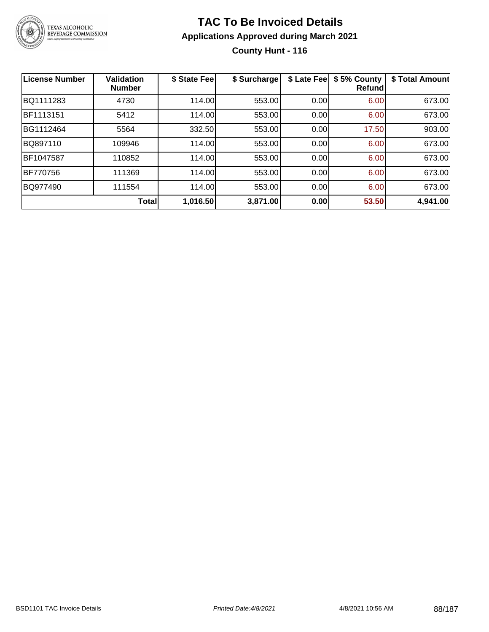

### **TAC To Be Invoiced Details Applications Approved during March 2021 County Hunt - 116**

| <b>License Number</b> | <b>Validation</b><br><b>Number</b> | \$ State Fee | \$ Surcharge | \$ Late Fee | \$5% County<br><b>Refund</b> | \$ Total Amount |
|-----------------------|------------------------------------|--------------|--------------|-------------|------------------------------|-----------------|
| BQ1111283             | 4730                               | 114.00       | 553.00       | 0.00        | 6.00                         | 673.00          |
| BF1113151             | 5412                               | 114.00       | 553.00       | 0.00        | 6.00                         | 673.00          |
| BG1112464             | 5564                               | 332.50       | 553.00       | 0.00        | 17.50                        | 903.00          |
| BQ897110              | 109946                             | 114.00       | 553.00       | 0.00        | 6.00                         | 673.00          |
| BF1047587             | 110852                             | 114.00       | 553.00       | 0.00        | 6.00                         | 673.00          |
| <b>BF770756</b>       | 111369                             | 114.00       | 553.00       | 0.00        | 6.00                         | 673.00          |
| BQ977490              | 111554                             | 114.00       | 553.00       | 0.00        | 6.00                         | 673.00          |
|                       | Total                              | 1,016.50     | 3,871.00     | 0.00        | 53.50                        | 4,941.00        |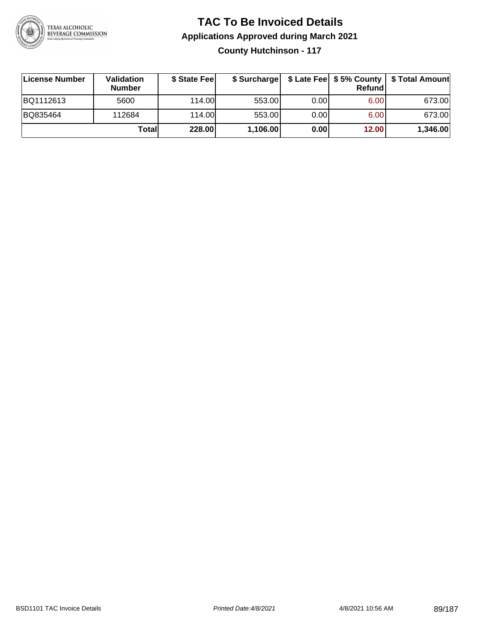

**County Hutchinson - 117**

| ∣License Number | <b>Validation</b><br><b>Number</b> | \$ State Fee |          |      | <b>Refund</b> | \$ Surcharge   \$ Late Fee   \$5% County   \$ Total Amount |
|-----------------|------------------------------------|--------------|----------|------|---------------|------------------------------------------------------------|
| BQ1112613       | 5600                               | 114.00L      | 553.00   | 0.00 | 6.00          | 673.00                                                     |
| BQ835464        | 112684                             | 114.00L      | 553.00   | 0.00 | 6.00          | 673.00                                                     |
|                 | Totall                             | 228.00       | 1,106.00 | 0.00 | 12.00         | 1,346.00                                                   |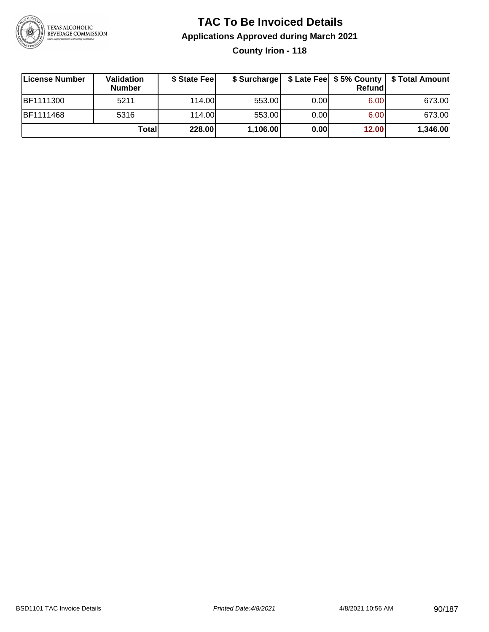

### **TAC To Be Invoiced Details Applications Approved during March 2021 County Irion - 118**

| License Number   | Validation<br><b>Number</b> | \$ State Fee |          |       | Refundl | \$ Surcharge   \$ Late Fee   \$5% County   \$ Total Amount |
|------------------|-----------------------------|--------------|----------|-------|---------|------------------------------------------------------------|
| <b>BF1111300</b> | 5211                        | 114.00L      | 553.00   | 0.001 | 6.00    | 673.00                                                     |
| <b>BF1111468</b> | 5316                        | 114.00       | 553.00   | 0.00  | 6.00    | 673.00                                                     |
|                  | Totall                      | 228.00       | 1,106.00 | 0.00  | 12.00   | 1,346.00                                                   |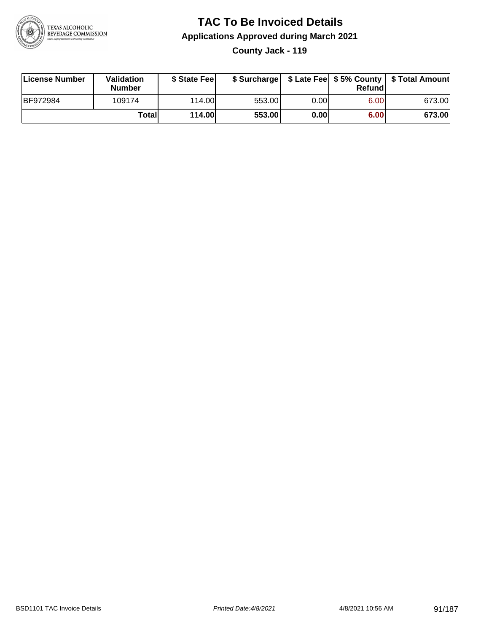

**County Jack - 119**

| License Number  | Validation<br><b>Number</b> | \$ State Fee  | \$ Surcharge |      | Refundl |        |
|-----------------|-----------------------------|---------------|--------------|------|---------|--------|
| <b>BF972984</b> | 109174                      | 114.00        | 553.00       | 0.00 | 6.00    | 673.00 |
|                 | Totall                      | <b>114.00</b> | 553.00       | 0.00 | 6.00    | 673.00 |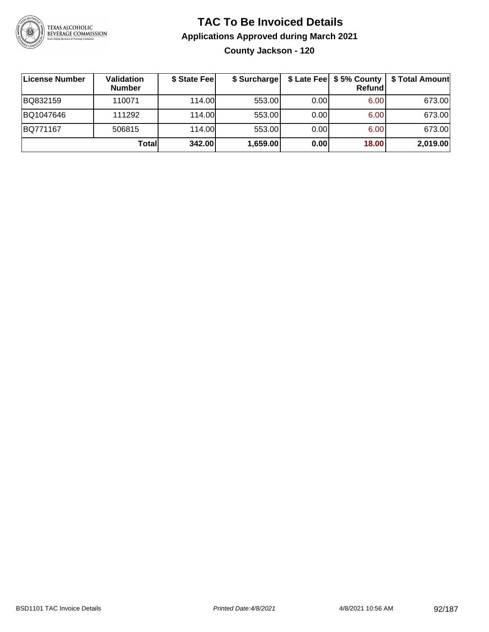

**County Jackson - 120**

| License Number | Validation<br><b>Number</b> | \$ State Fee | \$ Surcharge |      | Refundl | \$ Late Fee   \$5% County   \$ Total Amount |
|----------------|-----------------------------|--------------|--------------|------|---------|---------------------------------------------|
| BQ832159       | 110071                      | 114.00       | 553.00       | 0.00 | 6.00    | 673.00                                      |
| BQ1047646      | 111292                      | 114.00       | 553.00       | 0.00 | 6.00    | 673.00                                      |
| BQ771167       | 506815                      | 114.00L      | 553.00       | 0.00 | 6.00    | 673.00                                      |
|                | Totall                      | 342.00       | 1,659.00     | 0.00 | 18.00   | 2,019.00                                    |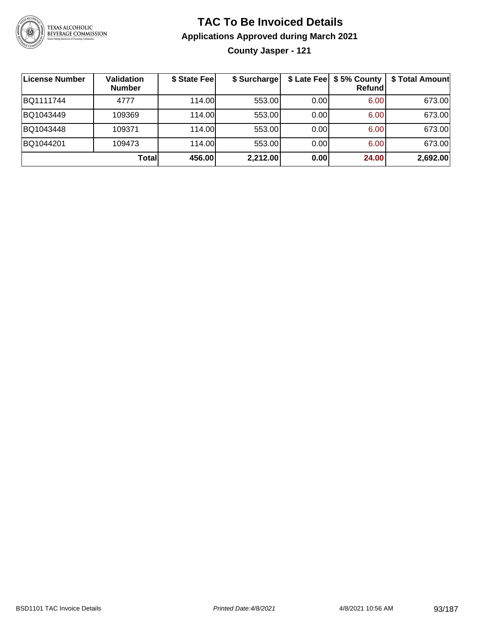

**County Jasper - 121**

| License Number | <b>Validation</b><br><b>Number</b> | \$ State Fee | \$ Surcharge |      | \$ Late Fee   \$5% County  <br><b>Refund</b> | \$ Total Amount |
|----------------|------------------------------------|--------------|--------------|------|----------------------------------------------|-----------------|
| BQ1111744      | 4777                               | 114.00L      | 553.00       | 0.00 | 6.00                                         | 673.00          |
| BQ1043449      | 109369                             | 114.00L      | 553.00       | 0.00 | 6.00                                         | 673.00          |
| BQ1043448      | 109371                             | 114.00L      | 553.00       | 0.00 | 6.00                                         | 673.00          |
| BQ1044201      | 109473                             | 114.00       | 553.00       | 0.00 | 6.00                                         | 673.00          |
|                | Totall                             | 456.00       | 2,212.00     | 0.00 | 24.00                                        | 2,692.00        |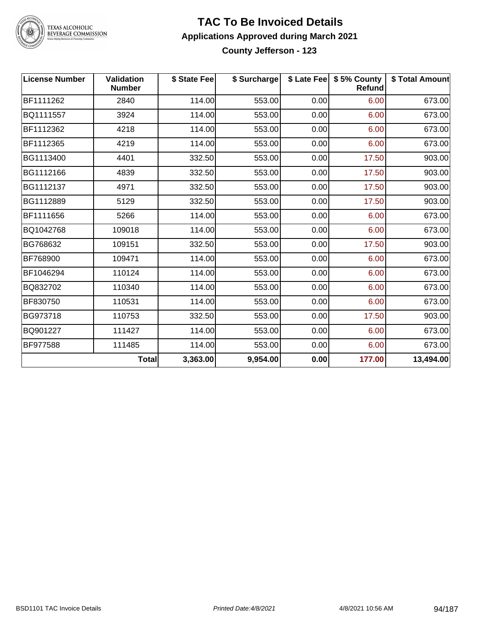

## TEXAS ALCOHOLIC<br>BEVERAGE COMMISSION

#### **TAC To Be Invoiced Details Applications Approved during March 2021 County Jefferson - 123**

| <b>License Number</b> | <b>Validation</b><br><b>Number</b> | \$ State Fee | \$ Surcharge |      | \$ Late Fee   \$5% County<br>Refund | \$ Total Amount |
|-----------------------|------------------------------------|--------------|--------------|------|-------------------------------------|-----------------|
| BF1111262             | 2840                               | 114.00       | 553.00       | 0.00 | 6.00                                | 673.00          |
| BQ1111557             | 3924                               | 114.00       | 553.00       | 0.00 | 6.00                                | 673.00          |
| BF1112362             | 4218                               | 114.00       | 553.00       | 0.00 | 6.00                                | 673.00          |
| BF1112365             | 4219                               | 114.00       | 553.00       | 0.00 | 6.00                                | 673.00          |
| BG1113400             | 4401                               | 332.50       | 553.00       | 0.00 | 17.50                               | 903.00          |
| BG1112166             | 4839                               | 332.50       | 553.00       | 0.00 | 17.50                               | 903.00          |
| BG1112137             | 4971                               | 332.50       | 553.00       | 0.00 | 17.50                               | 903.00          |
| BG1112889             | 5129                               | 332.50       | 553.00       | 0.00 | 17.50                               | 903.00          |
| BF1111656             | 5266                               | 114.00       | 553.00       | 0.00 | 6.00                                | 673.00          |
| BQ1042768             | 109018                             | 114.00       | 553.00       | 0.00 | 6.00                                | 673.00          |
| BG768632              | 109151                             | 332.50       | 553.00       | 0.00 | 17.50                               | 903.00          |
| BF768900              | 109471                             | 114.00       | 553.00       | 0.00 | 6.00                                | 673.00          |
| BF1046294             | 110124                             | 114.00       | 553.00       | 0.00 | 6.00                                | 673.00          |
| BQ832702              | 110340                             | 114.00       | 553.00       | 0.00 | 6.00                                | 673.00          |
| BF830750              | 110531                             | 114.00       | 553.00       | 0.00 | 6.00                                | 673.00          |
| BG973718              | 110753                             | 332.50       | 553.00       | 0.00 | 17.50                               | 903.00          |
| BQ901227              | 111427                             | 114.00       | 553.00       | 0.00 | 6.00                                | 673.00          |
| BF977588              | 111485                             | 114.00       | 553.00       | 0.00 | 6.00                                | 673.00          |
|                       | <b>Total</b>                       | 3,363.00     | 9,954.00     | 0.00 | 177.00                              | 13,494.00       |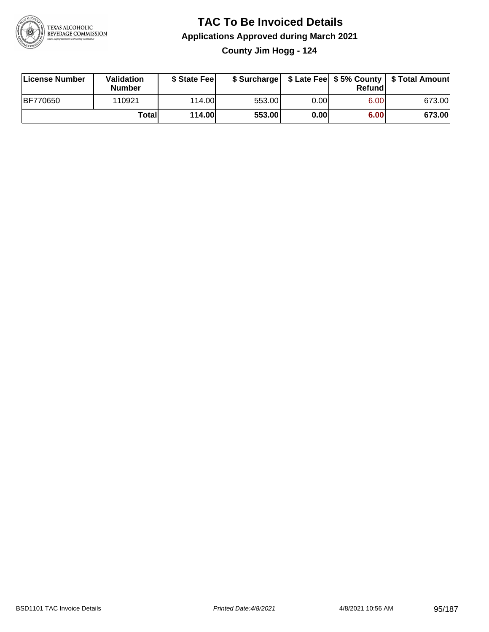

### **TAC To Be Invoiced Details Applications Approved during March 2021 County Jim Hogg - 124**

| License Number  | Validation<br><b>Number</b> | \$ State Fee  |        |      | Refund | \$ Surcharge   \$ Late Fee   \$5% County   \$ Total Amount |
|-----------------|-----------------------------|---------------|--------|------|--------|------------------------------------------------------------|
| <b>BF770650</b> | 110921                      | 114.00L       | 553.00 | 0.00 | 6.00   | 673.00                                                     |
|                 | Totall                      | <b>114.00</b> | 553.00 | 0.00 | 6.00   | 673.00                                                     |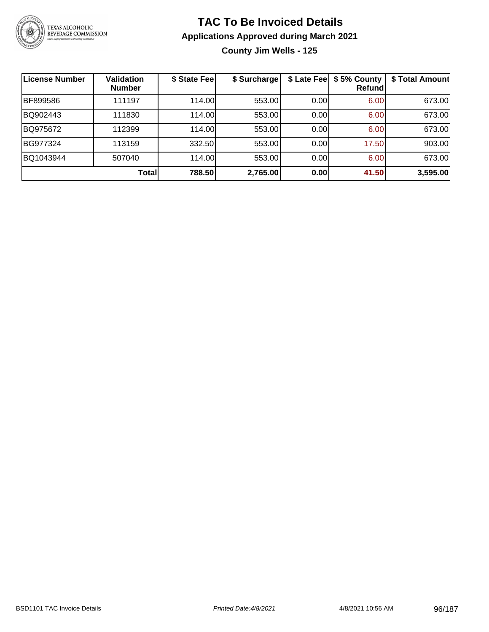

**County Jim Wells - 125**

| License Number | <b>Validation</b><br><b>Number</b> | \$ State Fee | \$ Surcharge | \$ Late Fee | \$5% County<br>Refundl | \$ Total Amount |
|----------------|------------------------------------|--------------|--------------|-------------|------------------------|-----------------|
| BF899586       | 111197                             | 114.00       | 553.00       | 0.00        | 6.00                   | 673.00          |
| BQ902443       | 111830                             | 114.00       | 553.00       | 0.00        | 6.00                   | 673.00          |
| BQ975672       | 112399                             | 114.00       | 553.00       | 0.00        | 6.00                   | 673.00          |
| BG977324       | 113159                             | 332.50       | 553.00       | 0.00        | 17.50                  | 903.00          |
| BQ1043944      | 507040                             | 114.00       | 553.00       | 0.00        | 6.00                   | 673.00          |
|                | Total                              | 788.50       | 2,765.00     | 0.00        | 41.50                  | 3,595.00        |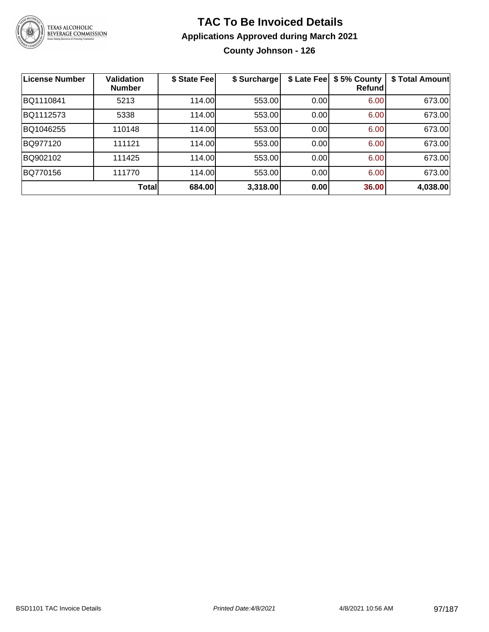

### **TAC To Be Invoiced Details Applications Approved during March 2021 County Johnson - 126**

| <b>License Number</b> | <b>Validation</b><br><b>Number</b> | \$ State Fee | \$ Surcharge | \$ Late Fee | \$5% County<br>Refundl | \$ Total Amount |
|-----------------------|------------------------------------|--------------|--------------|-------------|------------------------|-----------------|
| BQ1110841             | 5213                               | 114.00       | 553.00       | 0.00        | 6.00                   | 673.00          |
| BQ1112573             | 5338                               | 114.00       | 553.00       | 0.00        | 6.00                   | 673.00          |
| BQ1046255             | 110148                             | 114.00       | 553.00       | 0.00        | 6.00                   | 673.00          |
| BQ977120              | 111121                             | 114.00       | 553.00       | 0.00        | 6.00                   | 673.00          |
| BQ902102              | 111425                             | 114.00       | 553.00       | 0.00        | 6.00                   | 673.00          |
| BQ770156              | 111770                             | 114.00       | 553.00       | 0.00        | 6.00                   | 673.00          |
|                       | Totall                             | 684.00       | 3,318.00     | 0.00        | 36.00                  | 4,038.00        |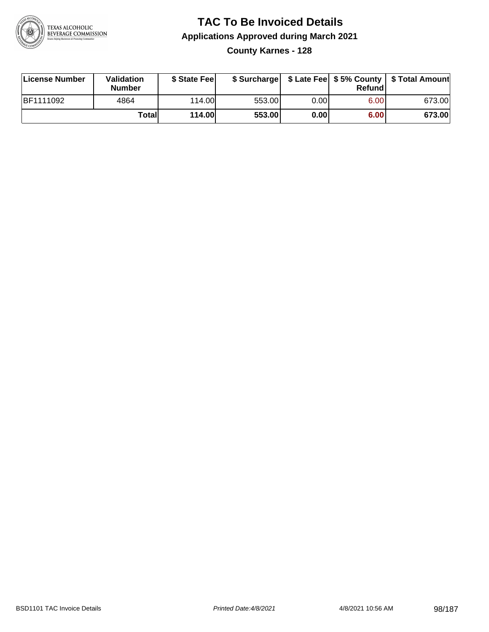

**County Karnes - 128**

| License Number | Validation<br><b>Number</b> | \$ State Fee  | \$ Surcharge |      | Refund | \$ Late Fee   \$5% County   \$ Total Amount |
|----------------|-----------------------------|---------------|--------------|------|--------|---------------------------------------------|
| BF1111092      | 4864                        | 114.00        | 553.00       | 0.00 | 6.00   | 673.00                                      |
|                | Totall                      | <b>114.00</b> | 553.00       | 0.00 | 6.00   | 673.00                                      |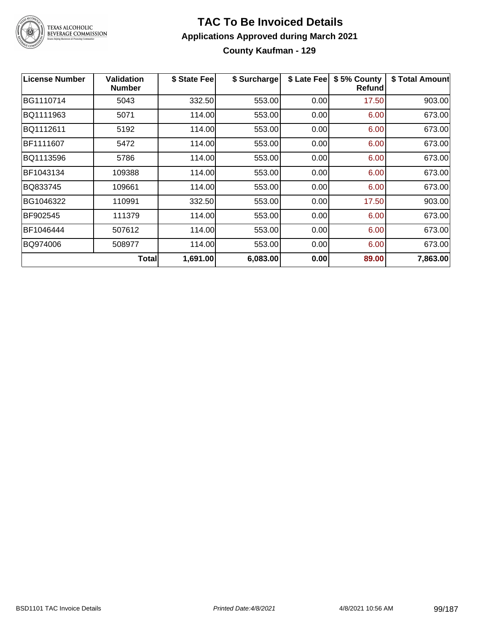

#### **TAC To Be Invoiced Details Applications Approved during March 2021 County Kaufman - 129**

| <b>License Number</b> | <b>Validation</b><br><b>Number</b> | \$ State Fee | \$ Surcharge | \$ Late Fee | \$5% County<br>Refund | \$ Total Amount |
|-----------------------|------------------------------------|--------------|--------------|-------------|-----------------------|-----------------|
| BG1110714             | 5043                               | 332.50       | 553.00       | 0.00        | 17.50                 | 903.00          |
| BQ1111963             | 5071                               | 114.00       | 553.00       | 0.00        | 6.00                  | 673.00          |
| BQ1112611             | 5192                               | 114.00       | 553.00       | 0.00        | 6.00                  | 673.00          |
| BF1111607             | 5472                               | 114.00       | 553.00       | 0.00        | 6.00                  | 673.00          |
| BQ1113596             | 5786                               | 114.00       | 553.00       | 0.00        | 6.00                  | 673.00          |
| BF1043134             | 109388                             | 114.00       | 553.00       | 0.00        | 6.00                  | 673.00          |
| BQ833745              | 109661                             | 114.00       | 553.00       | 0.00        | 6.00                  | 673.00          |
| BG1046322             | 110991                             | 332.50       | 553.00       | 0.00        | 17.50                 | 903.00          |
| BF902545              | 111379                             | 114.00       | 553.00       | 0.00        | 6.00                  | 673.00          |
| BF1046444             | 507612                             | 114.00       | 553.00       | 0.00        | 6.00                  | 673.00          |
| BQ974006              | 508977                             | 114.00       | 553.00       | 0.00        | 6.00                  | 673.00          |
|                       | <b>Total</b>                       | 1,691.00     | 6,083.00     | 0.00        | 89.00                 | 7,863.00        |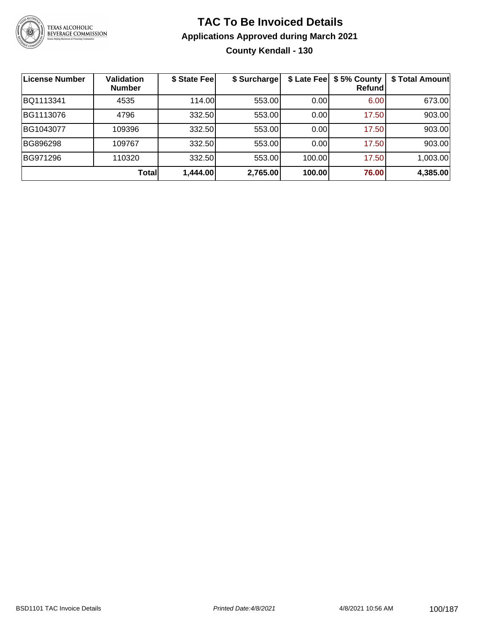

### **TAC To Be Invoiced Details Applications Approved during March 2021 County Kendall - 130**

| License Number | <b>Validation</b><br><b>Number</b> | \$ State Fee | \$ Surcharge |        | \$ Late Fee   \$5% County<br>Refund | \$ Total Amount |
|----------------|------------------------------------|--------------|--------------|--------|-------------------------------------|-----------------|
| BQ1113341      | 4535                               | 114.00       | 553.00       | 0.00   | 6.00                                | 673.00          |
| BG1113076      | 4796                               | 332.50       | 553.00       | 0.00   | 17.50                               | 903.00          |
| BG1043077      | 109396                             | 332.50       | 553.00       | 0.00   | 17.50                               | 903.00          |
| BG896298       | 109767                             | 332.50       | 553.00       | 0.00   | 17.50                               | 903.00          |
| BG971296       | 110320                             | 332.50       | 553.00       | 100.00 | 17.50                               | 1,003.00        |
|                | Total                              | 1,444.00     | 2,765.00     | 100.00 | 76.00                               | 4,385.00        |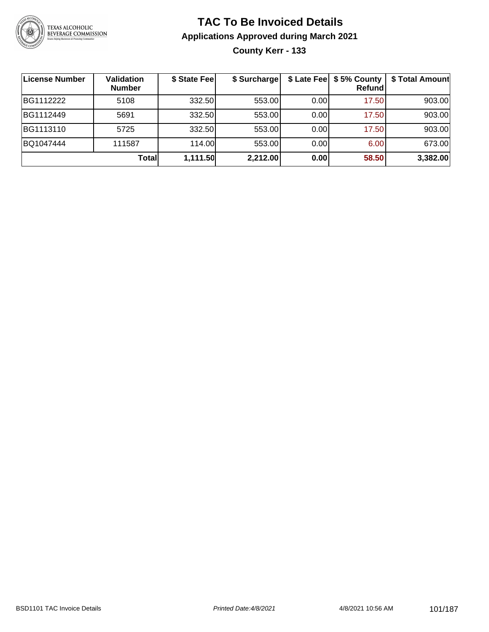

### **TAC To Be Invoiced Details Applications Approved during March 2021 County Kerr - 133**

| License Number | <b>Validation</b><br><b>Number</b> | \$ State Fee | \$ Surcharge |      | \$ Late Fee   \$5% County<br><b>Refund</b> | \$ Total Amount |
|----------------|------------------------------------|--------------|--------------|------|--------------------------------------------|-----------------|
| BG1112222      | 5108                               | 332.50       | 553.00       | 0.00 | 17.50                                      | 903.00          |
| BG1112449      | 5691                               | 332.50       | 553.00       | 0.00 | 17.50                                      | 903.00          |
| BG1113110      | 5725                               | 332.50       | 553.00       | 0.00 | 17.50                                      | 903.00          |
| BQ1047444      | 111587                             | 114.00       | 553.00       | 0.00 | 6.00                                       | 673.00          |
|                | <b>Total</b>                       | 1,111.50     | 2,212.00     | 0.00 | 58.50                                      | 3,382.00        |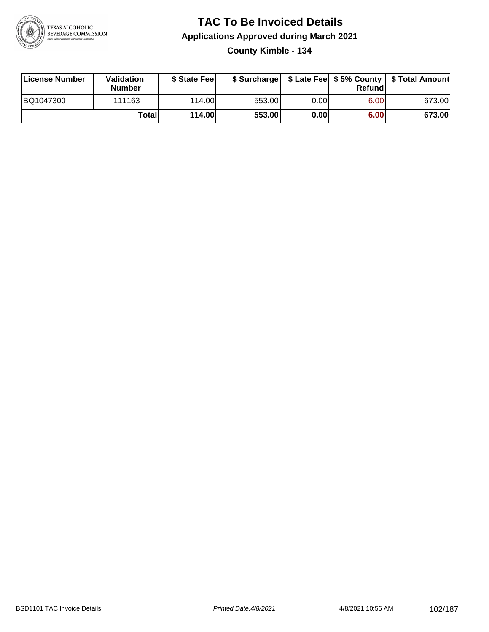

### **TAC To Be Invoiced Details Applications Approved during March 2021 County Kimble - 134**

| License Number | <b>Validation</b><br><b>Number</b> | \$ State Feel |        |      | Refund | \$ Surcharge   \$ Late Fee   \$5% County   \$ Total Amount |
|----------------|------------------------------------|---------------|--------|------|--------|------------------------------------------------------------|
| BQ1047300      | 111163                             | 114.00L       | 553.00 | 0.00 | 6.00   | 673.00                                                     |
|                | Total                              | <b>114.00</b> | 553.00 | 0.00 | 6.00   | 673.00                                                     |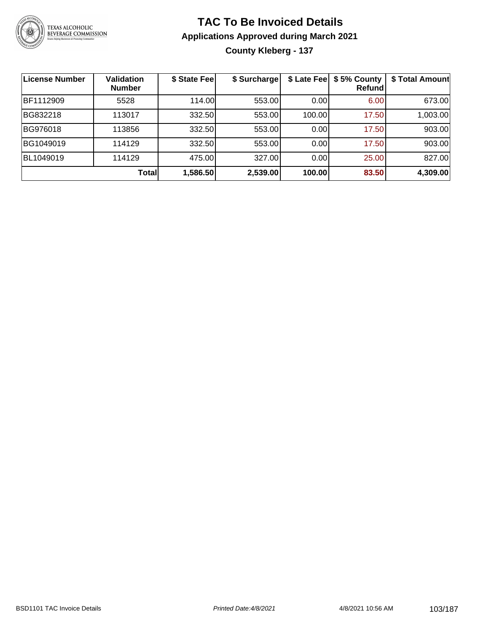

### **TAC To Be Invoiced Details Applications Approved during March 2021 County Kleberg - 137**

| License Number | <b>Validation</b><br><b>Number</b> | \$ State Fee | \$ Surcharge |        | \$ Late Fee   \$5% County<br>Refund | \$ Total Amount |
|----------------|------------------------------------|--------------|--------------|--------|-------------------------------------|-----------------|
| BF1112909      | 5528                               | 114.00       | 553.00       | 0.00   | 6.00                                | 673.00          |
| BG832218       | 113017                             | 332.50       | 553.00       | 100.00 | 17.50                               | 1,003.00        |
| BG976018       | 113856                             | 332.50       | 553.00       | 0.00   | 17.50                               | 903.00          |
| BG1049019      | 114129                             | 332.50       | 553.00       | 0.00   | 17.50                               | 903.00          |
| BL1049019      | 114129                             | 475.00       | 327.00       | 0.00   | 25.00                               | 827.00          |
|                | Total                              | 1,586.50     | 2,539.00     | 100.00 | 83.50                               | 4,309.00        |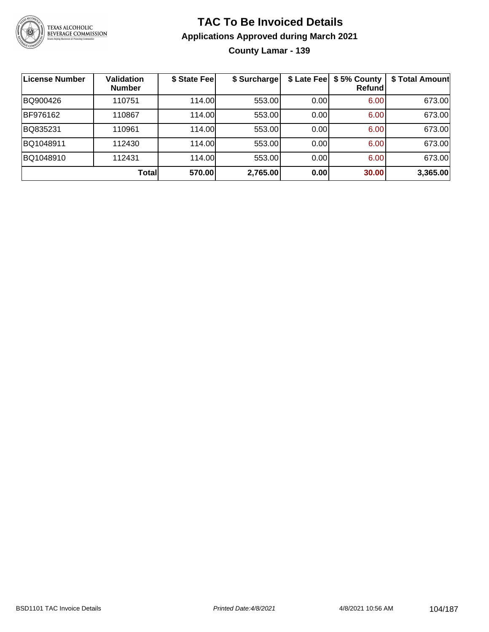

**County Lamar - 139**

| License Number | <b>Validation</b><br><b>Number</b> | \$ State Fee | \$ Surcharge | \$ Late Fee | \$5% County<br>Refund | \$ Total Amount |
|----------------|------------------------------------|--------------|--------------|-------------|-----------------------|-----------------|
| BQ900426       | 110751                             | 114.00L      | 553.00       | 0.00        | 6.00                  | 673.00          |
| BF976162       | 110867                             | 114.00L      | 553.00       | 0.00        | 6.00                  | 673.00          |
| BQ835231       | 110961                             | 114.00L      | 553.00       | 0.00        | 6.00                  | 673.00          |
| BQ1048911      | 112430                             | 114.00L      | 553.00       | 0.00        | 6.00                  | 673.00          |
| BQ1048910      | 112431                             | 114.00L      | 553.00       | 0.00        | 6.00                  | 673.00          |
|                | <b>Total</b>                       | 570.00       | 2,765.00     | 0.00        | 30.00                 | 3,365.00        |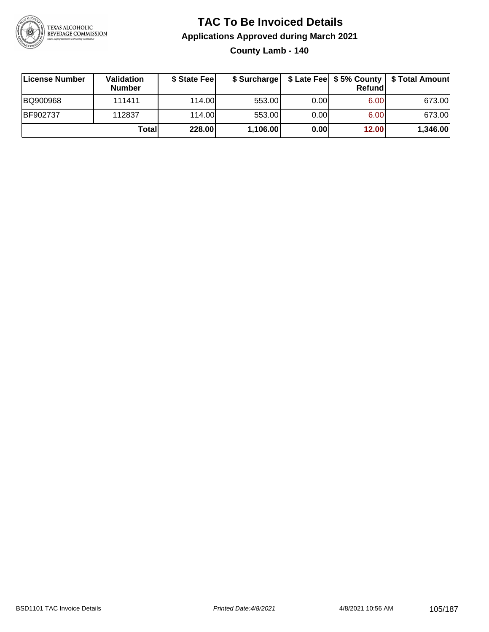

**County Lamb - 140**

| ∣License Number | Validation<br><b>Number</b> | \$ State Fee | \$ Surcharge |      | Refundl           | \$ Late Fee   \$5% County   \$ Total Amount |
|-----------------|-----------------------------|--------------|--------------|------|-------------------|---------------------------------------------|
| BQ900968        | 111411                      | 114.00       | 553.00       | 0.00 | 6.00 <sub>1</sub> | 673.00                                      |
| BF902737        | 112837                      | 114.00       | 553.00       | 0.00 | 6.00 <sub>1</sub> | 673.00                                      |
|                 | Totall                      | 228.00       | 1,106.00     | 0.00 | 12.00             | 1,346.00                                    |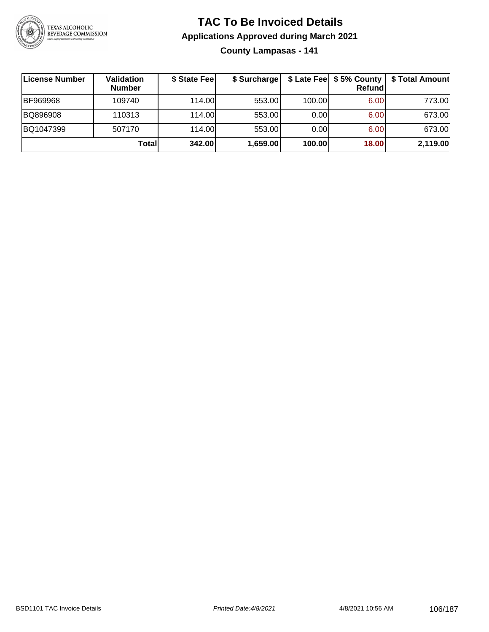

**County Lampasas - 141**

| License Number  | Validation<br><b>Number</b> | \$ State Fee | \$ Surcharge |        | Refundl | \$ Late Fee   \$5% County   \$ Total Amount |
|-----------------|-----------------------------|--------------|--------------|--------|---------|---------------------------------------------|
| <b>BF969968</b> | 109740                      | 114.00L      | 553.00       | 100.00 | 6.00    | 773.00                                      |
| BQ896908        | 110313                      | 114.00L      | 553.00       | 0.001  | 6.00    | 673.00                                      |
| BQ1047399       | 507170                      | 114.00L      | 553.00       | 0.00   | 6.00    | 673.00                                      |
|                 | Totall                      | 342.00       | 1,659.00     | 100.00 | 18.00   | 2,119.00                                    |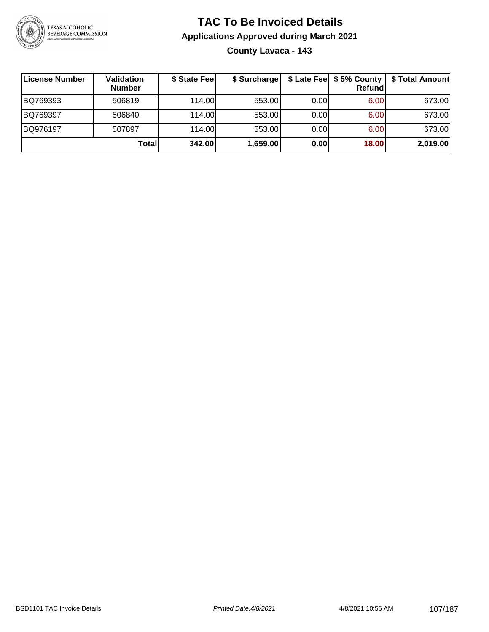

### **TAC To Be Invoiced Details Applications Approved during March 2021 County Lavaca - 143**

| License Number | Validation<br><b>Number</b> | \$ State Fee | \$ Surcharge |       | <b>Refund</b> | \$ Late Fee   \$5% County   \$ Total Amount |
|----------------|-----------------------------|--------------|--------------|-------|---------------|---------------------------------------------|
| BQ769393       | 506819                      | 114.00       | 553.00       | 0.001 | 6.00          | 673.00                                      |
| BQ769397       | 506840                      | 114.00       | 553.00       | 0.001 | 6.00          | 673.00                                      |
| BQ976197       | 507897                      | 114.00       | 553.00       | 0.001 | 6.00          | 673.00                                      |
|                | Totall                      | 342.00       | 1,659.00     | 0.00  | 18.00         | 2,019.00                                    |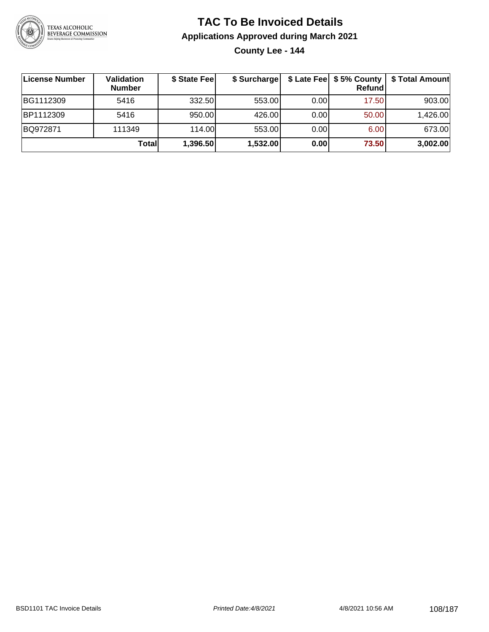

**County Lee - 144**

| <b>License Number</b> | Validation<br><b>Number</b> | \$ State Fee | \$ Surcharge |      | Refundl | \$ Late Fee   \$5% County   \$ Total Amount |
|-----------------------|-----------------------------|--------------|--------------|------|---------|---------------------------------------------|
| BG1112309             | 5416                        | 332.50       | 553.00       | 0.00 | 17.50   | 903.00                                      |
| BP1112309             | 5416                        | 950.00       | 426.00       | 0.00 | 50.00   | 1,426.00                                    |
| BQ972871              | 111349                      | 114.00L      | 553.00       | 0.00 | 6.00    | 673.00                                      |
|                       | Totall                      | 1,396.50     | 1,532.00     | 0.00 | 73.50   | 3,002.00                                    |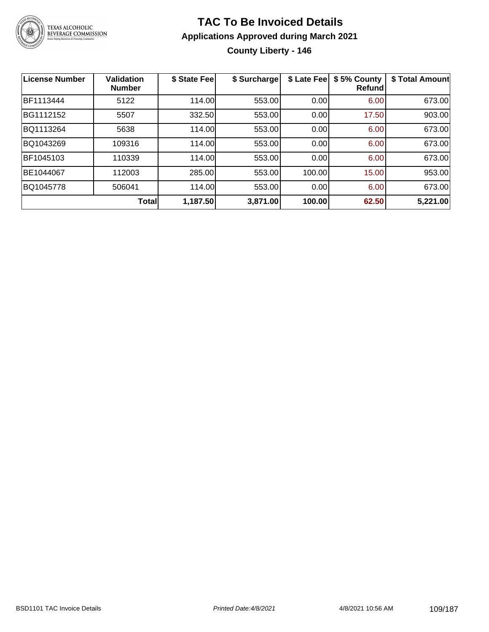

### **TAC To Be Invoiced Details Applications Approved during March 2021 County Liberty - 146**

| <b>License Number</b> | <b>Validation</b><br><b>Number</b> | \$ State Fee | \$ Surcharge | \$ Late Fee | \$5% County<br><b>Refund</b> | \$ Total Amount |
|-----------------------|------------------------------------|--------------|--------------|-------------|------------------------------|-----------------|
| BF1113444             | 5122                               | 114.00       | 553.00       | 0.00        | 6.00                         | 673.00          |
| BG1112152             | 5507                               | 332.50       | 553.00       | 0.00        | 17.50                        | 903.00          |
| BQ1113264             | 5638                               | 114.00       | 553.00       | 0.00        | 6.00                         | 673.00          |
| BQ1043269             | 109316                             | 114.00       | 553.00       | 0.00        | 6.00                         | 673.00          |
| BF1045103             | 110339                             | 114.00       | 553.00       | 0.00        | 6.00                         | 673.00          |
| BE1044067             | 112003                             | 285.00       | 553.00       | 100.00      | 15.00                        | 953.00          |
| BQ1045778             | 506041                             | 114.00       | 553.00       | 0.00        | 6.00                         | 673.00          |
|                       | Total                              | 1,187.50     | 3,871.00     | 100.00      | 62.50                        | 5,221.00        |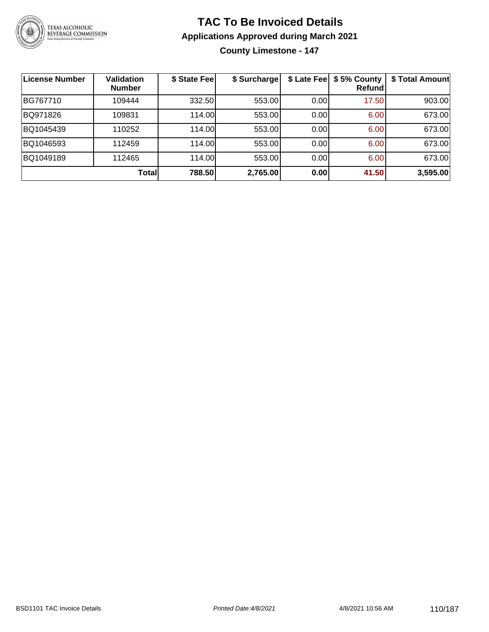

**County Limestone - 147**

| <b>License Number</b> | Validation<br><b>Number</b> | \$ State Fee | \$ Surcharge | \$ Late Fee | \$5% County<br>Refundl | \$ Total Amount |
|-----------------------|-----------------------------|--------------|--------------|-------------|------------------------|-----------------|
| BG767710              | 109444                      | 332.50       | 553.00       | 0.00        | 17.50                  | 903.00          |
| BQ971826              | 109831                      | 114.00       | 553.00       | 0.00        | 6.00                   | 673.00          |
| BQ1045439             | 110252                      | 114.00       | 553.00       | 0.00        | 6.00                   | 673.00          |
| BQ1046593             | 112459                      | 114.00       | 553.00       | 0.00        | 6.00                   | 673.00          |
| BQ1049189             | 112465                      | 114.00       | 553.00       | 0.00        | 6.00                   | 673.00          |
|                       | Totall                      | 788.50       | 2,765.00     | 0.00        | 41.50                  | 3,595.00        |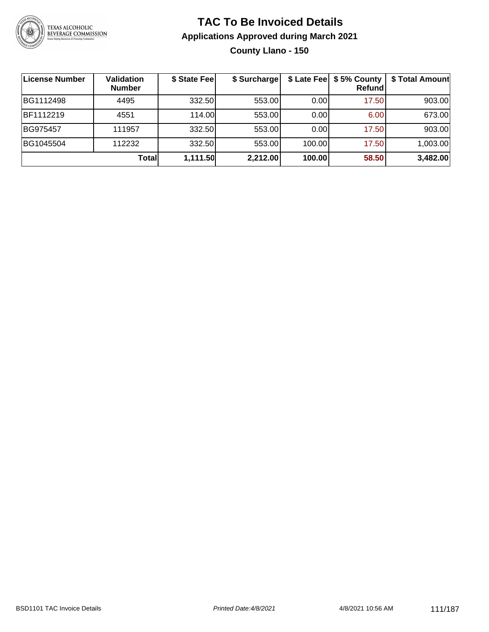

**County Llano - 150**

| ∣License Number | <b>Validation</b><br><b>Number</b> | \$ State Fee | \$ Surcharge |        | \$ Late Fee   \$5% County  <br><b>Refund</b> | \$ Total Amount |
|-----------------|------------------------------------|--------------|--------------|--------|----------------------------------------------|-----------------|
| BG1112498       | 4495                               | 332.50       | 553.00       | 0.00   | 17.50                                        | 903.00          |
| BF1112219       | 4551                               | 114.00L      | 553.00       | 0.00   | 6.00                                         | 673.00          |
| BG975457        | 111957                             | 332.50       | 553.00       | 0.00   | 17.50                                        | 903.00          |
| BG1045504       | 112232                             | 332.50       | 553.00       | 100.00 | 17.50                                        | 1,003.00        |
|                 | Total                              | 1,111.50     | 2,212.00     | 100.00 | 58.50                                        | 3,482.00        |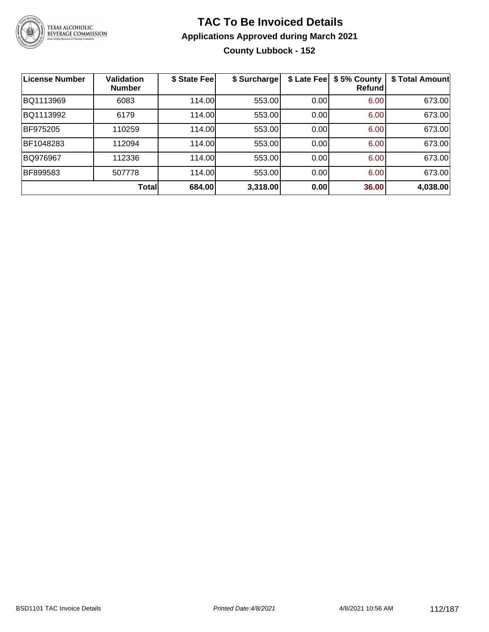

### **TAC To Be Invoiced Details Applications Approved during March 2021 County Lubbock - 152**

| <b>License Number</b> | <b>Validation</b><br><b>Number</b> | \$ State Fee | \$ Surcharge | \$ Late Fee | \$5% County<br>Refund | \$ Total Amount |
|-----------------------|------------------------------------|--------------|--------------|-------------|-----------------------|-----------------|
| BQ1113969             | 6083                               | 114.00       | 553.00       | 0.00        | 6.00                  | 673.00          |
| BQ1113992             | 6179                               | 114.00       | 553.00       | 0.00        | 6.00                  | 673.00          |
| BF975205              | 110259                             | 114.00       | 553.00       | 0.00        | 6.00                  | 673.00          |
| BF1048283             | 112094                             | 114.00       | 553.00       | 0.00        | 6.00                  | 673.00          |
| BQ976967              | 112336                             | 114.00       | 553.00       | 0.00        | 6.00                  | 673.00          |
| BF899583              | 507778                             | 114.00       | 553.00       | 0.00        | 6.00                  | 673.00          |
|                       | Total                              | 684.00       | 3,318.00     | 0.00        | 36.00                 | 4,038.00        |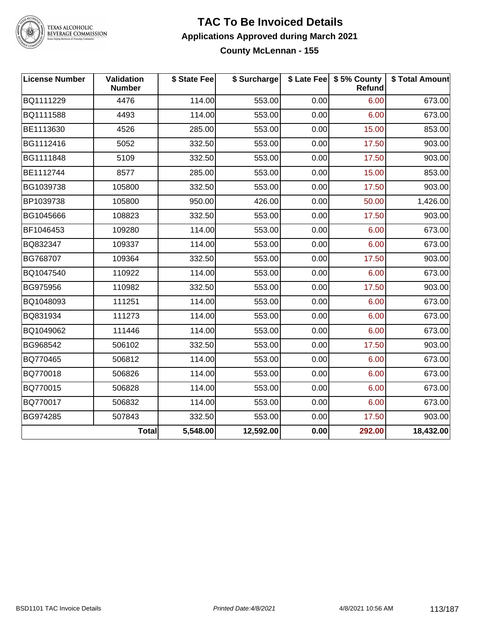

## TEXAS ALCOHOLIC<br>BEVERAGE COMMISSION

### **TAC To Be Invoiced Details Applications Approved during March 2021 County McLennan - 155**

| <b>License Number</b> | Validation<br><b>Number</b> | \$ State Fee | \$ Surcharge |      | \$ Late Fee   \$5% County<br>Refund | \$ Total Amount |
|-----------------------|-----------------------------|--------------|--------------|------|-------------------------------------|-----------------|
| BQ1111229             | 4476                        | 114.00       | 553.00       | 0.00 | 6.00                                | 673.00          |
| BQ1111588             | 4493                        | 114.00       | 553.00       | 0.00 | 6.00                                | 673.00          |
| BE1113630             | 4526                        | 285.00       | 553.00       | 0.00 | 15.00                               | 853.00          |
| BG1112416             | 5052                        | 332.50       | 553.00       | 0.00 | 17.50                               | 903.00          |
| BG1111848             | 5109                        | 332.50       | 553.00       | 0.00 | 17.50                               | 903.00          |
| BE1112744             | 8577                        | 285.00       | 553.00       | 0.00 | 15.00                               | 853.00          |
| BG1039738             | 105800                      | 332.50       | 553.00       | 0.00 | 17.50                               | 903.00          |
| BP1039738             | 105800                      | 950.00       | 426.00       | 0.00 | 50.00                               | 1,426.00        |
| BG1045666             | 108823                      | 332.50       | 553.00       | 0.00 | 17.50                               | 903.00          |
| BF1046453             | 109280                      | 114.00       | 553.00       | 0.00 | 6.00                                | 673.00          |
| BQ832347              | 109337                      | 114.00       | 553.00       | 0.00 | 6.00                                | 673.00          |
| BG768707              | 109364                      | 332.50       | 553.00       | 0.00 | 17.50                               | 903.00          |
| BQ1047540             | 110922                      | 114.00       | 553.00       | 0.00 | 6.00                                | 673.00          |
| BG975956              | 110982                      | 332.50       | 553.00       | 0.00 | 17.50                               | 903.00          |
| BQ1048093             | 111251                      | 114.00       | 553.00       | 0.00 | 6.00                                | 673.00          |
| BQ831934              | 111273                      | 114.00       | 553.00       | 0.00 | 6.00                                | 673.00          |
| BQ1049062             | 111446                      | 114.00       | 553.00       | 0.00 | 6.00                                | 673.00          |
| BG968542              | 506102                      | 332.50       | 553.00       | 0.00 | 17.50                               | 903.00          |
| BQ770465              | 506812                      | 114.00       | 553.00       | 0.00 | 6.00                                | 673.00          |
| BQ770018              | 506826                      | 114.00       | 553.00       | 0.00 | 6.00                                | 673.00          |
| BQ770015              | 506828                      | 114.00       | 553.00       | 0.00 | 6.00                                | 673.00          |
| BQ770017              | 506832                      | 114.00       | 553.00       | 0.00 | 6.00                                | 673.00          |
| BG974285              | 507843                      | 332.50       | 553.00       | 0.00 | 17.50                               | 903.00          |
|                       | <b>Total</b>                | 5,548.00     | 12,592.00    | 0.00 | 292.00                              | 18,432.00       |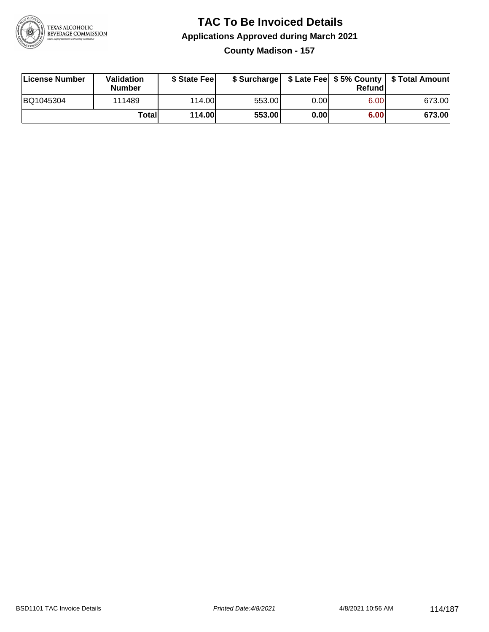

**County Madison - 157**

| License Number | <b>Validation</b><br>Number | \$ State Feel | \$ Surcharge |       | Refundl |        |
|----------------|-----------------------------|---------------|--------------|-------|---------|--------|
| BQ1045304      | 111489                      | 114.00        | 553.00       | 0.001 | 6.00    | 673.00 |
|                | Totall                      | <b>114.00</b> | 553.00       | 0.00  | 6.00    | 673.00 |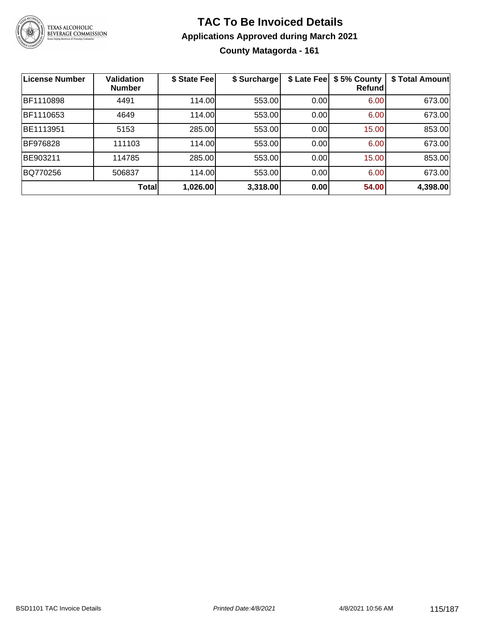

### **TAC To Be Invoiced Details Applications Approved during March 2021 County Matagorda - 161**

| <b>License Number</b> | Validation<br><b>Number</b> | \$ State Fee | \$ Surcharge | \$ Late Fee | \$5% County<br>Refundl | \$ Total Amount |
|-----------------------|-----------------------------|--------------|--------------|-------------|------------------------|-----------------|
| BF1110898             | 4491                        | 114.00       | 553.00       | 0.00        | 6.00                   | 673.00          |
| BF1110653             | 4649                        | 114.00       | 553.00       | 0.00        | 6.00                   | 673.00          |
| BE1113951             | 5153                        | 285.00       | 553.00       | 0.00        | 15.00                  | 853.00          |
| BF976828              | 111103                      | 114.00       | 553.00       | 0.00        | 6.00                   | 673.00          |
| BE903211              | 114785                      | 285.00       | 553.00       | 0.00        | 15.00                  | 853.00          |
| BQ770256              | 506837                      | 114.00       | 553.00       | 0.00        | 6.00                   | 673.00          |
|                       | <b>Total</b>                | 1,026.00     | 3,318.00     | 0.00        | 54.00                  | 4,398.00        |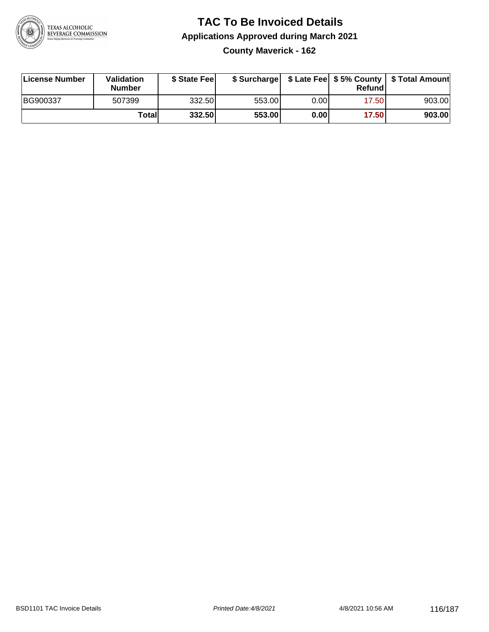

**County Maverick - 162**

| License Number | <b>Validation</b><br><b>Number</b> | \$ State Feel |        |      | Refundl | \$ Surcharge   \$ Late Fee   \$5% County   \$ Total Amount |
|----------------|------------------------------------|---------------|--------|------|---------|------------------------------------------------------------|
| BG900337       | 507399                             | 332.50        | 553.00 | 0.00 | 17.50   | 903.00                                                     |
|                | Totall                             | 332.50        | 553.00 | 0.00 | 17.50   | 903.00                                                     |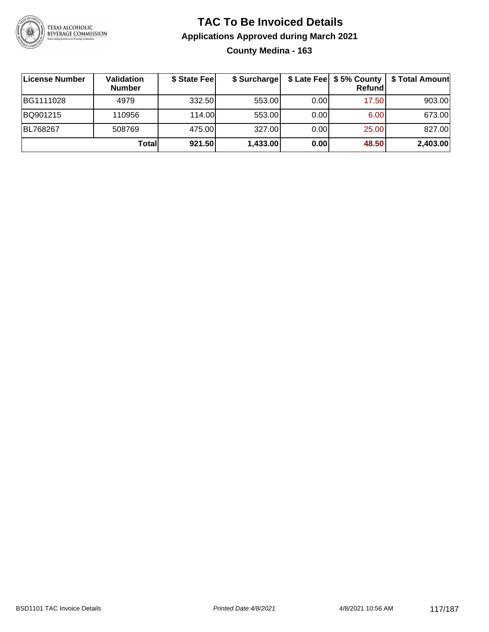

### **TAC To Be Invoiced Details Applications Approved during March 2021 County Medina - 163**

| <b>License Number</b> | Validation<br><b>Number</b> | \$ State Fee | \$ Surcharge |      | \$ Late Fee   \$5% County<br><b>Refund</b> | \$ Total Amount |
|-----------------------|-----------------------------|--------------|--------------|------|--------------------------------------------|-----------------|
| BG1111028             | 4979                        | 332.50       | 553.00       | 0.00 | 17.50                                      | 903.00          |
| BQ901215              | 110956                      | 114.00       | 553.00       | 0.00 | 6.00                                       | 673.00          |
| BL768267              | 508769                      | 475.00       | 327.00       | 0.00 | 25.00                                      | 827.00          |
|                       | Total                       | 921.50       | 1,433.00     | 0.00 | 48.50                                      | 2,403.00        |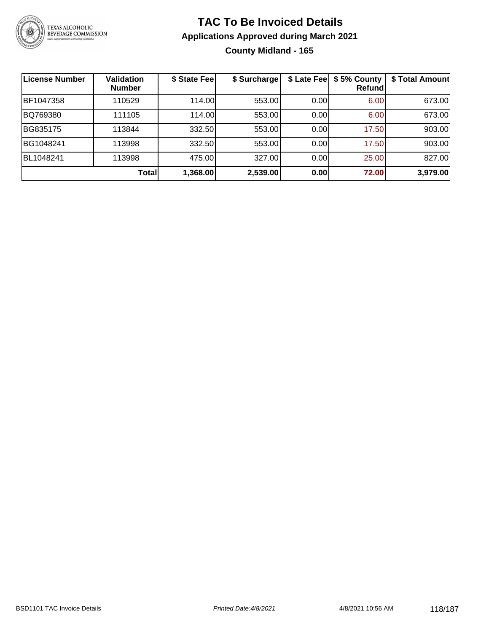

### **TAC To Be Invoiced Details Applications Approved during March 2021 County Midland - 165**

| <b>License Number</b> | <b>Validation</b><br><b>Number</b> | \$ State Fee | \$ Surcharge |      | \$ Late Fee   \$5% County<br>Refund | \$ Total Amount |
|-----------------------|------------------------------------|--------------|--------------|------|-------------------------------------|-----------------|
| BF1047358             | 110529                             | 114.00       | 553.00       | 0.00 | 6.00                                | 673.00          |
| BQ769380              | 111105                             | 114.00       | 553.00       | 0.00 | 6.00                                | 673.00          |
| BG835175              | 113844                             | 332.50       | 553.00       | 0.00 | 17.50                               | 903.00          |
| BG1048241             | 113998                             | 332.50       | 553.00       | 0.00 | 17.50                               | 903.00          |
| BL1048241             | 113998                             | 475.00       | 327.00       | 0.00 | 25.00                               | 827.00          |
|                       | Total                              | 1,368.00     | 2,539.00     | 0.00 | 72.00                               | 3,979.00        |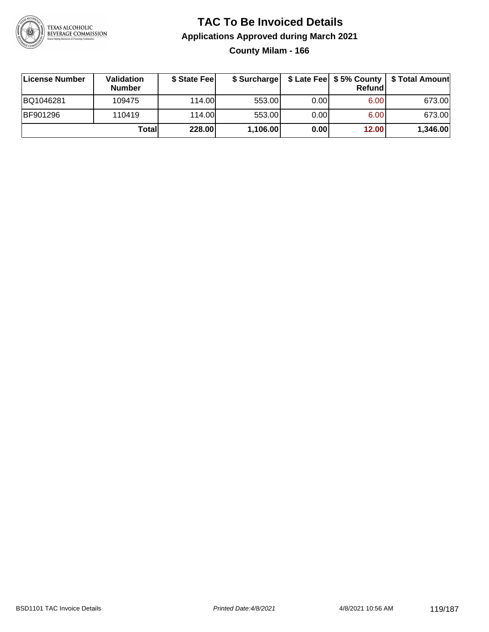

**County Milam - 166**

| ∣License Number | <b>Validation</b><br><b>Number</b> | \$ State Fee | \$ Surcharge |       | Refundl | \$ Late Fee   \$5% County   \$ Total Amount |
|-----------------|------------------------------------|--------------|--------------|-------|---------|---------------------------------------------|
| BQ1046281       | 109475                             | 114.00       | 553.00       | 0.001 | 6.00    | 673.00                                      |
| <b>BF901296</b> | 110419                             | 114.00       | 553.00       | 0.001 | 6.00    | 673.00                                      |
|                 | Totall                             | 228.00       | 1,106.00     | 0.00  | 12.00   | 1,346.00                                    |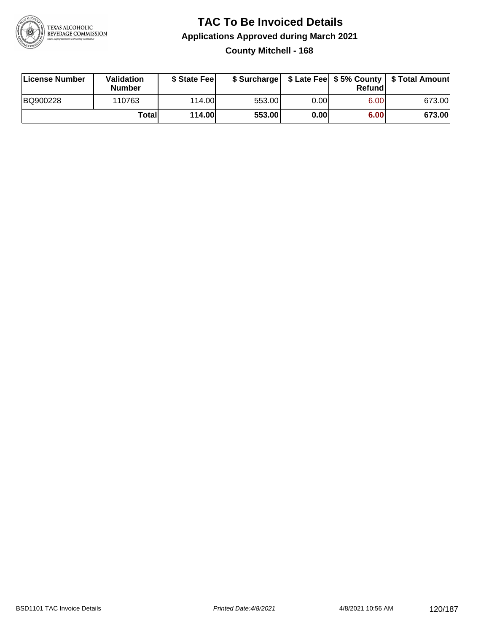

### **TAC To Be Invoiced Details Applications Approved during March 2021 County Mitchell - 168**

| License Number | <b>Validation</b><br><b>Number</b> | \$ State Feel |        |       | Refundl | \$ Surcharge   \$ Late Fee   \$5% County   \$ Total Amount |
|----------------|------------------------------------|---------------|--------|-------|---------|------------------------------------------------------------|
| BQ900228       | 110763                             | 114.00L       | 553.00 | 0.00  | 6.00    | 673.00                                                     |
|                | Totall                             | <b>114.00</b> | 553.00 | 0.001 | 6.00    | 673.00                                                     |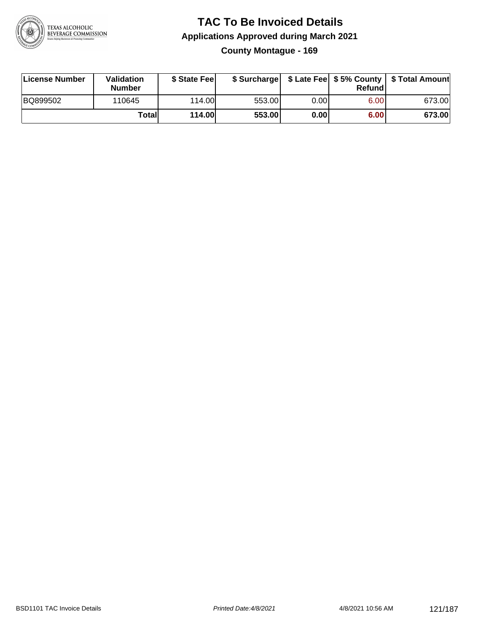

### **TAC To Be Invoiced Details Applications Approved during March 2021 County Montague - 169**

| License Number | Validation<br><b>Number</b> | \$ State Feel |        |      | Refund | \$ Surcharge   \$ Late Fee   \$5% County   \$ Total Amount |
|----------------|-----------------------------|---------------|--------|------|--------|------------------------------------------------------------|
| BQ899502       | 110645                      | 114.00        | 553.00 | 0.00 | 6.00   | 673.00                                                     |
|                | Totall                      | <b>114.00</b> | 553.00 | 0.00 | 6.00   | 673.00                                                     |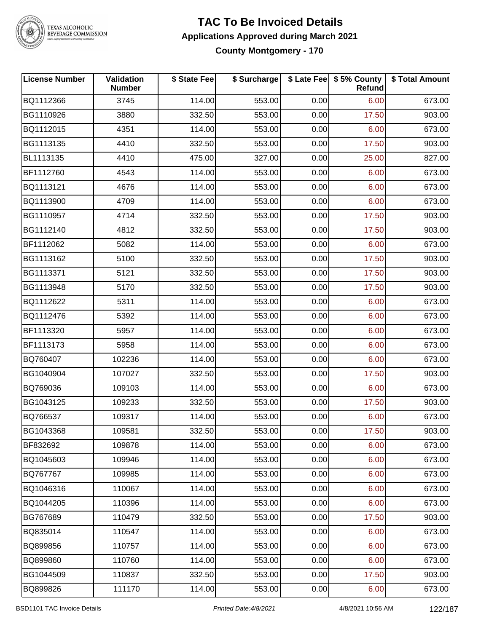

# TEXAS ALCOHOLIC<br>BEVERAGE COMMISSION

### **TAC To Be Invoiced Details Applications Approved during March 2021 County Montgomery - 170**

| <b>License Number</b> | <b>Validation</b><br><b>Number</b> | \$ State Fee | \$ Surcharge |      | \$ Late Fee   \$5% County<br>Refund | \$ Total Amount |
|-----------------------|------------------------------------|--------------|--------------|------|-------------------------------------|-----------------|
| BQ1112366             | 3745                               | 114.00       | 553.00       | 0.00 | 6.00                                | 673.00          |
| BG1110926             | 3880                               | 332.50       | 553.00       | 0.00 | 17.50                               | 903.00          |
| BQ1112015             | 4351                               | 114.00       | 553.00       | 0.00 | 6.00                                | 673.00          |
| BG1113135             | 4410                               | 332.50       | 553.00       | 0.00 | 17.50                               | 903.00          |
| BL1113135             | 4410                               | 475.00       | 327.00       | 0.00 | 25.00                               | 827.00          |
| BF1112760             | 4543                               | 114.00       | 553.00       | 0.00 | 6.00                                | 673.00          |
| BQ1113121             | 4676                               | 114.00       | 553.00       | 0.00 | 6.00                                | 673.00          |
| BQ1113900             | 4709                               | 114.00       | 553.00       | 0.00 | 6.00                                | 673.00          |
| BG1110957             | 4714                               | 332.50       | 553.00       | 0.00 | 17.50                               | 903.00          |
| BG1112140             | 4812                               | 332.50       | 553.00       | 0.00 | 17.50                               | 903.00          |
| BF1112062             | 5082                               | 114.00       | 553.00       | 0.00 | 6.00                                | 673.00          |
| BG1113162             | 5100                               | 332.50       | 553.00       | 0.00 | 17.50                               | 903.00          |
| BG1113371             | 5121                               | 332.50       | 553.00       | 0.00 | 17.50                               | 903.00          |
| BG1113948             | 5170                               | 332.50       | 553.00       | 0.00 | 17.50                               | 903.00          |
| BQ1112622             | 5311                               | 114.00       | 553.00       | 0.00 | 6.00                                | 673.00          |
| BQ1112476             | 5392                               | 114.00       | 553.00       | 0.00 | 6.00                                | 673.00          |
| BF1113320             | 5957                               | 114.00       | 553.00       | 0.00 | 6.00                                | 673.00          |
| BF1113173             | 5958                               | 114.00       | 553.00       | 0.00 | 6.00                                | 673.00          |
| BQ760407              | 102236                             | 114.00       | 553.00       | 0.00 | 6.00                                | 673.00          |
| BG1040904             | 107027                             | 332.50       | 553.00       | 0.00 | 17.50                               | 903.00          |
| BQ769036              | 109103                             | 114.00       | 553.00       | 0.00 | 6.00                                | 673.00          |
| BG1043125             | 109233                             | 332.50       | 553.00       | 0.00 | 17.50                               | 903.00          |
| BQ766537              | 109317                             | 114.00       | 553.00       | 0.00 | 6.00                                | 673.00          |
| BG1043368             | 109581                             | 332.501      | 553.00       | 0.00 | 17.50                               | 903.00          |
| BF832692              | 109878                             | 114.00       | 553.00       | 0.00 | 6.00                                | 673.00          |
| BQ1045603             | 109946                             | 114.00       | 553.00       | 0.00 | 6.00                                | 673.00          |
| BQ767767              | 109985                             | 114.00       | 553.00       | 0.00 | 6.00                                | 673.00          |
| BQ1046316             | 110067                             | 114.00       | 553.00       | 0.00 | 6.00                                | 673.00          |
| BQ1044205             | 110396                             | 114.00       | 553.00       | 0.00 | 6.00                                | 673.00          |
| BG767689              | 110479                             | 332.50       | 553.00       | 0.00 | 17.50                               | 903.00          |
| BQ835014              | 110547                             | 114.00       | 553.00       | 0.00 | 6.00                                | 673.00          |
| BQ899856              | 110757                             | 114.00       | 553.00       | 0.00 | 6.00                                | 673.00          |
| BQ899860              | 110760                             | 114.00       | 553.00       | 0.00 | 6.00                                | 673.00          |
| BG1044509             | 110837                             | 332.50       | 553.00       | 0.00 | 17.50                               | 903.00          |
| BQ899826              | 111170                             | 114.00       | 553.00       | 0.00 | 6.00                                | 673.00          |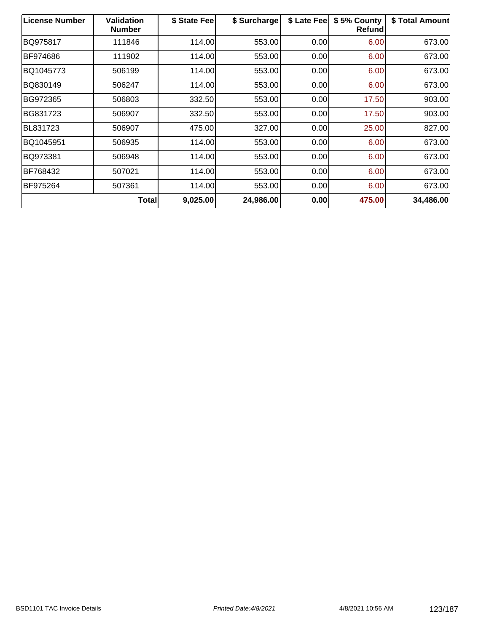| <b>License Number</b> | Validation<br><b>Number</b> | \$ State Fee | \$ Surcharge | \$ Late Fee | \$5% County<br><b>Refund</b> | \$ Total Amount |
|-----------------------|-----------------------------|--------------|--------------|-------------|------------------------------|-----------------|
| BQ975817              | 111846                      | 114.00       | 553.00       | 0.00        | 6.00                         | 673.00          |
| BF974686              | 111902                      | 114.00       | 553.00       | 0.00        | 6.00                         | 673.00          |
| BQ1045773             | 506199                      | 114.00       | 553.00       | 0.00        | 6.00                         | 673.00          |
| BQ830149              | 506247                      | 114.00       | 553.00       | 0.00        | 6.00                         | 673.00          |
| BG972365              | 506803                      | 332.50       | 553.00       | 0.00        | 17.50                        | 903.00          |
| BG831723              | 506907                      | 332.50       | 553.00       | 0.00        | 17.50                        | 903.00          |
| BL831723              | 506907                      | 475.00       | 327.00       | 0.00        | 25.00                        | 827.00          |
| BQ1045951             | 506935                      | 114.00       | 553.00       | 0.00        | 6.00                         | 673.00          |
| BQ973381              | 506948                      | 114.00       | 553.00       | 0.00        | 6.00                         | 673.00          |
| BF768432              | 507021                      | 114.00       | 553.00       | 0.00        | 6.00                         | 673.00          |
| BF975264              | 507361                      | 114.00       | 553.00       | 0.00        | 6.00                         | 673.00          |
|                       | Total                       | 9,025.00     | 24,986.00    | 0.00        | 475.00                       | 34,486.00       |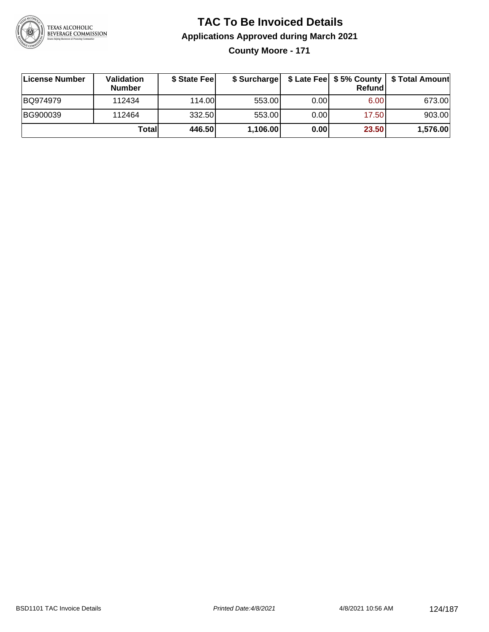

**County Moore - 171**

| License Number | <b>Validation</b><br><b>Number</b> | \$ State Fee | \$ Surcharge |       | Refundl | \$ Late Fee   \$5% County   \$ Total Amount |
|----------------|------------------------------------|--------------|--------------|-------|---------|---------------------------------------------|
| BQ974979       | 112434                             | 114.00       | 553.00       | 0.001 | 6.00    | 673.00                                      |
| BG900039       | 112464                             | 332.50       | 553.00       | 0.001 | 17.50   | 903.00                                      |
|                | Totall                             | 446.50       | 1,106.00     | 0.00  | 23.50   | 1,576.00                                    |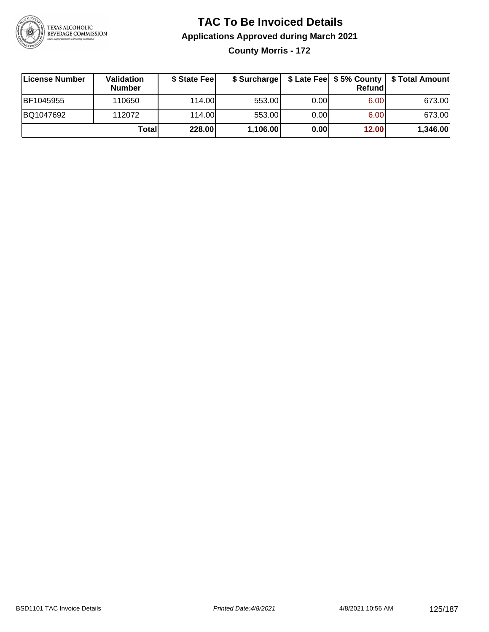

**County Morris - 172**

| License Number | Validation<br><b>Number</b> | \$ State Fee | \$ Surcharge |       | Refundl | \$ Late Fee   \$5% County   \$ Total Amount |
|----------------|-----------------------------|--------------|--------------|-------|---------|---------------------------------------------|
| BF1045955      | 110650                      | 114.00       | 553.00       | 0.00  | 6.00    | 673.00                                      |
| BQ1047692      | 112072                      | 114.00       | 553.00       | 0.001 | 6.00    | 673.00                                      |
|                | Totall                      | 228.00       | 1,106.00     | 0.00  | 12.00   | 1,346.00                                    |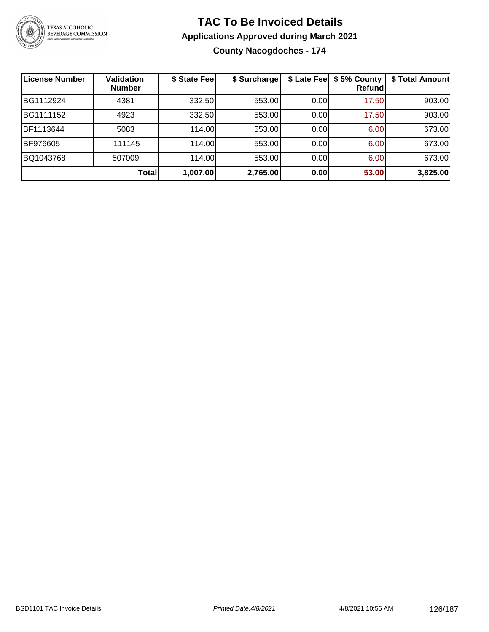

**County Nacogdoches - 174**

| <b>License Number</b> | <b>Validation</b><br><b>Number</b> | \$ State Fee | \$ Surcharge |       | \$ Late Fee   \$5% County<br>Refundl | \$ Total Amount |
|-----------------------|------------------------------------|--------------|--------------|-------|--------------------------------------|-----------------|
| BG1112924             | 4381                               | 332.50       | 553.00       | 0.00  | 17.50                                | 903.00          |
| BG1111152             | 4923                               | 332.50       | 553.00       | 0.00  | 17.50                                | 903.00          |
| BF1113644             | 5083                               | 114.00       | 553.00       | 0.001 | 6.00                                 | 673.00          |
| BF976605              | 111145                             | 114.00       | 553.00       | 0.00  | 6.00                                 | 673.00          |
| BQ1043768             | 507009                             | 114.00       | 553.00       | 0.001 | 6.00                                 | 673.00          |
|                       | Totall                             | 1,007.00     | 2,765.00     | 0.00  | 53.00                                | 3,825.00        |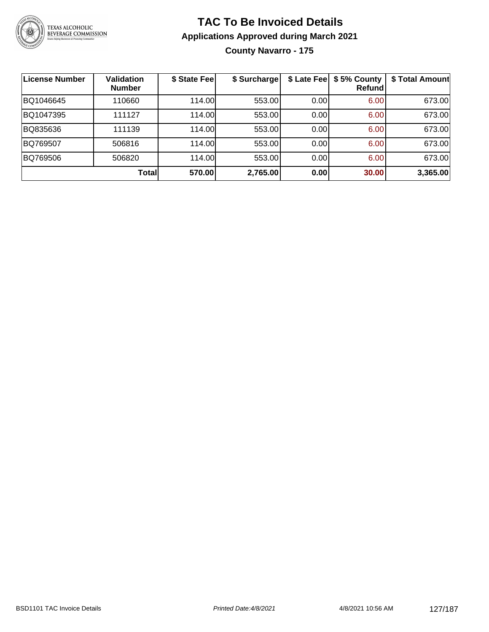

### **TAC To Be Invoiced Details Applications Approved during March 2021 County Navarro - 175**

| License Number | <b>Validation</b><br><b>Number</b> | \$ State Fee | \$ Surcharge |      | \$ Late Fee   \$5% County<br>Refund | \$ Total Amount |
|----------------|------------------------------------|--------------|--------------|------|-------------------------------------|-----------------|
| BQ1046645      | 110660                             | 114.00       | 553.00       | 0.00 | 6.00                                | 673.00          |
| BQ1047395      | 111127                             | 114.00       | 553.00       | 0.00 | 6.00                                | 673.00          |
| BQ835636       | 111139                             | 114.00       | 553.00       | 0.00 | 6.00                                | 673.00          |
| BQ769507       | 506816                             | 114.00       | 553.00       | 0.00 | 6.00                                | 673.00          |
| BQ769506       | 506820                             | 114.00       | 553.00       | 0.00 | 6.00                                | 673.00          |
|                | Total                              | 570.00       | 2,765.00     | 0.00 | 30.00                               | 3,365.00        |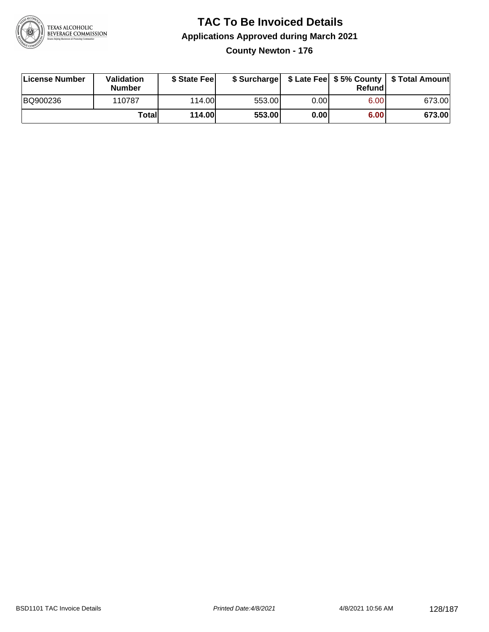

**County Newton - 176**

| License Number | <b>Validation</b><br>Number | \$ State Feel | \$ Surcharge |       | Refundl | \$ Late Fee   \$5% County   \$ Total Amount |
|----------------|-----------------------------|---------------|--------------|-------|---------|---------------------------------------------|
| BQ900236       | 110787                      | 114.00        | 553.00       | 0.001 | 6.00    | 673.00                                      |
|                | Totall                      | 114.00        | 553.00       | 0.00  | 6.00    | 673.00                                      |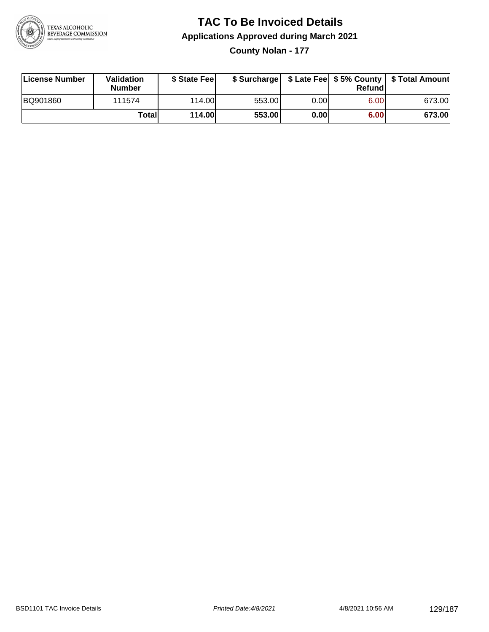

**County Nolan - 177**

| License Number | Validation<br><b>Number</b> | \$ State Fee  | \$ Surcharge |      | Refundl | \$ Late Fee   \$5% County   \$ Total Amount |
|----------------|-----------------------------|---------------|--------------|------|---------|---------------------------------------------|
| BQ901860       | 111574                      | 114.00        | 553.00       | 0.00 | 6.00    | 673.00                                      |
|                | Totall                      | <b>114.00</b> | 553.00       | 0.00 | 6.00    | 673.00                                      |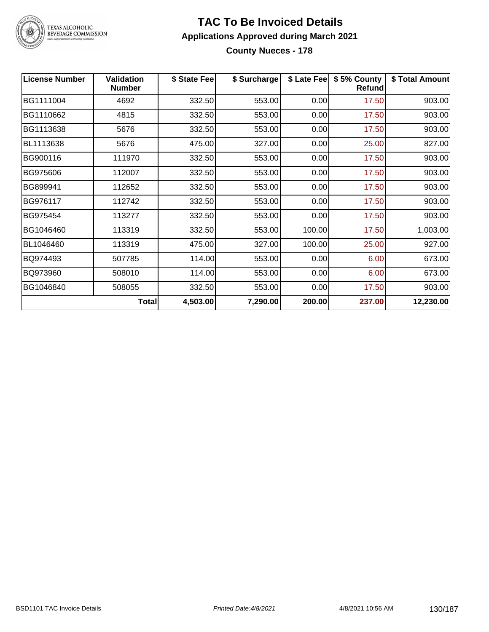

## TEXAS ALCOHOLIC<br>BEVERAGE COMMISSION

### **TAC To Be Invoiced Details Applications Approved during March 2021 County Nueces - 178**

| <b>License Number</b> | <b>Validation</b><br><b>Number</b> | \$ State Fee | \$ Surcharge | \$ Late Fee | \$5% County<br><b>Refund</b> | \$ Total Amount |
|-----------------------|------------------------------------|--------------|--------------|-------------|------------------------------|-----------------|
| BG1111004             | 4692                               | 332.50       | 553.00       | 0.00        | 17.50                        | 903.00          |
| BG1110662             | 4815                               | 332.50       | 553.00       | 0.00        | 17.50                        | 903.00          |
| BG1113638             | 5676                               | 332.50       | 553.00       | 0.00        | 17.50                        | 903.00          |
| BL1113638             | 5676                               | 475.00       | 327.00       | 0.00        | 25.00                        | 827.00          |
| BG900116              | 111970                             | 332.50       | 553.00       | 0.00        | 17.50                        | 903.00          |
| BG975606              | 112007                             | 332.50       | 553.00       | 0.00        | 17.50                        | 903.00          |
| BG899941              | 112652                             | 332.50       | 553.00       | 0.00        | 17.50                        | 903.00          |
| BG976117              | 112742                             | 332.50       | 553.00       | 0.00        | 17.50                        | 903.00          |
| BG975454              | 113277                             | 332.50       | 553.00       | 0.00        | 17.50                        | 903.00          |
| BG1046460             | 113319                             | 332.50       | 553.00       | 100.00      | 17.50                        | 1,003.00        |
| BL1046460             | 113319                             | 475.00       | 327.00       | 100.00      | 25.00                        | 927.00          |
| BQ974493              | 507785                             | 114.00       | 553.00       | 0.00        | 6.00                         | 673.00          |
| BQ973960              | 508010                             | 114.00       | 553.00       | 0.00        | 6.00                         | 673.00          |
| BG1046840             | 508055                             | 332.50       | 553.00       | 0.00        | 17.50                        | 903.00          |
|                       | <b>Total</b>                       | 4,503.00     | 7,290.00     | 200.00      | 237.00                       | 12,230.00       |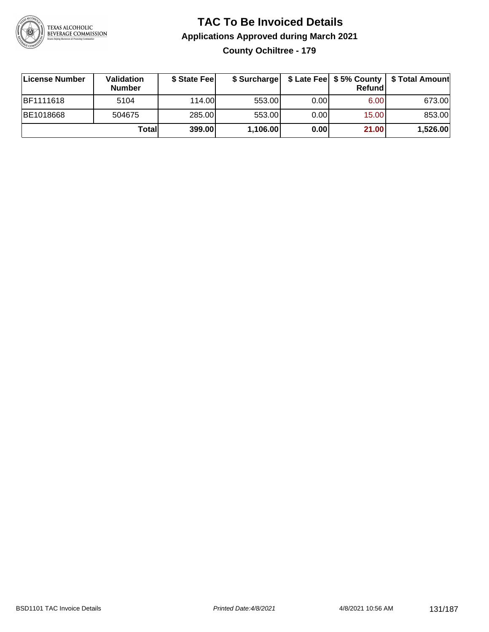

### **TAC To Be Invoiced Details Applications Approved during March 2021 County Ochiltree - 179**

| License Number | Validation<br><b>Number</b> | \$ State Feel | \$ Surcharge |      | Refund | \$ Late Fee   \$5% County   \$ Total Amount |
|----------------|-----------------------------|---------------|--------------|------|--------|---------------------------------------------|
| BF1111618      | 5104                        | 114.00L       | 553.00       | 0.00 | 6.00   | 673.00                                      |
| BE1018668      | 504675                      | 285.00        | 553.00       | 0.00 | 15.00  | 853.00                                      |
|                | Totall                      | 399.00        | 1,106.00     | 0.00 | 21.00  | 1,526.00                                    |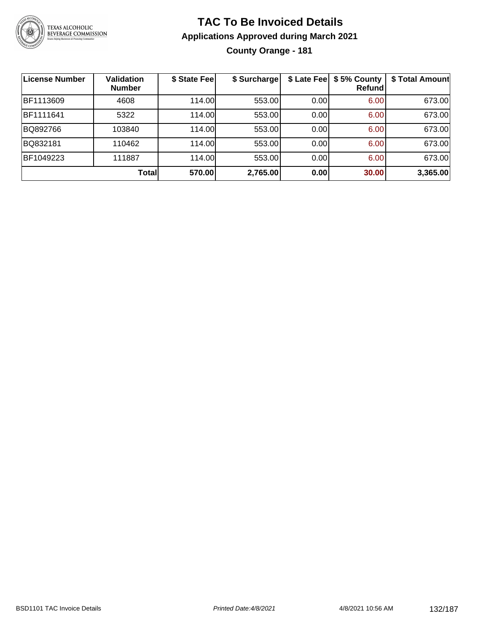

### **TAC To Be Invoiced Details Applications Approved during March 2021 County Orange - 181**

| <b>License Number</b> | <b>Validation</b><br><b>Number</b> | \$ State Fee | \$ Surcharge |      | \$ Late Fee   \$5% County<br>Refund | \$ Total Amount |
|-----------------------|------------------------------------|--------------|--------------|------|-------------------------------------|-----------------|
| BF1113609             | 4608                               | 114.00       | 553.00       | 0.00 | 6.00                                | 673.00          |
| BF1111641             | 5322                               | 114.00       | 553.00       | 0.00 | 6.00                                | 673.00          |
| BQ892766              | 103840                             | 114.00       | 553.00       | 0.00 | 6.00                                | 673.00          |
| BQ832181              | 110462                             | 114.00       | 553.00       | 0.00 | 6.00                                | 673.00          |
| BF1049223             | 111887                             | 114.00       | 553.00       | 0.00 | 6.00                                | 673.00          |
|                       | Total                              | 570.00       | 2,765.00     | 0.00 | 30.00                               | 3,365.00        |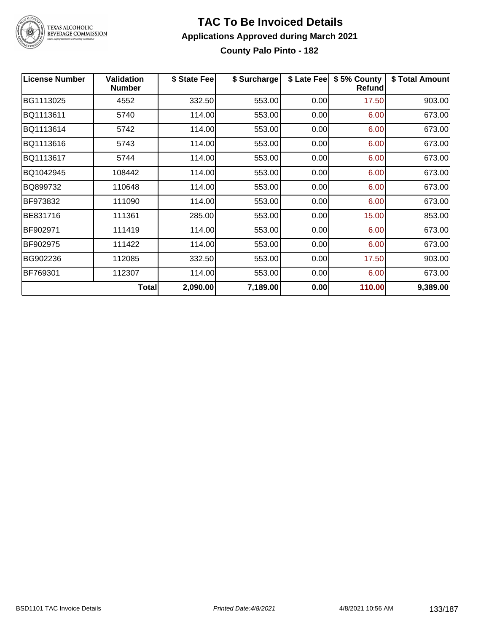

# TEXAS ALCOHOLIC<br>BEVERAGE COMMISSION

### **TAC To Be Invoiced Details Applications Approved during March 2021 County Palo Pinto - 182**

| <b>License Number</b> | <b>Validation</b><br><b>Number</b> | \$ State Fee | \$ Surcharge | \$ Late Fee | \$5% County<br>Refund | \$ Total Amount |
|-----------------------|------------------------------------|--------------|--------------|-------------|-----------------------|-----------------|
| BG1113025             | 4552                               | 332.50       | 553.00       | 0.00        | 17.50                 | 903.00          |
| BQ1113611             | 5740                               | 114.00       | 553.00       | 0.00        | 6.00                  | 673.00          |
| BQ1113614             | 5742                               | 114.00       | 553.00       | 0.00        | 6.00                  | 673.00          |
| BQ1113616             | 5743                               | 114.00       | 553.00       | 0.00        | 6.00                  | 673.00          |
| BQ1113617             | 5744                               | 114.00       | 553.00       | 0.00        | 6.00                  | 673.00          |
| BQ1042945             | 108442                             | 114.00       | 553.00       | 0.00        | 6.00                  | 673.00          |
| BQ899732              | 110648                             | 114.00       | 553.00       | 0.00        | 6.00                  | 673.00          |
| BF973832              | 111090                             | 114.00       | 553.00       | 0.00        | 6.00                  | 673.00          |
| BE831716              | 111361                             | 285.00       | 553.00       | 0.00        | 15.00                 | 853.00          |
| BF902971              | 111419                             | 114.00       | 553.00       | 0.00        | 6.00                  | 673.00          |
| BF902975              | 111422                             | 114.00       | 553.00       | 0.00        | 6.00                  | 673.00          |
| BG902236              | 112085                             | 332.50       | 553.00       | 0.00        | 17.50                 | 903.00          |
| BF769301              | 112307                             | 114.00       | 553.00       | 0.00        | 6.00                  | 673.00          |
|                       | Total                              | 2,090.00     | 7,189.00     | 0.00        | 110.00                | 9,389.00        |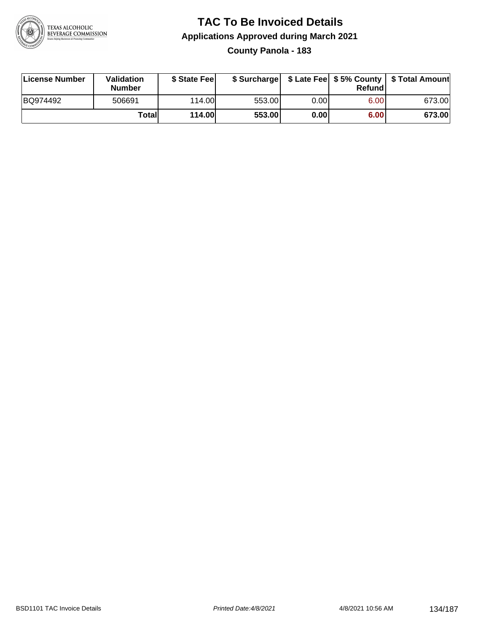

### **TAC To Be Invoiced Details Applications Approved during March 2021 County Panola - 183**

| License Number | <b>Validation</b><br><b>Number</b> | \$ State Feel |        |      | Refund | \$ Surcharge   \$ Late Fee   \$5% County   \$ Total Amount |
|----------------|------------------------------------|---------------|--------|------|--------|------------------------------------------------------------|
| BQ974492       | 506691                             | 114.00L       | 553.00 | 0.00 | 6.00   | 673.00                                                     |
|                | Totall                             | <b>114.00</b> | 553.00 | 0.00 | 6.00   | 673.00                                                     |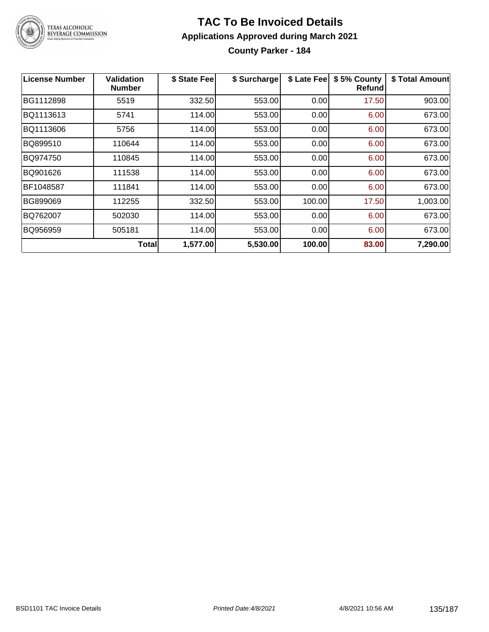

**County Parker - 184**

| <b>License Number</b> | Validation<br><b>Number</b> | \$ State Fee | \$ Surcharge | \$ Late Fee | \$5% County<br><b>Refund</b> | \$ Total Amount |
|-----------------------|-----------------------------|--------------|--------------|-------------|------------------------------|-----------------|
| BG1112898             | 5519                        | 332.50       | 553.00       | 0.00        | 17.50                        | 903.00          |
| BQ1113613             | 5741                        | 114.00       | 553.00       | 0.00        | 6.00                         | 673.00          |
| BQ1113606             | 5756                        | 114.00       | 553.00       | 0.00        | 6.00                         | 673.00          |
| BQ899510              | 110644                      | 114.00       | 553.00       | 0.00        | 6.00                         | 673.00          |
| BQ974750              | 110845                      | 114.00       | 553.00       | 0.00        | 6.00                         | 673.00          |
| BQ901626              | 111538                      | 114.00       | 553.00       | 0.00        | 6.00                         | 673.00          |
| BF1048587             | 111841                      | 114.00       | 553.00       | 0.00        | 6.00                         | 673.00          |
| <b>BG899069</b>       | 112255                      | 332.50       | 553.00       | 100.00      | 17.50                        | 1,003.00        |
| BQ762007              | 502030                      | 114.00       | 553.00       | 0.00        | 6.00                         | 673.00          |
| BQ956959              | 505181                      | 114.00       | 553.00       | 0.00        | 6.00                         | 673.00          |
|                       | <b>Total</b>                | 1,577.00     | 5,530.00     | 100.00      | 83.00                        | 7,290.00        |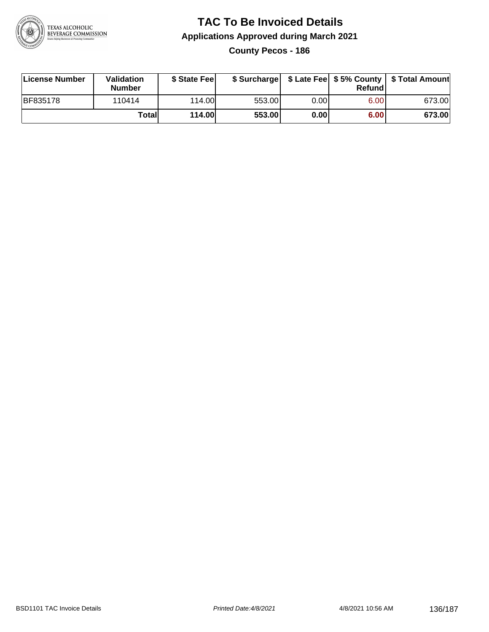

**County Pecos - 186**

| License Number  | <b>Validation</b><br><b>Number</b> | \$ State Feel |        |       | Refundl | \$ Surcharge   \$ Late Fee   \$5% County   \$ Total Amount |
|-----------------|------------------------------------|---------------|--------|-------|---------|------------------------------------------------------------|
| <b>BF835178</b> | 110414                             | 114.00L       | 553.00 | 0.00I | 6.00    | 673.00                                                     |
|                 | Totall                             | <b>114.00</b> | 553.00 | 0.00  | 6.00    | 673.00                                                     |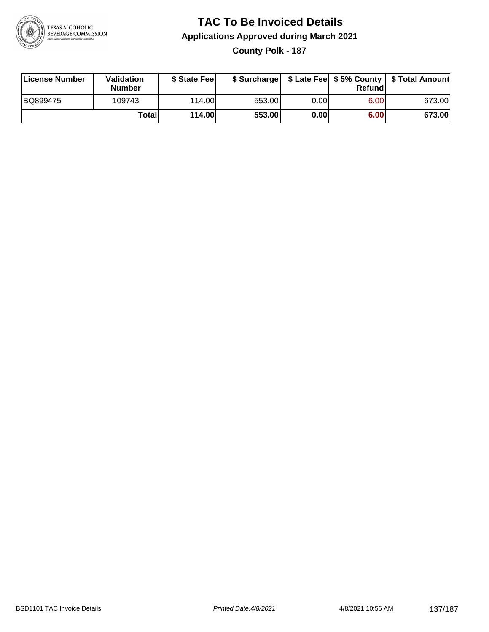

### **TAC To Be Invoiced Details Applications Approved during March 2021 County Polk - 187**

| License Number | <b>Validation</b><br><b>Number</b> | \$ State Feel |        |      | Refund | \$ Surcharge   \$ Late Fee   \$5% County   \$ Total Amount |
|----------------|------------------------------------|---------------|--------|------|--------|------------------------------------------------------------|
| BQ899475       | 109743                             | 114.00L       | 553.00 | 0.00 | 6.00   | 673.00                                                     |
|                | Total                              | <b>114.00</b> | 553.00 | 0.00 | 6.00   | 673.00                                                     |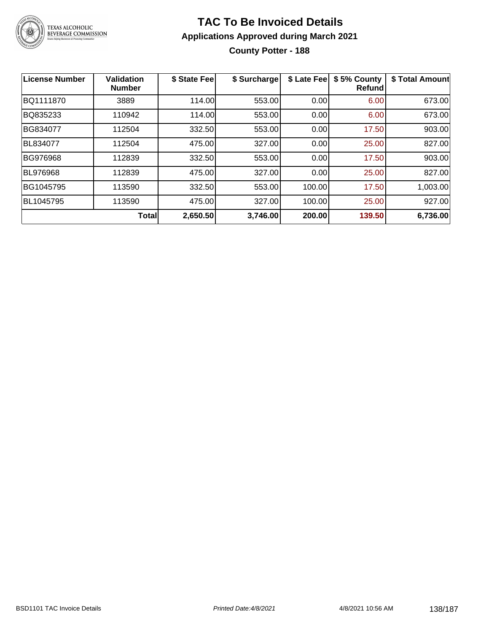

### **TAC To Be Invoiced Details Applications Approved during March 2021 County Potter - 188**

| License Number | Validation<br><b>Number</b> | \$ State Fee | \$ Surcharge | \$ Late Fee | \$5% County<br>Refund | \$ Total Amount |
|----------------|-----------------------------|--------------|--------------|-------------|-----------------------|-----------------|
| BQ1111870      | 3889                        | 114.00       | 553.00       | 0.00        | 6.00                  | 673.00          |
| BQ835233       | 110942                      | 114.00       | 553.00       | 0.00        | 6.00                  | 673.00          |
| BG834077       | 112504                      | 332.50       | 553.00       | 0.00        | 17.50                 | 903.00          |
| BL834077       | 112504                      | 475.00       | 327.00       | 0.00        | 25.00                 | 827.00          |
| BG976968       | 112839                      | 332.50       | 553.00       | 0.00        | 17.50                 | 903.00          |
| BL976968       | 112839                      | 475.00       | 327.00       | 0.00        | 25.00                 | 827.00          |
| BG1045795      | 113590                      | 332.50       | 553.00       | 100.00      | 17.50                 | 1,003.00        |
| BL1045795      | 113590                      | 475.00       | 327.00       | 100.00      | 25.00                 | 927.00          |
|                | <b>Total</b>                | 2,650.50     | 3,746.00     | 200.00      | 139.50                | 6,736.00        |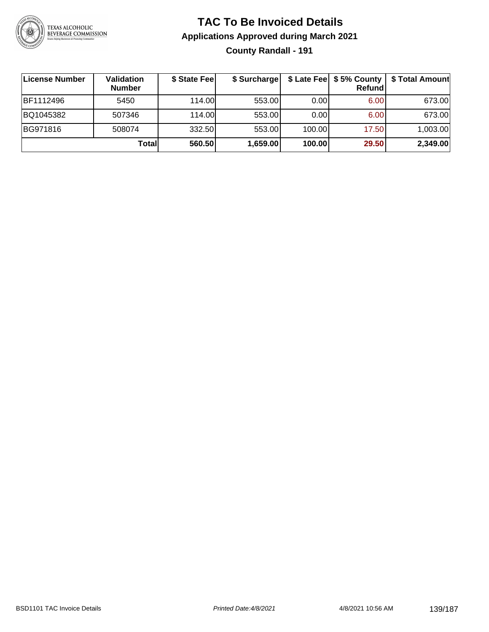

### **TAC To Be Invoiced Details Applications Approved during March 2021 County Randall - 191**

| License Number | Validation<br><b>Number</b> | \$ State Fee | \$ Surcharge |        | \$ Late Fee   \$5% County  <br>Refundl | \$ Total Amount |
|----------------|-----------------------------|--------------|--------------|--------|----------------------------------------|-----------------|
| BF1112496      | 5450                        | 114.00L      | 553.00       | 0.001  | 6.00                                   | 673.00          |
| BQ1045382      | 507346                      | 114.00       | 553.00       | 0.00   | 6.00                                   | 673.00          |
| BG971816       | 508074                      | 332.50       | 553.00       | 100.00 | 17.50                                  | 1,003.00        |
|                | Totall                      | 560.50       | 1,659.00     | 100.00 | 29.50                                  | 2,349.00        |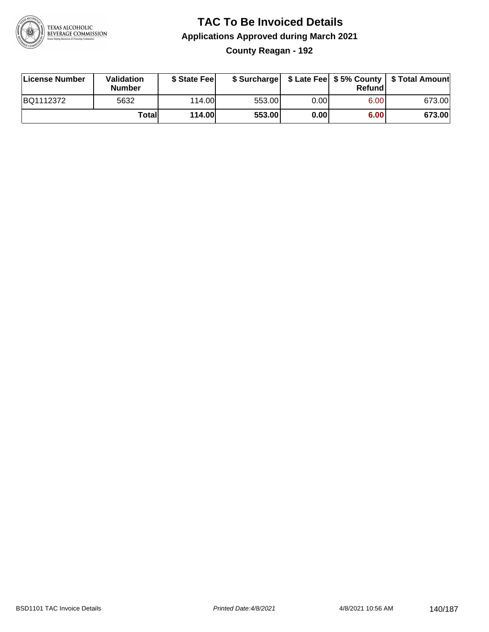

**County Reagan - 192**

| License Number | Validation<br><b>Number</b> | \$ State Fee  | \$ Surcharge |      | Refundl |        |
|----------------|-----------------------------|---------------|--------------|------|---------|--------|
| BQ1112372      | 5632                        | 114.00        | 553.00       | 0.00 | 6.00    | 673.00 |
|                | Totall                      | <b>114.00</b> | 553.00       | 0.00 | 6.00    | 673.00 |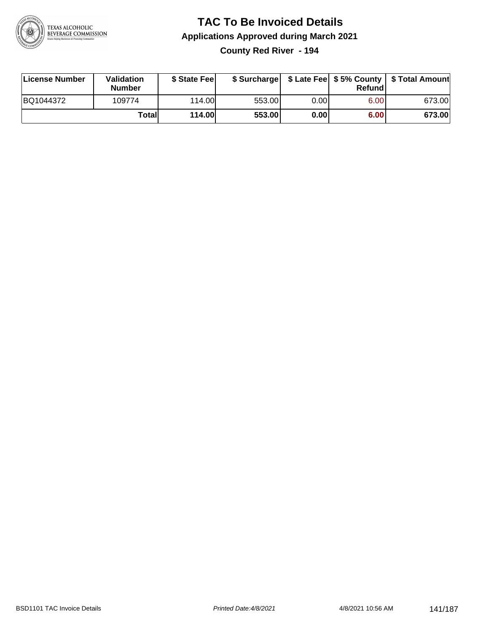

**County Red River - 194**

| License Number | Validation<br><b>Number</b> | \$ State Fee  | \$ Surcharge |       | Refundl | \$ Late Fee   \$5% County   \$ Total Amount |
|----------------|-----------------------------|---------------|--------------|-------|---------|---------------------------------------------|
| BQ1044372      | 109774                      | 114.00L       | 553.00       | 0.00I | 6.00    | 673.00                                      |
|                | Totall                      | <b>114.00</b> | 553.00       | 0.00  | 6.00    | 673.00                                      |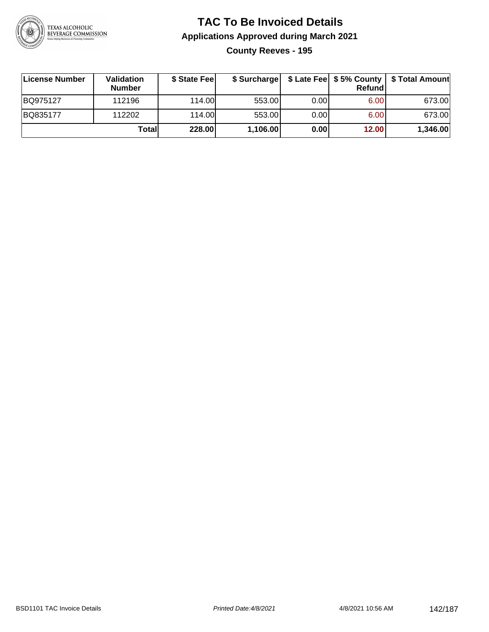

### **TAC To Be Invoiced Details Applications Approved during March 2021 County Reeves - 195**

| License Number | Validation<br><b>Number</b> | \$ State Fee |          |      | Refund            | \$ Surcharge   \$ Late Fee   \$5% County   \$ Total Amount |
|----------------|-----------------------------|--------------|----------|------|-------------------|------------------------------------------------------------|
| BQ975127       | 112196                      | 114.00L      | 553.00   | 0.00 | 6.00 <sub>1</sub> | 673.00                                                     |
| BQ835177       | 112202                      | 114.00L      | 553.00   | 0.00 | 6.00 <sub>1</sub> | 673.00                                                     |
|                | Totall                      | 228.00       | 1,106.00 | 0.00 | 12.00             | 1,346.00                                                   |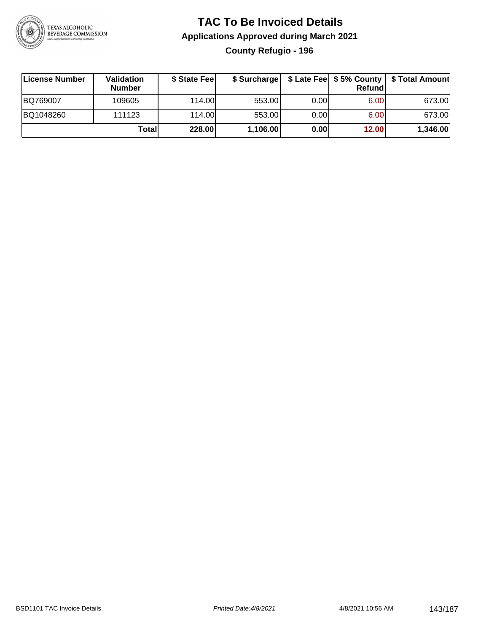

### **TAC To Be Invoiced Details Applications Approved during March 2021 County Refugio - 196**

| <b>License Number</b> | Validation<br><b>Number</b> | \$ State Feel | \$ Surcharge |      | Refundl | \$ Late Fee   \$5% County   \$ Total Amount |
|-----------------------|-----------------------------|---------------|--------------|------|---------|---------------------------------------------|
| BQ769007              | 109605                      | 114.00L       | 553.00       | 0.00 | 6.00    | 673.00                                      |
| BQ1048260             | 111123                      | 114.00L       | 553.00       | 0.00 | 6.00    | 673.00                                      |
|                       | Totall                      | 228.00        | 1,106.00     | 0.00 | 12.00   | 1,346.00                                    |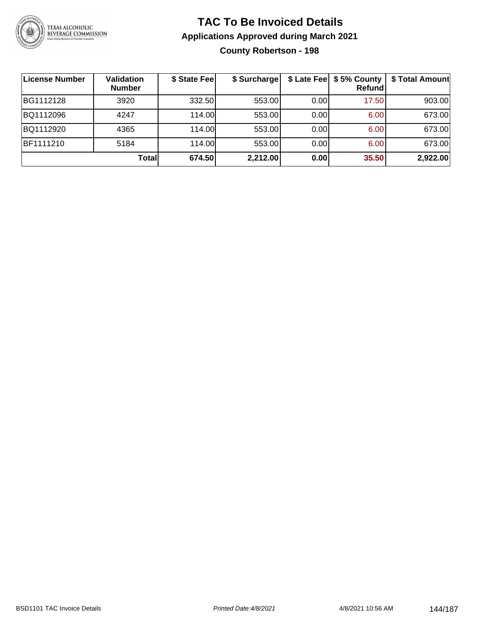

### **TAC To Be Invoiced Details Applications Approved during March 2021 County Robertson - 198**

| <b>License Number</b> | <b>Validation</b><br><b>Number</b> | \$ State Fee | \$ Surcharge |      | \$ Late Fee   \$5% County  <br><b>Refund</b> | \$ Total Amount |
|-----------------------|------------------------------------|--------------|--------------|------|----------------------------------------------|-----------------|
| BG1112128             | 3920                               | 332.50       | 553.00       | 0.00 | 17.50                                        | 903.00          |
| BQ1112096             | 4247                               | 114.00L      | 553.00       | 0.00 | 6.00                                         | 673.00          |
| BQ1112920             | 4365                               | 114.00       | 553.00       | 0.00 | 6.00                                         | 673.00          |
| BF1111210             | 5184                               | 114.00L      | 553.00       | 0.00 | 6.00                                         | 673.00          |
|                       | Totall                             | 674.50       | 2,212.00     | 0.00 | 35.50                                        | 2,922.00        |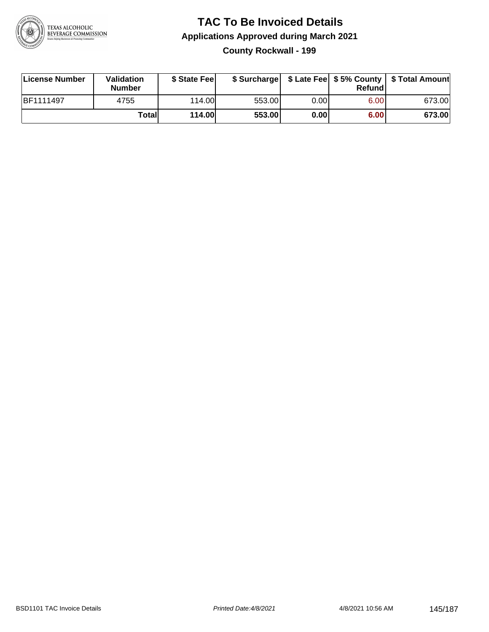

### **TAC To Be Invoiced Details Applications Approved during March 2021 County Rockwall - 199**

| License Number   | Validation<br><b>Number</b> | \$ State Feel |        |      | Refund | \$ Surcharge   \$ Late Fee   \$5% County   \$ Total Amount |
|------------------|-----------------------------|---------------|--------|------|--------|------------------------------------------------------------|
| <b>BF1111497</b> | 4755                        | 114.00        | 553.00 | 0.00 | 6.00   | 673.00                                                     |
|                  | Totall                      | 114.00        | 553.00 | 0.00 | 6.00   | 673.00                                                     |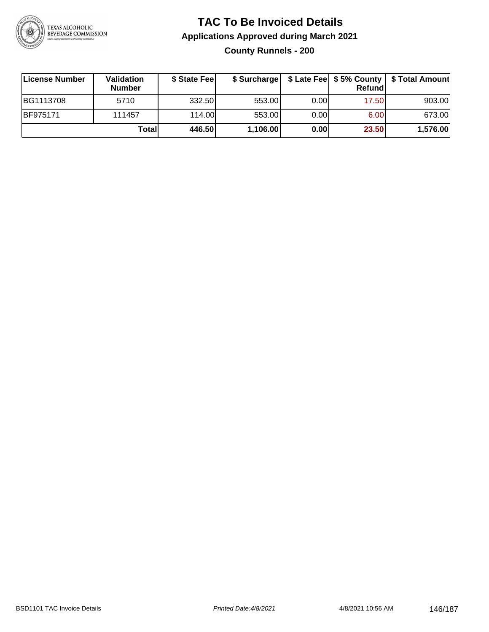

### **TAC To Be Invoiced Details Applications Approved during March 2021 County Runnels - 200**

| License Number   | Validation<br><b>Number</b> | \$ State Fee | \$ Surcharge |       | Refund | \$ Late Fee   \$5% County   \$ Total Amount |
|------------------|-----------------------------|--------------|--------------|-------|--------|---------------------------------------------|
| <b>BG1113708</b> | 5710                        | 332.50       | 553.00       | 0.00  | 17.50  | 903.00                                      |
| <b>BF975171</b>  | 111457                      | 114.00       | 553.00       | 0.001 | 6.00   | 673.00                                      |
|                  | Totall                      | 446.50       | 1,106.00     | 0.00  | 23.50  | 1,576.00                                    |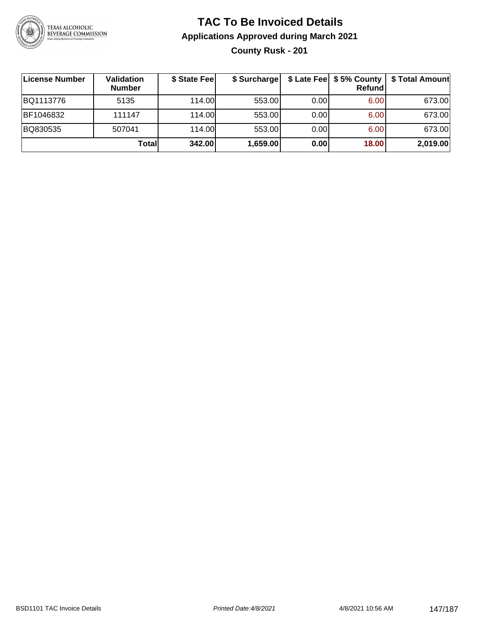

### **TAC To Be Invoiced Details Applications Approved during March 2021 County Rusk - 201**

| ∣License Number | Validation<br><b>Number</b> | \$ State Fee | \$ Surcharge |      | \$ Late Fee   \$5% County<br>Refundl | \$ Total Amount |
|-----------------|-----------------------------|--------------|--------------|------|--------------------------------------|-----------------|
| BQ1113776       | 5135                        | 114.00       | 553.00       | 0.00 | 6.00                                 | 673.00          |
| BF1046832       | 111147                      | 114.00       | 553.00       | 0.00 | 6.00                                 | 673.00          |
| BQ830535        | 507041                      | 114.00       | 553.00       | 0.00 | 6.00                                 | 673.00          |
|                 | Totall                      | 342.00       | 1,659.00     | 0.00 | 18.00                                | 2,019.00        |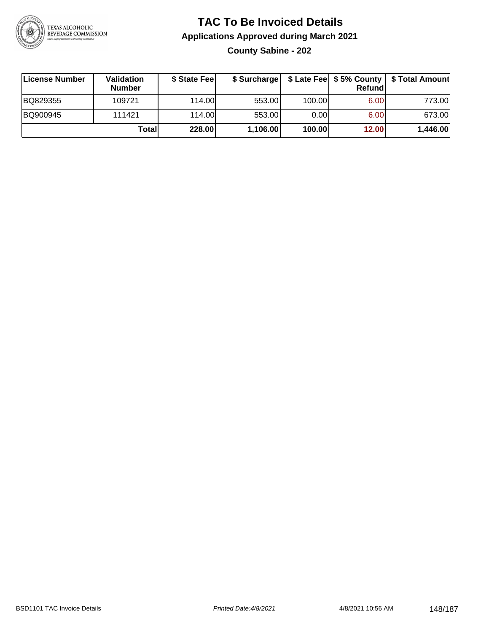

### **TAC To Be Invoiced Details Applications Approved during March 2021 County Sabine - 202**

| <b>∣License Number</b> | <b>Validation</b><br><b>Number</b> | \$ State Feel |          |        | <b>Refund</b> | \$ Surcharge   \$ Late Fee   \$5% County   \$ Total Amount |
|------------------------|------------------------------------|---------------|----------|--------|---------------|------------------------------------------------------------|
| BQ829355               | 109721                             | 114.00L       | 553.00   | 100.00 | 6.00          | 773.00                                                     |
| BQ900945               | 111421                             | 114.00L       | 553.00   | 0.00   | 6.00          | 673.00                                                     |
|                        | Totall                             | 228.00        | 1,106.00 | 100.00 | 12.00         | 1,446.00                                                   |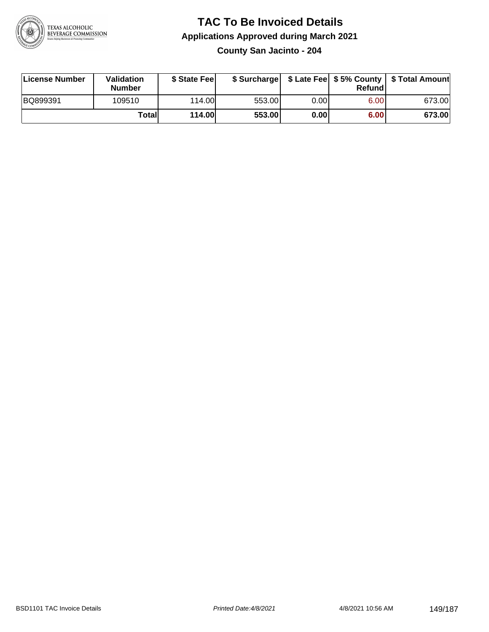

## **TAC To Be Invoiced Details Applications Approved during March 2021**

**County San Jacinto - 204**

| License Number | <b>Validation</b><br><b>Number</b> | \$ State Feel |        |       | Refundl | \$ Surcharge   \$ Late Fee   \$5% County   \$ Total Amount |
|----------------|------------------------------------|---------------|--------|-------|---------|------------------------------------------------------------|
| BQ899391       | 109510                             | 114.00L       | 553.00 | 0.00I | 6.00    | 673.00                                                     |
|                | Totall                             | <b>114.00</b> | 553.00 | 0.00  | 6.00    | 673.00                                                     |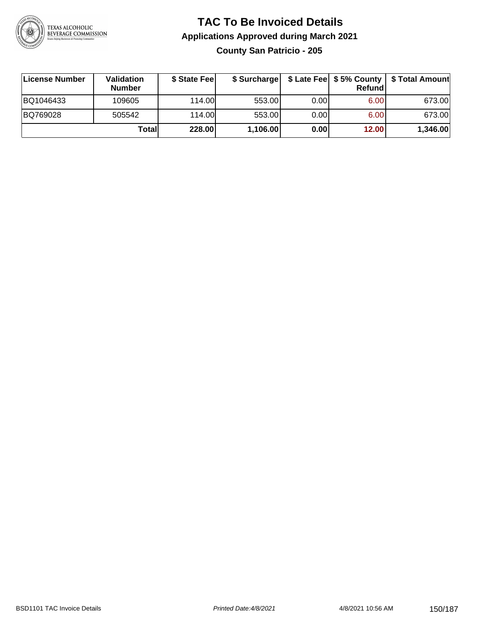

### **TAC To Be Invoiced Details Applications Approved during March 2021 County San Patricio - 205**

| License Number | Validation<br><b>Number</b> | \$ State Feel | \$ Surcharge |      | Refund |          |
|----------------|-----------------------------|---------------|--------------|------|--------|----------|
| BQ1046433      | 109605                      | 114.00L       | 553.00       | 0.00 | 6.00   | 673.00   |
| BQ769028       | 505542                      | 114.00L       | 553.00       | 0.00 | 6.00   | 673.00   |
|                | Totall                      | 228.00        | 1,106.00     | 0.00 | 12.00  | 1,346.00 |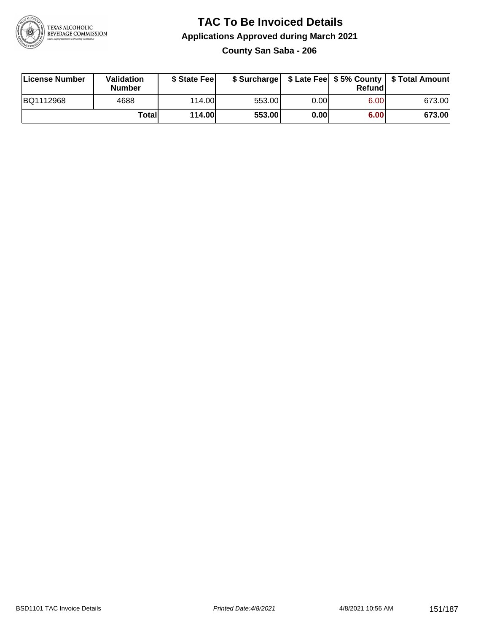

### **TAC To Be Invoiced Details Applications Approved during March 2021 County San Saba - 206**

| License Number | <b>Validation</b><br><b>Number</b> | \$ State Feel |        |      | Refund | \$ Surcharge   \$ Late Fee   \$5% County   \$ Total Amount |
|----------------|------------------------------------|---------------|--------|------|--------|------------------------------------------------------------|
| BQ1112968      | 4688                               | 114.00L       | 553.00 | 0.00 | 6.00   | 673.00                                                     |
|                | Totall                             | <b>114.00</b> | 553.00 | 0.00 | 6.00   | 673.00                                                     |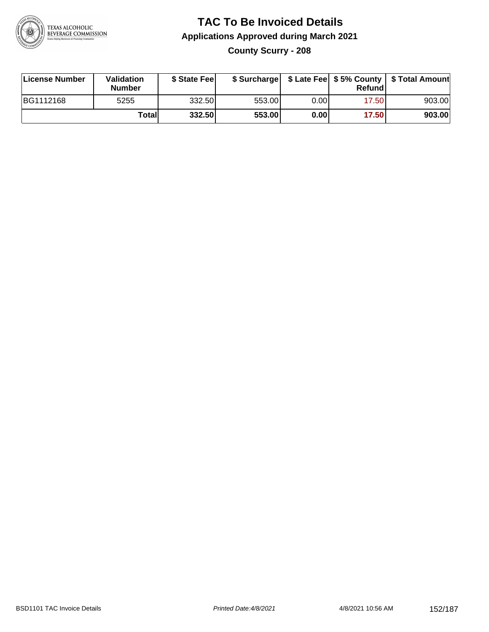

# **TAC To Be Invoiced Details Applications Approved during March 2021**

**County Scurry - 208**

| License Number | Validation<br><b>Number</b> | \$ State Fee | \$ Surcharge |      | Refund |        |
|----------------|-----------------------------|--------------|--------------|------|--------|--------|
| BG1112168      | 5255                        | 332.50       | 553.00       | 0.00 | 17.501 | 903.00 |
|                | Totall                      | 332.50       | 553.00       | 0.00 | 17.50  | 903.00 |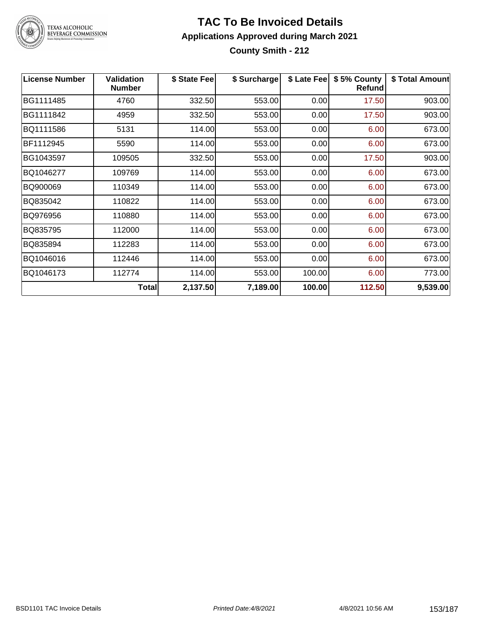

### TEXAS ALCOHOLIC<br>BEVERAGE COMMISSION

#### **TAC To Be Invoiced Details Applications Approved during March 2021 County Smith - 212**

| <b>License Number</b> | Validation<br><b>Number</b> | \$ State Fee | \$ Surcharge | \$ Late Fee | \$5% County<br>Refund | \$ Total Amount |
|-----------------------|-----------------------------|--------------|--------------|-------------|-----------------------|-----------------|
| BG1111485             | 4760                        | 332.50       | 553.00       | 0.00        | 17.50                 | 903.00          |
| BG1111842             | 4959                        | 332.50       | 553.00       | 0.00        | 17.50                 | 903.00          |
| BQ1111586             | 5131                        | 114.00       | 553.00       | 0.00        | 6.00                  | 673.00          |
| BF1112945             | 5590                        | 114.00       | 553.00       | 0.00        | 6.00                  | 673.00          |
| BG1043597             | 109505                      | 332.50       | 553.00       | 0.00        | 17.50                 | 903.00          |
| BQ1046277             | 109769                      | 114.00       | 553.00       | 0.00        | 6.00                  | 673.00          |
| BQ900069              | 110349                      | 114.00       | 553.00       | 0.00        | 6.00                  | 673.00          |
| BQ835042              | 110822                      | 114.00       | 553.00       | 0.00        | 6.00                  | 673.00          |
| BQ976956              | 110880                      | 114.00       | 553.00       | 0.00        | 6.00                  | 673.00          |
| BQ835795              | 112000                      | 114.00       | 553.00       | 0.00        | 6.00                  | 673.00          |
| BQ835894              | 112283                      | 114.00       | 553.00       | 0.00        | 6.00                  | 673.00          |
| BQ1046016             | 112446                      | 114.00       | 553.00       | 0.00        | 6.00                  | 673.00          |
| BQ1046173             | 112774                      | 114.00       | 553.00       | 100.00      | 6.00                  | 773.00          |
|                       | <b>Total</b>                | 2,137.50     | 7,189.00     | 100.00      | 112.50                | 9,539.00        |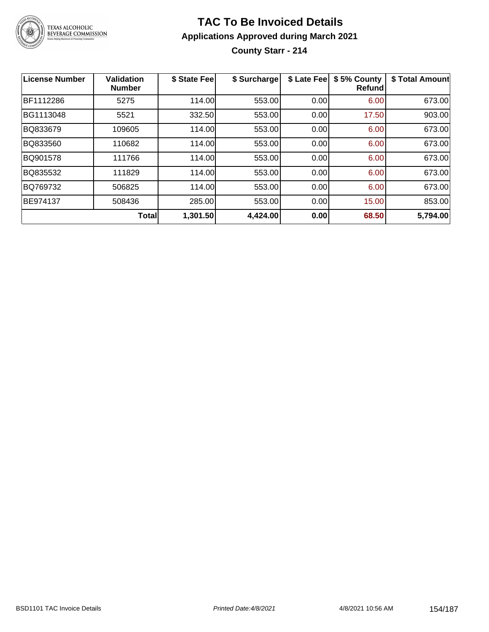

### **TAC To Be Invoiced Details Applications Approved during March 2021 County Starr - 214**

| License Number | Validation<br><b>Number</b> | \$ State Fee | \$ Surcharge | \$ Late Fee | \$5% County<br><b>Refund</b> | \$ Total Amount |
|----------------|-----------------------------|--------------|--------------|-------------|------------------------------|-----------------|
| BF1112286      | 5275                        | 114.00       | 553.00       | 0.00        | 6.00                         | 673.00          |
| BG1113048      | 5521                        | 332.50       | 553.00       | 0.00        | 17.50                        | 903.00          |
| BQ833679       | 109605                      | 114.00       | 553.00       | 0.00        | 6.00                         | 673.00          |
| BQ833560       | 110682                      | 114.00       | 553.00       | 0.00        | 6.00                         | 673.00          |
| BQ901578       | 111766                      | 114.00       | 553.00       | 0.00        | 6.00                         | 673.00          |
| BQ835532       | 111829                      | 114.00       | 553.00       | 0.00        | 6.00                         | 673.00          |
| BQ769732       | 506825                      | 114.00       | 553.00       | 0.00        | 6.00                         | 673.00          |
| BE974137       | 508436                      | 285.00       | 553.00       | 0.00        | 15.00                        | 853.00          |
|                | <b>Total</b>                | 1,301.50     | 4,424.00     | 0.00        | 68.50                        | 5,794.00        |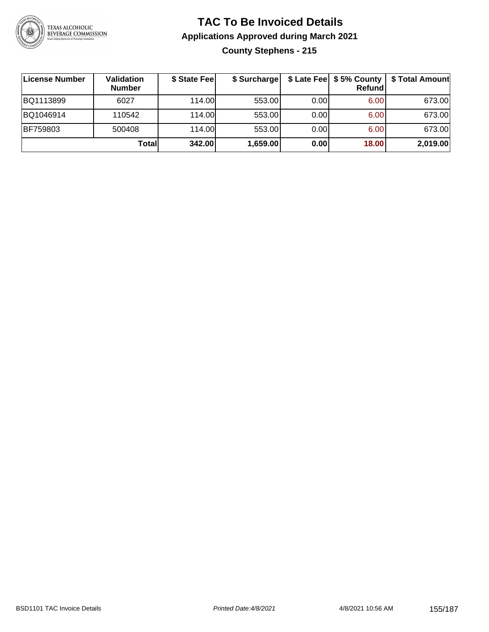

### **TAC To Be Invoiced Details Applications Approved during March 2021 County Stephens - 215**

| License Number | Validation<br><b>Number</b> | \$ State Fee | \$ Surcharge |      | \$ Late Fee   \$5% County<br>Refundl | \$ Total Amount |
|----------------|-----------------------------|--------------|--------------|------|--------------------------------------|-----------------|
| BQ1113899      | 6027                        | 114.00L      | 553.00       | 0.00 | 6.00                                 | 673.00          |
| BQ1046914      | 110542                      | 114.00L      | 553.00       | 0.00 | 6.00                                 | 673.00          |
| BF759803       | 500408                      | 114.00       | 553.00       | 0.00 | 6.00                                 | 673.00          |
|                | Total                       | 342.00       | 1,659.00     | 0.00 | 18.00                                | 2,019.00        |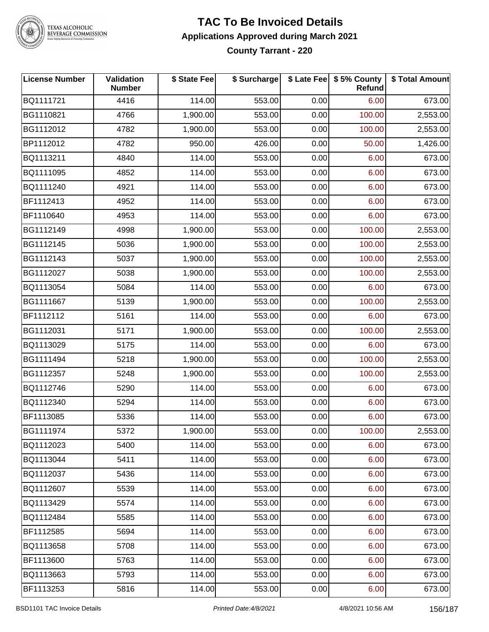

### TEXAS ALCOHOLIC<br>BEVERAGE COMMISSION

#### **TAC To Be Invoiced Details Applications Approved during March 2021 County Tarrant - 220**

| <b>License Number</b> | <b>Validation</b><br><b>Number</b> | \$ State Fee | \$ Surcharge |      | \$ Late Fee   \$5% County<br><b>Refund</b> | \$ Total Amount |
|-----------------------|------------------------------------|--------------|--------------|------|--------------------------------------------|-----------------|
| BQ1111721             | 4416                               | 114.00       | 553.00       | 0.00 | 6.00                                       | 673.00          |
| BG1110821             | 4766                               | 1,900.00     | 553.00       | 0.00 | 100.00                                     | 2,553.00        |
| BG1112012             | 4782                               | 1,900.00     | 553.00       | 0.00 | 100.00                                     | 2,553.00        |
| BP1112012             | 4782                               | 950.00       | 426.00       | 0.00 | 50.00                                      | 1,426.00        |
| BQ1113211             | 4840                               | 114.00       | 553.00       | 0.00 | 6.00                                       | 673.00          |
| BQ1111095             | 4852                               | 114.00       | 553.00       | 0.00 | 6.00                                       | 673.00          |
| BQ1111240             | 4921                               | 114.00       | 553.00       | 0.00 | 6.00                                       | 673.00          |
| BF1112413             | 4952                               | 114.00       | 553.00       | 0.00 | 6.00                                       | 673.00          |
| BF1110640             | 4953                               | 114.00       | 553.00       | 0.00 | 6.00                                       | 673.00          |
| BG1112149             | 4998                               | 1,900.00     | 553.00       | 0.00 | 100.00                                     | 2,553.00        |
| BG1112145             | 5036                               | 1,900.00     | 553.00       | 0.00 | 100.00                                     | 2,553.00        |
| BG1112143             | 5037                               | 1,900.00     | 553.00       | 0.00 | 100.00                                     | 2,553.00        |
| BG1112027             | 5038                               | 1,900.00     | 553.00       | 0.00 | 100.00                                     | 2,553.00        |
| BQ1113054             | 5084                               | 114.00       | 553.00       | 0.00 | 6.00                                       | 673.00          |
| BG1111667             | 5139                               | 1,900.00     | 553.00       | 0.00 | 100.00                                     | 2,553.00        |
| BF1112112             | 5161                               | 114.00       | 553.00       | 0.00 | 6.00                                       | 673.00          |
| BG1112031             | 5171                               | 1,900.00     | 553.00       | 0.00 | 100.00                                     | 2,553.00        |
| BQ1113029             | 5175                               | 114.00       | 553.00       | 0.00 | 6.00                                       | 673.00          |
| BG1111494             | 5218                               | 1,900.00     | 553.00       | 0.00 | 100.00                                     | 2,553.00        |
| BG1112357             | 5248                               | 1,900.00     | 553.00       | 0.00 | 100.00                                     | 2,553.00        |
| BQ1112746             | 5290                               | 114.00       | 553.00       | 0.00 | 6.00                                       | 673.00          |
| BQ1112340             | 5294                               | 114.00       | 553.00       | 0.00 | 6.00                                       | 673.00          |
| BF1113085             | 5336                               | 114.00       | 553.00       | 0.00 | 6.00                                       | 673.00          |
| BG1111974             | 5372                               | 1,900.00     | 553.00       | 0.00 | 100.00                                     | 2,553.00        |
| BQ1112023             | 5400                               | 114.00       | 553.00       | 0.00 | 6.00                                       | 673.00          |
| BQ1113044             | 5411                               | 114.00       | 553.00       | 0.00 | 6.00                                       | 673.00          |
| BQ1112037             | 5436                               | 114.00       | 553.00       | 0.00 | 6.00                                       | 673.00          |
| BQ1112607             | 5539                               | 114.00       | 553.00       | 0.00 | 6.00                                       | 673.00          |
| BQ1113429             | 5574                               | 114.00       | 553.00       | 0.00 | 6.00                                       | 673.00          |
| BQ1112484             | 5585                               | 114.00       | 553.00       | 0.00 | 6.00                                       | 673.00          |
| BF1112585             | 5694                               | 114.00       | 553.00       | 0.00 | 6.00                                       | 673.00          |
| BQ1113658             | 5708                               | 114.00       | 553.00       | 0.00 | 6.00                                       | 673.00          |
| BF1113600             | 5763                               | 114.00       | 553.00       | 0.00 | 6.00                                       | 673.00          |
| BQ1113663             | 5793                               | 114.00       | 553.00       | 0.00 | 6.00                                       | 673.00          |
| BF1113253             | 5816                               | 114.00       | 553.00       | 0.00 | 6.00                                       | 673.00          |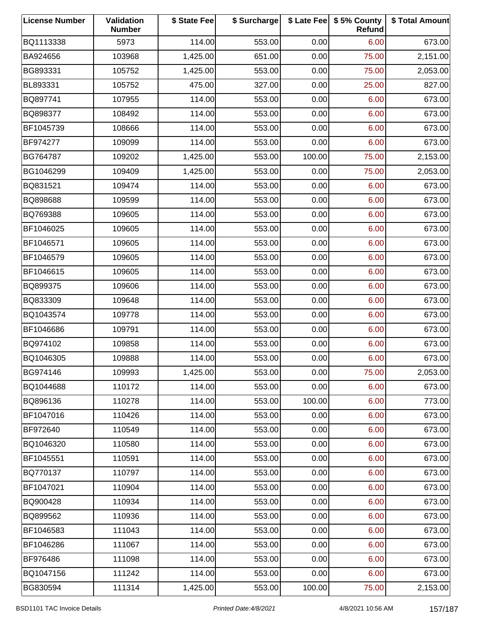| <b>License Number</b> | Validation<br><b>Number</b> | \$ State Fee | \$ Surcharge |        | \$ Late Fee   \$5% County<br>Refund | \$ Total Amount |
|-----------------------|-----------------------------|--------------|--------------|--------|-------------------------------------|-----------------|
| BQ1113338             | 5973                        | 114.00       | 553.00       | 0.00   | 6.00                                | 673.00          |
| BA924656              | 103968                      | 1,425.00     | 651.00       | 0.00   | 75.00                               | 2,151.00        |
| BG893331              | 105752                      | 1,425.00     | 553.00       | 0.00   | 75.00                               | 2,053.00        |
| BL893331              | 105752                      | 475.00       | 327.00       | 0.00   | 25.00                               | 827.00          |
| BQ897741              | 107955                      | 114.00       | 553.00       | 0.00   | 6.00                                | 673.00          |
| BQ898377              | 108492                      | 114.00       | 553.00       | 0.00   | 6.00                                | 673.00          |
| BF1045739             | 108666                      | 114.00       | 553.00       | 0.00   | 6.00                                | 673.00          |
| BF974277              | 109099                      | 114.00       | 553.00       | 0.00   | 6.00                                | 673.00          |
| BG764787              | 109202                      | 1,425.00     | 553.00       | 100.00 | 75.00                               | 2,153.00        |
| BG1046299             | 109409                      | 1,425.00     | 553.00       | 0.00   | 75.00                               | 2,053.00        |
| BQ831521              | 109474                      | 114.00       | 553.00       | 0.00   | 6.00                                | 673.00          |
| BQ898688              | 109599                      | 114.00       | 553.00       | 0.00   | 6.00                                | 673.00          |
| BQ769388              | 109605                      | 114.00       | 553.00       | 0.00   | 6.00                                | 673.00          |
| BF1046025             | 109605                      | 114.00       | 553.00       | 0.00   | 6.00                                | 673.00          |
| BF1046571             | 109605                      | 114.00       | 553.00       | 0.00   | 6.00                                | 673.00          |
| BF1046579             | 109605                      | 114.00       | 553.00       | 0.00   | 6.00                                | 673.00          |
| BF1046615             | 109605                      | 114.00       | 553.00       | 0.00   | 6.00                                | 673.00          |
| BQ899375              | 109606                      | 114.00       | 553.00       | 0.00   | 6.00                                | 673.00          |
| BQ833309              | 109648                      | 114.00       | 553.00       | 0.00   | 6.00                                | 673.00          |
| BQ1043574             | 109778                      | 114.00       | 553.00       | 0.00   | 6.00                                | 673.00          |
| BF1046686             | 109791                      | 114.00       | 553.00       | 0.00   | 6.00                                | 673.00          |
| BQ974102              | 109858                      | 114.00       | 553.00       | 0.00   | 6.00                                | 673.00          |
| BQ1046305             | 109888                      | 114.00       | 553.00       | 0.00   | 6.00                                | 673.00          |
| BG974146              | 109993                      | 1,425.00     | 553.00       | 0.00   | 75.00                               | 2,053.00        |
| BQ1044688             | 110172                      | 114.00       | 553.00       | 0.00   | 6.00                                | 673.00          |
| BQ896136              | 110278                      | 114.00       | 553.00       | 100.00 | 6.00                                | 773.00          |
| BF1047016             | 110426                      | 114.00       | 553.00       | 0.00   | 6.00                                | 673.00          |
| BF972640              | 110549                      | 114.00       | 553.00       | 0.00   | 6.00                                | 673.00          |
| BQ1046320             | 110580                      | 114.00       | 553.00       | 0.00   | 6.00                                | 673.00          |
| BF1045551             | 110591                      | 114.00       | 553.00       | 0.00   | 6.00                                | 673.00          |
| BQ770137              | 110797                      | 114.00       | 553.00       | 0.00   | 6.00                                | 673.00          |
| BF1047021             | 110904                      | 114.00       | 553.00       | 0.00   | 6.00                                | 673.00          |
| BQ900428              | 110934                      | 114.00       | 553.00       | 0.00   | 6.00                                | 673.00          |
| BQ899562              | 110936                      | 114.00       | 553.00       | 0.00   | 6.00                                | 673.00          |
| BF1046583             | 111043                      | 114.00       | 553.00       | 0.00   | 6.00                                | 673.00          |
| BF1046286             | 111067                      | 114.00       | 553.00       | 0.00   | 6.00                                | 673.00          |
| BF976486              | 111098                      | 114.00       | 553.00       | 0.00   | 6.00                                | 673.00          |
| BQ1047156             | 111242                      | 114.00       | 553.00       | 0.00   | 6.00                                | 673.00          |
| BG830594              | 111314                      | 1,425.00     | 553.00       | 100.00 | 75.00                               | 2,153.00        |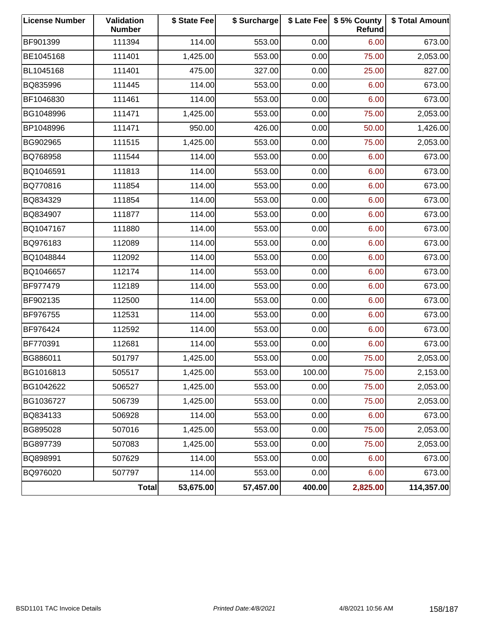| <b>License Number</b> | Validation<br><b>Number</b> | \$ State Fee | \$ Surcharge |        | \$ Late Fee   \$5% County<br><b>Refund</b> | \$ Total Amount |
|-----------------------|-----------------------------|--------------|--------------|--------|--------------------------------------------|-----------------|
| BF901399              | 111394                      | 114.00       | 553.00       | 0.00   | 6.00                                       | 673.00          |
| BE1045168             | 111401                      | 1,425.00     | 553.00       | 0.00   | 75.00                                      | 2,053.00        |
| BL1045168             | 111401                      | 475.00       | 327.00       | 0.00   | 25.00                                      | 827.00          |
| BQ835996              | 111445                      | 114.00       | 553.00       | 0.00   | 6.00                                       | 673.00          |
| BF1046830             | 111461                      | 114.00       | 553.00       | 0.00   | 6.00                                       | 673.00          |
| BG1048996             | 111471                      | 1,425.00     | 553.00       | 0.00   | 75.00                                      | 2,053.00        |
| BP1048996             | 111471                      | 950.00       | 426.00       | 0.00   | 50.00                                      | 1,426.00        |
| BG902965              | 111515                      | 1,425.00     | 553.00       | 0.00   | 75.00                                      | 2,053.00        |
| BQ768958              | 111544                      | 114.00       | 553.00       | 0.00   | 6.00                                       | 673.00          |
| BQ1046591             | 111813                      | 114.00       | 553.00       | 0.00   | 6.00                                       | 673.00          |
| BQ770816              | 111854                      | 114.00       | 553.00       | 0.00   | 6.00                                       | 673.00          |
| BQ834329              | 111854                      | 114.00       | 553.00       | 0.00   | 6.00                                       | 673.00          |
| BQ834907              | 111877                      | 114.00       | 553.00       | 0.00   | 6.00                                       | 673.00          |
| BQ1047167             | 111880                      | 114.00       | 553.00       | 0.00   | 6.00                                       | 673.00          |
| BQ976183              | 112089                      | 114.00       | 553.00       | 0.00   | 6.00                                       | 673.00          |
| BQ1048844             | 112092                      | 114.00       | 553.00       | 0.00   | 6.00                                       | 673.00          |
| BQ1046657             | 112174                      | 114.00       | 553.00       | 0.00   | 6.00                                       | 673.00          |
| BF977479              | 112189                      | 114.00       | 553.00       | 0.00   | 6.00                                       | 673.00          |
| BF902135              | 112500                      | 114.00       | 553.00       | 0.00   | 6.00                                       | 673.00          |
| BF976755              | 112531                      | 114.00       | 553.00       | 0.00   | 6.00                                       | 673.00          |
| BF976424              | 112592                      | 114.00       | 553.00       | 0.00   | 6.00                                       | 673.00          |
| BF770391              | 112681                      | 114.00       | 553.00       | 0.00   | 6.00                                       | 673.00          |
| BG886011              | 501797                      | 1,425.00     | 553.00       | 0.00   | 75.00                                      | 2,053.00        |
| BG1016813             | 505517                      | 1,425.00     | 553.00       | 100.00 | 75.00                                      | 2,153.00        |
| BG1042622             | 506527                      | 1,425.00     | 553.00       | 0.00   | 75.00                                      | 2,053.00        |
| BG1036727             | 506739                      | 1,425.00     | 553.00       | 0.00   | 75.00                                      | 2,053.00        |
| BQ834133              | 506928                      | 114.00       | 553.00       | 0.00   | 6.00                                       | 673.00          |
| BG895028              | 507016                      | 1,425.00     | 553.00       | 0.00   | 75.00                                      | 2,053.00        |
| BG897739              | 507083                      | 1,425.00     | 553.00       | 0.00   | 75.00                                      | 2,053.00        |
| BQ898991              | 507629                      | 114.00       | 553.00       | 0.00   | 6.00                                       | 673.00          |
| BQ976020              | 507797                      | 114.00       | 553.00       | 0.00   | 6.00                                       | 673.00          |
|                       | <b>Total</b>                | 53,675.00    | 57,457.00    | 400.00 | 2,825.00                                   | 114,357.00      |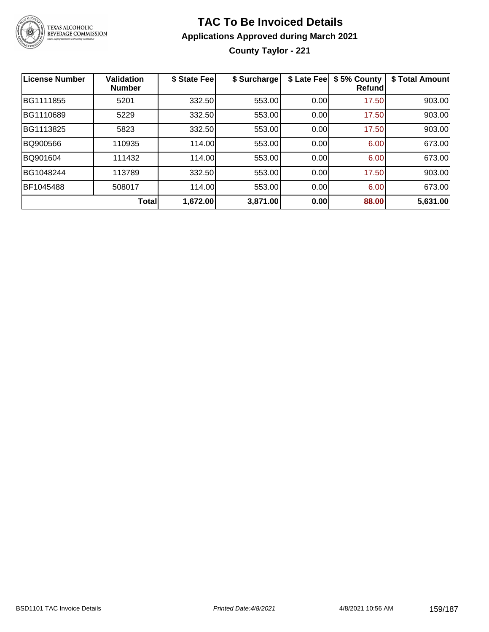

# **TAC To Be Invoiced Details Applications Approved during March 2021**

**County Taylor - 221**

| License Number | Validation<br><b>Number</b> | \$ State Fee | \$ Surcharge | \$ Late Fee | \$5% County<br>Refundl | \$ Total Amount |
|----------------|-----------------------------|--------------|--------------|-------------|------------------------|-----------------|
| BG1111855      | 5201                        | 332.50       | 553.00       | 0.00        | 17.50                  | 903.00          |
| BG1110689      | 5229                        | 332.50       | 553.00       | 0.00        | 17.50                  | 903.00          |
| BG1113825      | 5823                        | 332.50       | 553.00       | 0.00        | 17.50                  | 903.00          |
| BQ900566       | 110935                      | 114.00       | 553.00       | 0.00        | 6.00                   | 673.00          |
| BQ901604       | 111432                      | 114.00       | 553.00       | 0.00        | 6.00                   | 673.00          |
| BG1048244      | 113789                      | 332.50       | 553.00       | 0.00        | 17.50                  | 903.00          |
| BF1045488      | 508017                      | 114.00       | 553.00       | 0.00        | 6.00                   | 673.00          |
|                | <b>Total</b>                | 1,672.00     | 3,871.00     | 0.00        | 88.00                  | 5,631.00        |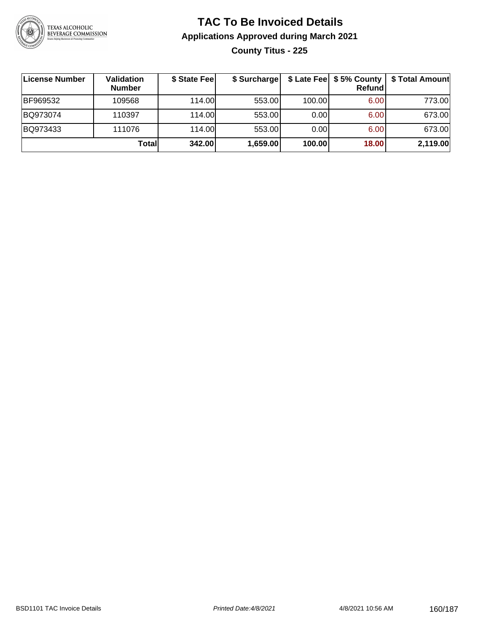

### **TAC To Be Invoiced Details Applications Approved during March 2021 County Titus - 225**

| License Number | <b>Validation</b><br><b>Number</b> | \$ State Fee | \$ Surcharge |        | \$ Late Fee   \$5% County  <br>Refundl | \$ Total Amount |
|----------------|------------------------------------|--------------|--------------|--------|----------------------------------------|-----------------|
| BF969532       | 109568                             | 114.00L      | 553.00       | 100.00 | 6.00                                   | 773.00          |
| BQ973074       | 110397                             | 114.00       | 553.00       | 0.001  | 6.00                                   | 673.00          |
| BQ973433       | 111076                             | 114.00       | 553.00       | 0.001  | 6.00                                   | 673.00          |
|                | Totall                             | 342.00       | 1,659.00     | 100.00 | 18.00                                  | 2,119.00        |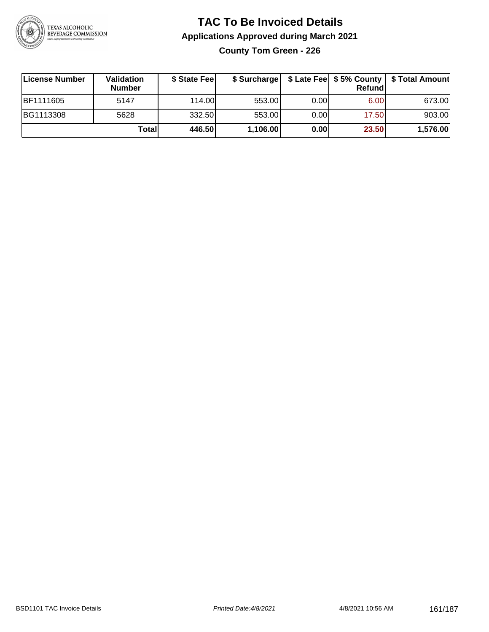

# **TAC To Be Invoiced Details Applications Approved during March 2021**

**County Tom Green - 226**

| ∣License Number  | <b>Validation</b><br><b>Number</b> | \$ State Fee | \$ Surcharge |       | <b>Refund</b> | \$ Late Fee   \$5% County   \$ Total Amount |
|------------------|------------------------------------|--------------|--------------|-------|---------------|---------------------------------------------|
| <b>BF1111605</b> | 5147                               | 114.00       | 553.00       | 0.001 | 6.00          | 673.00                                      |
| BG1113308        | 5628                               | 332.50       | 553.00       | 0.001 | 17.50         | 903.00                                      |
|                  | Totall                             | 446.50       | 1,106.00     | 0.00  | 23.50         | 1,576.00                                    |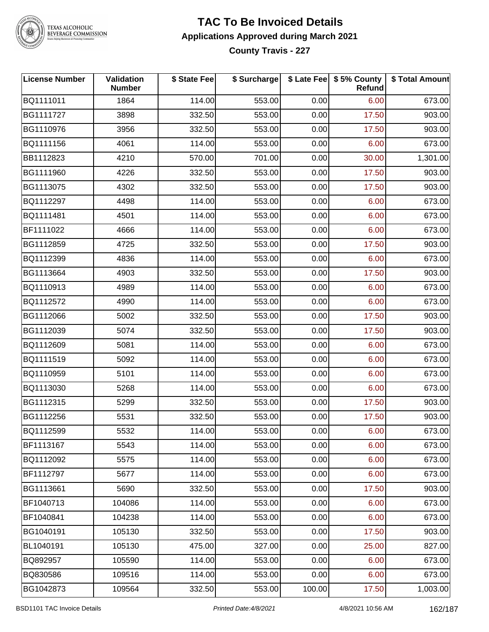

# TEXAS ALCOHOLIC<br>BEVERAGE COMMISSION

### **TAC To Be Invoiced Details Applications Approved during March 2021**

**County Travis - 227**

| <b>License Number</b> | Validation<br><b>Number</b> | \$ State Fee | \$ Surcharge |        | \$ Late Fee   \$5% County  <br>Refund | \$ Total Amount |
|-----------------------|-----------------------------|--------------|--------------|--------|---------------------------------------|-----------------|
| BQ1111011             | 1864                        | 114.00       | 553.00       | 0.00   | 6.00                                  | 673.00          |
| BG1111727             | 3898                        | 332.50       | 553.00       | 0.00   | 17.50                                 | 903.00          |
| BG1110976             | 3956                        | 332.50       | 553.00       | 0.00   | 17.50                                 | 903.00          |
| BQ1111156             | 4061                        | 114.00       | 553.00       | 0.00   | 6.00                                  | 673.00          |
| BB1112823             | 4210                        | 570.00       | 701.00       | 0.00   | 30.00                                 | 1,301.00        |
| BG1111960             | 4226                        | 332.50       | 553.00       | 0.00   | 17.50                                 | 903.00          |
| BG1113075             | 4302                        | 332.50       | 553.00       | 0.00   | 17.50                                 | 903.00          |
| BQ1112297             | 4498                        | 114.00       | 553.00       | 0.00   | 6.00                                  | 673.00          |
| BQ1111481             | 4501                        | 114.00       | 553.00       | 0.00   | 6.00                                  | 673.00          |
| BF1111022             | 4666                        | 114.00       | 553.00       | 0.00   | 6.00                                  | 673.00          |
| BG1112859             | 4725                        | 332.50       | 553.00       | 0.00   | 17.50                                 | 903.00          |
| BQ1112399             | 4836                        | 114.00       | 553.00       | 0.00   | 6.00                                  | 673.00          |
| BG1113664             | 4903                        | 332.50       | 553.00       | 0.00   | 17.50                                 | 903.00          |
| BQ1110913             | 4989                        | 114.00       | 553.00       | 0.00   | 6.00                                  | 673.00          |
| BQ1112572             | 4990                        | 114.00       | 553.00       | 0.00   | 6.00                                  | 673.00          |
| BG1112066             | 5002                        | 332.50       | 553.00       | 0.00   | 17.50                                 | 903.00          |
| BG1112039             | 5074                        | 332.50       | 553.00       | 0.00   | 17.50                                 | 903.00          |
| BQ1112609             | 5081                        | 114.00       | 553.00       | 0.00   | 6.00                                  | 673.00          |
| BQ1111519             | 5092                        | 114.00       | 553.00       | 0.00   | 6.00                                  | 673.00          |
| BQ1110959             | 5101                        | 114.00       | 553.00       | 0.00   | 6.00                                  | 673.00          |
| BQ1113030             | 5268                        | 114.00       | 553.00       | 0.00   | 6.00                                  | 673.00          |
| BG1112315             | 5299                        | 332.50       | 553.00       | 0.00   | 17.50                                 | 903.00          |
| BG1112256             | 5531                        | 332.50       | 553.00       | 0.00   | 17.50                                 | 903.00          |
| BQ1112599             | 5532                        | 114.00       | 553.00       | 0.00   | 6.00                                  | 673.00          |
| BF1113167             | 5543                        | 114.00       | 553.00       | 0.00   | 6.00                                  | 673.00          |
| BQ1112092             | 5575                        | 114.00       | 553.00       | 0.00   | 6.00                                  | 673.00          |
| BF1112797             | 5677                        | 114.00       | 553.00       | 0.00   | 6.00                                  | 673.00          |
| BG1113661             | 5690                        | 332.50       | 553.00       | 0.00   | 17.50                                 | 903.00          |
| BF1040713             | 104086                      | 114.00       | 553.00       | 0.00   | 6.00                                  | 673.00          |
| BF1040841             | 104238                      | 114.00       | 553.00       | 0.00   | 6.00                                  | 673.00          |
| BG1040191             | 105130                      | 332.50       | 553.00       | 0.00   | 17.50                                 | 903.00          |
| BL1040191             | 105130                      | 475.00       | 327.00       | 0.00   | 25.00                                 | 827.00          |
| BQ892957              | 105590                      | 114.00       | 553.00       | 0.00   | 6.00                                  | 673.00          |
| BQ830586              | 109516                      | 114.00       | 553.00       | 0.00   | 6.00                                  | 673.00          |
| BG1042873             | 109564                      | 332.50       | 553.00       | 100.00 | 17.50                                 | 1,003.00        |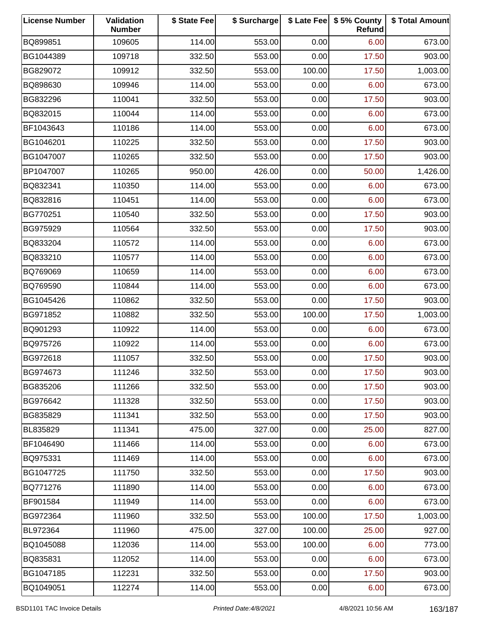| <b>License Number</b> | Validation<br><b>Number</b> | \$ State Fee | \$ Surcharge |        | \$ Late Fee   \$5% County<br>Refund | \$ Total Amount |
|-----------------------|-----------------------------|--------------|--------------|--------|-------------------------------------|-----------------|
| BQ899851              | 109605                      | 114.00       | 553.00       | 0.00   | 6.00                                | 673.00          |
| BG1044389             | 109718                      | 332.50       | 553.00       | 0.00   | 17.50                               | 903.00          |
| BG829072              | 109912                      | 332.50       | 553.00       | 100.00 | 17.50                               | 1,003.00        |
| BQ898630              | 109946                      | 114.00       | 553.00       | 0.00   | 6.00                                | 673.00          |
| BG832296              | 110041                      | 332.50       | 553.00       | 0.00   | 17.50                               | 903.00          |
| BQ832015              | 110044                      | 114.00       | 553.00       | 0.00   | 6.00                                | 673.00          |
| BF1043643             | 110186                      | 114.00       | 553.00       | 0.00   | 6.00                                | 673.00          |
| BG1046201             | 110225                      | 332.50       | 553.00       | 0.00   | 17.50                               | 903.00          |
| BG1047007             | 110265                      | 332.50       | 553.00       | 0.00   | 17.50                               | 903.00          |
| BP1047007             | 110265                      | 950.00       | 426.00       | 0.00   | 50.00                               | 1,426.00        |
| BQ832341              | 110350                      | 114.00       | 553.00       | 0.00   | 6.00                                | 673.00          |
| BQ832816              | 110451                      | 114.00       | 553.00       | 0.00   | 6.00                                | 673.00          |
| BG770251              | 110540                      | 332.50       | 553.00       | 0.00   | 17.50                               | 903.00          |
| BG975929              | 110564                      | 332.50       | 553.00       | 0.00   | 17.50                               | 903.00          |
| BQ833204              | 110572                      | 114.00       | 553.00       | 0.00   | 6.00                                | 673.00          |
| BQ833210              | 110577                      | 114.00       | 553.00       | 0.00   | 6.00                                | 673.00          |
| BQ769069              | 110659                      | 114.00       | 553.00       | 0.00   | 6.00                                | 673.00          |
| BQ769590              | 110844                      | 114.00       | 553.00       | 0.00   | 6.00                                | 673.00          |
| BG1045426             | 110862                      | 332.50       | 553.00       | 0.00   | 17.50                               | 903.00          |
| BG971852              | 110882                      | 332.50       | 553.00       | 100.00 | 17.50                               | 1,003.00        |
| BQ901293              | 110922                      | 114.00       | 553.00       | 0.00   | 6.00                                | 673.00          |
| BQ975726              | 110922                      | 114.00       | 553.00       | 0.00   | 6.00                                | 673.00          |
| BG972618              | 111057                      | 332.50       | 553.00       | 0.00   | 17.50                               | 903.00          |
| BG974673              | 111246                      | 332.50       | 553.00       | 0.00   | 17.50                               | 903.00          |
| BG835206              | 111266                      | 332.50       | 553.00       | 0.00   | 17.50                               | 903.00          |
| BG976642              | 111328                      | 332.50       | 553.00       | 0.00   | 17.50                               | 903.00          |
| BG835829              | 111341                      | 332.50       | 553.00       | 0.00   | 17.50                               | 903.00          |
| BL835829              | 111341                      | 475.00       | 327.00       | 0.00   | 25.00                               | 827.00          |
| BF1046490             | 111466                      | 114.00       | 553.00       | 0.00   | 6.00                                | 673.00          |
| BQ975331              | 111469                      | 114.00       | 553.00       | 0.00   | 6.00                                | 673.00          |
| BG1047725             | 111750                      | 332.50       | 553.00       | 0.00   | 17.50                               | 903.00          |
| BQ771276              | 111890                      | 114.00       | 553.00       | 0.00   | 6.00                                | 673.00          |
| BF901584              | 111949                      | 114.00       | 553.00       | 0.00   | 6.00                                | 673.00          |
| BG972364              | 111960                      | 332.50       | 553.00       | 100.00 | 17.50                               | 1,003.00        |
| BL972364              | 111960                      | 475.00       | 327.00       | 100.00 | 25.00                               | 927.00          |
| BQ1045088             | 112036                      | 114.00       | 553.00       | 100.00 | 6.00                                | 773.00          |
| BQ835831              | 112052                      | 114.00       | 553.00       | 0.00   | 6.00                                | 673.00          |
| BG1047185             | 112231                      | 332.50       | 553.00       | 0.00   | 17.50                               | 903.00          |
| BQ1049051             | 112274                      | 114.00       | 553.00       | 0.00   | 6.00                                | 673.00          |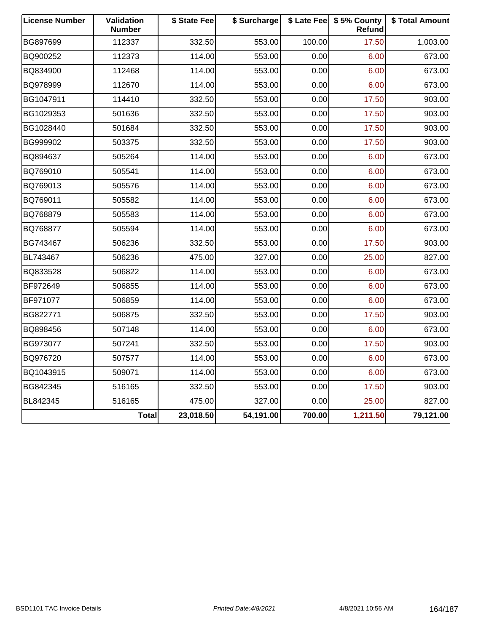| <b>License Number</b> | Validation<br><b>Number</b> | \$ State Fee | \$ Surcharge |        | \$ Late Fee   \$5% County<br>Refund | \$ Total Amount |
|-----------------------|-----------------------------|--------------|--------------|--------|-------------------------------------|-----------------|
| BG897699              | 112337                      | 332.50       | 553.00       | 100.00 | 17.50                               | 1,003.00        |
| BQ900252              | 112373                      | 114.00       | 553.00       | 0.00   | 6.00                                | 673.00          |
| BQ834900              | 112468                      | 114.00       | 553.00       | 0.00   | 6.00                                | 673.00          |
| BQ978999              | 112670                      | 114.00       | 553.00       | 0.00   | 6.00                                | 673.00          |
| BG1047911             | 114410                      | 332.50       | 553.00       | 0.00   | 17.50                               | 903.00          |
| BG1029353             | 501636                      | 332.50       | 553.00       | 0.00   | 17.50                               | 903.00          |
| BG1028440             | 501684                      | 332.50       | 553.00       | 0.00   | 17.50                               | 903.00          |
| BG999902              | 503375                      | 332.50       | 553.00       | 0.00   | 17.50                               | 903.00          |
| BQ894637              | 505264                      | 114.00       | 553.00       | 0.00   | 6.00                                | 673.00          |
| BQ769010              | 505541                      | 114.00       | 553.00       | 0.00   | 6.00                                | 673.00          |
| BQ769013              | 505576                      | 114.00       | 553.00       | 0.00   | 6.00                                | 673.00          |
| BQ769011              | 505582                      | 114.00       | 553.00       | 0.00   | 6.00                                | 673.00          |
| BQ768879              | 505583                      | 114.00       | 553.00       | 0.00   | 6.00                                | 673.00          |
| BQ768877              | 505594                      | 114.00       | 553.00       | 0.00   | 6.00                                | 673.00          |
| BG743467              | 506236                      | 332.50       | 553.00       | 0.00   | 17.50                               | 903.00          |
| BL743467              | 506236                      | 475.00       | 327.00       | 0.00   | 25.00                               | 827.00          |
| BQ833528              | 506822                      | 114.00       | 553.00       | 0.00   | 6.00                                | 673.00          |
| BF972649              | 506855                      | 114.00       | 553.00       | 0.00   | 6.00                                | 673.00          |
| BF971077              | 506859                      | 114.00       | 553.00       | 0.00   | 6.00                                | 673.00          |
| BG822771              | 506875                      | 332.50       | 553.00       | 0.00   | 17.50                               | 903.00          |
| BQ898456              | 507148                      | 114.00       | 553.00       | 0.00   | 6.00                                | 673.00          |
| BG973077              | 507241                      | 332.50       | 553.00       | 0.00   | 17.50                               | 903.00          |
| BQ976720              | 507577                      | 114.00       | 553.00       | 0.00   | 6.00                                | 673.00          |
| BQ1043915             | 509071                      | 114.00       | 553.00       | 0.00   | 6.00                                | 673.00          |
| BG842345              | 516165                      | 332.50       | 553.00       | 0.00   | 17.50                               | 903.00          |
| BL842345              | 516165                      | 475.00       | 327.00       | 0.00   | 25.00                               | 827.00          |
|                       | <b>Total</b>                | 23,018.50    | 54,191.00    | 700.00 | 1,211.50                            | 79,121.00       |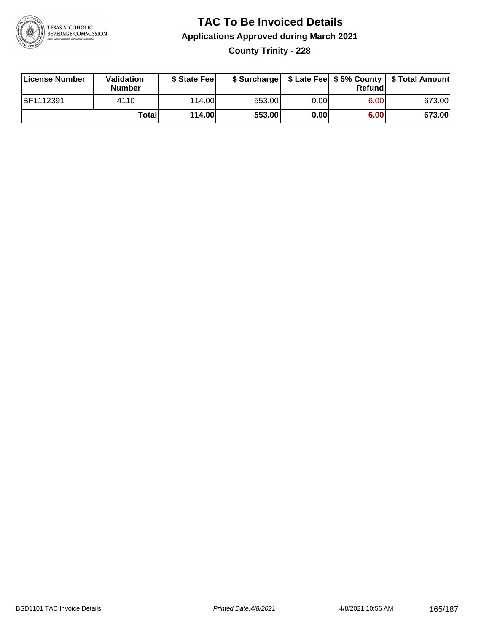

# **TAC To Be Invoiced Details Applications Approved during March 2021**

**County Trinity - 228**

| License Number   | Validation<br><b>Number</b> | \$ State Fee  | \$ Surcharge |      | Refund |        |
|------------------|-----------------------------|---------------|--------------|------|--------|--------|
| <b>BF1112391</b> | 4110                        | 114.00        | 553.00       | 0.00 | 6.00   | 673.00 |
|                  | Totall                      | <b>114.00</b> | 553.00       | 0.00 | 6.00   | 673.00 |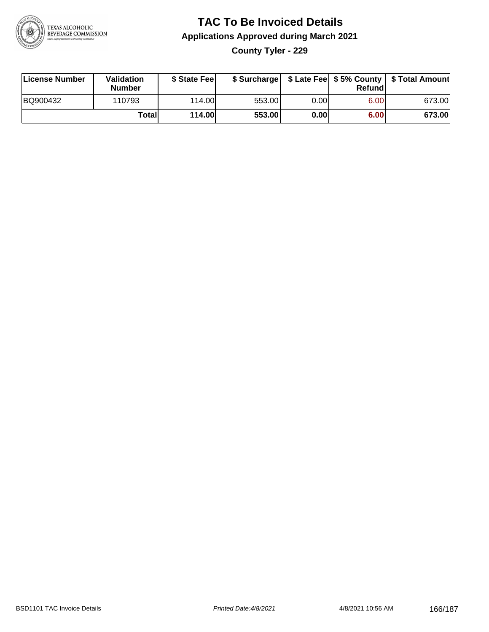

### **TAC To Be Invoiced Details Applications Approved during March 2021 County Tyler - 229**

**License Number Validation Number \$ State Fee \$ Surcharge \$ Late Fee \$ 5% County Refund \$ Total Amount** BQ900432 110793 114.00 553.00 0.00 6.00 673.00 **Total 114.00 553.00 0.00 6.00 673.00**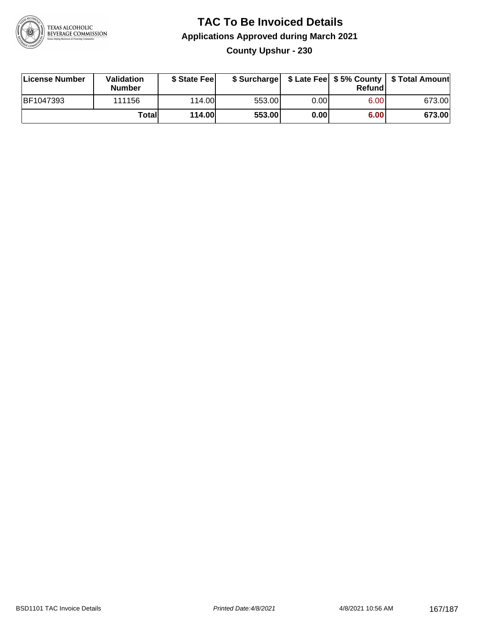

### **TAC To Be Invoiced Details Applications Approved during March 2021 County Upshur - 230**

| License Number   | Validation<br><b>Number</b> | \$ State Fee  |        |       | Refundl | \$ Surcharge   \$ Late Fee   \$5% County   \$ Total Amount |
|------------------|-----------------------------|---------------|--------|-------|---------|------------------------------------------------------------|
| <b>BF1047393</b> | 111156                      | 114.00L       | 553.00 | 0.001 | 6.00    | 673.00                                                     |
|                  | Totall                      | <b>114.00</b> | 553.00 | 0.00  | 6.00    | 673.00                                                     |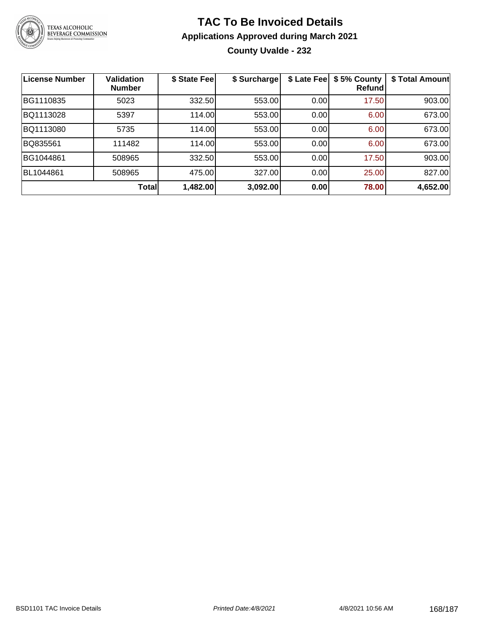

### **TAC To Be Invoiced Details Applications Approved during March 2021 County Uvalde - 232**

| <b>License Number</b> | <b>Validation</b><br><b>Number</b> | \$ State Fee | \$ Surcharge | \$ Late Fee | \$5% County<br>Refund | \$ Total Amount |
|-----------------------|------------------------------------|--------------|--------------|-------------|-----------------------|-----------------|
| BG1110835             | 5023                               | 332.50       | 553.00       | 0.00        | 17.50                 | 903.00          |
| BQ1113028             | 5397                               | 114.00       | 553.00       | 0.00        | 6.00                  | 673.00          |
| BQ1113080             | 5735                               | 114.00       | 553.00       | 0.00        | 6.00                  | 673.00          |
| BQ835561              | 111482                             | 114.00       | 553.00       | 0.00        | 6.00                  | 673.00          |
| BG1044861             | 508965                             | 332.50       | 553.00       | 0.00        | 17.50                 | 903.00          |
| BL1044861             | 508965                             | 475.00       | 327.00       | 0.00        | 25.00                 | 827.00          |
|                       | Total                              | 1,482.00     | 3,092.00     | 0.00        | 78.00                 | 4,652.00        |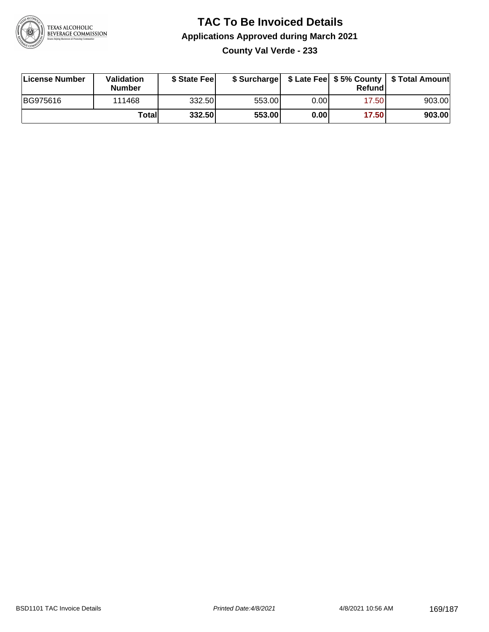

### **TAC To Be Invoiced Details Applications Approved during March 2021 County Val Verde - 233**

| License Number | Validation<br><b>Number</b> | \$ State Fee |        |       | Refundl | \$ Surcharge   \$ Late Fee   \$5% County   \$ Total Amount |
|----------------|-----------------------------|--------------|--------|-------|---------|------------------------------------------------------------|
| BG975616       | 111468                      | 332.50       | 553.00 | 0.001 | 17.50   | 903.00                                                     |
|                | Totall                      | 332.50       | 553.00 | 0.00  | 17.50   | 903.00                                                     |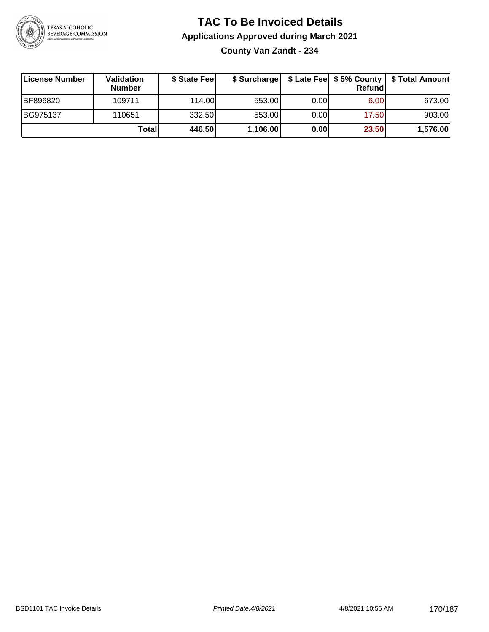

### **TAC To Be Invoiced Details Applications Approved during March 2021 County Van Zandt - 234**

| License Number | Validation<br><b>Number</b> | \$ State Fee | \$ Surcharge |      | Refundl | \$ Late Fee   \$5% County   \$ Total Amount |
|----------------|-----------------------------|--------------|--------------|------|---------|---------------------------------------------|
| BF896820       | 109711                      | 114.00       | 553.00       | 0.00 | 6.00    | 673.00                                      |
| BG975137       | 110651                      | 332.50       | 553.00       | 0.00 | 17.50   | 903.00                                      |
|                | Totall                      | 446.50       | 1,106.00     | 0.00 | 23.50   | 1,576.00                                    |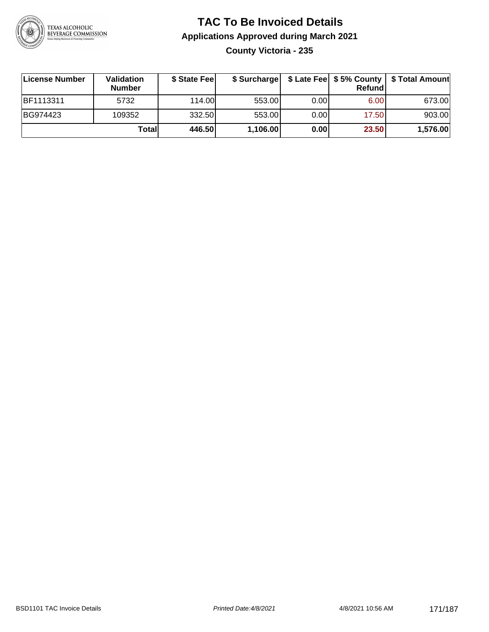

### **TAC To Be Invoiced Details Applications Approved during March 2021 County Victoria - 235**

| License Number   | Validation<br><b>Number</b> | \$ State Fee |          |      | Refundl | \$ Surcharge   \$ Late Fee   \$5% County   \$ Total Amount |
|------------------|-----------------------------|--------------|----------|------|---------|------------------------------------------------------------|
| <b>BF1113311</b> | 5732                        | 114.00L      | 553.00   | 0.00 | 6.00    | 673.00                                                     |
| BG974423         | 109352                      | 332.50       | 553.00   | 0.00 | 17.50   | 903.00                                                     |
|                  | Totall                      | 446.50       | 1,106.00 | 0.00 | 23.50   | 1,576.00                                                   |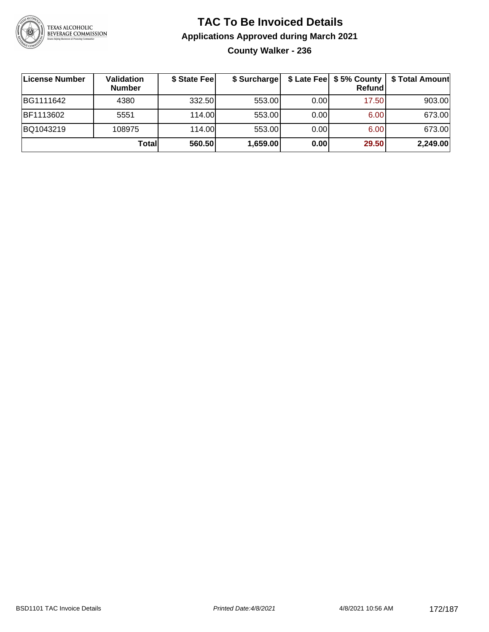

### **TAC To Be Invoiced Details Applications Approved during March 2021 County Walker - 236**

| License Number | Validation<br><b>Number</b> | \$ State Fee | \$ Surcharge |      | \$ Late Fee   \$5% County  <br>Refund | \$ Total Amount |
|----------------|-----------------------------|--------------|--------------|------|---------------------------------------|-----------------|
| BG1111642      | 4380                        | 332.50       | 553.00       | 0.00 | 17.50                                 | 903.00          |
| BF1113602      | 5551                        | 114.00       | 553.00       | 0.00 | 6.00                                  | 673.00          |
| BQ1043219      | 108975                      | 114.00       | 553.00       | 0.00 | 6.00                                  | 673.00          |
|                | Totall                      | 560.50       | 1,659.00     | 0.00 | 29.50                                 | 2,249.00        |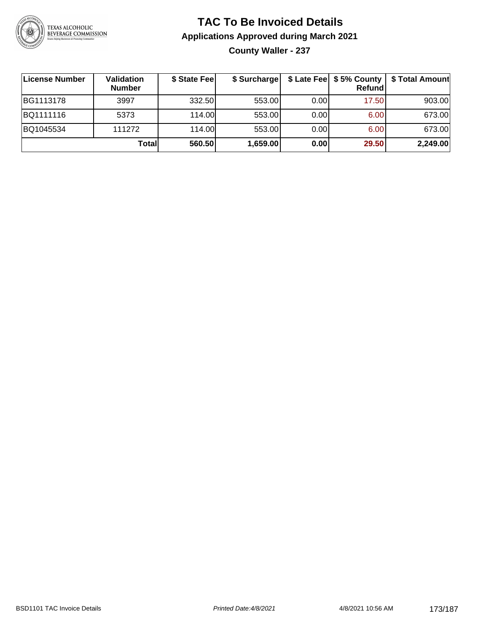

### **TAC To Be Invoiced Details Applications Approved during March 2021**

**County Waller - 237**

| License Number | Validation<br><b>Number</b> | \$ State Fee | \$ Surcharge |       | Refundl | \$ Late Fee   \$5% County   \$ Total Amount |
|----------------|-----------------------------|--------------|--------------|-------|---------|---------------------------------------------|
| BG1113178      | 3997                        | 332.50       | 553.00       | 0.001 | 17.50   | 903.00                                      |
| BQ1111116      | 5373                        | 114.00       | 553.00       | 0.00  | 6.00    | 673.00                                      |
| BQ1045534      | 111272                      | 114.00       | 553.00       | 0.00  | 6.00    | 673.00                                      |
|                | Totall                      | 560.50       | 1,659.00     | 0.00  | 29.50   | 2,249.00                                    |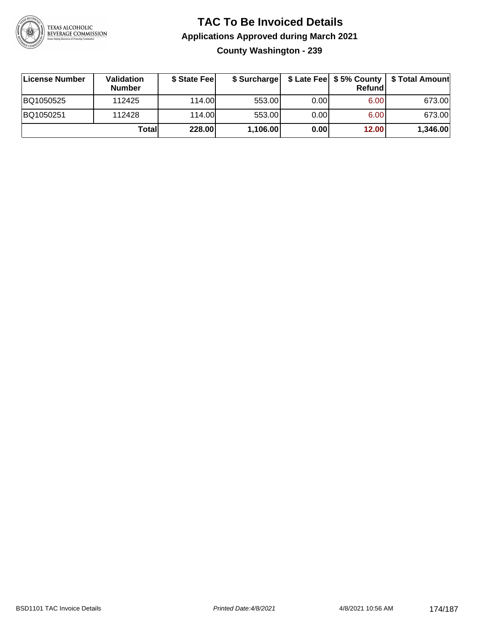

### **TAC To Be Invoiced Details Applications Approved during March 2021 County Washington - 239**

| <b>∣License Number</b> | Validation<br><b>Number</b> | \$ State Feel | \$ Surcharge |      | Refundl           | \$ Late Fee   \$5% County   \$ Total Amount |
|------------------------|-----------------------------|---------------|--------------|------|-------------------|---------------------------------------------|
| BQ1050525              | 112425                      | 114.00        | 553.00       | 0.00 | 6.00              | 673.00                                      |
| BQ1050251              | 112428                      | 114.00L       | 553.00       | 0.00 | 6.00 <sub>1</sub> | 673.00                                      |
|                        | Totall                      | 228.00        | 1,106.00     | 0.00 | 12.00             | 1,346.00                                    |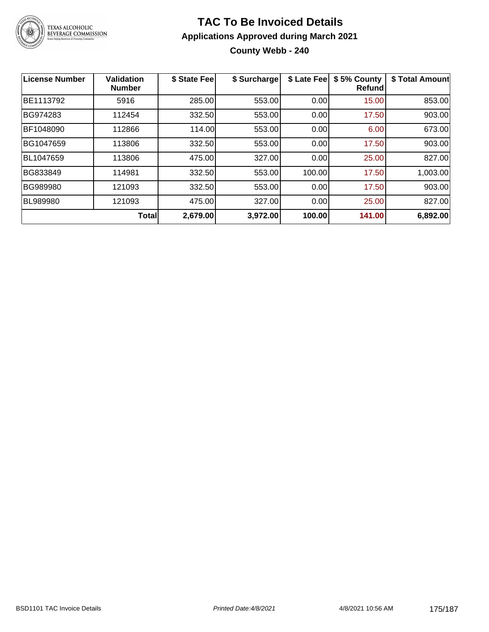

### **TAC To Be Invoiced Details Applications Approved during March 2021 County Webb - 240**

| License Number | Validation<br><b>Number</b> | \$ State Fee | \$ Surcharge | \$ Late Fee | \$5% County<br><b>Refund</b> | \$ Total Amount |
|----------------|-----------------------------|--------------|--------------|-------------|------------------------------|-----------------|
| BE1113792      | 5916                        | 285.00       | 553.00       | 0.00        | 15.00                        | 853.00          |
| BG974283       | 112454                      | 332.50       | 553.00       | 0.00        | 17.50                        | 903.00          |
| BF1048090      | 112866                      | 114.00       | 553.00       | 0.00        | 6.00                         | 673.00          |
| BG1047659      | 113806                      | 332.50       | 553.00       | 0.00        | 17.50                        | 903.00          |
| BL1047659      | 113806                      | 475.00       | 327.00       | 0.00        | 25.00                        | 827.00          |
| BG833849       | 114981                      | 332.50       | 553.00       | 100.00      | 17.50                        | 1,003.00        |
| BG989980       | 121093                      | 332.50       | 553.00       | 0.00        | 17.50                        | 903.00          |
| BL989980       | 121093                      | 475.00       | 327.00       | 0.00        | 25.00                        | 827.00          |
|                | <b>Total</b>                | 2,679.00     | 3,972.00     | 100.00      | 141.00                       | 6,892.00        |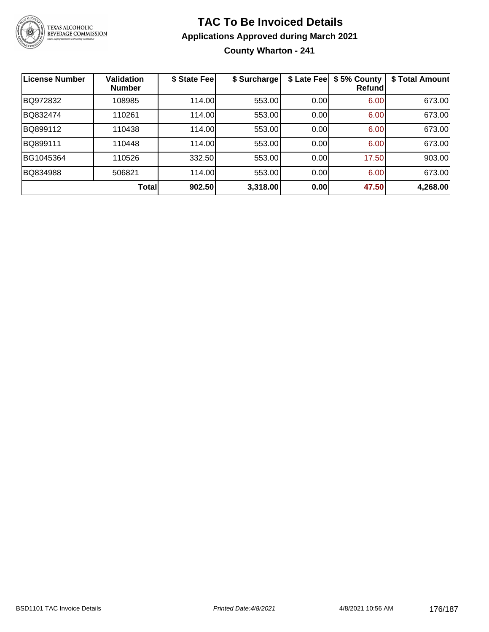

### **TAC To Be Invoiced Details Applications Approved during March 2021 County Wharton - 241**

| <b>License Number</b> | <b>Validation</b><br><b>Number</b> | \$ State Fee | \$ Surcharge | \$ Late Fee | \$5% County<br><b>Refund</b> | \$ Total Amount |
|-----------------------|------------------------------------|--------------|--------------|-------------|------------------------------|-----------------|
| BQ972832              | 108985                             | 114.00       | 553.00       | 0.00        | 6.00                         | 673.00          |
| BQ832474              | 110261                             | 114.00       | 553.00       | 0.00        | 6.00                         | 673.00          |
| BQ899112              | 110438                             | 114.00       | 553.00       | 0.00        | 6.00                         | 673.00          |
| BQ899111              | 110448                             | 114.00       | 553.00       | 0.00        | 6.00                         | 673.00          |
| BG1045364             | 110526                             | 332.50       | 553.00       | 0.00        | 17.50                        | 903.00          |
| BQ834988              | 506821                             | 114.00       | 553.00       | 0.00        | 6.00                         | 673.00          |
|                       | <b>Total</b>                       | 902.50       | 3,318.00     | 0.00        | 47.50                        | 4,268.00        |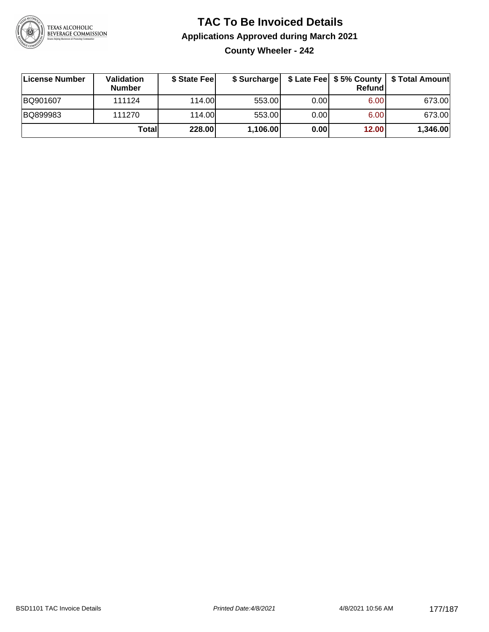

### **TAC To Be Invoiced Details Applications Approved during March 2021 County Wheeler - 242**

| License Number | Validation<br><b>Number</b> | \$ State Fee | \$ Surcharge |      | Refund            | \$ Late Fee   \$5% County   \$ Total Amount |
|----------------|-----------------------------|--------------|--------------|------|-------------------|---------------------------------------------|
| BQ901607       | 111124                      | 114.00       | 553.00       | 0.00 | 6.00 <sub>1</sub> | 673.00                                      |
| BQ899983       | 111270                      | 114.00       | 553.00       | 0.00 | 6.00 <sub>1</sub> | 673.00                                      |
|                | Totall                      | 228.00       | 1,106.00     | 0.00 | 12.00             | 1,346.00                                    |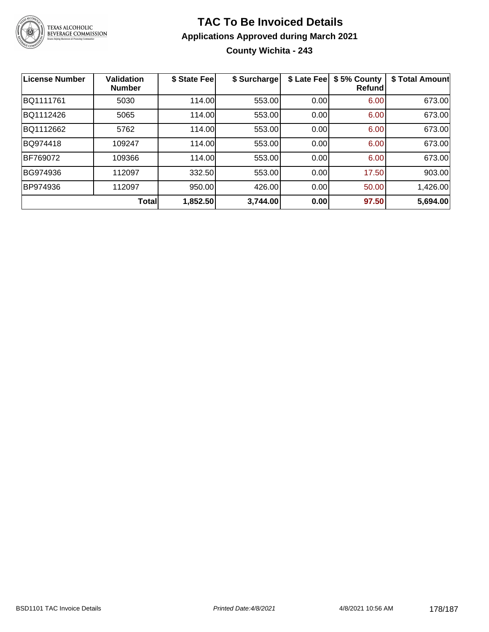

### **TAC To Be Invoiced Details Applications Approved during March 2021 County Wichita - 243**

| <b>License Number</b> | <b>Validation</b><br><b>Number</b> | \$ State Fee | \$ Surcharge | \$ Late Fee | \$5% County<br><b>Refund</b> | \$ Total Amount |
|-----------------------|------------------------------------|--------------|--------------|-------------|------------------------------|-----------------|
| BQ1111761             | 5030                               | 114.00       | 553.00       | 0.00        | 6.00                         | 673.00          |
| BQ1112426             | 5065                               | 114.00       | 553.00       | 0.00        | 6.00                         | 673.00          |
| BQ1112662             | 5762                               | 114.00       | 553.00       | 0.00        | 6.00                         | 673.00          |
| BQ974418              | 109247                             | 114.00       | 553.00       | 0.00        | 6.00                         | 673.00          |
| BF769072              | 109366                             | 114.00       | 553.00       | 0.00        | 6.00                         | 673.00          |
| BG974936              | 112097                             | 332.50       | 553.00       | 0.00        | 17.50                        | 903.00          |
| BP974936              | 112097                             | 950.00       | 426.00       | 0.00        | 50.00                        | 1,426.00        |
|                       | Total                              | 1,852.50     | 3,744.00     | 0.00        | 97.50                        | 5,694.00        |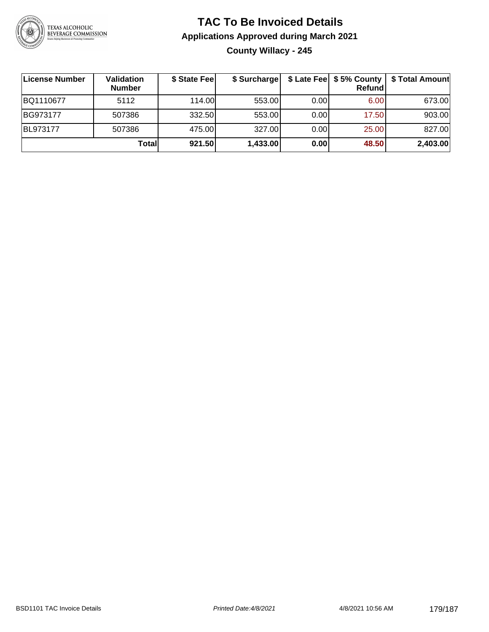

### **TAC To Be Invoiced Details Applications Approved during March 2021 County Willacy - 245**

| License Number | <b>Validation</b><br><b>Number</b> | \$ State Fee | \$ Surcharge |       | $$$ Late Fee $$5%$ County<br>Refund | \$ Total Amount |
|----------------|------------------------------------|--------------|--------------|-------|-------------------------------------|-----------------|
| BQ1110677      | 5112                               | 114.00       | 553.00       | 0.001 | 6.00                                | 673.00          |
| BG973177       | 507386                             | 332.50       | 553.00       | 0.001 | 17.50                               | 903.00          |
| BL973177       | 507386                             | 475.00       | 327.00       | 0.001 | 25.00                               | 827.00          |
|                | Totall                             | 921.50       | 1,433.00     | 0.00  | 48.50                               | 2,403.00        |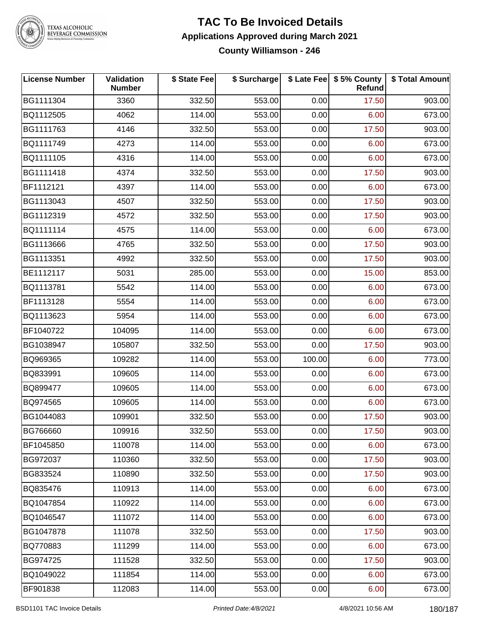

### TEXAS ALCOHOLIC<br>BEVERAGE COMMISSION

#### **TAC To Be Invoiced Details Applications Approved during March 2021 County Williamson - 246**

| <b>License Number</b> | Validation<br><b>Number</b> | \$ State Fee | \$ Surcharge |        | \$ Late Fee   \$5% County<br>Refund | \$ Total Amount |
|-----------------------|-----------------------------|--------------|--------------|--------|-------------------------------------|-----------------|
| BG1111304             | 3360                        | 332.50       | 553.00       | 0.00   | 17.50                               | 903.00          |
| BQ1112505             | 4062                        | 114.00       | 553.00       | 0.00   | 6.00                                | 673.00          |
| BG1111763             | 4146                        | 332.50       | 553.00       | 0.00   | 17.50                               | 903.00          |
| BQ1111749             | 4273                        | 114.00       | 553.00       | 0.00   | 6.00                                | 673.00          |
| BQ1111105             | 4316                        | 114.00       | 553.00       | 0.00   | 6.00                                | 673.00          |
| BG1111418             | 4374                        | 332.50       | 553.00       | 0.00   | 17.50                               | 903.00          |
| BF1112121             | 4397                        | 114.00       | 553.00       | 0.00   | 6.00                                | 673.00          |
| BG1113043             | 4507                        | 332.50       | 553.00       | 0.00   | 17.50                               | 903.00          |
| BG1112319             | 4572                        | 332.50       | 553.00       | 0.00   | 17.50                               | 903.00          |
| BQ1111114             | 4575                        | 114.00       | 553.00       | 0.00   | 6.00                                | 673.00          |
| BG1113666             | 4765                        | 332.50       | 553.00       | 0.00   | 17.50                               | 903.00          |
| BG1113351             | 4992                        | 332.50       | 553.00       | 0.00   | 17.50                               | 903.00          |
| BE1112117             | 5031                        | 285.00       | 553.00       | 0.00   | 15.00                               | 853.00          |
| BQ1113781             | 5542                        | 114.00       | 553.00       | 0.00   | 6.00                                | 673.00          |
| BF1113128             | 5554                        | 114.00       | 553.00       | 0.00   | 6.00                                | 673.00          |
| BQ1113623             | 5954                        | 114.00       | 553.00       | 0.00   | 6.00                                | 673.00          |
| BF1040722             | 104095                      | 114.00       | 553.00       | 0.00   | 6.00                                | 673.00          |
| BG1038947             | 105807                      | 332.50       | 553.00       | 0.00   | 17.50                               | 903.00          |
| BQ969365              | 109282                      | 114.00       | 553.00       | 100.00 | 6.00                                | 773.00          |
| BQ833991              | 109605                      | 114.00       | 553.00       | 0.00   | 6.00                                | 673.00          |
| BQ899477              | 109605                      | 114.00       | 553.00       | 0.00   | 6.00                                | 673.00          |
| BQ974565              | 109605                      | 114.00       | 553.00       | 0.00   | 6.00                                | 673.00          |
| BG1044083             | 109901                      | 332.50       | 553.00       | 0.00   | 17.50                               | 903.00          |
| BG766660              | 109916                      | 332.50       | 553.00       | 0.00   | 17.50                               | 903.00          |
| BF1045850             | 110078                      | 114.00       | 553.00       | 0.00   | 6.00                                | 673.00          |
| BG972037              | 110360                      | 332.50       | 553.00       | 0.00   | 17.50                               | 903.00          |
| BG833524              | 110890                      | 332.50       | 553.00       | 0.00   | 17.50                               | 903.00          |
| BQ835476              | 110913                      | 114.00       | 553.00       | 0.00   | 6.00                                | 673.00          |
| BQ1047854             | 110922                      | 114.00       | 553.00       | 0.00   | 6.00                                | 673.00          |
| BQ1046547             | 111072                      | 114.00       | 553.00       | 0.00   | 6.00                                | 673.00          |
| BG1047878             | 111078                      | 332.50       | 553.00       | 0.00   | 17.50                               | 903.00          |
| BQ770883              | 111299                      | 114.00       | 553.00       | 0.00   | 6.00                                | 673.00          |
| BG974725              | 111528                      | 332.50       | 553.00       | 0.00   | 17.50                               | 903.00          |
| BQ1049022             | 111854                      | 114.00       | 553.00       | 0.00   | 6.00                                | 673.00          |
| BF901838              | 112083                      | 114.00       | 553.00       | 0.00   | 6.00                                | 673.00          |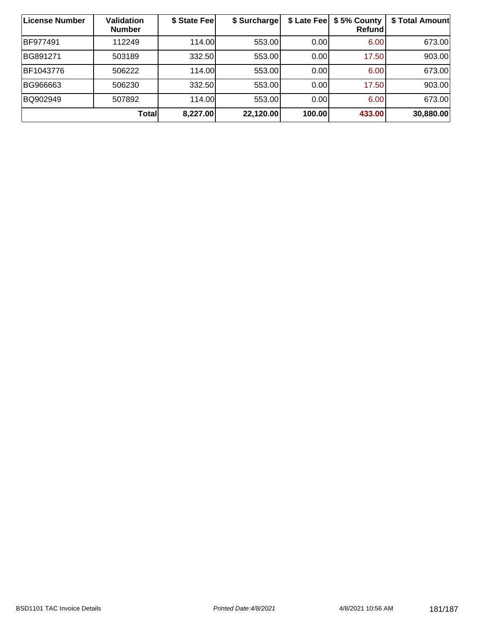| License Number | <b>Validation</b><br><b>Number</b> | \$ State Fee | \$ Surcharge | \$ Late Fee | \$5% County<br>Refund | \$ Total Amount |
|----------------|------------------------------------|--------------|--------------|-------------|-----------------------|-----------------|
| BF977491       | 112249                             | 114.00L      | 553.00       | 0.00        | 6.00                  | 673.00          |
| BG891271       | 503189                             | 332.50       | 553.00       | 0.00        | 17.50                 | 903.00          |
| BF1043776      | 506222                             | 114.00L      | 553.00       | 0.00        | 6.00                  | 673.00          |
| BG966663       | 506230                             | 332.50       | 553.00       | 0.00        | 17.50                 | 903.00          |
| BQ902949       | 507892                             | 114.00       | 553.00       | 0.00        | 6.00                  | 673.00          |
|                | Totall                             | 8,227.00     | 22,120.00    | 100.00      | 433.00                | 30,880.00       |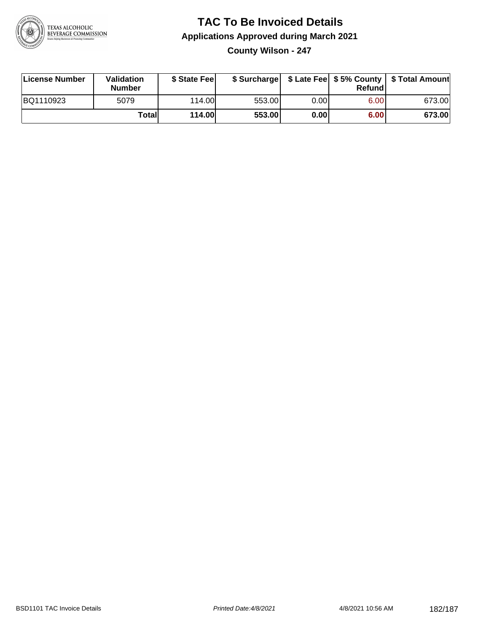

## **TAC To Be Invoiced Details Applications Approved during March 2021 County Wilson - 247**

**License Number Validation Number \$ State Fee \$ Surcharge \$ Late Fee \$ 5% County Refund \$ Total Amount** BQ1110923 5079 114.00 553.00 0.00 6.00 673.00 **Total 114.00 553.00 0.00 6.00 673.00**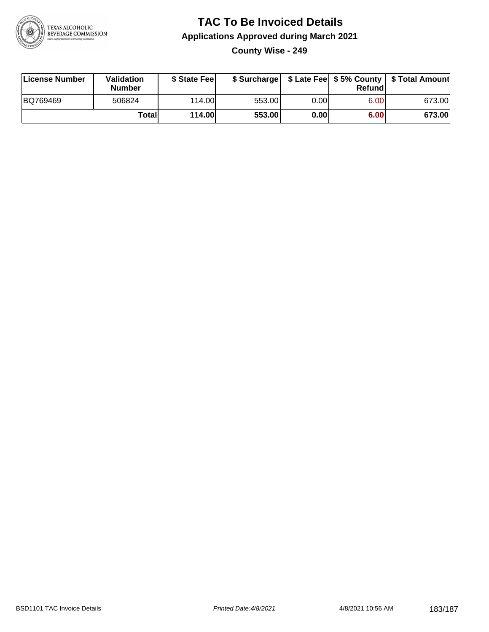

## **TAC To Be Invoiced Details Applications Approved during March 2021 County Wise - 249**

| License Number | <b>Validation</b><br><b>Number</b> | \$ State Feel |        |       | Refund | \$ Surcharge   \$ Late Fee   \$5% County   \$ Total Amount |
|----------------|------------------------------------|---------------|--------|-------|--------|------------------------------------------------------------|
| BQ769469       | 506824                             | 114.00        | 553.00 | 0.001 | 6.00   | 673.00                                                     |
|                | Totall                             | 114.00        | 553.00 | 0.00  | 6.00   | 673.00                                                     |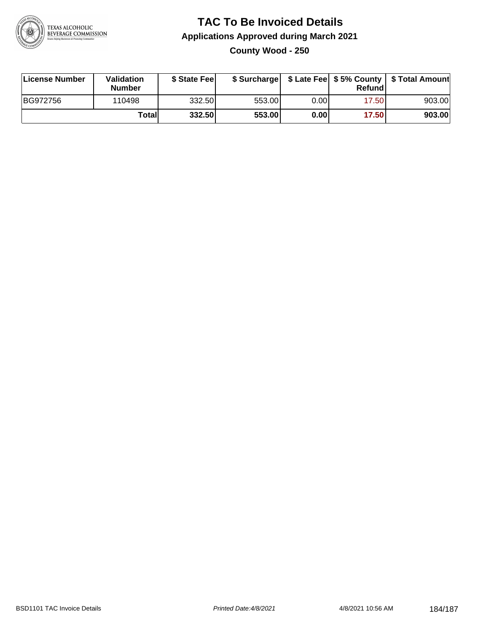

## **TAC To Be Invoiced Details Applications Approved during March 2021 County Wood - 250**

| License Number | <b>Validation</b><br><b>Number</b> | \$ State Feel |        |      | Refund | \$ Surcharge   \$ Late Fee   \$5% County   \$ Total Amount |
|----------------|------------------------------------|---------------|--------|------|--------|------------------------------------------------------------|
| BG972756       | 110498                             | 332.50        | 553.00 | 0.00 | 17.50  | 903.00                                                     |
|                | Totall                             | 332.50        | 553.00 | 0.00 | 17.50  | 903.00                                                     |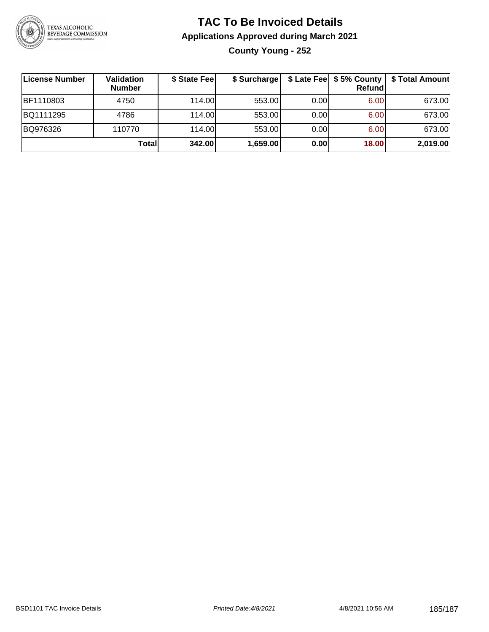

# **TAC To Be Invoiced Details Applications Approved during March 2021 County Young - 252**

| License Number | <b>Validation</b><br><b>Number</b> | \$ State Fee | \$ Surcharge |      | \$ Late Fee   \$5% County  <br>Refund | \$ Total Amount |
|----------------|------------------------------------|--------------|--------------|------|---------------------------------------|-----------------|
| BF1110803      | 4750                               | 114.00       | 553.00       | 0.00 | 6.00                                  | 673.00          |
| BQ1111295      | 4786                               | 114.00       | 553.00       | 0.00 | 6.00                                  | 673.00          |
| BQ976326       | 110770                             | 114.00       | 553.00       | 0.00 | 6.00                                  | 673.00          |
|                | Totall                             | 342.00       | 1,659.00     | 0.00 | 18.00                                 | 2,019.00        |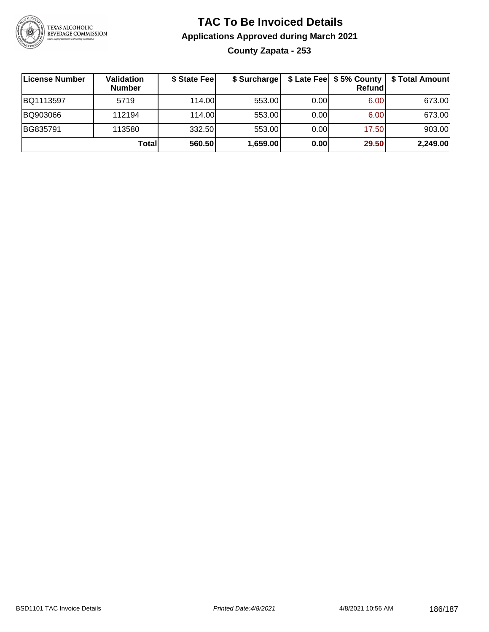

## **TAC To Be Invoiced Details Applications Approved during March 2021 County Zapata - 253**

| License Number | <b>Validation</b><br><b>Number</b> | \$ State Fee | \$ Surcharge |      | \$ Late Fee   \$5% County  <br>Refund | \$ Total Amount |
|----------------|------------------------------------|--------------|--------------|------|---------------------------------------|-----------------|
| BQ1113597      | 5719                               | 114.00       | 553.00       | 0.00 | 6.00                                  | 673.00          |
| BQ903066       | 112194                             | 114.00       | 553.00       | 0.00 | 6.00                                  | 673.00          |
| BG835791       | 113580                             | 332.50       | 553.00       | 0.00 | 17.50                                 | 903.00          |
|                | Totall                             | 560.50       | 1,659.00     | 0.00 | 29.50                                 | 2,249.00        |